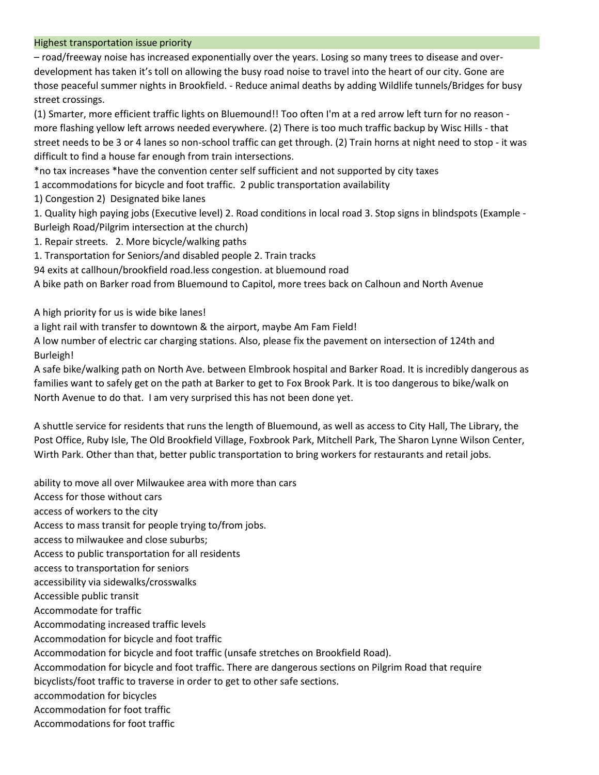### Highest transportation issue priority

– road/freeway noise has increased exponentially over the years. Losing so many trees to disease and overdevelopment has taken it's toll on allowing the busy road noise to travel into the heart of our city. Gone are those peaceful summer nights in Brookfield. - Reduce animal deaths by adding Wildlife tunnels/Bridges for busy street crossings.

(1) Smarter, more efficient traffic lights on Bluemound!! Too often I'm at a red arrow left turn for no reason more flashing yellow left arrows needed everywhere. (2) There is too much traffic backup by Wisc Hills - that street needs to be 3 or 4 lanes so non-school traffic can get through. (2) Train horns at night need to stop - it was difficult to find a house far enough from train intersections.

\*no tax increases \*have the convention center self sufficient and not supported by city taxes

1 accommodations for bicycle and foot traffic. 2 public transportation availability

1) Congestion 2) Designated bike lanes

1. Quality high paying jobs (Executive level) 2. Road conditions in local road 3. Stop signs in blindspots (Example - Burleigh Road/Pilgrim intersection at the church)

- 1. Repair streets. 2. More bicycle/walking paths
- 1. Transportation for Seniors/and disabled people 2. Train tracks

94 exits at callhoun/brookfield road.less congestion. at bluemound road

A bike path on Barker road from Bluemound to Capitol, more trees back on Calhoun and North Avenue

A high priority for us is wide bike lanes!

a light rail with transfer to downtown & the airport, maybe Am Fam Field!

A low number of electric car charging stations. Also, please fix the pavement on intersection of 124th and Burleigh!

A safe bike/walking path on North Ave. between Elmbrook hospital and Barker Road. It is incredibly dangerous as families want to safely get on the path at Barker to get to Fox Brook Park. It is too dangerous to bike/walk on North Avenue to do that. I am very surprised this has not been done yet.

A shuttle service for residents that runs the length of Bluemound, as well as access to City Hall, The Library, the Post Office, Ruby Isle, The Old Brookfield Village, Foxbrook Park, Mitchell Park, The Sharon Lynne Wilson Center, Wirth Park. Other than that, better public transportation to bring workers for restaurants and retail jobs.

ability to move all over Milwaukee area with more than cars Access for those without cars access of workers to the city Access to mass transit for people trying to/from jobs. access to milwaukee and close suburbs; Access to public transportation for all residents access to transportation for seniors accessibility via sidewalks/crosswalks Accessible public transit Accommodate for traffic Accommodating increased traffic levels Accommodation for bicycle and foot traffic Accommodation for bicycle and foot traffic (unsafe stretches on Brookfield Road). Accommodation for bicycle and foot traffic. There are dangerous sections on Pilgrim Road that require bicyclists/foot traffic to traverse in order to get to other safe sections. accommodation for bicycles Accommodation for foot traffic Accommodations for foot traffic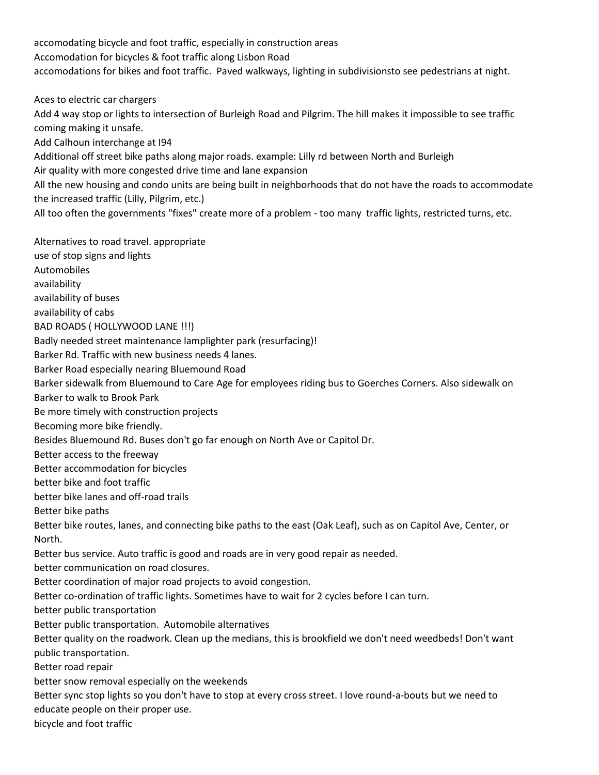accomodating bicycle and foot traffic, especially in construction areas Accomodation for bicycles & foot traffic along Lisbon Road accomodations for bikes and foot traffic. Paved walkways, lighting in subdivisionsto see pedestrians at night.

Aces to electric car chargers

Add 4 way stop or lights to intersection of Burleigh Road and Pilgrim. The hill makes it impossible to see traffic coming making it unsafe.

Add Calhoun interchange at I94

Additional off street bike paths along major roads. example: Lilly rd between North and Burleigh Air quality with more congested drive time and lane expansion

All the new housing and condo units are being built in neighborhoods that do not have the roads to accommodate the increased traffic (Lilly, Pilgrim, etc.)

All too often the governments "fixes" create more of a problem - too many traffic lights, restricted turns, etc.

Alternatives to road travel. appropriate use of stop signs and lights Automobiles availability availability of buses availability of cabs BAD ROADS ( HOLLYWOOD LANE !!!) Badly needed street maintenance lamplighter park (resurfacing)! Barker Rd. Traffic with new business needs 4 lanes. Barker Road especially nearing Bluemound Road Barker sidewalk from Bluemound to Care Age for employees riding bus to Goerches Corners. Also sidewalk on Barker to walk to Brook Park Be more timely with construction projects Becoming more bike friendly. Besides Bluemound Rd. Buses don't go far enough on North Ave or Capitol Dr. Better access to the freeway Better accommodation for bicycles better bike and foot traffic better bike lanes and off-road trails Better bike paths Better bike routes, lanes, and connecting bike paths to the east (Oak Leaf), such as on Capitol Ave, Center, or North. Better bus service. Auto traffic is good and roads are in very good repair as needed. better communication on road closures. Better coordination of major road projects to avoid congestion. Better co-ordination of traffic lights. Sometimes have to wait for 2 cycles before I can turn. better public transportation Better public transportation. Automobile alternatives Better quality on the roadwork. Clean up the medians, this is brookfield we don't need weedbeds! Don't want public transportation. Better road repair better snow removal especially on the weekends Better sync stop lights so you don't have to stop at every cross street. I love round-a-bouts but we need to educate people on their proper use. bicycle and foot traffic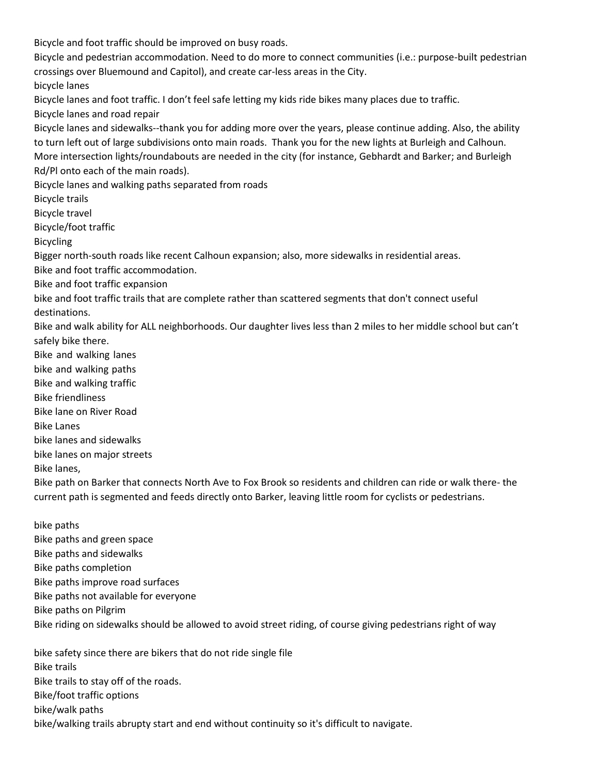Bicycle and foot traffic should be improved on busy roads.

Bicycle and pedestrian accommodation. Need to do more to connect communities (i.e.: purpose-built pedestrian crossings over Bluemound and Capitol), and create car-less areas in the City.

bicycle lanes

Bicycle lanes and foot traffic. I don't feel safe letting my kids ride bikes many places due to traffic.

Bicycle lanes and road repair

Bicycle lanes and sidewalks--thank you for adding more over the years, please continue adding. Also, the ability to turn left out of large subdivisions onto main roads. Thank you for the new lights at Burleigh and Calhoun. More intersection lights/roundabouts are needed in the city (for instance, Gebhardt and Barker; and Burleigh Rd/Pl onto each of the main roads).

Bicycle lanes and walking paths separated from roads

Bicycle trails

Bicycle travel

Bicycle/foot traffic

Bicycling

Bigger north-south roads like recent Calhoun expansion; also, more sidewalks in residential areas.

Bike and foot traffic accommodation.

Bike and foot traffic expansion

bike and foot traffic trails that are complete rather than scattered segments that don't connect useful destinations.

Bike and walk ability for ALL neighborhoods. Our daughter lives less than 2 miles to her middle school but can't safely bike there.

Bike and walking lanes bike and walking paths Bike and walking traffic Bike friendliness Bike lane on River Road Bike Lanes bike lanes and sidewalks bike lanes on major streets Bike lanes,

Bike path on Barker that connects North Ave to Fox Brook so residents and children can ride or walk there- the current path is segmented and feeds directly onto Barker, leaving little room for cyclists or pedestrians.

bike paths Bike paths and green space Bike paths and sidewalks Bike paths completion Bike paths improve road surfaces Bike paths not available for everyone Bike paths on Pilgrim Bike riding on sidewalks should be allowed to avoid street riding, of course giving pedestrians right of way

bike safety since there are bikers that do not ride single file Bike trails Bike trails to stay off of the roads. Bike/foot traffic options bike/walk paths bike/walking trails abrupty start and end without continuity so it's difficult to navigate.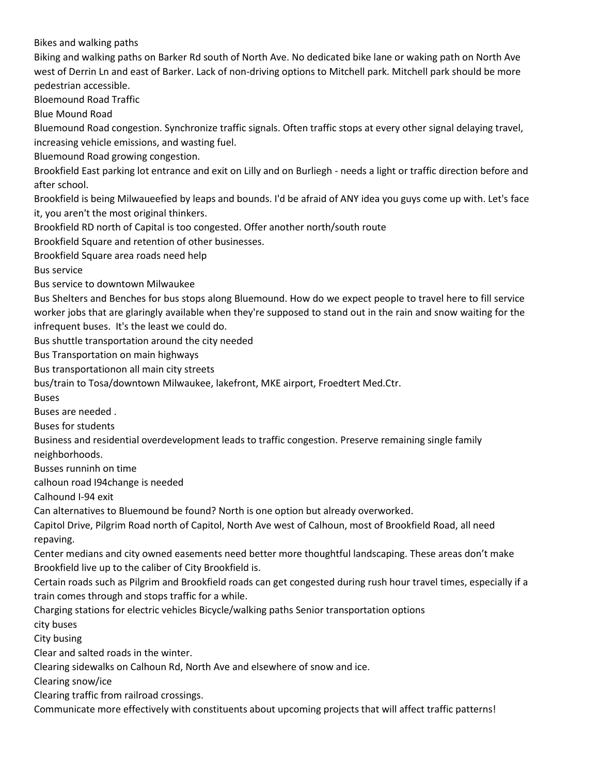Bikes and walking paths

Biking and walking paths on Barker Rd south of North Ave. No dedicated bike lane or waking path on North Ave west of Derrin Ln and east of Barker. Lack of non-driving options to Mitchell park. Mitchell park should be more pedestrian accessible.

Bloemound Road Traffic

Blue Mound Road

Bluemound Road congestion. Synchronize traffic signals. Often traffic stops at every other signal delaying travel, increasing vehicle emissions, and wasting fuel.

Bluemound Road growing congestion.

Brookfield East parking lot entrance and exit on Lilly and on Burliegh - needs a light or traffic direction before and after school.

Brookfield is being Milwaueefied by leaps and bounds. I'd be afraid of ANY idea you guys come up with. Let's face it, you aren't the most original thinkers.

Brookfield RD north of Capital is too congested. Offer another north/south route

Brookfield Square and retention of other businesses.

Brookfield Square area roads need help

Bus service

Bus service to downtown Milwaukee

Bus Shelters and Benches for bus stops along Bluemound. How do we expect people to travel here to fill service worker jobs that are glaringly available when they're supposed to stand out in the rain and snow waiting for the infrequent buses. It's the least we could do.

Bus shuttle transportation around the city needed

Bus Transportation on main highways

Bus transportationon all main city streets

bus/train to Tosa/downtown Milwaukee, lakefront, MKE airport, Froedtert Med.Ctr.

Buses

Buses are needed .

Buses for students

Business and residential overdevelopment leads to traffic congestion. Preserve remaining single family neighborhoods.

Busses runninh on time

calhoun road I94change is needed

Calhound I-94 exit

Can alternatives to Bluemound be found? North is one option but already overworked.

Capitol Drive, Pilgrim Road north of Capitol, North Ave west of Calhoun, most of Brookfield Road, all need repaving.

Center medians and city owned easements need better more thoughtful landscaping. These areas don't make Brookfield live up to the caliber of City Brookfield is.

Certain roads such as Pilgrim and Brookfield roads can get congested during rush hour travel times, especially if a train comes through and stops traffic for a while.

Charging stations for electric vehicles Bicycle/walking paths Senior transportation options

city buses

City busing

Clear and salted roads in the winter.

Clearing sidewalks on Calhoun Rd, North Ave and elsewhere of snow and ice.

Clearing snow/ice

Clearing traffic from railroad crossings.

Communicate more effectively with constituents about upcoming projects that will affect traffic patterns!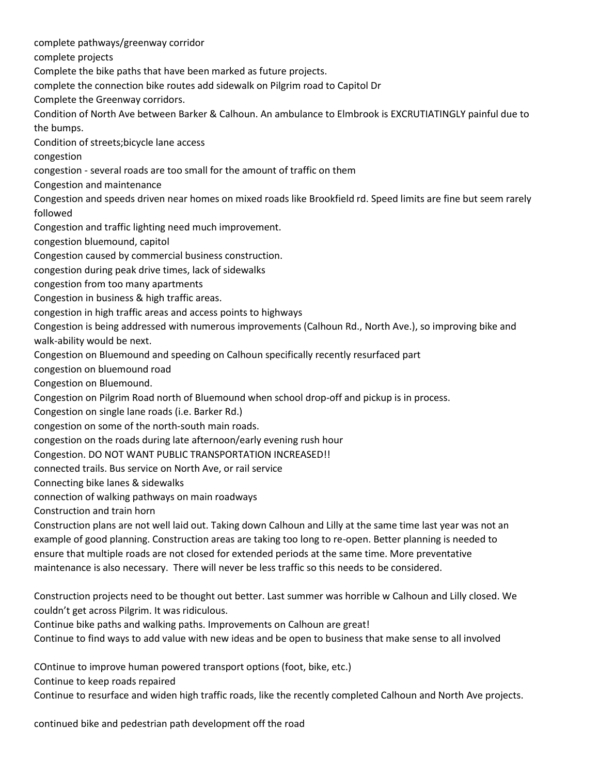complete pathways/greenway corridor complete projects Complete the bike paths that have been marked as future projects. complete the connection bike routes add sidewalk on Pilgrim road to Capitol Dr Complete the Greenway corridors. Condition of North Ave between Barker & Calhoun. An ambulance to Elmbrook is EXCRUTIATINGLY painful due to the bumps. Condition of streets;bicycle lane access congestion congestion - several roads are too small for the amount of traffic on them Congestion and maintenance Congestion and speeds driven near homes on mixed roads like Brookfield rd. Speed limits are fine but seem rarely followed Congestion and traffic lighting need much improvement. congestion bluemound, capitol Congestion caused by commercial business construction. congestion during peak drive times, lack of sidewalks congestion from too many apartments Congestion in business & high traffic areas. congestion in high traffic areas and access points to highways Congestion is being addressed with numerous improvements (Calhoun Rd., North Ave.), so improving bike and walk-ability would be next. Congestion on Bluemound and speeding on Calhoun specifically recently resurfaced part congestion on bluemound road Congestion on Bluemound. Congestion on Pilgrim Road north of Bluemound when school drop-off and pickup is in process. Congestion on single lane roads (i.e. Barker Rd.) congestion on some of the north-south main roads. congestion on the roads during late afternoon/early evening rush hour Congestion. DO NOT WANT PUBLIC TRANSPORTATION INCREASED!! connected trails. Bus service on North Ave, or rail service Connecting bike lanes & sidewalks connection of walking pathways on main roadways Construction and train horn Construction plans are not well laid out. Taking down Calhoun and Lilly at the same time last year was not an example of good planning. Construction areas are taking too long to re-open. Better planning is needed to ensure that multiple roads are not closed for extended periods at the same time. More preventative maintenance is also necessary. There will never be less traffic so this needs to be considered.

Construction projects need to be thought out better. Last summer was horrible w Calhoun and Lilly closed. We couldn't get across Pilgrim. It was ridiculous.

Continue bike paths and walking paths. Improvements on Calhoun are great!

Continue to find ways to add value with new ideas and be open to business that make sense to all involved

COntinue to improve human powered transport options (foot, bike, etc.)

Continue to keep roads repaired

Continue to resurface and widen high traffic roads, like the recently completed Calhoun and North Ave projects.

continued bike and pedestrian path development off the road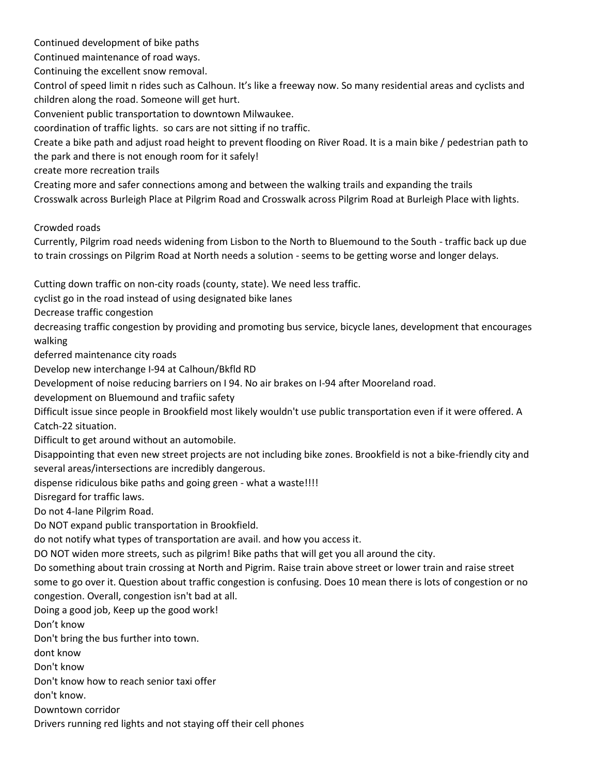Continued development of bike paths

Continued maintenance of road ways.

Continuing the excellent snow removal.

Control of speed limit n rides such as Calhoun. It's like a freeway now. So many residential areas and cyclists and children along the road. Someone will get hurt.

Convenient public transportation to downtown Milwaukee.

coordination of traffic lights. so cars are not sitting if no traffic.

Create a bike path and adjust road height to prevent flooding on River Road. It is a main bike / pedestrian path to the park and there is not enough room for it safely!

create more recreation trails

Creating more and safer connections among and between the walking trails and expanding the trails Crosswalk across Burleigh Place at Pilgrim Road and Crosswalk across Pilgrim Road at Burleigh Place with lights.

Crowded roads

Currently, Pilgrim road needs widening from Lisbon to the North to Bluemound to the South - traffic back up due to train crossings on Pilgrim Road at North needs a solution - seems to be getting worse and longer delays.

Cutting down traffic on non-city roads (county, state). We need less traffic.

cyclist go in the road instead of using designated bike lanes

Decrease traffic congestion

decreasing traffic congestion by providing and promoting bus service, bicycle lanes, development that encourages walking

deferred maintenance city roads

Develop new interchange I-94 at Calhoun/Bkfld RD

Development of noise reducing barriers on I 94. No air brakes on I-94 after Mooreland road.

development on Bluemound and trafiic safety

Difficult issue since people in Brookfield most likely wouldn't use public transportation even if it were offered. A Catch-22 situation.

Difficult to get around without an automobile.

Disappointing that even new street projects are not including bike zones. Brookfield is not a bike-friendly city and several areas/intersections are incredibly dangerous.

dispense ridiculous bike paths and going green - what a waste!!!!

Disregard for traffic laws.

Do not 4-lane Pilgrim Road.

Do NOT expand public transportation in Brookfield.

do not notify what types of transportation are avail. and how you access it.

DO NOT widen more streets, such as pilgrim! Bike paths that will get you all around the city.

Do something about train crossing at North and Pigrim. Raise train above street or lower train and raise street some to go over it. Question about traffic congestion is confusing. Does 10 mean there is lots of congestion or no congestion. Overall, congestion isn't bad at all.

Doing a good job, Keep up the good work!

Don't know

Don't bring the bus further into town.

dont know

Don't know

Don't know how to reach senior taxi offer

don't know.

Downtown corridor

Drivers running red lights and not staying off their cell phones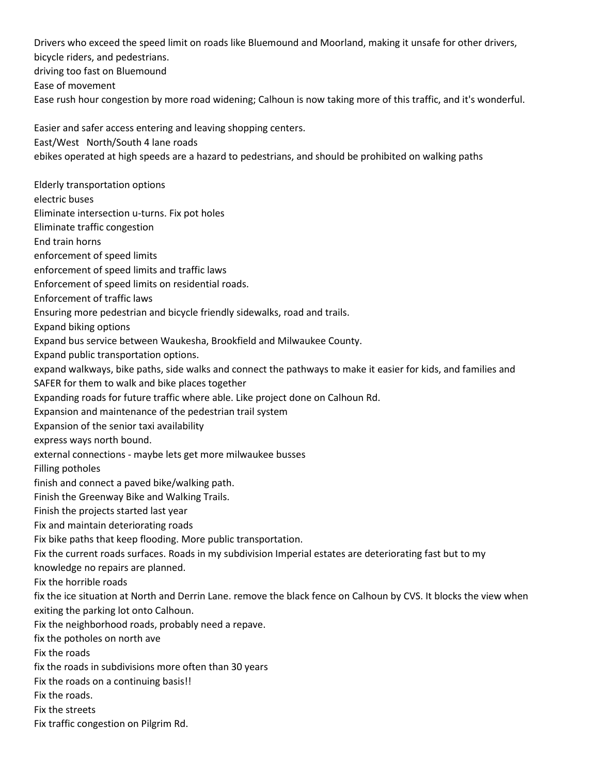Drivers who exceed the speed limit on roads like Bluemound and Moorland, making it unsafe for other drivers, bicycle riders, and pedestrians. driving too fast on Bluemound Ease of movement Ease rush hour congestion by more road widening; Calhoun is now taking more of this traffic, and it's wonderful. Easier and safer access entering and leaving shopping centers. East/West North/South 4 lane roads ebikes operated at high speeds are a hazard to pedestrians, and should be prohibited on walking paths Elderly transportation options electric buses Eliminate intersection u-turns. Fix pot holes Eliminate traffic congestion End train horns enforcement of speed limits enforcement of speed limits and traffic laws Enforcement of speed limits on residential roads. Enforcement of traffic laws Ensuring more pedestrian and bicycle friendly sidewalks, road and trails. Expand biking options Expand bus service between Waukesha, Brookfield and Milwaukee County. Expand public transportation options. expand walkways, bike paths, side walks and connect the pathways to make it easier for kids, and families and SAFER for them to walk and bike places together Expanding roads for future traffic where able. Like project done on Calhoun Rd. Expansion and maintenance of the pedestrian trail system Expansion of the senior taxi availability express ways north bound. external connections - maybe lets get more milwaukee busses Filling potholes finish and connect a paved bike/walking path. Finish the Greenway Bike and Walking Trails. Finish the projects started last year Fix and maintain deteriorating roads Fix bike paths that keep flooding. More public transportation. Fix the current roads surfaces. Roads in my subdivision Imperial estates are deteriorating fast but to my knowledge no repairs are planned. Fix the horrible roads fix the ice situation at North and Derrin Lane. remove the black fence on Calhoun by CVS. It blocks the view when exiting the parking lot onto Calhoun. Fix the neighborhood roads, probably need a repave. fix the potholes on north ave Fix the roads fix the roads in subdivisions more often than 30 years Fix the roads on a continuing basis!! Fix the roads. Fix the streets Fix traffic congestion on Pilgrim Rd.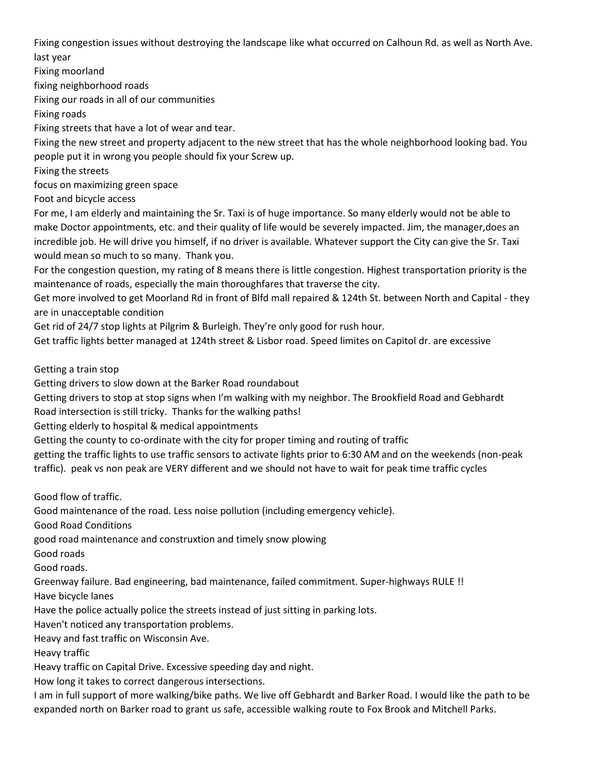Fixing congestion issues without destroying the landscape like what occurred on Calhoun Rd. as well as North Ave. last year

Fixing moorland

fixing neighborhood roads

Fixing our roads in all of our communities

Fixing roads

Fixing streets that have a lot of wear and tear.

Fixing the new street and property adjacent to the new street that has the whole neighborhood looking bad. You people put it in wrong you people should fix your Screw up.

Fixing the streets

focus on maximizing green space

Foot and bicycle access

For me, I am elderly and maintaining the Sr. Taxi is of huge importance. So many elderly would not be able to make Doctor appointments, etc. and their quality of life would be severely impacted. Jim, the manager,does an incredible job. He will drive you himself, if no driver is available. Whatever support the City can give the Sr. Taxi would mean so much to so many. Thank you.

For the congestion question, my rating of 8 means there is little congestion. Highest transportation priority is the maintenance of roads, especially the main thoroughfares that traverse the city.

Get more involved to get Moorland Rd in front of Blfd mall repaired & 124th St. between North and Capital - they are in unacceptable condition

Get rid of 24/7 stop lights at Pilgrim & Burleigh. They're only good for rush hour.

Get traffic lights better managed at 124th street & Lisbor road. Speed limites on Capitol dr. are excessive

Getting a train stop

Getting drivers to slow down at the Barker Road roundabout

Getting drivers to stop at stop signs when I'm walking with my neighbor. The Brookfield Road and Gebhardt

Road intersection is still tricky. Thanks for the walking paths!

Getting elderly to hospital & medical appointments

Getting the county to co-ordinate with the city for proper timing and routing of traffic

getting the traffic lights to use traffic sensors to activate lights prior to 6:30 AM and on the weekends (non-peak traffic). peak vs non peak are VERY different and we should not have to wait for peak time traffic cycles

Good flow of traffic.

Good maintenance of the road. Less noise pollution (including emergency vehicle).

Good Road Conditions

good road maintenance and construxtion and timely snow plowing

Good roads

Good roads.

Greenway failure. Bad engineering, bad maintenance, failed commitment. Super-highways RULE !!

Have bicycle lanes

Have the police actually police the streets instead of just sitting in parking lots.

Haven't noticed any transportation problems.

Heavy and fast traffic on Wisconsin Ave.

Heavy traffic

Heavy traffic on Capital Drive. Excessive speeding day and night.

How long it takes to correct dangerous intersections.

I am in full support of more walking/bike paths. We live off Gebhardt and Barker Road. I would like the path to be expanded north on Barker road to grant us safe, accessible walking route to Fox Brook and Mitchell Parks.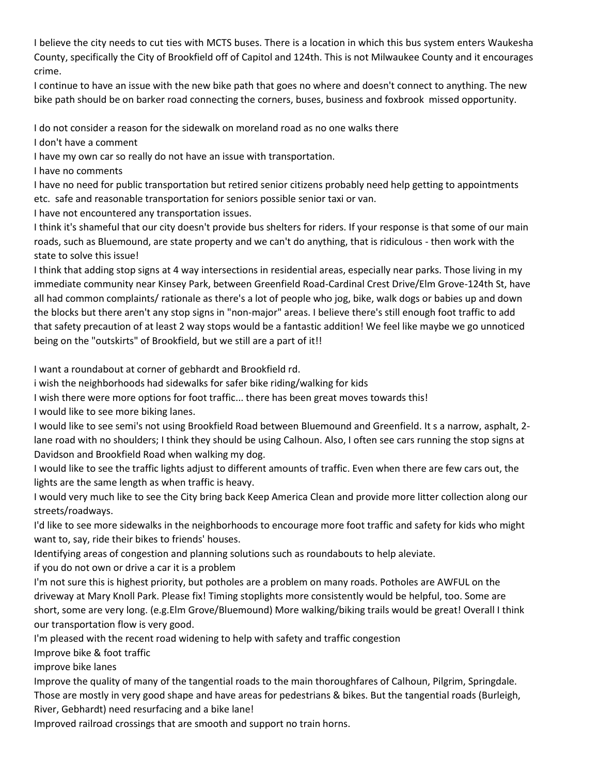I believe the city needs to cut ties with MCTS buses. There is a location in which this bus system enters Waukesha County, specifically the City of Brookfield off of Capitol and 124th. This is not Milwaukee County and it encourages crime.

I continue to have an issue with the new bike path that goes no where and doesn't connect to anything. The new bike path should be on barker road connecting the corners, buses, business and foxbrook missed opportunity.

I do not consider a reason for the sidewalk on moreland road as no one walks there

I don't have a comment

I have my own car so really do not have an issue with transportation.

I have no comments

I have no need for public transportation but retired senior citizens probably need help getting to appointments etc. safe and reasonable transportation for seniors possible senior taxi or van.

I have not encountered any transportation issues.

I think it's shameful that our city doesn't provide bus shelters for riders. If your response is that some of our main roads, such as Bluemound, are state property and we can't do anything, that is ridiculous - then work with the state to solve this issue!

I think that adding stop signs at 4 way intersections in residential areas, especially near parks. Those living in my immediate community near Kinsey Park, between Greenfield Road-Cardinal Crest Drive/Elm Grove-124th St, have all had common complaints/ rationale as there's a lot of people who jog, bike, walk dogs or babies up and down the blocks but there aren't any stop signs in "non-major" areas. I believe there's still enough foot traffic to add that safety precaution of at least 2 way stops would be a fantastic addition! We feel like maybe we go unnoticed being on the "outskirts" of Brookfield, but we still are a part of it!!

I want a roundabout at corner of gebhardt and Brookfield rd.

i wish the neighborhoods had sidewalks for safer bike riding/walking for kids

I wish there were more options for foot traffic... there has been great moves towards this!

I would like to see more biking lanes.

I would like to see semi's not using Brookfield Road between Bluemound and Greenfield. It s a narrow, asphalt, 2 lane road with no shoulders; I think they should be using Calhoun. Also, I often see cars running the stop signs at Davidson and Brookfield Road when walking my dog.

I would like to see the traffic lights adjust to different amounts of traffic. Even when there are few cars out, the lights are the same length as when traffic is heavy.

I would very much like to see the City bring back Keep America Clean and provide more litter collection along our streets/roadways.

I'd like to see more sidewalks in the neighborhoods to encourage more foot traffic and safety for kids who might want to, say, ride their bikes to friends' houses.

Identifying areas of congestion and planning solutions such as roundabouts to help aleviate.

if you do not own or drive a car it is a problem

I'm not sure this is highest priority, but potholes are a problem on many roads. Potholes are AWFUL on the driveway at Mary Knoll Park. Please fix! Timing stoplights more consistently would be helpful, too. Some are short, some are very long. (e.g.Elm Grove/Bluemound) More walking/biking trails would be great! Overall I think our transportation flow is very good.

I'm pleased with the recent road widening to help with safety and traffic congestion

Improve bike & foot traffic

improve bike lanes

Improve the quality of many of the tangential roads to the main thoroughfares of Calhoun, Pilgrim, Springdale. Those are mostly in very good shape and have areas for pedestrians & bikes. But the tangential roads (Burleigh, River, Gebhardt) need resurfacing and a bike lane!

Improved railroad crossings that are smooth and support no train horns.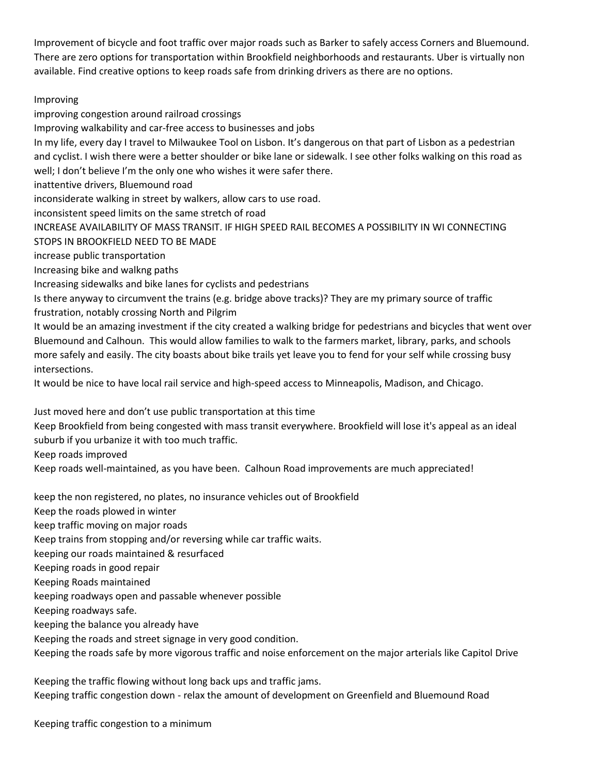Improvement of bicycle and foot traffic over major roads such as Barker to safely access Corners and Bluemound. There are zero options for transportation within Brookfield neighborhoods and restaurants. Uber is virtually non available. Find creative options to keep roads safe from drinking drivers as there are no options.

## Improving

improving congestion around railroad crossings

Improving walkability and car-free access to businesses and jobs

In my life, every day I travel to Milwaukee Tool on Lisbon. It's dangerous on that part of Lisbon as a pedestrian and cyclist. I wish there were a better shoulder or bike lane or sidewalk. I see other folks walking on this road as well; I don't believe I'm the only one who wishes it were safer there.

inattentive drivers, Bluemound road

inconsiderate walking in street by walkers, allow cars to use road.

inconsistent speed limits on the same stretch of road

INCREASE AVAILABILITY OF MASS TRANSIT. IF HIGH SPEED RAIL BECOMES A POSSIBILITY IN WI CONNECTING

STOPS IN BROOKFIELD NEED TO BE MADE

increase public transportation

Increasing bike and walkng paths

Increasing sidewalks and bike lanes for cyclists and pedestrians

Is there anyway to circumvent the trains (e.g. bridge above tracks)? They are my primary source of traffic frustration, notably crossing North and Pilgrim

It would be an amazing investment if the city created a walking bridge for pedestrians and bicycles that went over Bluemound and Calhoun. This would allow families to walk to the farmers market, library, parks, and schools more safely and easily. The city boasts about bike trails yet leave you to fend for your self while crossing busy intersections.

It would be nice to have local rail service and high-speed access to Minneapolis, Madison, and Chicago.

Just moved here and don't use public transportation at this time

Keep Brookfield from being congested with mass transit everywhere. Brookfield will lose it's appeal as an ideal suburb if you urbanize it with too much traffic.

Keep roads improved

Keep roads well-maintained, as you have been. Calhoun Road improvements are much appreciated!

keep the non registered, no plates, no insurance vehicles out of Brookfield

Keep the roads plowed in winter

keep traffic moving on major roads

Keep trains from stopping and/or reversing while car traffic waits.

keeping our roads maintained & resurfaced

Keeping roads in good repair

Keeping Roads maintained

keeping roadways open and passable whenever possible

Keeping roadways safe.

keeping the balance you already have

Keeping the roads and street signage in very good condition.

Keeping the roads safe by more vigorous traffic and noise enforcement on the major arterials like Capitol Drive

Keeping the traffic flowing without long back ups and traffic jams. Keeping traffic congestion down - relax the amount of development on Greenfield and Bluemound Road

Keeping traffic congestion to a minimum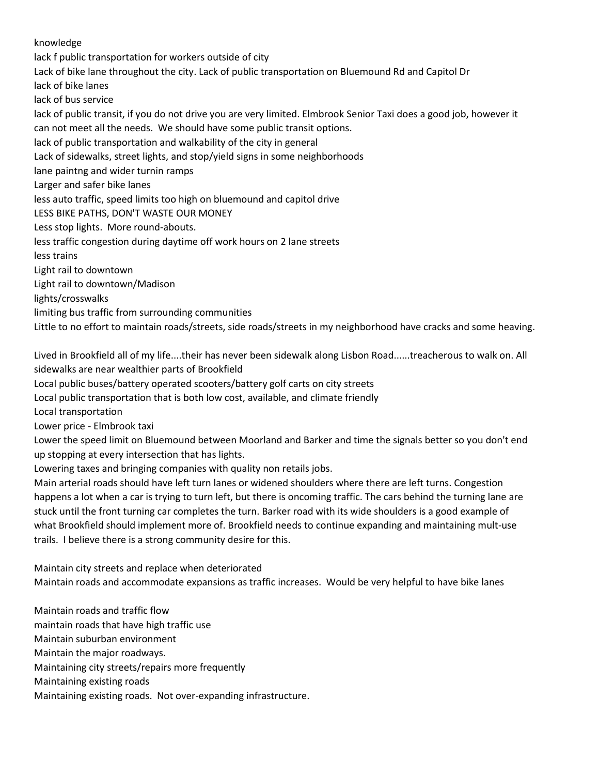### knowledge

lack f public transportation for workers outside of city Lack of bike lane throughout the city. Lack of public transportation on Bluemound Rd and Capitol Dr lack of bike lanes lack of bus service lack of public transit, if you do not drive you are very limited. Elmbrook Senior Taxi does a good job, however it can not meet all the needs. We should have some public transit options. lack of public transportation and walkability of the city in general Lack of sidewalks, street lights, and stop/yield signs in some neighborhoods lane paintng and wider turnin ramps Larger and safer bike lanes less auto traffic, speed limits too high on bluemound and capitol drive LESS BIKE PATHS, DON'T WASTE OUR MONEY Less stop lights. More round-abouts. less traffic congestion during daytime off work hours on 2 lane streets less trains Light rail to downtown Light rail to downtown/Madison lights/crosswalks limiting bus traffic from surrounding communities Little to no effort to maintain roads/streets, side roads/streets in my neighborhood have cracks and some heaving.

Lived in Brookfield all of my life....their has never been sidewalk along Lisbon Road......treacherous to walk on. All sidewalks are near wealthier parts of Brookfield

Local public buses/battery operated scooters/battery golf carts on city streets

Local public transportation that is both low cost, available, and climate friendly

Local transportation

Lower price - Elmbrook taxi

Lower the speed limit on Bluemound between Moorland and Barker and time the signals better so you don't end up stopping at every intersection that has lights.

Lowering taxes and bringing companies with quality non retails jobs.

Main arterial roads should have left turn lanes or widened shoulders where there are left turns. Congestion happens a lot when a car is trying to turn left, but there is oncoming traffic. The cars behind the turning lane are stuck until the front turning car completes the turn. Barker road with its wide shoulders is a good example of what Brookfield should implement more of. Brookfield needs to continue expanding and maintaining mult-use trails. I believe there is a strong community desire for this.

Maintain city streets and replace when deteriorated Maintain roads and accommodate expansions as traffic increases. Would be very helpful to have bike lanes

Maintain roads and traffic flow maintain roads that have high traffic use Maintain suburban environment Maintain the major roadways. Maintaining city streets/repairs more frequently Maintaining existing roads Maintaining existing roads. Not over-expanding infrastructure.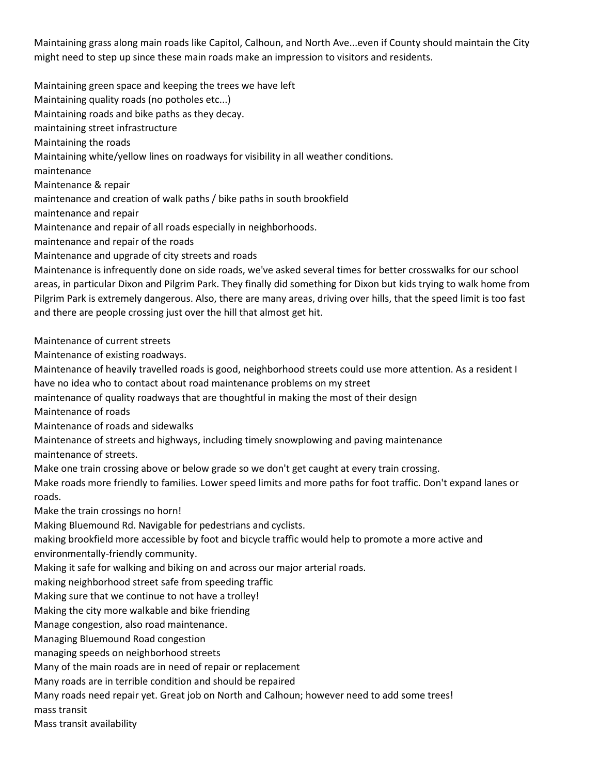Maintaining grass along main roads like Capitol, Calhoun, and North Ave...even if County should maintain the City might need to step up since these main roads make an impression to visitors and residents.

Maintaining green space and keeping the trees we have left Maintaining quality roads (no potholes etc...) Maintaining roads and bike paths as they decay. maintaining street infrastructure Maintaining the roads Maintaining white/yellow lines on roadways for visibility in all weather conditions. maintenance Maintenance & repair maintenance and creation of walk paths / bike paths in south brookfield maintenance and repair Maintenance and repair of all roads especially in neighborhoods. maintenance and repair of the roads Maintenance and upgrade of city streets and roads Maintenance is infrequently done on side roads, we've asked several times for better crosswalks for our school areas, in particular Dixon and Pilgrim Park. They finally did something for Dixon but kids trying to walk home from Pilgrim Park is extremely dangerous. Also, there are many areas, driving over hills, that the speed limit is too fast and there are people crossing just over the hill that almost get hit. Maintenance of current streets Maintenance of existing roadways. Maintenance of heavily travelled roads is good, neighborhood streets could use more attention. As a resident I have no idea who to contact about road maintenance problems on my street maintenance of quality roadways that are thoughtful in making the most of their design Maintenance of roads Maintenance of roads and sidewalks Maintenance of streets and highways, including timely snowplowing and paving maintenance maintenance of streets. Make one train crossing above or below grade so we don't get caught at every train crossing. Make roads more friendly to families. Lower speed limits and more paths for foot traffic. Don't expand lanes or roads. Make the train crossings no horn! Making Bluemound Rd. Navigable for pedestrians and cyclists. making brookfield more accessible by foot and bicycle traffic would help to promote a more active and environmentally-friendly community. Making it safe for walking and biking on and across our major arterial roads. making neighborhood street safe from speeding traffic Making sure that we continue to not have a trolley! Making the city more walkable and bike friending Manage congestion, also road maintenance. Managing Bluemound Road congestion managing speeds on neighborhood streets Many of the main roads are in need of repair or replacement Many roads are in terrible condition and should be repaired

Many roads need repair yet. Great job on North and Calhoun; however need to add some trees!

mass transit

Mass transit availability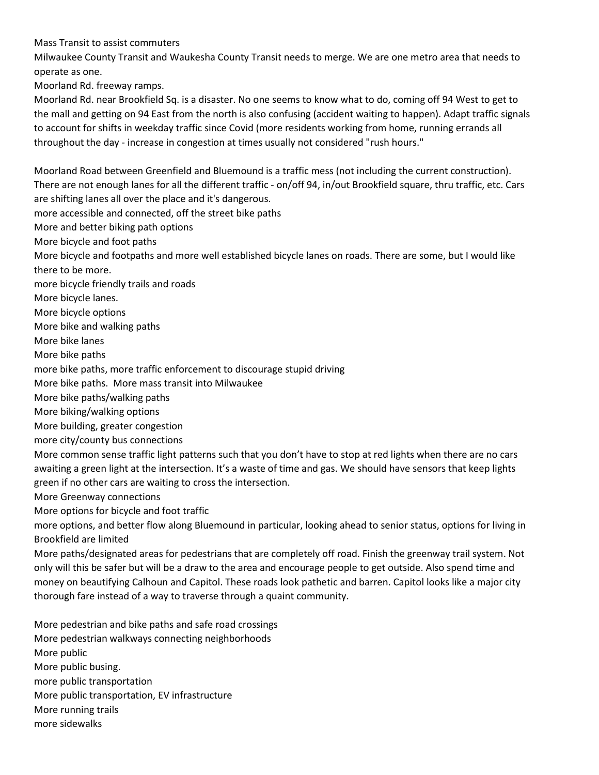Mass Transit to assist commuters

Milwaukee County Transit and Waukesha County Transit needs to merge. We are one metro area that needs to operate as one.

Moorland Rd. freeway ramps.

Moorland Rd. near Brookfield Sq. is a disaster. No one seems to know what to do, coming off 94 West to get to the mall and getting on 94 East from the north is also confusing (accident waiting to happen). Adapt traffic signals to account for shifts in weekday traffic since Covid (more residents working from home, running errands all throughout the day - increase in congestion at times usually not considered "rush hours."

Moorland Road between Greenfield and Bluemound is a traffic mess (not including the current construction). There are not enough lanes for all the different traffic - on/off 94, in/out Brookfield square, thru traffic, etc. Cars are shifting lanes all over the place and it's dangerous.

more accessible and connected, off the street bike paths

More and better biking path options

More bicycle and foot paths

More bicycle and footpaths and more well established bicycle lanes on roads. There are some, but I would like there to be more.

more bicycle friendly trails and roads

More bicycle lanes.

More bicycle options

More bike and walking paths

More bike lanes

More bike paths

more bike paths, more traffic enforcement to discourage stupid driving

More bike paths. More mass transit into Milwaukee

More bike paths/walking paths

More biking/walking options

More building, greater congestion

more city/county bus connections

More common sense traffic light patterns such that you don't have to stop at red lights when there are no cars awaiting a green light at the intersection. It's a waste of time and gas. We should have sensors that keep lights green if no other cars are waiting to cross the intersection.

More Greenway connections

More options for bicycle and foot traffic

more options, and better flow along Bluemound in particular, looking ahead to senior status, options for living in Brookfield are limited

More paths/designated areas for pedestrians that are completely off road. Finish the greenway trail system. Not only will this be safer but will be a draw to the area and encourage people to get outside. Also spend time and money on beautifying Calhoun and Capitol. These roads look pathetic and barren. Capitol looks like a major city thorough fare instead of a way to traverse through a quaint community.

More pedestrian and bike paths and safe road crossings More pedestrian walkways connecting neighborhoods More public More public busing. more public transportation More public transportation, EV infrastructure More running trails more sidewalks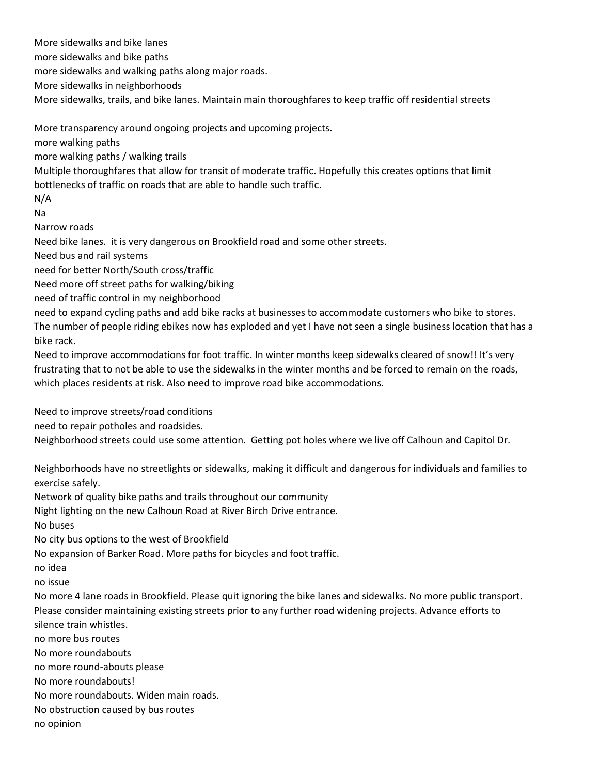More sidewalks and bike lanes more sidewalks and bike paths more sidewalks and walking paths along major roads. More sidewalks in neighborhoods More sidewalks, trails, and bike lanes. Maintain main thoroughfares to keep traffic off residential streets More transparency around ongoing projects and upcoming projects. more walking paths more walking paths / walking trails Multiple thoroughfares that allow for transit of moderate traffic. Hopefully this creates options that limit bottlenecks of traffic on roads that are able to handle such traffic. N/A Na Narrow roads Need bike lanes. it is very dangerous on Brookfield road and some other streets. Need bus and rail systems need for better North/South cross/traffic Need more off street paths for walking/biking need of traffic control in my neighborhood need to expand cycling paths and add bike racks at businesses to accommodate customers who bike to stores. The number of people riding ebikes now has exploded and yet I have not seen a single business location that has a bike rack. Need to improve accommodations for foot traffic. In winter months keep sidewalks cleared of snow!! It's very frustrating that to not be able to use the sidewalks in the winter months and be forced to remain on the roads, which places residents at risk. Also need to improve road bike accommodations. Need to improve streets/road conditions need to repair potholes and roadsides. Neighborhood streets could use some attention. Getting pot holes where we live off Calhoun and Capitol Dr. Neighborhoods have no streetlights or sidewalks, making it difficult and dangerous for individuals and families to exercise safely. Network of quality bike paths and trails throughout our community Night lighting on the new Calhoun Road at River Birch Drive entrance. No buses No city bus options to the west of Brookfield No expansion of Barker Road. More paths for bicycles and foot traffic. no idea no issue No more 4 lane roads in Brookfield. Please quit ignoring the bike lanes and sidewalks. No more public transport. Please consider maintaining existing streets prior to any further road widening projects. Advance efforts to silence train whistles. no more bus routes No more roundabouts no more round-abouts please No more roundabouts! No more roundabouts. Widen main roads. No obstruction caused by bus routes no opinion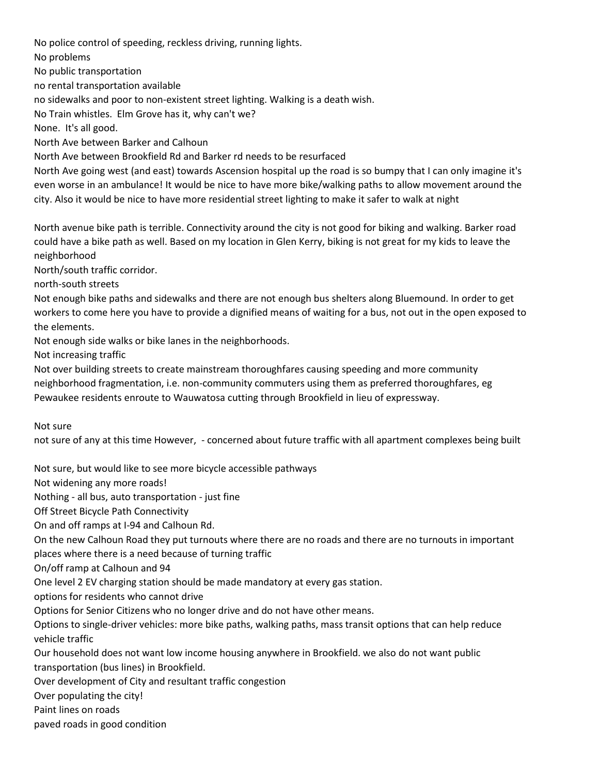No police control of speeding, reckless driving, running lights. No problems No public transportation no rental transportation available no sidewalks and poor to non-existent street lighting. Walking is a death wish. No Train whistles. Elm Grove has it, why can't we? None. It's all good. North Ave between Barker and Calhoun North Ave between Brookfield Rd and Barker rd needs to be resurfaced North Ave going west (and east) towards Ascension hospital up the road is so bumpy that I can only imagine it's

even worse in an ambulance! It would be nice to have more bike/walking paths to allow movement around the city. Also it would be nice to have more residential street lighting to make it safer to walk at night

North avenue bike path is terrible. Connectivity around the city is not good for biking and walking. Barker road could have a bike path as well. Based on my location in Glen Kerry, biking is not great for my kids to leave the neighborhood

North/south traffic corridor.

north-south streets

Not enough bike paths and sidewalks and there are not enough bus shelters along Bluemound. In order to get workers to come here you have to provide a dignified means of waiting for a bus, not out in the open exposed to the elements.

Not enough side walks or bike lanes in the neighborhoods.

Not increasing traffic

Not over building streets to create mainstream thoroughfares causing speeding and more community neighborhood fragmentation, i.e. non-community commuters using them as preferred thoroughfares, eg Pewaukee residents enroute to Wauwatosa cutting through Brookfield in lieu of expressway.

Not sure

not sure of any at this time However, - concerned about future traffic with all apartment complexes being built

Not sure, but would like to see more bicycle accessible pathways

Not widening any more roads!

Nothing - all bus, auto transportation - just fine

Off Street Bicycle Path Connectivity

On and off ramps at I-94 and Calhoun Rd.

On the new Calhoun Road they put turnouts where there are no roads and there are no turnouts in important places where there is a need because of turning traffic

On/off ramp at Calhoun and 94

One level 2 EV charging station should be made mandatory at every gas station.

options for residents who cannot drive

Options for Senior Citizens who no longer drive and do not have other means.

Options to single-driver vehicles: more bike paths, walking paths, mass transit options that can help reduce vehicle traffic

Our household does not want low income housing anywhere in Brookfield. we also do not want public transportation (bus lines) in Brookfield.

Over development of City and resultant traffic congestion

Over populating the city!

Paint lines on roads

paved roads in good condition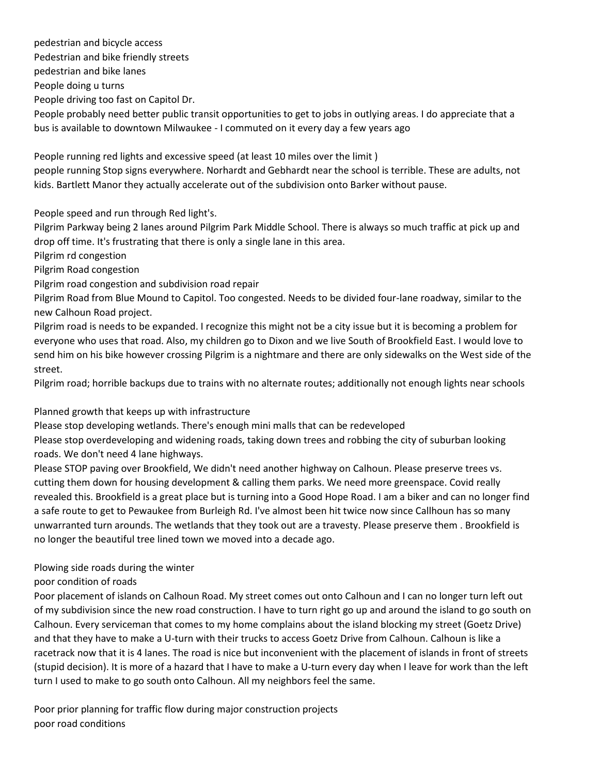pedestrian and bicycle access Pedestrian and bike friendly streets pedestrian and bike lanes People doing u turns People driving too fast on Capitol Dr. People probably need better public transit opportunities to get to jobs in outlying areas. I do appreciate that a bus is available to downtown Milwaukee - I commuted on it every day a few years ago

People running red lights and excessive speed (at least 10 miles over the limit ) people running Stop signs everywhere. Norhardt and Gebhardt near the school is terrible. These are adults, not kids. Bartlett Manor they actually accelerate out of the subdivision onto Barker without pause.

People speed and run through Red light's.

Pilgrim Parkway being 2 lanes around Pilgrim Park Middle School. There is always so much traffic at pick up and drop off time. It's frustrating that there is only a single lane in this area.

Pilgrim rd congestion

Pilgrim Road congestion

Pilgrim road congestion and subdivision road repair

Pilgrim Road from Blue Mound to Capitol. Too congested. Needs to be divided four-lane roadway, similar to the new Calhoun Road project.

Pilgrim road is needs to be expanded. I recognize this might not be a city issue but it is becoming a problem for everyone who uses that road. Also, my children go to Dixon and we live South of Brookfield East. I would love to send him on his bike however crossing Pilgrim is a nightmare and there are only sidewalks on the West side of the street.

Pilgrim road; horrible backups due to trains with no alternate routes; additionally not enough lights near schools

### Planned growth that keeps up with infrastructure

Please stop developing wetlands. There's enough mini malls that can be redeveloped

Please stop overdeveloping and widening roads, taking down trees and robbing the city of suburban looking roads. We don't need 4 lane highways.

Please STOP paving over Brookfield, We didn't need another highway on Calhoun. Please preserve trees vs. cutting them down for housing development & calling them parks. We need more greenspace. Covid really revealed this. Brookfield is a great place but is turning into a Good Hope Road. I am a biker and can no longer find a safe route to get to Pewaukee from Burleigh Rd. I've almost been hit twice now since Callhoun has so many unwarranted turn arounds. The wetlands that they took out are a travesty. Please preserve them . Brookfield is no longer the beautiful tree lined town we moved into a decade ago.

# Plowing side roads during the winter

### poor condition of roads

Poor placement of islands on Calhoun Road. My street comes out onto Calhoun and I can no longer turn left out of my subdivision since the new road construction. I have to turn right go up and around the island to go south on Calhoun. Every serviceman that comes to my home complains about the island blocking my street (Goetz Drive) and that they have to make a U-turn with their trucks to access Goetz Drive from Calhoun. Calhoun is like a racetrack now that it is 4 lanes. The road is nice but inconvenient with the placement of islands in front of streets (stupid decision). It is more of a hazard that I have to make a U-turn every day when I leave for work than the left turn I used to make to go south onto Calhoun. All my neighbors feel the same.

Poor prior planning for traffic flow during major construction projects poor road conditions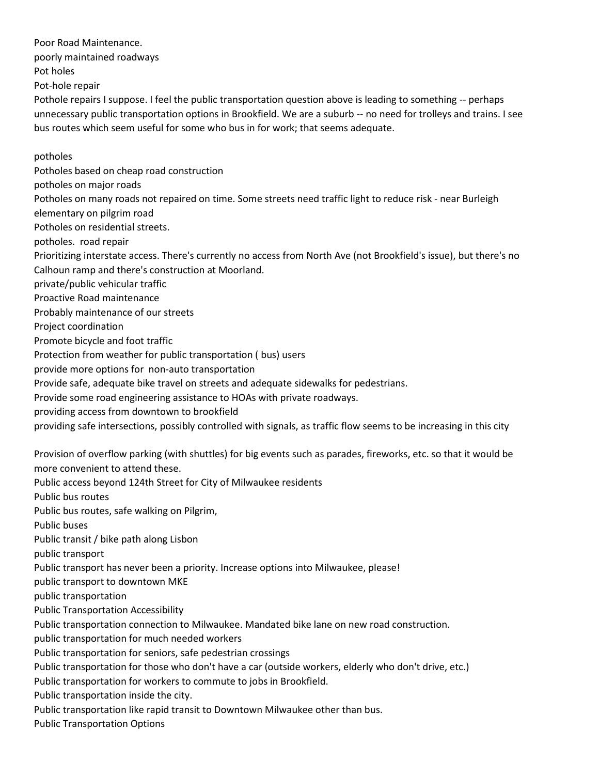poorly maintained roadways Pot holes Pot-hole repair Pothole repairs I suppose. I feel the public transportation question above is leading to something -- perhaps unnecessary public transportation options in Brookfield. We are a suburb -- no need for trolleys and trains. I see bus routes which seem useful for some who bus in for work; that seems adequate. potholes Potholes based on cheap road construction potholes on major roads Potholes on many roads not repaired on time. Some streets need traffic light to reduce risk - near Burleigh elementary on pilgrim road Potholes on residential streets. potholes. road repair Prioritizing interstate access. There's currently no access from North Ave (not Brookfield's issue), but there's no Calhoun ramp and there's construction at Moorland. private/public vehicular traffic Proactive Road maintenance Probably maintenance of our streets Project coordination Promote bicycle and foot traffic Protection from weather for public transportation ( bus) users provide more options for non-auto transportation Provide safe, adequate bike travel on streets and adequate sidewalks for pedestrians. Provide some road engineering assistance to HOAs with private roadways. providing access from downtown to brookfield providing safe intersections, possibly controlled with signals, as traffic flow seems to be increasing in this city Provision of overflow parking (with shuttles) for big events such as parades, fireworks, etc. so that it would be more convenient to attend these. Public access beyond 124th Street for City of Milwaukee residents Public bus routes Public bus routes, safe walking on Pilgrim, Public buses Public transit / bike path along Lisbon public transport Public transport has never been a priority. Increase options into Milwaukee, please! public transport to downtown MKE public transportation Public Transportation Accessibility Public transportation connection to Milwaukee. Mandated bike lane on new road construction. public transportation for much needed workers Public transportation for seniors, safe pedestrian crossings Public transportation for those who don't have a car (outside workers, elderly who don't drive, etc.) Public transportation for workers to commute to jobs in Brookfield. Public transportation inside the city. Public transportation like rapid transit to Downtown Milwaukee other than bus. Public Transportation Options

Poor Road Maintenance.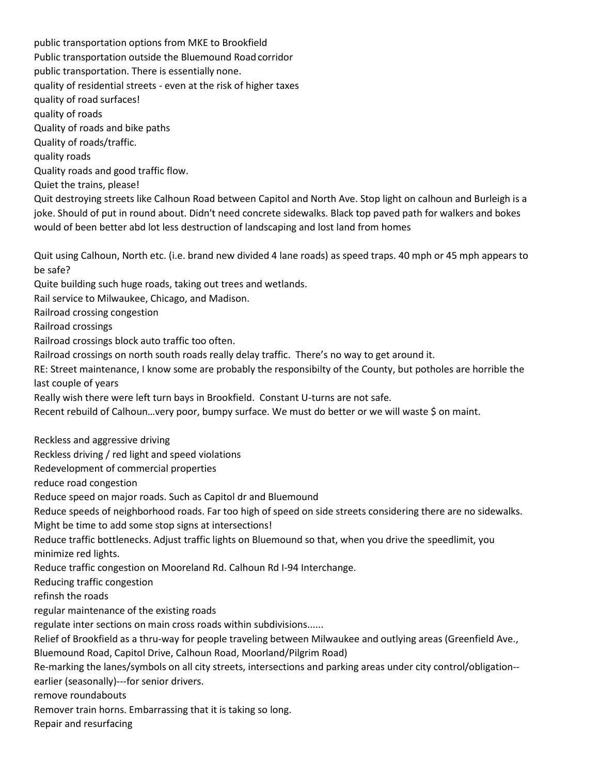public transportation options from MKE to Brookfield Public transportation outside the Bluemound Road corridor public transportation. There is essentially none. quality of residential streets - even at the risk of higher taxes quality of road surfaces! quality of roads Quality of roads and bike paths Quality of roads/traffic. quality roads Quality roads and good traffic flow. Quiet the trains, please! Quit destroying streets like Calhoun Road between Capitol and North Ave. Stop light on calhoun and Burleigh is a joke. Should of put in round about. Didn't need concrete sidewalks. Black top paved path for walkers and bokes would of been better abd lot less destruction of landscaping and lost land from homes Quit using Calhoun, North etc. (i.e. brand new divided 4 lane roads) as speed traps. 40 mph or 45 mph appears to be safe? Quite building such huge roads, taking out trees and wetlands. Rail service to Milwaukee, Chicago, and Madison. Railroad crossing congestion Railroad crossings Railroad crossings block auto traffic too often. Railroad crossings on north south roads really delay traffic. There's no way to get around it. RE: Street maintenance, I know some are probably the responsibilty of the County, but potholes are horrible the last couple of years Really wish there were left turn bays in Brookfield. Constant U-turns are not safe. Recent rebuild of Calhoun...very poor, bumpy surface. We must do better or we will waste \$ on maint. Reckless and aggressive driving Reckless driving / red light and speed violations Redevelopment of commercial properties reduce road congestion Reduce speed on major roads. Such as Capitol dr and Bluemound Reduce speeds of neighborhood roads. Far too high of speed on side streets considering there are no sidewalks. Might be time to add some stop signs at intersections! Reduce traffic bottlenecks. Adjust traffic lights on Bluemound so that, when you drive the speedlimit, you minimize red lights. Reduce traffic congestion on Mooreland Rd. Calhoun Rd I-94 Interchange. Reducing traffic congestion refinsh the roads regular maintenance of the existing roads regulate inter sections on main cross roads within subdivisions...... Relief of Brookfield as a thru-way for people traveling between Milwaukee and outlying areas (Greenfield Ave., Bluemound Road, Capitol Drive, Calhoun Road, Moorland/Pilgrim Road) Re-marking the lanes/symbols on all city streets, intersections and parking areas under city control/obligation- earlier (seasonally)---for senior drivers. remove roundabouts Remover train horns. Embarrassing that it is taking so long.

Repair and resurfacing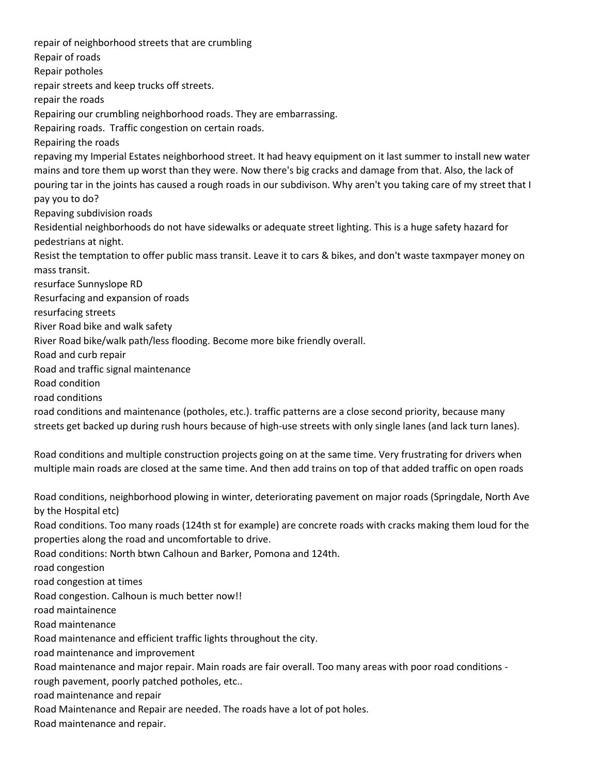repair of neighborhood streets that are crumbling Repair of roads Repair potholes repair streets and keep trucks off streets. repair the roads Repairing our crumbling neighborhood roads. They are embarrassing. Repairing roads. Traffic congestion on certain roads. Repairing the roads repaving my Imperial Estates neighborhood street. It had heavy equipment on it last summer to install new water mains and tore them up worst than they were. Now there's big cracks and damage from that. Also, the lack of pouring tar in the joints has caused a rough roads in our subdivison. Why aren't you taking care of my street that I pay you to do? Repaving subdivision roads Residential neighborhoods do not have sidewalks or adequate street lighting. This is a huge safety hazard for pedestrians at night. Resist the temptation to offer public mass transit. Leave it to cars & bikes, and don't waste taxmpayer money on mass transit. resurface Sunnyslope RD Resurfacing and expansion of roads resurfacing streets River Road bike and walk safety River Road bike/walk path/less flooding. Become more bike friendly overall. Road and curb repair Road and traffic signal maintenance Road condition road conditions road conditions and maintenance (potholes, etc.). traffic patterns are a close second priority, because many streets get backed up during rush hours because of high-use streets with only single lanes (and lack turn lanes). Road conditions and multiple construction projects going on at the same time. Very frustrating for drivers when multiple main roads are closed at the same time. And then add trains on top of that added traffic on open roads Road conditions, neighborhood plowing in winter, deteriorating pavement on major roads (Springdale, North Ave by the Hospital etc) Road conditions. Too many roads (124th st for example) are concrete roads with cracks making them loud for the properties along the road and uncomfortable to drive. Road conditions: North btwn Calhoun and Barker, Pomona and 124th. road congestion road congestion at times Road congestion. Calhoun is much better now!! road maintainence Road maintenance Road maintenance and efficient traffic lights throughout the city. road maintenance and improvement Road maintenance and major repair. Main roads are fair overall. Too many areas with poor road conditions -

rough pavement, poorly patched potholes, etc..

road maintenance and repair

Road Maintenance and Repair are needed. The roads have a lot of pot holes.

Road maintenance and repair.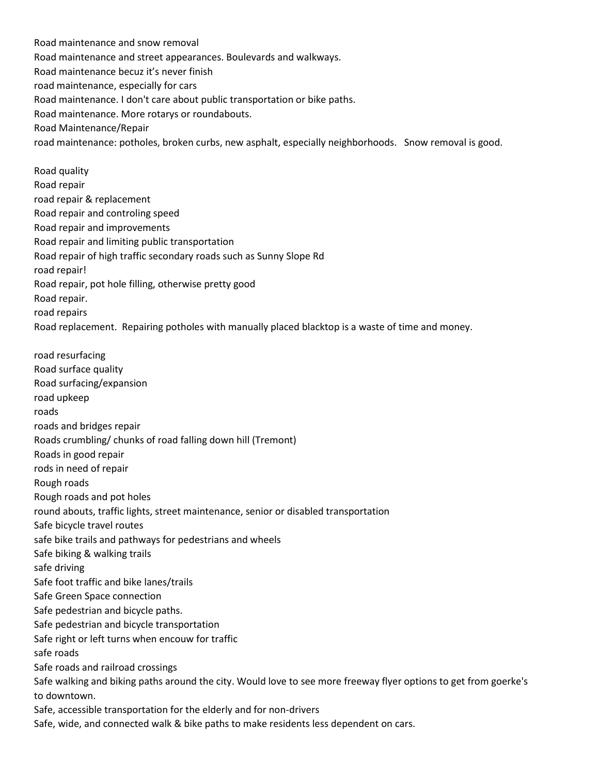Road maintenance and snow removal Road maintenance and street appearances. Boulevards and walkways. Road maintenance becuz it's never finish road maintenance, especially for cars Road maintenance. I don't care about public transportation or bike paths. Road maintenance. More rotarys or roundabouts. Road Maintenance/Repair road maintenance: potholes, broken curbs, new asphalt, especially neighborhoods. Snow removal is good.

Road quality Road repair road repair & replacement Road repair and controling speed Road repair and improvements Road repair and limiting public transportation Road repair of high traffic secondary roads such as Sunny Slope Rd road repair! Road repair, pot hole filling, otherwise pretty good Road repair. road repairs Road replacement. Repairing potholes with manually placed blacktop is a waste of time and money.

road resurfacing Road surface quality Road surfacing/expansion road upkeep roads roads and bridges repair Roads crumbling/ chunks of road falling down hill (Tremont) Roads in good repair rods in need of repair Rough roads Rough roads and pot holes round abouts, traffic lights, street maintenance, senior or disabled transportation Safe bicycle travel routes safe bike trails and pathways for pedestrians and wheels Safe biking & walking trails safe driving Safe foot traffic and bike lanes/trails Safe Green Space connection Safe pedestrian and bicycle paths. Safe pedestrian and bicycle transportation Safe right or left turns when encouw for traffic safe roads Safe roads and railroad crossings Safe walking and biking paths around the city. Would love to see more freeway flyer options to get from goerke's to downtown. Safe, accessible transportation for the elderly and for non-drivers Safe, wide, and connected walk & bike paths to make residents less dependent on cars.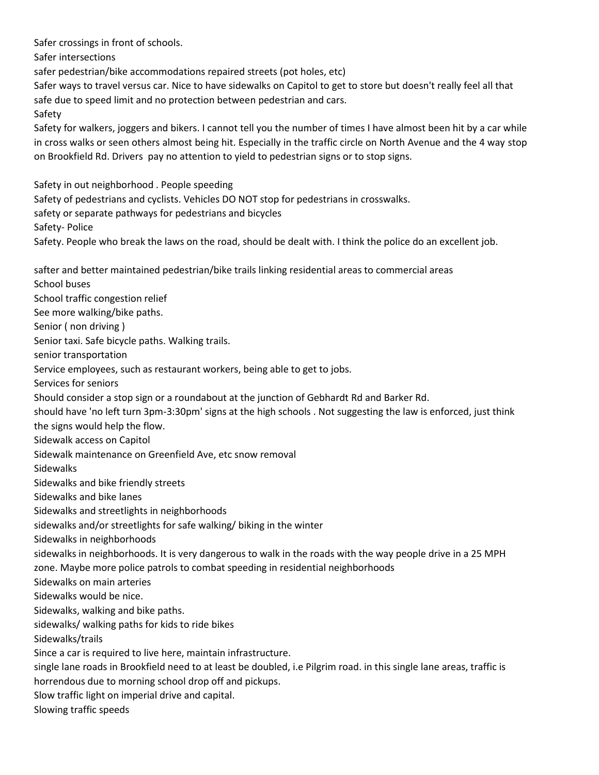Safer crossings in front of schools. Safer intersections safer pedestrian/bike accommodations repaired streets (pot holes, etc) Safer ways to travel versus car. Nice to have sidewalks on Capitol to get to store but doesn't really feel all that safe due to speed limit and no protection between pedestrian and cars. Safety Safety for walkers, joggers and bikers. I cannot tell you the number of times I have almost been hit by a car while in cross walks or seen others almost being hit. Especially in the traffic circle on North Avenue and the 4 way stop on Brookfield Rd. Drivers pay no attention to yield to pedestrian signs or to stop signs. Safety in out neighborhood . People speeding Safety of pedestrians and cyclists. Vehicles DO NOT stop for pedestrians in crosswalks. safety or separate pathways for pedestrians and bicycles Safety- Police Safety. People who break the laws on the road, should be dealt with. I think the police do an excellent job. safter and better maintained pedestrian/bike trails linking residential areas to commercial areas School buses School traffic congestion relief See more walking/bike paths. Senior ( non driving ) Senior taxi. Safe bicycle paths. Walking trails. senior transportation Service employees, such as restaurant workers, being able to get to jobs. Services for seniors Should consider a stop sign or a roundabout at the junction of Gebhardt Rd and Barker Rd. should have 'no left turn 3pm-3:30pm' signs at the high schools . Not suggesting the law is enforced, just think the signs would help the flow. Sidewalk access on Capitol Sidewalk maintenance on Greenfield Ave, etc snow removal Sidewalks Sidewalks and bike friendly streets Sidewalks and bike lanes Sidewalks and streetlights in neighborhoods sidewalks and/or streetlights for safe walking/ biking in the winter Sidewalks in neighborhoods sidewalks in neighborhoods. It is very dangerous to walk in the roads with the way people drive in a 25 MPH zone. Maybe more police patrols to combat speeding in residential neighborhoods Sidewalks on main arteries Sidewalks would be nice. Sidewalks, walking and bike paths. sidewalks/ walking paths for kids to ride bikes Sidewalks/trails Since a car is required to live here, maintain infrastructure. single lane roads in Brookfield need to at least be doubled, i.e Pilgrim road. in this single lane areas, traffic is horrendous due to morning school drop off and pickups. Slow traffic light on imperial drive and capital. Slowing traffic speeds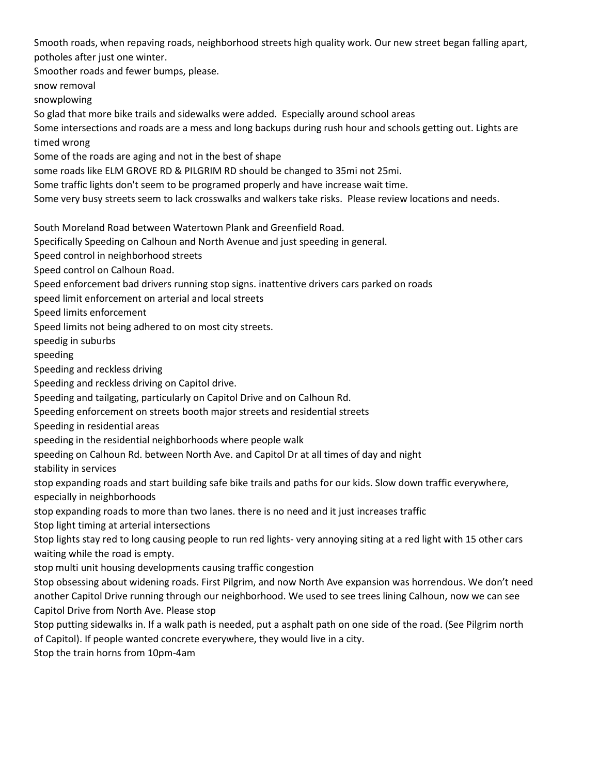Smooth roads, when repaving roads, neighborhood streets high quality work. Our new street began falling apart, potholes after just one winter.

Smoother roads and fewer bumps, please.

snow removal

snowplowing

So glad that more bike trails and sidewalks were added. Especially around school areas

Some intersections and roads are a mess and long backups during rush hour and schools getting out. Lights are timed wrong

Some of the roads are aging and not in the best of shape

some roads like ELM GROVE RD & PILGRIM RD should be changed to 35mi not 25mi.

Some traffic lights don't seem to be programed properly and have increase wait time.

Some very busy streets seem to lack crosswalks and walkers take risks. Please review locations and needs.

South Moreland Road between Watertown Plank and Greenfield Road.

Specifically Speeding on Calhoun and North Avenue and just speeding in general.

Speed control in neighborhood streets

Speed control on Calhoun Road.

Speed enforcement bad drivers running stop signs. inattentive drivers cars parked on roads

speed limit enforcement on arterial and local streets

Speed limits enforcement

Speed limits not being adhered to on most city streets.

speedig in suburbs

speeding

Speeding and reckless driving

Speeding and reckless driving on Capitol drive.

Speeding and tailgating, particularly on Capitol Drive and on Calhoun Rd.

Speeding enforcement on streets booth major streets and residential streets

Speeding in residential areas

speeding in the residential neighborhoods where people walk

speeding on Calhoun Rd. between North Ave. and Capitol Dr at all times of day and night

stability in services

stop expanding roads and start building safe bike trails and paths for our kids. Slow down traffic everywhere, especially in neighborhoods

stop expanding roads to more than two lanes. there is no need and it just increases traffic

Stop light timing at arterial intersections

Stop lights stay red to long causing people to run red lights- very annoying siting at a red light with 15 other cars waiting while the road is empty.

stop multi unit housing developments causing traffic congestion

Stop obsessing about widening roads. First Pilgrim, and now North Ave expansion was horrendous. We don't need another Capitol Drive running through our neighborhood. We used to see trees lining Calhoun, now we can see Capitol Drive from North Ave. Please stop

Stop putting sidewalks in. If a walk path is needed, put a asphalt path on one side of the road. (See Pilgrim north of Capitol). If people wanted concrete everywhere, they would live in a city.

Stop the train horns from 10pm-4am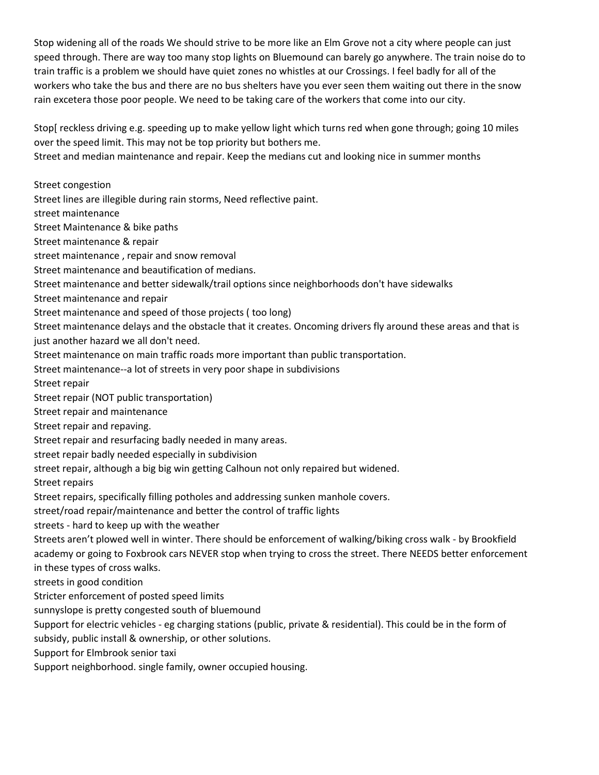Stop widening all of the roads We should strive to be more like an Elm Grove not a city where people can just speed through. There are way too many stop lights on Bluemound can barely go anywhere. The train noise do to train traffic is a problem we should have quiet zones no whistles at our Crossings. I feel badly for all of the workers who take the bus and there are no bus shelters have you ever seen them waiting out there in the snow rain excetera those poor people. We need to be taking care of the workers that come into our city.

Stop[ reckless driving e.g. speeding up to make yellow light which turns red when gone through; going 10 miles over the speed limit. This may not be top priority but bothers me.

Street and median maintenance and repair. Keep the medians cut and looking nice in summer months

Street congestion

Street lines are illegible during rain storms, Need reflective paint.

street maintenance

Street Maintenance & bike paths

Street maintenance & repair

street maintenance , repair and snow removal

Street maintenance and beautification of medians.

Street maintenance and better sidewalk/trail options since neighborhoods don't have sidewalks

Street maintenance and repair

Street maintenance and speed of those projects ( too long)

Street maintenance delays and the obstacle that it creates. Oncoming drivers fly around these areas and that is just another hazard we all don't need.

Street maintenance on main traffic roads more important than public transportation.

Street maintenance--a lot of streets in very poor shape in subdivisions

Street repair

Street repair (NOT public transportation)

Street repair and maintenance

Street repair and repaving.

Street repair and resurfacing badly needed in many areas.

street repair badly needed especially in subdivision

street repair, although a big big win getting Calhoun not only repaired but widened.

Street repairs

Street repairs, specifically filling potholes and addressing sunken manhole covers.

street/road repair/maintenance and better the control of traffic lights

streets - hard to keep up with the weather

Streets aren't plowed well in winter. There should be enforcement of walking/biking cross walk - by Brookfield academy or going to Foxbrook cars NEVER stop when trying to cross the street. There NEEDS better enforcement in these types of cross walks.

streets in good condition

Stricter enforcement of posted speed limits

sunnyslope is pretty congested south of bluemound

Support for electric vehicles - eg charging stations (public, private & residential). This could be in the form of subsidy, public install & ownership, or other solutions.

Support for Elmbrook senior taxi

Support neighborhood. single family, owner occupied housing.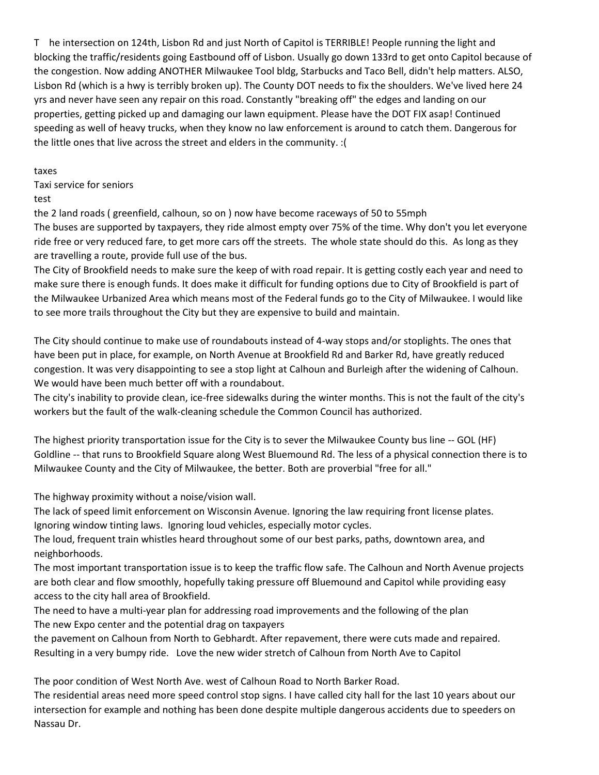T he intersection on 124th, Lisbon Rd and just North of Capitol is TERRIBLE! People running the light and blocking the traffic/residents going Eastbound off of Lisbon. Usually go down 133rd to get onto Capitol because of the congestion. Now adding ANOTHER Milwaukee Tool bldg, Starbucks and Taco Bell, didn't help matters. ALSO, Lisbon Rd (which is a hwy is terribly broken up). The County DOT needs to fix the shoulders. We've lived here 24 yrs and never have seen any repair on this road. Constantly "breaking off" the edges and landing on our properties, getting picked up and damaging our lawn equipment. Please have the DOT FIX asap! Continued speeding as well of heavy trucks, when they know no law enforcement is around to catch them. Dangerous for the little ones that live across the street and elders in the community. :(

taxes

Taxi service for seniors

test

the 2 land roads ( greenfield, calhoun, so on ) now have become raceways of 50 to 55mph

The buses are supported by taxpayers, they ride almost empty over 75% of the time. Why don't you let everyone ride free or very reduced fare, to get more cars off the streets. The whole state should do this. As long as they are travelling a route, provide full use of the bus.

The City of Brookfield needs to make sure the keep of with road repair. It is getting costly each year and need to make sure there is enough funds. It does make it difficult for funding options due to City of Brookfield is part of the Milwaukee Urbanized Area which means most of the Federal funds go to the City of Milwaukee. I would like to see more trails throughout the City but they are expensive to build and maintain.

The City should continue to make use of roundabouts instead of 4-way stops and/or stoplights. The ones that have been put in place, for example, on North Avenue at Brookfield Rd and Barker Rd, have greatly reduced congestion. It was very disappointing to see a stop light at Calhoun and Burleigh after the widening of Calhoun. We would have been much better off with a roundabout.

The city's inability to provide clean, ice-free sidewalks during the winter months. This is not the fault of the city's workers but the fault of the walk-cleaning schedule the Common Council has authorized.

The highest priority transportation issue for the City is to sever the Milwaukee County bus line -- GOL (HF) Goldline -- that runs to Brookfield Square along West Bluemound Rd. The less of a physical connection there is to Milwaukee County and the City of Milwaukee, the better. Both are proverbial "free for all."

The highway proximity without a noise/vision wall.

The lack of speed limit enforcement on Wisconsin Avenue. Ignoring the law requiring front license plates. Ignoring window tinting laws. Ignoring loud vehicles, especially motor cycles.

The loud, frequent train whistles heard throughout some of our best parks, paths, downtown area, and neighborhoods.

The most important transportation issue is to keep the traffic flow safe. The Calhoun and North Avenue projects are both clear and flow smoothly, hopefully taking pressure off Bluemound and Capitol while providing easy access to the city hall area of Brookfield.

The need to have a multi-year plan for addressing road improvements and the following of the plan The new Expo center and the potential drag on taxpayers

the pavement on Calhoun from North to Gebhardt. After repavement, there were cuts made and repaired. Resulting in a very bumpy ride. Love the new wider stretch of Calhoun from North Ave to Capitol

The poor condition of West North Ave. west of Calhoun Road to North Barker Road.

The residential areas need more speed control stop signs. I have called city hall for the last 10 years about our intersection for example and nothing has been done despite multiple dangerous accidents due to speeders on Nassau Dr.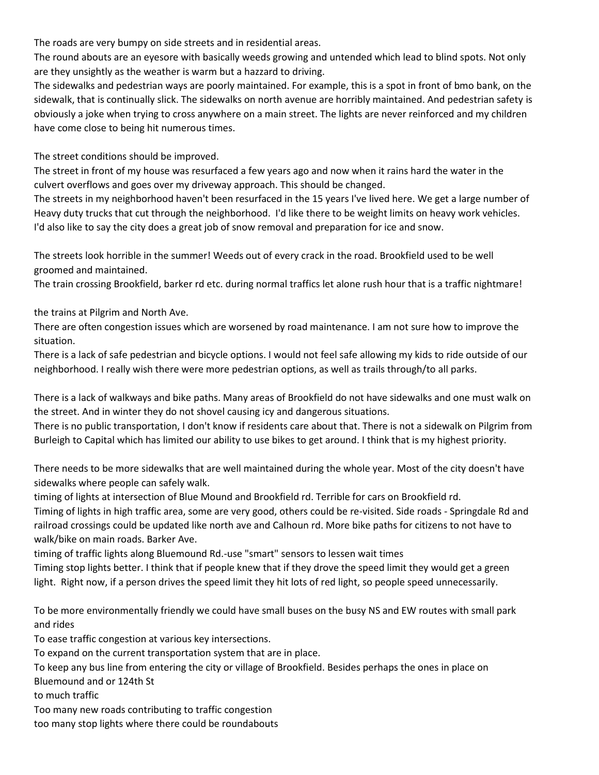The roads are very bumpy on side streets and in residential areas.

The round abouts are an eyesore with basically weeds growing and untended which lead to blind spots. Not only are they unsightly as the weather is warm but a hazzard to driving.

The sidewalks and pedestrian ways are poorly maintained. For example, this is a spot in front of bmo bank, on the sidewalk, that is continually slick. The sidewalks on north avenue are horribly maintained. And pedestrian safety is obviously a joke when trying to cross anywhere on a main street. The lights are never reinforced and my children have come close to being hit numerous times.

The street conditions should be improved.

The street in front of my house was resurfaced a few years ago and now when it rains hard the water in the culvert overflows and goes over my driveway approach. This should be changed.

The streets in my neighborhood haven't been resurfaced in the 15 years I've lived here. We get a large number of Heavy duty trucks that cut through the neighborhood. I'd like there to be weight limits on heavy work vehicles. I'd also like to say the city does a great job of snow removal and preparation for ice and snow.

The streets look horrible in the summer! Weeds out of every crack in the road. Brookfield used to be well groomed and maintained.

The train crossing Brookfield, barker rd etc. during normal traffics let alone rush hour that is a traffic nightmare!

the trains at Pilgrim and North Ave.

There are often congestion issues which are worsened by road maintenance. I am not sure how to improve the situation.

There is a lack of safe pedestrian and bicycle options. I would not feel safe allowing my kids to ride outside of our neighborhood. I really wish there were more pedestrian options, as well as trails through/to all parks.

There is a lack of walkways and bike paths. Many areas of Brookfield do not have sidewalks and one must walk on the street. And in winter they do not shovel causing icy and dangerous situations.

There is no public transportation, I don't know if residents care about that. There is not a sidewalk on Pilgrim from Burleigh to Capital which has limited our ability to use bikes to get around. I think that is my highest priority.

There needs to be more sidewalks that are well maintained during the whole year. Most of the city doesn't have sidewalks where people can safely walk.

timing of lights at intersection of Blue Mound and Brookfield rd. Terrible for cars on Brookfield rd.

Timing of lights in high traffic area, some are very good, others could be re-visited. Side roads - Springdale Rd and railroad crossings could be updated like north ave and Calhoun rd. More bike paths for citizens to not have to walk/bike on main roads. Barker Ave.

timing of traffic lights along Bluemound Rd.-use "smart" sensors to lessen wait times

Timing stop lights better. I think that if people knew that if they drove the speed limit they would get a green light. Right now, if a person drives the speed limit they hit lots of red light, so people speed unnecessarily.

To be more environmentally friendly we could have small buses on the busy NS and EW routes with small park and rides

To ease traffic congestion at various key intersections.

To expand on the current transportation system that are in place.

To keep any bus line from entering the city or village of Brookfield. Besides perhaps the ones in place on Bluemound and or 124th St

to much traffic

Too many new roads contributing to traffic congestion

too many stop lights where there could be roundabouts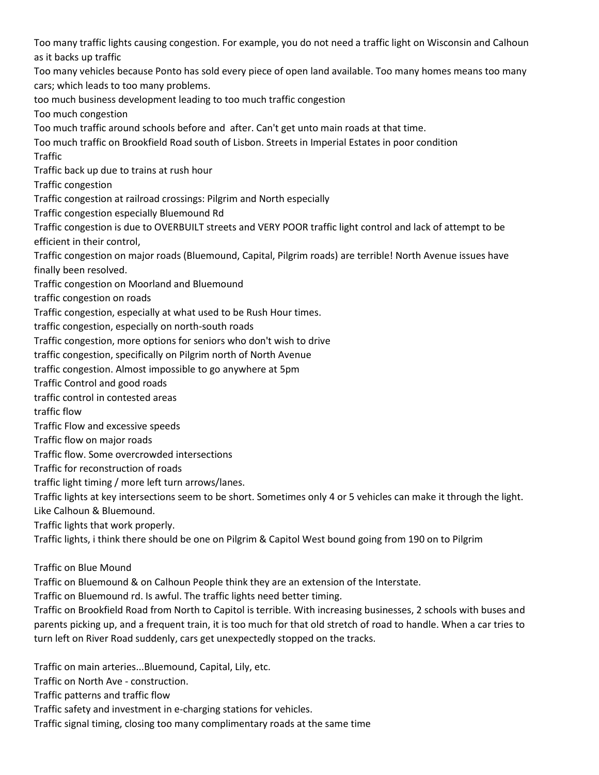Too many traffic lights causing congestion. For example, you do not need a traffic light on Wisconsin and Calhoun as it backs up traffic Too many vehicles because Ponto has sold every piece of open land available. Too many homes means too many cars; which leads to too many problems. too much business development leading to too much traffic congestion Too much congestion Too much traffic around schools before and after. Can't get unto main roads at that time. Too much traffic on Brookfield Road south of Lisbon. Streets in Imperial Estates in poor condition **Traffic** Traffic back up due to trains at rush hour Traffic congestion Traffic congestion at railroad crossings: Pilgrim and North especially Traffic congestion especially Bluemound Rd Traffic congestion is due to OVERBUILT streets and VERY POOR traffic light control and lack of attempt to be efficient in their control, Traffic congestion on major roads (Bluemound, Capital, Pilgrim roads) are terrible! North Avenue issues have finally been resolved. Traffic congestion on Moorland and Bluemound traffic congestion on roads Traffic congestion, especially at what used to be Rush Hour times. traffic congestion, especially on north-south roads Traffic congestion, more options for seniors who don't wish to drive traffic congestion, specifically on Pilgrim north of North Avenue traffic congestion. Almost impossible to go anywhere at 5pm Traffic Control and good roads traffic control in contested areas traffic flow Traffic Flow and excessive speeds Traffic flow on major roads Traffic flow. Some overcrowded intersections Traffic for reconstruction of roads traffic light timing / more left turn arrows/lanes. Traffic lights at key intersections seem to be short. Sometimes only 4 or 5 vehicles can make it through the light. Like Calhoun & Bluemound. Traffic lights that work properly. Traffic lights, i think there should be one on Pilgrim & Capitol West bound going from 190 on to Pilgrim Traffic on Blue Mound Traffic on Bluemound & on Calhoun People think they are an extension of the Interstate. Traffic on Bluemound rd. Is awful. The traffic lights need better timing.

Traffic on Brookfield Road from North to Capitol is terrible. With increasing businesses, 2 schools with buses and parents picking up, and a frequent train, it is too much for that old stretch of road to handle. When a car tries to turn left on River Road suddenly, cars get unexpectedly stopped on the tracks.

Traffic on main arteries...Bluemound, Capital, Lily, etc. Traffic on North Ave - construction. Traffic patterns and traffic flow Traffic safety and investment in e-charging stations for vehicles. Traffic signal timing, closing too many complimentary roads at the same time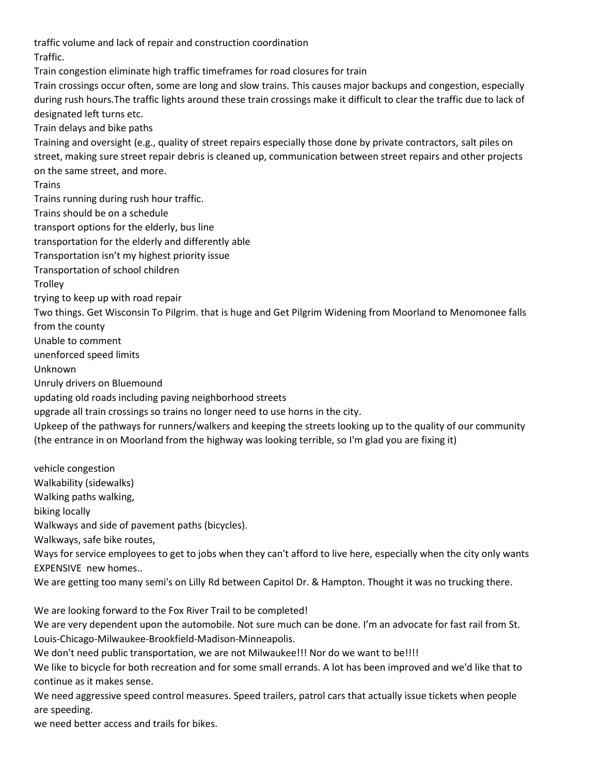traffic volume and lack of repair and construction coordination Traffic. Train congestion eliminate high traffic timeframes for road closures for train Train crossings occur often, some are long and slow trains. This causes major backups and congestion, especially during rush hours.The traffic lights around these train crossings make it difficult to clear the traffic due to lack of designated left turns etc. Train delays and bike paths Training and oversight (e.g., quality of street repairs especially those done by private contractors, salt piles on street, making sure street repair debris is cleaned up, communication between street repairs and other projects on the same street, and more. Trains Trains running during rush hour traffic. Trains should be on a schedule transport options for the elderly, bus line transportation for the elderly and differently able Transportation isn't my highest priority issue Transportation of school children **Trolley** trying to keep up with road repair Two things. Get Wisconsin To Pilgrim. that is huge and Get Pilgrim Widening from Moorland to Menomonee falls from the county Unable to comment unenforced speed limits Unknown Unruly drivers on Bluemound updating old roads including paving neighborhood streets upgrade all train crossings so trains no longer need to use horns in the city. Upkeep of the pathways for runners/walkers and keeping the streets looking up to the quality of our community (the entrance in on Moorland from the highway was looking terrible, so I'm glad you are fixing it) vehicle congestion Walkability (sidewalks) Walking paths walking, biking locally

Walkways and side of pavement paths (bicycles).

Walkways, safe bike routes,

Ways for service employees to get to jobs when they can't afford to live here, especially when the city only wants EXPENSIVE new homes..

We are getting too many semi's on Lilly Rd between Capitol Dr. & Hampton. Thought it was no trucking there.

We are looking forward to the Fox River Trail to be completed!

We are very dependent upon the automobile. Not sure much can be done. I'm an advocate for fast rail from St. Louis-Chicago-Milwaukee-Brookfield-Madison-Minneapolis.

We don't need public transportation, we are not Milwaukee!!! Nor do we want to be!!!!

We like to bicycle for both recreation and for some small errands. A lot has been improved and we'd like that to continue as it makes sense.

We need aggressive speed control measures. Speed trailers, patrol cars that actually issue tickets when people are speeding.

we need better access and trails for bikes.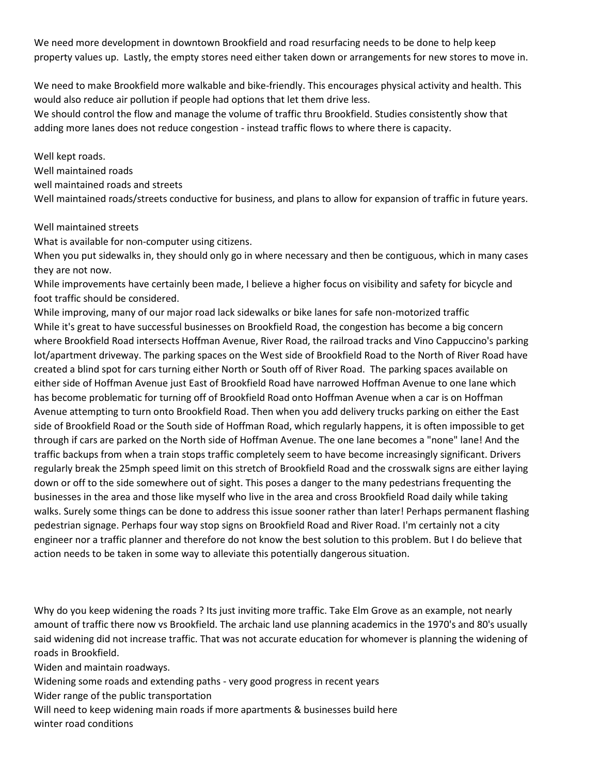We need more development in downtown Brookfield and road resurfacing needs to be done to help keep property values up. Lastly, the empty stores need either taken down or arrangements for new stores to move in.

We need to make Brookfield more walkable and bike-friendly. This encourages physical activity and health. This would also reduce air pollution if people had options that let them drive less.

We should control the flow and manage the volume of traffic thru Brookfield. Studies consistently show that adding more lanes does not reduce congestion - instead traffic flows to where there is capacity.

Well kept roads. Well maintained roads well maintained roads and streets Well maintained roads/streets conductive for business, and plans to allow for expansion of traffic in future years.

Well maintained streets

What is available for non-computer using citizens.

When you put sidewalks in, they should only go in where necessary and then be contiguous, which in many cases they are not now.

While improvements have certainly been made, I believe a higher focus on visibility and safety for bicycle and foot traffic should be considered.

While improving, many of our major road lack sidewalks or bike lanes for safe non-motorized traffic While it's great to have successful businesses on Brookfield Road, the congestion has become a big concern where Brookfield Road intersects Hoffman Avenue, River Road, the railroad tracks and Vino Cappuccino's parking lot/apartment driveway. The parking spaces on the West side of Brookfield Road to the North of River Road have created a blind spot for cars turning either North or South off of River Road. The parking spaces available on either side of Hoffman Avenue just East of Brookfield Road have narrowed Hoffman Avenue to one lane which has become problematic for turning off of Brookfield Road onto Hoffman Avenue when a car is on Hoffman Avenue attempting to turn onto Brookfield Road. Then when you add delivery trucks parking on either the East side of Brookfield Road or the South side of Hoffman Road, which regularly happens, it is often impossible to get through if cars are parked on the North side of Hoffman Avenue. The one lane becomes a "none" lane! And the traffic backups from when a train stops traffic completely seem to have become increasingly significant. Drivers regularly break the 25mph speed limit on this stretch of Brookfield Road and the crosswalk signs are either laying down or off to the side somewhere out of sight. This poses a danger to the many pedestrians frequenting the businesses in the area and those like myself who live in the area and cross Brookfield Road daily while taking walks. Surely some things can be done to address this issue sooner rather than later! Perhaps permanent flashing pedestrian signage. Perhaps four way stop signs on Brookfield Road and River Road. I'm certainly not a city engineer nor a traffic planner and therefore do not know the best solution to this problem. But I do believe that action needs to be taken in some way to alleviate this potentially dangerous situation.

Why do you keep widening the roads ? Its just inviting more traffic. Take Elm Grove as an example, not nearly amount of traffic there now vs Brookfield. The archaic land use planning academics in the 1970's and 80's usually said widening did not increase traffic. That was not accurate education for whomever is planning the widening of roads in Brookfield.

Widen and maintain roadways.

Widening some roads and extending paths - very good progress in recent years

Wider range of the public transportation

Will need to keep widening main roads if more apartments & businesses build here winter road conditions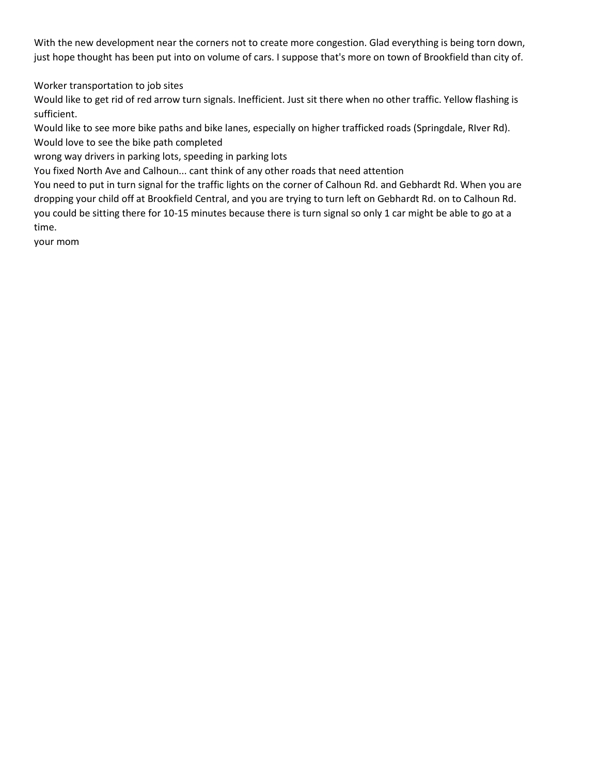With the new development near the corners not to create more congestion. Glad everything is being torn down, just hope thought has been put into on volume of cars. I suppose that's more on town of Brookfield than city of.

Worker transportation to job sites

Would like to get rid of red arrow turn signals. Inefficient. Just sit there when no other traffic. Yellow flashing is sufficient.

Would like to see more bike paths and bike lanes, especially on higher trafficked roads (Springdale, RIver Rd). Would love to see the bike path completed

wrong way drivers in parking lots, speeding in parking lots

You fixed North Ave and Calhoun... cant think of any other roads that need attention

You need to put in turn signal for the traffic lights on the corner of Calhoun Rd. and Gebhardt Rd. When you are dropping your child off at Brookfield Central, and you are trying to turn left on Gebhardt Rd. on to Calhoun Rd. you could be sitting there for 10-15 minutes because there is turn signal so only 1 car might be able to go at a time.

your mom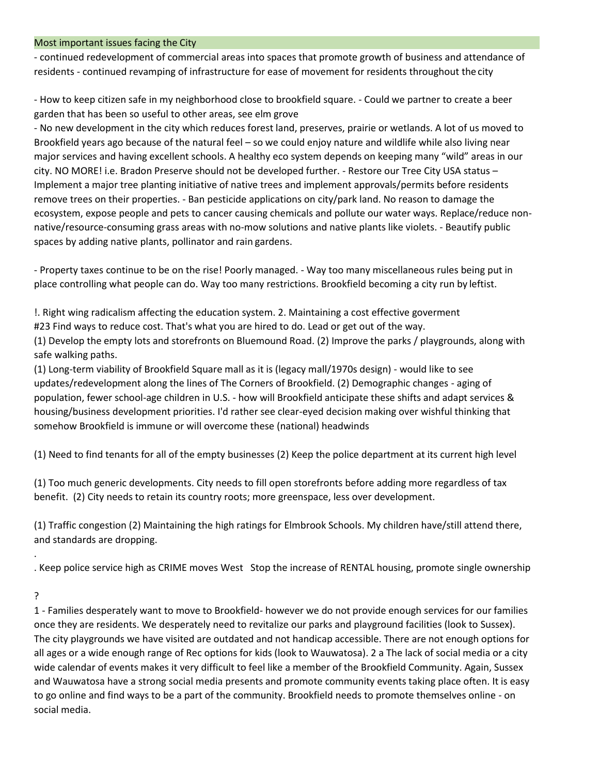#### Most important issues facing the City

- continued redevelopment of commercial areas into spaces that promote growth of business and attendance of residents - continued revamping of infrastructure for ease of movement for residents throughout the city

- How to keep citizen safe in my neighborhood close to brookfield square. - Could we partner to create a beer garden that has been so useful to other areas, see elm grove

- No new development in the city which reduces forest land, preserves, prairie or wetlands. A lot of us moved to Brookfield years ago because of the natural feel – so we could enjoy nature and wildlife while also living near major services and having excellent schools. A healthy eco system depends on keeping many "wild" areas in our city. NO MORE! i.e. Bradon Preserve should not be developed further. - Restore our Tree City USA status – Implement a major tree planting initiative of native trees and implement approvals/permits before residents remove trees on their properties. - Ban pesticide applications on city/park land. No reason to damage the ecosystem, expose people and pets to cancer causing chemicals and pollute our water ways. Replace/reduce nonnative/resource-consuming grass areas with no-mow solutions and native plants like violets. - Beautify public spaces by adding native plants, pollinator and rain gardens.

- Property taxes continue to be on the rise! Poorly managed. - Way too many miscellaneous rules being put in place controlling what people can do. Way too many restrictions. Brookfield becoming a city run by leftist.

!. Right wing radicalism affecting the education system. 2. Maintaining a cost effective goverment #23 Find ways to reduce cost. That's what you are hired to do. Lead or get out of the way.

(1) Develop the empty lots and storefronts on Bluemound Road. (2) Improve the parks / playgrounds, along with safe walking paths.

(1) Long-term viability of Brookfield Square mall as it is (legacy mall/1970s design) - would like to see updates/redevelopment along the lines of The Corners of Brookfield. (2) Demographic changes - aging of population, fewer school-age children in U.S. - how will Brookfield anticipate these shifts and adapt services & housing/business development priorities. I'd rather see clear-eyed decision making over wishful thinking that somehow Brookfield is immune or will overcome these (national) headwinds

(1) Need to find tenants for all of the empty businesses (2) Keep the police department at its current high level

(1) Too much generic developments. City needs to fill open storefronts before adding more regardless of tax benefit. (2) City needs to retain its country roots; more greenspace, less over development.

(1) Traffic congestion (2) Maintaining the high ratings for Elmbrook Schools. My children have/still attend there, and standards are dropping.

. Keep police service high as CRIME moves West Stop the increase of RENTAL housing, promote single ownership

?

.

1 - Families desperately want to move to Brookfield- however we do not provide enough services for our families once they are residents. We desperately need to revitalize our parks and playground facilities (look to Sussex). The city playgrounds we have visited are outdated and not handicap accessible. There are not enough options for all ages or a wide enough range of Rec options for kids (look to Wauwatosa). 2 a The lack of social media or a city wide calendar of events makes it very difficult to feel like a member of the Brookfield Community. Again, Sussex and Wauwatosa have a strong social media presents and promote community events taking place often. It is easy to go online and find ways to be a part of the community. Brookfield needs to promote themselves online - on social media.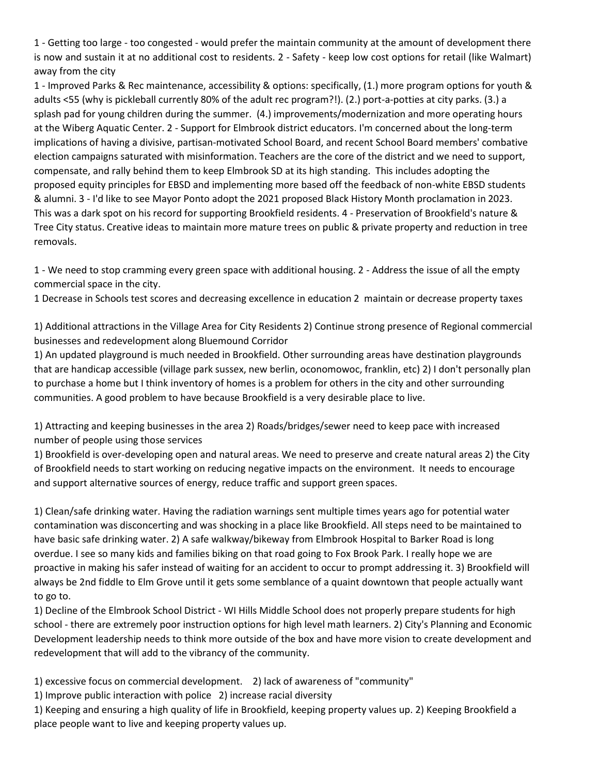1 - Getting too large - too congested - would prefer the maintain community at the amount of development there is now and sustain it at no additional cost to residents. 2 - Safety - keep low cost options for retail (like Walmart) away from the city

1 - Improved Parks & Rec maintenance, accessibility & options: specifically, (1.) more program options for youth & adults <55 (why is pickleball currently 80% of the adult rec program?!). (2.) port-a-potties at city parks. (3.) a splash pad for young children during the summer. (4.) improvements/modernization and more operating hours at the Wiberg Aquatic Center. 2 - Support for Elmbrook district educators. I'm concerned about the long-term implications of having a divisive, partisan-motivated School Board, and recent School Board members' combative election campaigns saturated with misinformation. Teachers are the core of the district and we need to support, compensate, and rally behind them to keep Elmbrook SD at its high standing. This includes adopting the proposed equity principles for EBSD and implementing more based off the feedback of non-white EBSD students & alumni. 3 - I'd like to see Mayor Ponto adopt the 2021 proposed Black History Month proclamation in 2023. This was a dark spot on his record for supporting Brookfield residents. 4 - Preservation of Brookfield's nature & Tree City status. Creative ideas to maintain more mature trees on public & private property and reduction in tree removals.

1 - We need to stop cramming every green space with additional housing. 2 - Address the issue of all the empty commercial space in the city.

1 Decrease in Schools test scores and decreasing excellence in education 2 maintain or decrease property taxes

1) Additional attractions in the Village Area for City Residents 2) Continue strong presence of Regional commercial businesses and redevelopment along Bluemound Corridor

1) An updated playground is much needed in Brookfield. Other surrounding areas have destination playgrounds that are handicap accessible (village park sussex, new berlin, oconomowoc, franklin, etc) 2) I don't personally plan to purchase a home but I think inventory of homes is a problem for others in the city and other surrounding communities. A good problem to have because Brookfield is a very desirable place to live.

1) Attracting and keeping businesses in the area 2) Roads/bridges/sewer need to keep pace with increased number of people using those services

1) Brookfield is over-developing open and natural areas. We need to preserve and create natural areas 2) the City of Brookfield needs to start working on reducing negative impacts on the environment. It needs to encourage and support alternative sources of energy, reduce traffic and support green spaces.

1) Clean/safe drinking water. Having the radiation warnings sent multiple times years ago for potential water contamination was disconcerting and was shocking in a place like Brookfield. All steps need to be maintained to have basic safe drinking water. 2) A safe walkway/bikeway from Elmbrook Hospital to Barker Road is long overdue. I see so many kids and families biking on that road going to Fox Brook Park. I really hope we are proactive in making his safer instead of waiting for an accident to occur to prompt addressing it. 3) Brookfield will always be 2nd fiddle to Elm Grove until it gets some semblance of a quaint downtown that people actually want to go to.

1) Decline of the Elmbrook School District - WI Hills Middle School does not properly prepare students for high school - there are extremely poor instruction options for high level math learners. 2) City's Planning and Economic Development leadership needs to think more outside of the box and have more vision to create development and redevelopment that will add to the vibrancy of the community.

1) excessive focus on commercial development. 2) lack of awareness of "community"

1) Improve public interaction with police 2) increase racial diversity

1) Keeping and ensuring a high quality of life in Brookfield, keeping property values up. 2) Keeping Brookfield a place people want to live and keeping property values up.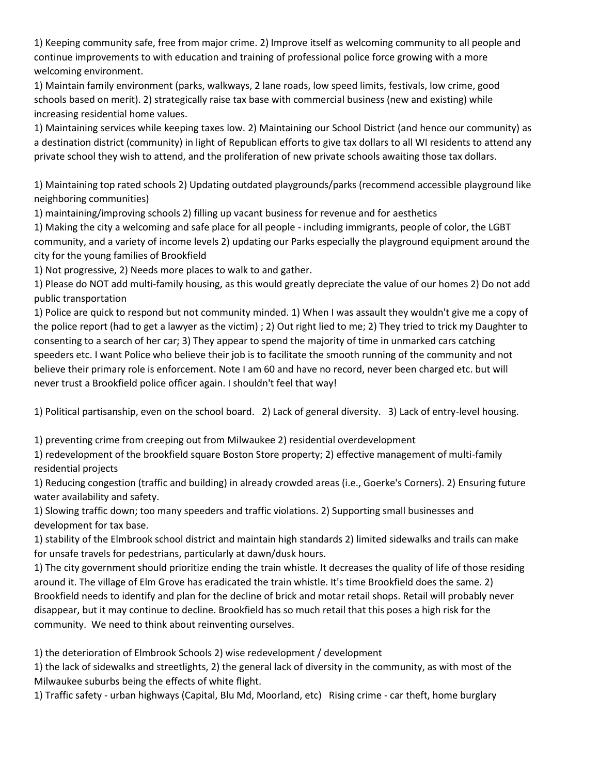1) Keeping community safe, free from major crime. 2) Improve itself as welcoming community to all people and continue improvements to with education and training of professional police force growing with a more welcoming environment.

1) Maintain family environment (parks, walkways, 2 lane roads, low speed limits, festivals, low crime, good schools based on merit). 2) strategically raise tax base with commercial business (new and existing) while increasing residential home values.

1) Maintaining services while keeping taxes low. 2) Maintaining our School District (and hence our community) as a destination district (community) in light of Republican efforts to give tax dollars to all WI residents to attend any private school they wish to attend, and the proliferation of new private schools awaiting those tax dollars.

1) Maintaining top rated schools 2) Updating outdated playgrounds/parks (recommend accessible playground like neighboring communities)

1) maintaining/improving schools 2) filling up vacant business for revenue and for aesthetics

1) Making the city a welcoming and safe place for all people - including immigrants, people of color, the LGBT community, and a variety of income levels 2) updating our Parks especially the playground equipment around the city for the young families of Brookfield

1) Not progressive, 2) Needs more places to walk to and gather.

1) Please do NOT add multi-family housing, as this would greatly depreciate the value of our homes 2) Do not add public transportation

1) Police are quick to respond but not community minded. 1) When I was assault they wouldn't give me a copy of the police report (had to get a lawyer as the victim) ; 2) Out right lied to me; 2) They tried to trick my Daughter to consenting to a search of her car; 3) They appear to spend the majority of time in unmarked cars catching speeders etc. I want Police who believe their job is to facilitate the smooth running of the community and not believe their primary role is enforcement. Note I am 60 and have no record, never been charged etc. but will never trust a Brookfield police officer again. I shouldn't feel that way!

1) Political partisanship, even on the school board. 2) Lack of general diversity. 3) Lack of entry-level housing.

1) preventing crime from creeping out from Milwaukee 2) residential overdevelopment

1) redevelopment of the brookfield square Boston Store property; 2) effective management of multi-family residential projects

1) Reducing congestion (traffic and building) in already crowded areas (i.e., Goerke's Corners). 2) Ensuring future water availability and safety.

1) Slowing traffic down; too many speeders and traffic violations. 2) Supporting small businesses and development for tax base.

1) stability of the Elmbrook school district and maintain high standards 2) limited sidewalks and trails can make for unsafe travels for pedestrians, particularly at dawn/dusk hours.

1) The city government should prioritize ending the train whistle. It decreases the quality of life of those residing around it. The village of Elm Grove has eradicated the train whistle. It's time Brookfield does the same. 2) Brookfield needs to identify and plan for the decline of brick and motar retail shops. Retail will probably never disappear, but it may continue to decline. Brookfield has so much retail that this poses a high risk for the community. We need to think about reinventing ourselves.

1) the deterioration of Elmbrook Schools 2) wise redevelopment / development

1) the lack of sidewalks and streetlights, 2) the general lack of diversity in the community, as with most of the Milwaukee suburbs being the effects of white flight.

1) Traffic safety - urban highways (Capital, Blu Md, Moorland, etc) Rising crime - car theft, home burglary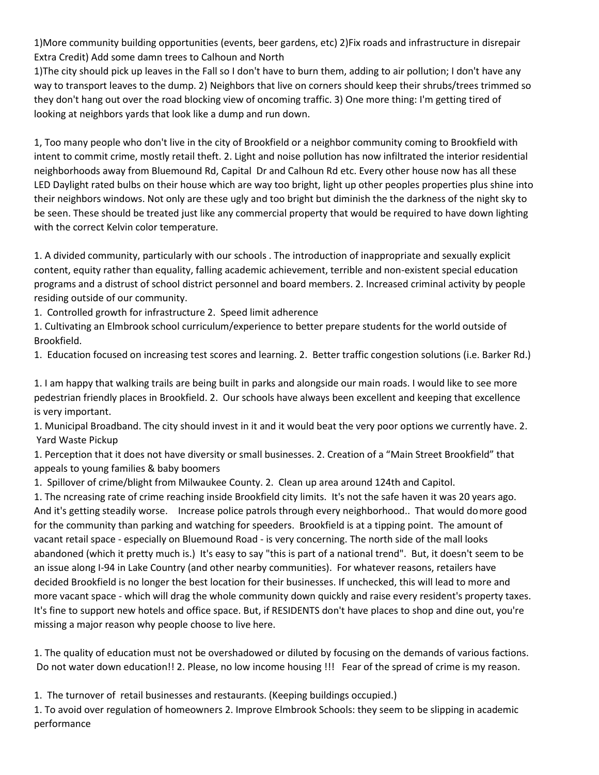1)More community building opportunities (events, beer gardens, etc) 2)Fix roads and infrastructure in disrepair Extra Credit) Add some damn trees to Calhoun and North

1)The city should pick up leaves in the Fall so I don't have to burn them, adding to air pollution; I don't have any way to transport leaves to the dump. 2) Neighbors that live on corners should keep their shrubs/trees trimmed so they don't hang out over the road blocking view of oncoming traffic. 3) One more thing: I'm getting tired of looking at neighbors yards that look like a dump and run down.

1, Too many people who don't live in the city of Brookfield or a neighbor community coming to Brookfield with intent to commit crime, mostly retail theft. 2. Light and noise pollution has now infiltrated the interior residential neighborhoods away from Bluemound Rd, Capital Dr and Calhoun Rd etc. Every other house now has all these LED Daylight rated bulbs on their house which are way too bright, light up other peoples properties plus shine into their neighbors windows. Not only are these ugly and too bright but diminish the the darkness of the night sky to be seen. These should be treated just like any commercial property that would be required to have down lighting with the correct Kelvin color temperature.

1. A divided community, particularly with our schools . The introduction of inappropriate and sexually explicit content, equity rather than equality, falling academic achievement, terrible and non-existent special education programs and a distrust of school district personnel and board members. 2. Increased criminal activity by people residing outside of our community.

1. Controlled growth for infrastructure 2. Speed limit adherence

1. Cultivating an Elmbrook school curriculum/experience to better prepare students for the world outside of Brookfield.

1. Education focused on increasing test scores and learning. 2. Better traffic congestion solutions (i.e. Barker Rd.)

1. I am happy that walking trails are being built in parks and alongside our main roads. I would like to see more pedestrian friendly places in Brookfield. 2. Our schools have always been excellent and keeping that excellence is very important.

1. Municipal Broadband. The city should invest in it and it would beat the very poor options we currently have. 2. Yard Waste Pickup

1. Perception that it does not have diversity or small businesses. 2. Creation of a "Main Street Brookfield" that appeals to young families & baby boomers

1. Spillover of crime/blight from Milwaukee County. 2. Clean up area around 124th and Capitol.

1. The ncreasing rate of crime reaching inside Brookfield city limits. It's not the safe haven it was 20 years ago. And it's getting steadily worse. Increase police patrols through every neighborhood.. That would domore good for the community than parking and watching for speeders. Brookfield is at a tipping point. The amount of vacant retail space - especially on Bluemound Road - is very concerning. The north side of the mall looks abandoned (which it pretty much is.) It's easy to say "this is part of a national trend". But, it doesn't seem to be an issue along I-94 in Lake Country (and other nearby communities). For whatever reasons, retailers have decided Brookfield is no longer the best location for their businesses. If unchecked, this will lead to more and more vacant space - which will drag the whole community down quickly and raise every resident's property taxes. It's fine to support new hotels and office space. But, if RESIDENTS don't have places to shop and dine out, you're missing a major reason why people choose to live here.

1. The quality of education must not be overshadowed or diluted by focusing on the demands of various factions. Do not water down education!! 2. Please, no low income housing !!! Fear of the spread of crime is my reason.

1. The turnover of retail businesses and restaurants. (Keeping buildings occupied.)

1. To avoid over regulation of homeowners 2. Improve Elmbrook Schools: they seem to be slipping in academic performance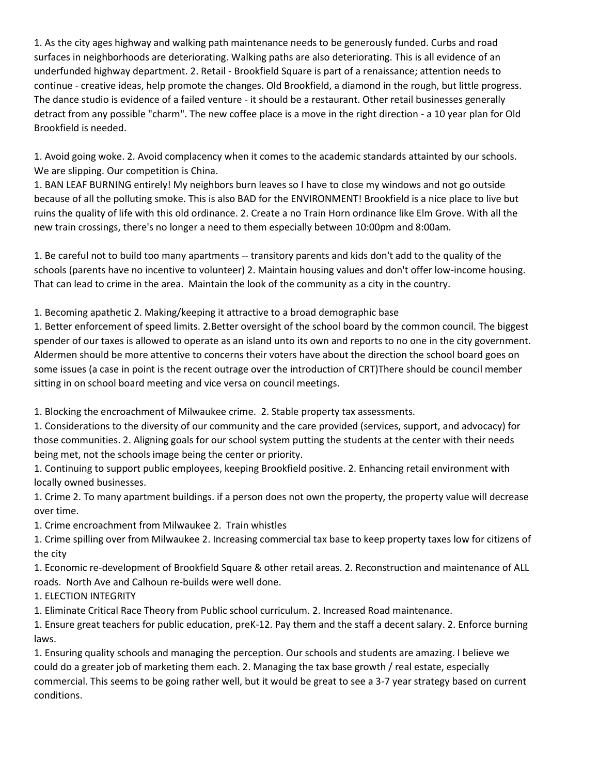1. As the city ages highway and walking path maintenance needs to be generously funded. Curbs and road surfaces in neighborhoods are deteriorating. Walking paths are also deteriorating. This is all evidence of an underfunded highway department. 2. Retail - Brookfield Square is part of a renaissance; attention needs to continue - creative ideas, help promote the changes. Old Brookfield, a diamond in the rough, but little progress. The dance studio is evidence of a failed venture - it should be a restaurant. Other retail businesses generally detract from any possible "charm". The new coffee place is a move in the right direction - a 10 year plan for Old Brookfield is needed.

1. Avoid going woke. 2. Avoid complacency when it comes to the academic standards attainted by our schools. We are slipping. Our competition is China.

1. BAN LEAF BURNING entirely! My neighbors burn leaves so I have to close my windows and not go outside because of all the polluting smoke. This is also BAD for the ENVIRONMENT! Brookfield is a nice place to live but ruins the quality of life with this old ordinance. 2. Create a no Train Horn ordinance like Elm Grove. With all the new train crossings, there's no longer a need to them especially between 10:00pm and 8:00am.

1. Be careful not to build too many apartments -- transitory parents and kids don't add to the quality of the schools (parents have no incentive to volunteer) 2. Maintain housing values and don't offer low-income housing. That can lead to crime in the area. Maintain the look of the community as a city in the country.

1. Becoming apathetic 2. Making/keeping it attractive to a broad demographic base

1. Better enforcement of speed limits. 2.Better oversight of the school board by the common council. The biggest spender of our taxes is allowed to operate as an island unto its own and reports to no one in the city government. Aldermen should be more attentive to concerns their voters have about the direction the school board goes on some issues (a case in point is the recent outrage over the introduction of CRT)There should be council member sitting in on school board meeting and vice versa on council meetings.

1. Blocking the encroachment of Milwaukee crime. 2. Stable property tax assessments.

1. Considerations to the diversity of our community and the care provided (services, support, and advocacy) for those communities. 2. Aligning goals for our school system putting the students at the center with their needs being met, not the schools image being the center or priority.

1. Continuing to support public employees, keeping Brookfield positive. 2. Enhancing retail environment with locally owned businesses.

1. Crime 2. To many apartment buildings. if a person does not own the property, the property value will decrease over time.

1. Crime encroachment from Milwaukee 2. Train whistles

1. Crime spilling over from Milwaukee 2. Increasing commercial tax base to keep property taxes low for citizens of the city

1. Economic re-development of Brookfield Square & other retail areas. 2. Reconstruction and maintenance of ALL roads. North Ave and Calhoun re-builds were well done.

1. ELECTION INTEGRITY

1. Eliminate Critical Race Theory from Public school curriculum. 2. Increased Road maintenance.

1. Ensure great teachers for public education, preK-12. Pay them and the staff a decent salary. 2. Enforce burning laws.

1. Ensuring quality schools and managing the perception. Our schools and students are amazing. I believe we could do a greater job of marketing them each. 2. Managing the tax base growth / real estate, especially commercial. This seems to be going rather well, but it would be great to see a 3-7 year strategy based on current conditions.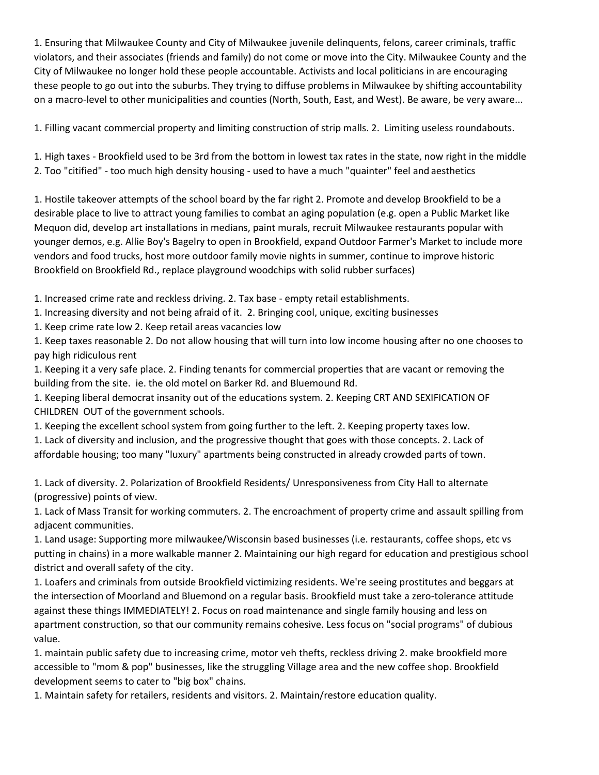1. Ensuring that Milwaukee County and City of Milwaukee juvenile delinquents, felons, career criminals, traffic violators, and their associates (friends and family) do not come or move into the City. Milwaukee County and the City of Milwaukee no longer hold these people accountable. Activists and local politicians in are encouraging these people to go out into the suburbs. They trying to diffuse problems in Milwaukee by shifting accountability on a macro-level to other municipalities and counties (North, South, East, and West). Be aware, be very aware...

1. Filling vacant commercial property and limiting construction of strip malls. 2. Limiting useless roundabouts.

1. High taxes - Brookfield used to be 3rd from the bottom in lowest tax rates in the state, now right in the middle 2. Too "citified" - too much high density housing - used to have a much "quainter" feel and aesthetics

1. Hostile takeover attempts of the school board by the far right 2. Promote and develop Brookfield to be a desirable place to live to attract young families to combat an aging population (e.g. open a Public Market like Mequon did, develop art installations in medians, paint murals, recruit Milwaukee restaurants popular with younger demos, e.g. Allie Boy's Bagelry to open in Brookfield, expand Outdoor Farmer's Market to include more vendors and food trucks, host more outdoor family movie nights in summer, continue to improve historic Brookfield on Brookfield Rd., replace playground woodchips with solid rubber surfaces)

1. Increased crime rate and reckless driving. 2. Tax base - empty retail establishments.

1. Increasing diversity and not being afraid of it. 2. Bringing cool, unique, exciting businesses

1. Keep crime rate low 2. Keep retail areas vacancies low

1. Keep taxes reasonable 2. Do not allow housing that will turn into low income housing after no one chooses to pay high ridiculous rent

1. Keeping it a very safe place. 2. Finding tenants for commercial properties that are vacant or removing the building from the site. ie. the old motel on Barker Rd. and Bluemound Rd.

1. Keeping liberal democrat insanity out of the educations system. 2. Keeping CRT AND SEXIFICATION OF CHILDREN OUT of the government schools.

1. Keeping the excellent school system from going further to the left. 2. Keeping property taxes low.

1. Lack of diversity and inclusion, and the progressive thought that goes with those concepts. 2. Lack of affordable housing; too many "luxury" apartments being constructed in already crowded parts of town.

1. Lack of diversity. 2. Polarization of Brookfield Residents/ Unresponsiveness from City Hall to alternate (progressive) points of view.

1. Lack of Mass Transit for working commuters. 2. The encroachment of property crime and assault spilling from adjacent communities.

1. Land usage: Supporting more milwaukee/Wisconsin based businesses (i.e. restaurants, coffee shops, etc vs putting in chains) in a more walkable manner 2. Maintaining our high regard for education and prestigious school district and overall safety of the city.

1. Loafers and criminals from outside Brookfield victimizing residents. We're seeing prostitutes and beggars at the intersection of Moorland and Bluemond on a regular basis. Brookfield must take a zero-tolerance attitude against these things IMMEDIATELY! 2. Focus on road maintenance and single family housing and less on apartment construction, so that our community remains cohesive. Less focus on "social programs" of dubious value.

1. maintain public safety due to increasing crime, motor veh thefts, reckless driving 2. make brookfield more accessible to "mom & pop" businesses, like the struggling Village area and the new coffee shop. Brookfield development seems to cater to "big box" chains.

1. Maintain safety for retailers, residents and visitors. 2. Maintain/restore education quality.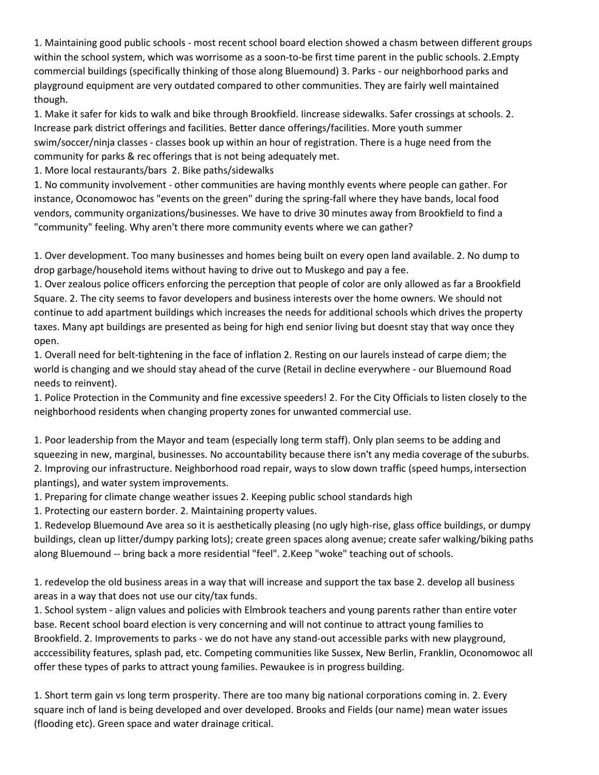1. Maintaining good public schools - most recent school board election showed a chasm between different groups within the school system, which was worrisome as a soon-to-be first time parent in the public schools. 2.Empty commercial buildings (specifically thinking of those along Bluemound) 3. Parks - our neighborhood parks and playground equipment are very outdated compared to other communities. They are fairly well maintained though.

1. Make it safer for kids to walk and bike through Brookfield. Iincrease sidewalks. Safer crossings at schools. 2. Increase park district offerings and facilities. Better dance offerings/facilities. More youth summer swim/soccer/ninja classes - classes book up within an hour of registration. There is a huge need from the community for parks & rec offerings that is not being adequately met.

1. More local restaurants/bars 2. Bike paths/sidewalks

1. No community involvement - other communities are having monthly events where people can gather. For instance, Oconomowoc has "events on the green" during the spring-fall where they have bands, local food vendors, community organizations/businesses. We have to drive 30 minutes away from Brookfield to find a "community" feeling. Why aren't there more community events where we can gather?

1. Over development. Too many businesses and homes being built on every open land available. 2. No dump to drop garbage/household items without having to drive out to Muskego and pay a fee.

1. Over zealous police officers enforcing the perception that people of color are only allowed as far a Brookfield Square. 2. The city seems to favor developers and business interests over the home owners. We should not continue to add apartment buildings which increases the needs for additional schools which drives the property taxes. Many apt buildings are presented as being for high end senior living but doesnt stay that way once they open.

1. Overall need for belt-tightening in the face of inflation 2. Resting on our laurels instead of carpe diem; the world is changing and we should stay ahead of the curve (Retail in decline everywhere - our Bluemound Road needs to reinvent).

1. Police Protection in the Community and fine excessive speeders! 2. For the City Officials to listen closely to the neighborhood residents when changing property zones for unwanted commercial use.

1. Poor leadership from the Mayor and team (especially long term staff). Only plan seems to be adding and squeezing in new, marginal, businesses. No accountability because there isn't any media coverage of the suburbs. 2. Improving our infrastructure. Neighborhood road repair, ways to slow down traffic (speed humps, intersection plantings), and water system improvements.

1. Preparing for climate change weather issues 2. Keeping public school standards high

1. Protecting our eastern border. 2. Maintaining property values.

1. Redevelop Bluemound Ave area so it is aesthetically pleasing (no ugly high-rise, glass office buildings, or dumpy buildings, clean up litter/dumpy parking lots); create green spaces along avenue; create safer walking/biking paths along Bluemound -- bring back a more residential "feel". 2.Keep "woke" teaching out of schools.

1. redevelop the old business areas in a way that will increase and support the tax base 2. develop all business areas in a way that does not use our city/tax funds.

1. School system - align values and policies with Elmbrook teachers and young parents rather than entire voter base. Recent school board election is very concerning and will not continue to attract young families to Brookfield. 2. Improvements to parks - we do not have any stand-out accessible parks with new playground, acccessibility features, splash pad, etc. Competing communities like Sussex, New Berlin, Franklin, Oconomowoc all offer these types of parks to attract young families. Pewaukee is in progress building.

1. Short term gain vs long term prosperity. There are too many big national corporations coming in. 2. Every square inch of land is being developed and over developed. Brooks and Fields (our name) mean water issues (flooding etc). Green space and water drainage critical.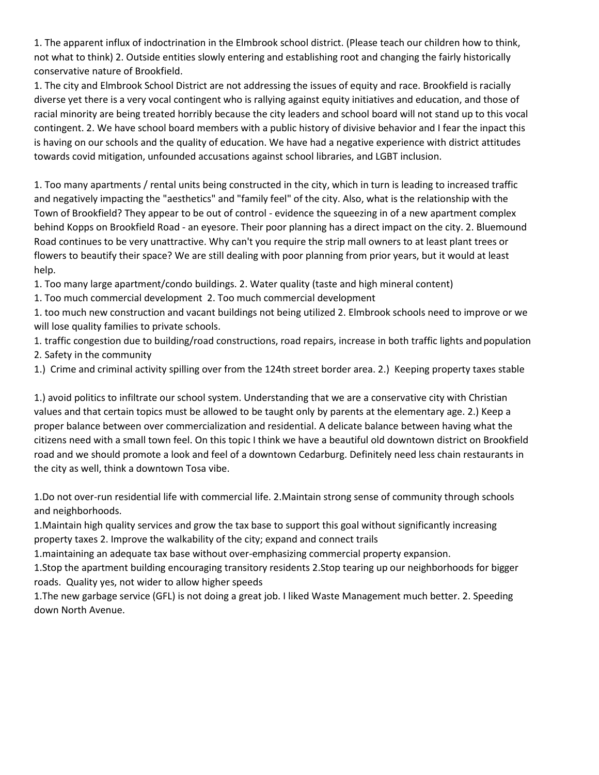1. The apparent influx of indoctrination in the Elmbrook school district. (Please teach our children how to think, not what to think) 2. Outside entities slowly entering and establishing root and changing the fairly historically conservative nature of Brookfield.

1. The city and Elmbrook School District are not addressing the issues of equity and race. Brookfield is racially diverse yet there is a very vocal contingent who is rallying against equity initiatives and education, and those of racial minority are being treated horribly because the city leaders and school board will not stand up to this vocal contingent. 2. We have school board members with a public history of divisive behavior and I fear the inpact this is having on our schools and the quality of education. We have had a negative experience with district attitudes towards covid mitigation, unfounded accusations against school libraries, and LGBT inclusion.

1. Too many apartments / rental units being constructed in the city, which in turn is leading to increased traffic and negatively impacting the "aesthetics" and "family feel" of the city. Also, what is the relationship with the Town of Brookfield? They appear to be out of control - evidence the squeezing in of a new apartment complex behind Kopps on Brookfield Road - an eyesore. Their poor planning has a direct impact on the city. 2. Bluemound Road continues to be very unattractive. Why can't you require the strip mall owners to at least plant trees or flowers to beautify their space? We are still dealing with poor planning from prior years, but it would at least help.

1. Too many large apartment/condo buildings. 2. Water quality (taste and high mineral content)

1. Too much commercial development 2. Too much commercial development

1. too much new construction and vacant buildings not being utilized 2. Elmbrook schools need to improve or we will lose quality families to private schools.

1. traffic congestion due to building/road constructions, road repairs, increase in both traffic lights andpopulation 2. Safety in the community

1.) Crime and criminal activity spilling over from the 124th street border area. 2.) Keeping property taxes stable

1.) avoid politics to infiltrate our school system. Understanding that we are a conservative city with Christian values and that certain topics must be allowed to be taught only by parents at the elementary age. 2.) Keep a proper balance between over commercialization and residential. A delicate balance between having what the citizens need with a small town feel. On this topic I think we have a beautiful old downtown district on Brookfield road and we should promote a look and feel of a downtown Cedarburg. Definitely need less chain restaurants in the city as well, think a downtown Tosa vibe.

1.Do not over-run residential life with commercial life. 2.Maintain strong sense of community through schools and neighborhoods.

1.Maintain high quality services and grow the tax base to support this goal without significantly increasing property taxes 2. Improve the walkability of the city; expand and connect trails

1.maintaining an adequate tax base without over-emphasizing commercial property expansion.

1.Stop the apartment building encouraging transitory residents 2.Stop tearing up our neighborhoods for bigger roads. Quality yes, not wider to allow higher speeds

1.The new garbage service (GFL) is not doing a great job. I liked Waste Management much better. 2. Speeding down North Avenue.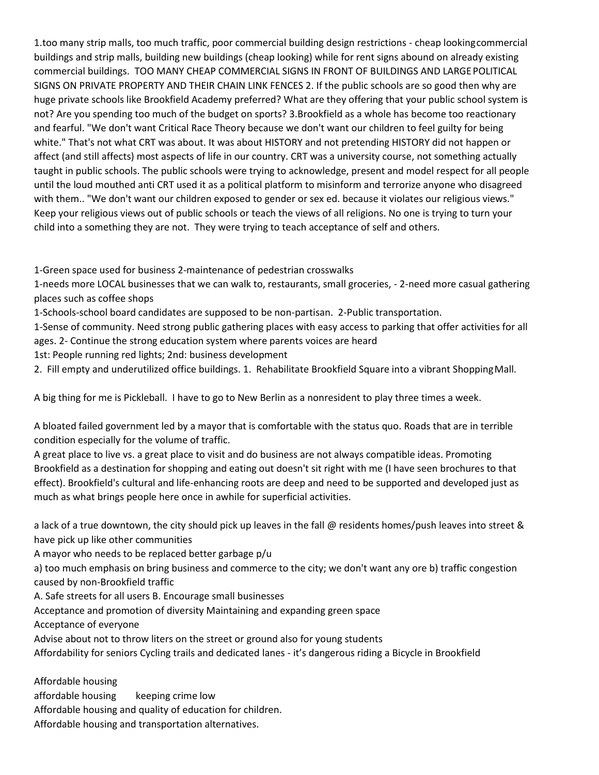1.too many strip malls, too much traffic, poor commercial building design restrictions - cheap lookingcommercial buildings and strip malls, building new buildings (cheap looking) while for rent signs abound on already existing commercial buildings. TOO MANY CHEAP COMMERCIAL SIGNS IN FRONT OF BUILDINGS AND LARGEPOLITICAL SIGNS ON PRIVATE PROPERTY AND THEIR CHAIN LINK FENCES 2. If the public schools are so good then why are huge private schools like Brookfield Academy preferred? What are they offering that your public school system is not? Are you spending too much of the budget on sports? 3.Brookfield as a whole has become too reactionary and fearful. "We don't want Critical Race Theory because we don't want our children to feel guilty for being white." That's not what CRT was about. It was about HISTORY and not pretending HISTORY did not happen or affect (and still affects) most aspects of life in our country. CRT was a university course, not something actually taught in public schools. The public schools were trying to acknowledge, present and model respect for all people until the loud mouthed anti CRT used it as a political platform to misinform and terrorize anyone who disagreed with them.. "We don't want our children exposed to gender or sex ed. because it violates our religious views." Keep your religious views out of public schools or teach the views of all religions. No one is trying to turn your child into a something they are not. They were trying to teach acceptance of self and others.

1-Green space used for business 2-maintenance of pedestrian crosswalks

1-needs more LOCAL businesses that we can walk to, restaurants, small groceries, - 2-need more casual gathering places such as coffee shops

1-Schools-school board candidates are supposed to be non-partisan. 2-Public transportation.

1-Sense of community. Need strong public gathering places with easy access to parking that offer activities for all ages. 2- Continue the strong education system where parents voices are heard

1st: People running red lights; 2nd: business development

2. Fill empty and underutilized office buildings. 1. Rehabilitate Brookfield Square into a vibrant ShoppingMall.

A big thing for me is Pickleball. I have to go to New Berlin as a nonresident to play three times a week.

A bloated failed government led by a mayor that is comfortable with the status quo. Roads that are in terrible condition especially for the volume of traffic.

A great place to live vs. a great place to visit and do business are not always compatible ideas. Promoting Brookfield as a destination for shopping and eating out doesn't sit right with me (I have seen brochures to that effect). Brookfield's cultural and life-enhancing roots are deep and need to be supported and developed just as much as what brings people here once in awhile for superficial activities.

a lack of a true downtown, the city should pick up leaves in the fall @ residents homes/push leaves into street & have pick up like other communities

A mayor who needs to be replaced better garbage p/u

a) too much emphasis on bring business and commerce to the city; we don't want any ore b) traffic congestion caused by non-Brookfield traffic

A. Safe streets for all users B. Encourage small businesses

Acceptance and promotion of diversity Maintaining and expanding green space

Acceptance of everyone

Advise about not to throw liters on the street or ground also for young students

Affordability for seniors Cycling trails and dedicated lanes - it's dangerous riding a Bicycle in Brookfield

Affordable housing

affordable housing keeping crime low Affordable housing and quality of education for children. Affordable housing and transportation alternatives.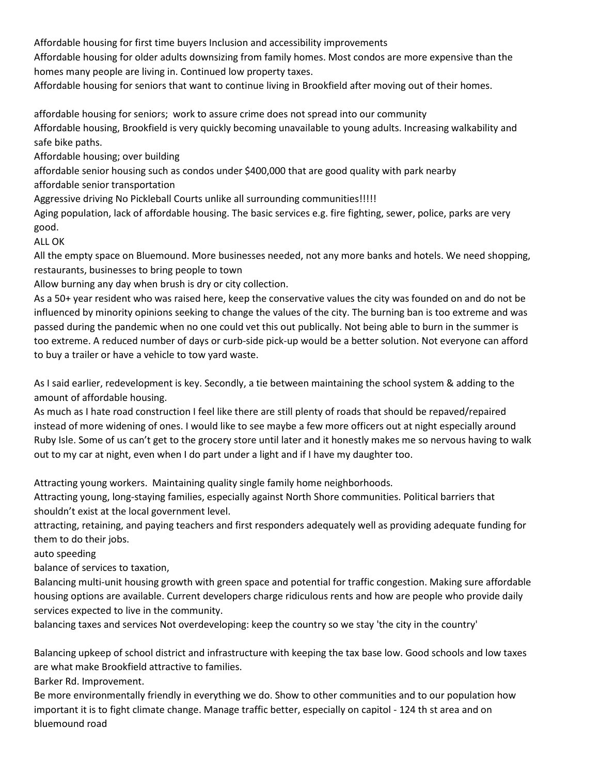Affordable housing for first time buyers Inclusion and accessibility improvements

Affordable housing for older adults downsizing from family homes. Most condos are more expensive than the homes many people are living in. Continued low property taxes.

Affordable housing for seniors that want to continue living in Brookfield after moving out of their homes.

affordable housing for seniors; work to assure crime does not spread into our community Affordable housing, Brookfield is very quickly becoming unavailable to young adults. Increasing walkability and safe bike paths.

Affordable housing; over building

affordable senior housing such as condos under \$400,000 that are good quality with park nearby

affordable senior transportation

Aggressive driving No Pickleball Courts unlike all surrounding communities!!!!!

Aging population, lack of affordable housing. The basic services e.g. fire fighting, sewer, police, parks are very good.

ALL OK

All the empty space on Bluemound. More businesses needed, not any more banks and hotels. We need shopping, restaurants, businesses to bring people to town

Allow burning any day when brush is dry or city collection.

As a 50+ year resident who was raised here, keep the conservative values the city was founded on and do not be influenced by minority opinions seeking to change the values of the city. The burning ban is too extreme and was passed during the pandemic when no one could vet this out publically. Not being able to burn in the summer is too extreme. A reduced number of days or curb-side pick-up would be a better solution. Not everyone can afford to buy a trailer or have a vehicle to tow yard waste.

As I said earlier, redevelopment is key. Secondly, a tie between maintaining the school system & adding to the amount of affordable housing.

As much as I hate road construction I feel like there are still plenty of roads that should be repaved/repaired instead of more widening of ones. I would like to see maybe a few more officers out at night especially around Ruby Isle. Some of us can't get to the grocery store until later and it honestly makes me so nervous having to walk out to my car at night, even when I do part under a light and if I have my daughter too.

Attracting young workers. Maintaining quality single family home neighborhoods.

Attracting young, long-staying families, especially against North Shore communities. Political barriers that shouldn't exist at the local government level.

attracting, retaining, and paying teachers and first responders adequately well as providing adequate funding for them to do their jobs.

auto speeding

balance of services to taxation,

Balancing multi-unit housing growth with green space and potential for traffic congestion. Making sure affordable housing options are available. Current developers charge ridiculous rents and how are people who provide daily services expected to live in the community.

balancing taxes and services Not overdeveloping: keep the country so we stay 'the city in the country'

Balancing upkeep of school district and infrastructure with keeping the tax base low. Good schools and low taxes are what make Brookfield attractive to families.

Barker Rd. Improvement.

Be more environmentally friendly in everything we do. Show to other communities and to our population how important it is to fight climate change. Manage traffic better, especially on capitol - 124 th st area and on bluemound road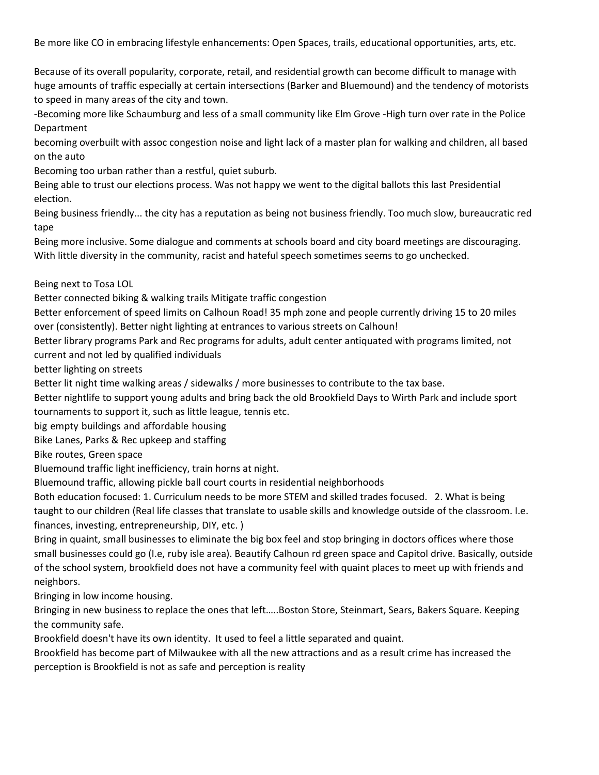Be more like CO in embracing lifestyle enhancements: Open Spaces, trails, educational opportunities, arts, etc.

Because of its overall popularity, corporate, retail, and residential growth can become difficult to manage with huge amounts of traffic especially at certain intersections (Barker and Bluemound) and the tendency of motorists to speed in many areas of the city and town.

-Becoming more like Schaumburg and less of a small community like Elm Grove -High turn over rate in the Police Department

becoming overbuilt with assoc congestion noise and light lack of a master plan for walking and children, all based on the auto

Becoming too urban rather than a restful, quiet suburb.

Being able to trust our elections process. Was not happy we went to the digital ballots this last Presidential election.

Being business friendly... the city has a reputation as being not business friendly. Too much slow, bureaucratic red tape

Being more inclusive. Some dialogue and comments at schools board and city board meetings are discouraging. With little diversity in the community, racist and hateful speech sometimes seems to go unchecked.

### Being next to Tosa LOL

Better connected biking & walking trails Mitigate traffic congestion

Better enforcement of speed limits on Calhoun Road! 35 mph zone and people currently driving 15 to 20 miles over (consistently). Better night lighting at entrances to various streets on Calhoun!

Better library programs Park and Rec programs for adults, adult center antiquated with programs limited, not current and not led by qualified individuals

better lighting on streets

Better lit night time walking areas / sidewalks / more businesses to contribute to the tax base.

Better nightlife to support young adults and bring back the old Brookfield Days to Wirth Park and include sport tournaments to support it, such as little league, tennis etc.

big empty buildings and affordable housing

Bike Lanes, Parks & Rec upkeep and staffing

Bike routes, Green space

Bluemound traffic light inefficiency, train horns at night.

Bluemound traffic, allowing pickle ball court courts in residential neighborhoods

Both education focused: 1. Curriculum needs to be more STEM and skilled trades focused. 2. What is being taught to our children (Real life classes that translate to usable skills and knowledge outside of the classroom. I.e. finances, investing, entrepreneurship, DIY, etc. )

Bring in quaint, small businesses to eliminate the big box feel and stop bringing in doctors offices where those small businesses could go (I.e, ruby isle area). Beautify Calhoun rd green space and Capitol drive. Basically, outside of the school system, brookfield does not have a community feel with quaint places to meet up with friends and neighbors.

Bringing in low income housing.

Bringing in new business to replace the ones that left…..Boston Store, Steinmart, Sears, Bakers Square. Keeping the community safe.

Brookfield doesn't have its own identity. It used to feel a little separated and quaint.

Brookfield has become part of Milwaukee with all the new attractions and as a result crime has increased the perception is Brookfield is not as safe and perception is reality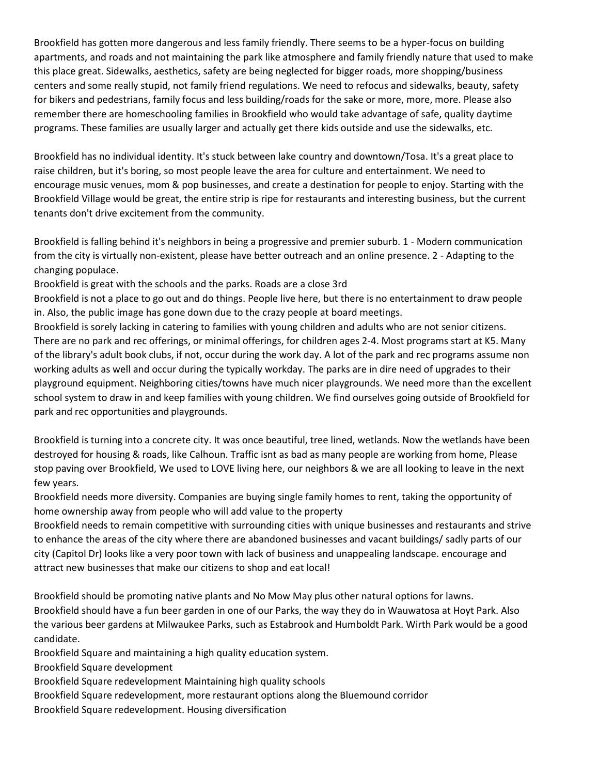Brookfield has gotten more dangerous and less family friendly. There seems to be a hyper-focus on building apartments, and roads and not maintaining the park like atmosphere and family friendly nature that used to make this place great. Sidewalks, aesthetics, safety are being neglected for bigger roads, more shopping/business centers and some really stupid, not family friend regulations. We need to refocus and sidewalks, beauty, safety for bikers and pedestrians, family focus and less building/roads for the sake or more, more, more. Please also remember there are homeschooling families in Brookfield who would take advantage of safe, quality daytime programs. These families are usually larger and actually get there kids outside and use the sidewalks, etc.

Brookfield has no individual identity. It's stuck between lake country and downtown/Tosa. It's a great place to raise children, but it's boring, so most people leave the area for culture and entertainment. We need to encourage music venues, mom & pop businesses, and create a destination for people to enjoy. Starting with the Brookfield Village would be great, the entire strip is ripe for restaurants and interesting business, but the current tenants don't drive excitement from the community.

Brookfield is falling behind it's neighbors in being a progressive and premier suburb. 1 - Modern communication from the city is virtually non-existent, please have better outreach and an online presence. 2 - Adapting to the changing populace.

Brookfield is great with the schools and the parks. Roads are a close 3rd

Brookfield is not a place to go out and do things. People live here, but there is no entertainment to draw people in. Also, the public image has gone down due to the crazy people at board meetings.

Brookfield is sorely lacking in catering to families with young children and adults who are not senior citizens. There are no park and rec offerings, or minimal offerings, for children ages 2-4. Most programs start at K5. Many of the library's adult book clubs, if not, occur during the work day. A lot of the park and rec programs assume non working adults as well and occur during the typically workday. The parks are in dire need of upgrades to their playground equipment. Neighboring cities/towns have much nicer playgrounds. We need more than the excellent school system to draw in and keep families with young children. We find ourselves going outside of Brookfield for park and rec opportunities and playgrounds.

Brookfield is turning into a concrete city. It was once beautiful, tree lined, wetlands. Now the wetlands have been destroyed for housing & roads, like Calhoun. Traffic isnt as bad as many people are working from home, Please stop paving over Brookfield, We used to LOVE living here, our neighbors & we are all looking to leave in the next few years.

Brookfield needs more diversity. Companies are buying single family homes to rent, taking the opportunity of home ownership away from people who will add value to the property

Brookfield needs to remain competitive with surrounding cities with unique businesses and restaurants and strive to enhance the areas of the city where there are abandoned businesses and vacant buildings/ sadly parts of our city (Capitol Dr) looks like a very poor town with lack of business and unappealing landscape. encourage and attract new businesses that make our citizens to shop and eat local!

Brookfield should be promoting native plants and No Mow May plus other natural options for lawns. Brookfield should have a fun beer garden in one of our Parks, the way they do in Wauwatosa at Hoyt Park. Also the various beer gardens at Milwaukee Parks, such as Estabrook and Humboldt Park. Wirth Park would be a good candidate.

Brookfield Square and maintaining a high quality education system.

Brookfield Square development

Brookfield Square redevelopment Maintaining high quality schools

Brookfield Square redevelopment, more restaurant options along the Bluemound corridor

Brookfield Square redevelopment. Housing diversification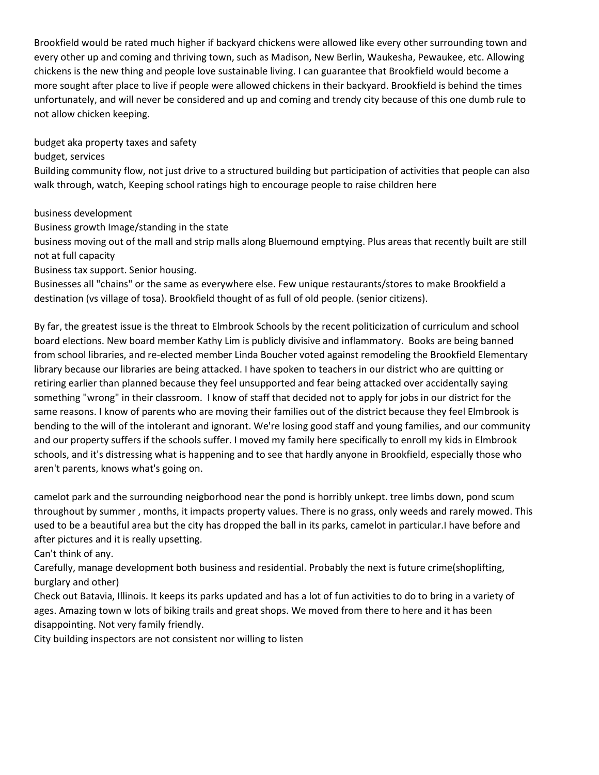Brookfield would be rated much higher if backyard chickens were allowed like every other surrounding town and every other up and coming and thriving town, such as Madison, New Berlin, Waukesha, Pewaukee, etc. Allowing chickens is the new thing and people love sustainable living. I can guarantee that Brookfield would become a more sought after place to live if people were allowed chickens in their backyard. Brookfield is behind the times unfortunately, and will never be considered and up and coming and trendy city because of this one dumb rule to not allow chicken keeping.

budget aka property taxes and safety

budget, services

Building community flow, not just drive to a structured building but participation of activities that people can also walk through, watch, Keeping school ratings high to encourage people to raise children here

business development

Business growth Image/standing in the state

business moving out of the mall and strip malls along Bluemound emptying. Plus areas that recently built are still not at full capacity

Business tax support. Senior housing.

Businesses all "chains" or the same as everywhere else. Few unique restaurants/stores to make Brookfield a destination (vs village of tosa). Brookfield thought of as full of old people. (senior citizens).

By far, the greatest issue is the threat to Elmbrook Schools by the recent politicization of curriculum and school board elections. New board member Kathy Lim is publicly divisive and inflammatory. Books are being banned from school libraries, and re-elected member Linda Boucher voted against remodeling the Brookfield Elementary library because our libraries are being attacked. I have spoken to teachers in our district who are quitting or retiring earlier than planned because they feel unsupported and fear being attacked over accidentally saying something "wrong" in their classroom. I know of staff that decided not to apply for jobs in our district for the same reasons. I know of parents who are moving their families out of the district because they feel Elmbrook is bending to the will of the intolerant and ignorant. We're losing good staff and young families, and our community and our property suffers if the schools suffer. I moved my family here specifically to enroll my kids in Elmbrook schools, and it's distressing what is happening and to see that hardly anyone in Brookfield, especially those who aren't parents, knows what's going on.

camelot park and the surrounding neigborhood near the pond is horribly unkept. tree limbs down, pond scum throughout by summer , months, it impacts property values. There is no grass, only weeds and rarely mowed. This used to be a beautiful area but the city has dropped the ball in its parks, camelot in particular.I have before and after pictures and it is really upsetting.

Can't think of any.

Carefully, manage development both business and residential. Probably the next is future crime(shoplifting, burglary and other)

Check out Batavia, Illinois. It keeps its parks updated and has a lot of fun activities to do to bring in a variety of ages. Amazing town w lots of biking trails and great shops. We moved from there to here and it has been disappointing. Not very family friendly.

City building inspectors are not consistent nor willing to listen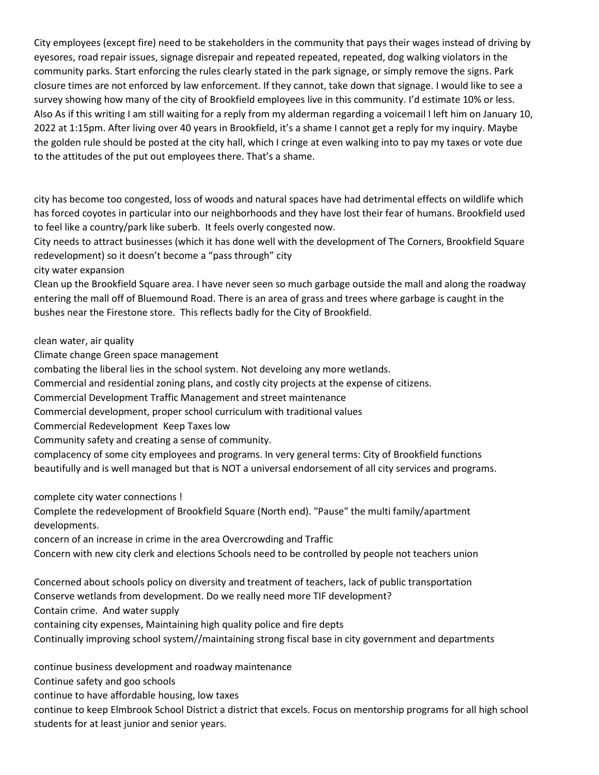City employees (except fire) need to be stakeholders in the community that pays their wages instead of driving by eyesores, road repair issues, signage disrepair and repeated repeated, repeated, dog walking violators in the community parks. Start enforcing the rules clearly stated in the park signage, or simply remove the signs. Park closure times are not enforced by law enforcement. If they cannot, take down that signage. I would like to see a survey showing how many of the city of Brookfield employees live in this community. I'd estimate 10% or less. Also As if this writing I am still waiting for a reply from my alderman regarding a voicemail I left him on January 10, 2022 at 1:15pm. After living over 40 years in Brookfield, it's a shame I cannot get a reply for my inquiry. Maybe the golden rule should be posted at the city hall, which I cringe at even walking into to pay my taxes or vote due to the attitudes of the put out employees there. That's a shame.

city has become too congested, loss of woods and natural spaces have had detrimental effects on wildlife which has forced coyotes in particular into our neighborhoods and they have lost their fear of humans. Brookfield used to feel like a country/park like suberb. It feels overly congested now.

City needs to attract businesses (which it has done well with the development of The Corners, Brookfield Square redevelopment) so it doesn't become a "pass through" city

### city water expansion

Clean up the Brookfield Square area. I have never seen so much garbage outside the mall and along the roadway entering the mall off of Bluemound Road. There is an area of grass and trees where garbage is caught in the bushes near the Firestone store. This reflects badly for the City of Brookfield.

clean water, air quality

Climate change Green space management

combating the liberal lies in the school system. Not develoing any more wetlands.

Commercial and residential zoning plans, and costly city projects at the expense of citizens.

Commercial Development Traffic Management and street maintenance

Commercial development, proper school curriculum with traditional values

Commercial Redevelopment Keep Taxes low

Community safety and creating a sense of community.

complacency of some city employees and programs. In very general terms: City of Brookfield functions beautifully and is well managed but that is NOT a universal endorsement of all city services and programs.

complete city water connections !

Complete the redevelopment of Brookfield Square (North end). "Pause" the multi family/apartment developments.

concern of an increase in crime in the area Overcrowding and Traffic

Concern with new city clerk and elections Schools need to be controlled by people not teachers union

Concerned about schools policy on diversity and treatment of teachers, lack of public transportation Conserve wetlands from development. Do we really need more TIF development?

Contain crime. And water supply

containing city expenses, Maintaining high quality police and fire depts

Continually improving school system//maintaining strong fiscal base in city government and departments

continue business development and roadway maintenance

Continue safety and goo schools

continue to have affordable housing, low taxes

continue to keep Elmbrook School District a district that excels. Focus on mentorship programs for all high school students for at least junior and senior years.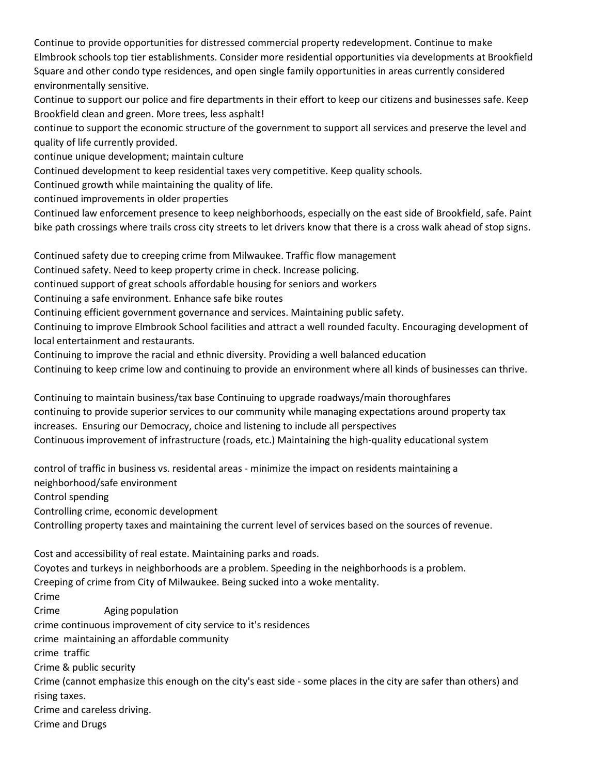Continue to provide opportunities for distressed commercial property redevelopment. Continue to make Elmbrook schools top tier establishments. Consider more residential opportunities via developments at Brookfield Square and other condo type residences, and open single family opportunities in areas currently considered environmentally sensitive.

Continue to support our police and fire departments in their effort to keep our citizens and businesses safe. Keep Brookfield clean and green. More trees, less asphalt!

continue to support the economic structure of the government to support all services and preserve the level and quality of life currently provided.

continue unique development; maintain culture

Continued development to keep residential taxes very competitive. Keep quality schools.

Continued growth while maintaining the quality of life.

continued improvements in older properties

Continued law enforcement presence to keep neighborhoods, especially on the east side of Brookfield, safe. Paint bike path crossings where trails cross city streets to let drivers know that there is a cross walk ahead of stop signs.

Continued safety due to creeping crime from Milwaukee. Traffic flow management

Continued safety. Need to keep property crime in check. Increase policing.

continued support of great schools affordable housing for seniors and workers

Continuing a safe environment. Enhance safe bike routes

Continuing efficient government governance and services. Maintaining public safety.

Continuing to improve Elmbrook School facilities and attract a well rounded faculty. Encouraging development of local entertainment and restaurants.

Continuing to improve the racial and ethnic diversity. Providing a well balanced education Continuing to keep crime low and continuing to provide an environment where all kinds of businesses can thrive.

Continuing to maintain business/tax base Continuing to upgrade roadways/main thoroughfares continuing to provide superior services to our community while managing expectations around property tax increases. Ensuring our Democracy, choice and listening to include all perspectives Continuous improvement of infrastructure (roads, etc.) Maintaining the high-quality educational system

control of traffic in business vs. residental areas - minimize the impact on residents maintaining a neighborhood/safe environment Control spending Controlling crime, economic development Controlling property taxes and maintaining the current level of services based on the sources of revenue. Cost and accessibility of real estate. Maintaining parks and roads. Coyotes and turkeys in neighborhoods are a problem. Speeding in the neighborhoods is a problem. Creeping of crime from City of Milwaukee. Being sucked into a woke mentality. Crime Crime Aging population crime continuous improvement of city service to it's residences

crime maintaining an affordable community

crime traffic

Crime & public security

Crime (cannot emphasize this enough on the city's east side - some places in the city are safer than others) and rising taxes.

Crime and careless driving.

Crime and Drugs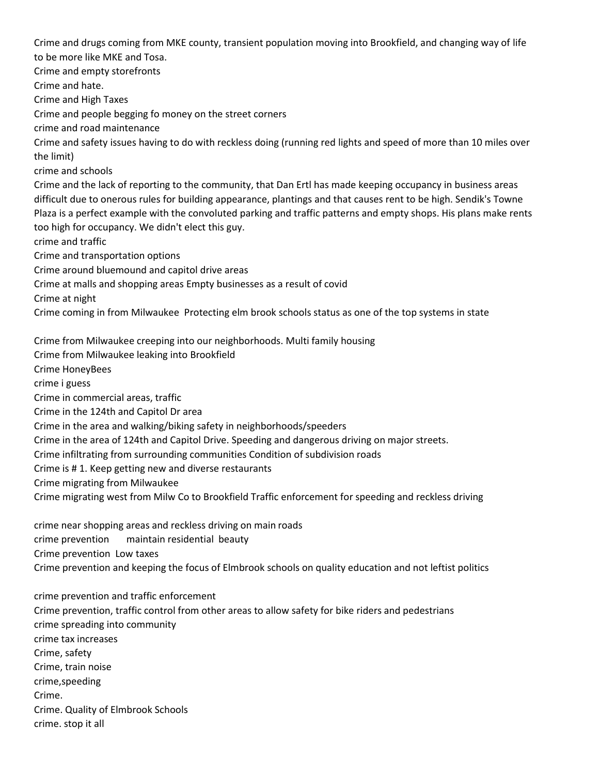Crime and drugs coming from MKE county, transient population moving into Brookfield, and changing way of life to be more like MKE and Tosa.

Crime and empty storefronts Crime and hate. Crime and High Taxes Crime and people begging fo money on the street corners crime and road maintenance Crime and safety issues having to do with reckless doing (running red lights and speed of more than 10 miles over the limit) crime and schools Crime and the lack of reporting to the community, that Dan Ertl has made keeping occupancy in business areas difficult due to onerous rules for building appearance, plantings and that causes rent to be high. Sendik's Towne Plaza is a perfect example with the convoluted parking and traffic patterns and empty shops. His plans make rents too high for occupancy. We didn't elect this guy. crime and traffic Crime and transportation options Crime around bluemound and capitol drive areas Crime at malls and shopping areas Empty businesses as a result of covid Crime at night Crime coming in from Milwaukee Protecting elm brook schools status as one of the top systems in state Crime from Milwaukee creeping into our neighborhoods. Multi family housing Crime from Milwaukee leaking into Brookfield Crime HoneyBees crime i guess Crime in commercial areas, traffic

Crime in the 124th and Capitol Dr area

Crime in the area and walking/biking safety in neighborhoods/speeders

Crime in the area of 124th and Capitol Drive. Speeding and dangerous driving on major streets.

Crime infiltrating from surrounding communities Condition of subdivision roads

Crime is # 1. Keep getting new and diverse restaurants

Crime migrating from Milwaukee

Crime migrating west from Milw Co to Brookfield Traffic enforcement for speeding and reckless driving

crime near shopping areas and reckless driving on main roads crime prevention maintain residential beauty Crime prevention Low taxes Crime prevention and keeping the focus of Elmbrook schools on quality education and not leftist politics

crime prevention and traffic enforcement Crime prevention, traffic control from other areas to allow safety for bike riders and pedestrians crime spreading into community crime tax increases Crime, safety Crime, train noise crime,speeding Crime. Crime. Quality of Elmbrook Schools crime. stop it all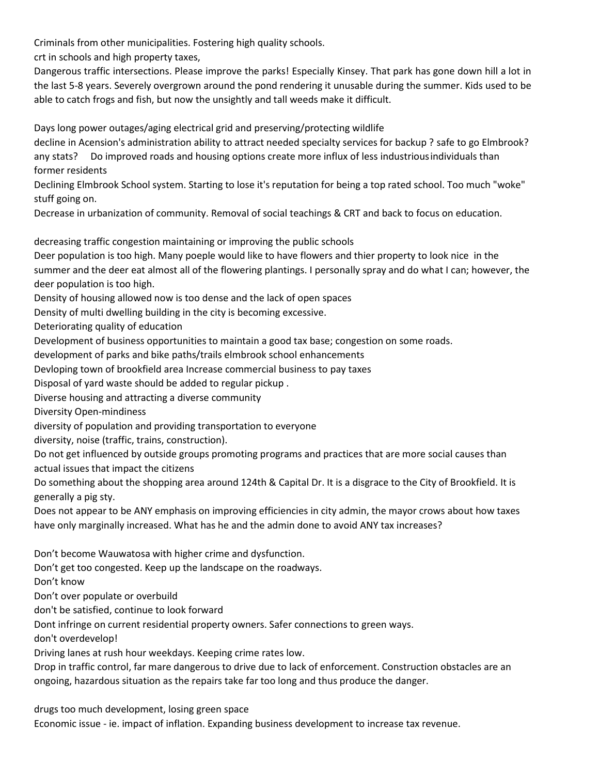Criminals from other municipalities. Fostering high quality schools.

crt in schools and high property taxes,

Dangerous traffic intersections. Please improve the parks! Especially Kinsey. That park has gone down hill a lot in the last 5-8 years. Severely overgrown around the pond rendering it unusable during the summer. Kids used to be able to catch frogs and fish, but now the unsightly and tall weeds make it difficult.

Days long power outages/aging electrical grid and preserving/protecting wildlife

decline in Acension's administration ability to attract needed specialty services for backup ? safe to go Elmbrook? any stats? Do improved roads and housing options create more influx of less industriousindividuals than former residents

Declining Elmbrook School system. Starting to lose it's reputation for being a top rated school. Too much "woke" stuff going on.

Decrease in urbanization of community. Removal of social teachings & CRT and back to focus on education.

decreasing traffic congestion maintaining or improving the public schools

Deer population is too high. Many poeple would like to have flowers and thier property to look nice in the summer and the deer eat almost all of the flowering plantings. I personally spray and do what I can; however, the deer population is too high.

Density of housing allowed now is too dense and the lack of open spaces

Density of multi dwelling building in the city is becoming excessive.

Deteriorating quality of education

Development of business opportunities to maintain a good tax base; congestion on some roads.

development of parks and bike paths/trails elmbrook school enhancements

Devloping town of brookfield area Increase commercial business to pay taxes

Disposal of yard waste should be added to regular pickup .

Diverse housing and attracting a diverse community

Diversity Open-mindiness

diversity of population and providing transportation to everyone

diversity, noise (traffic, trains, construction).

Do not get influenced by outside groups promoting programs and practices that are more social causes than actual issues that impact the citizens

Do something about the shopping area around 124th & Capital Dr. It is a disgrace to the City of Brookfield. It is generally a pig sty.

Does not appear to be ANY emphasis on improving efficiencies in city admin, the mayor crows about how taxes have only marginally increased. What has he and the admin done to avoid ANY tax increases?

Don't become Wauwatosa with higher crime and dysfunction.

Don't get too congested. Keep up the landscape on the roadways.

Don't know

Don't over populate or overbuild

don't be satisfied, continue to look forward

Dont infringe on current residential property owners. Safer connections to green ways.

don't overdevelop!

Driving lanes at rush hour weekdays. Keeping crime rates low.

Drop in traffic control, far mare dangerous to drive due to lack of enforcement. Construction obstacles are an ongoing, hazardous situation as the repairs take far too long and thus produce the danger.

drugs too much development, losing green space

Economic issue - ie. impact of inflation. Expanding business development to increase tax revenue.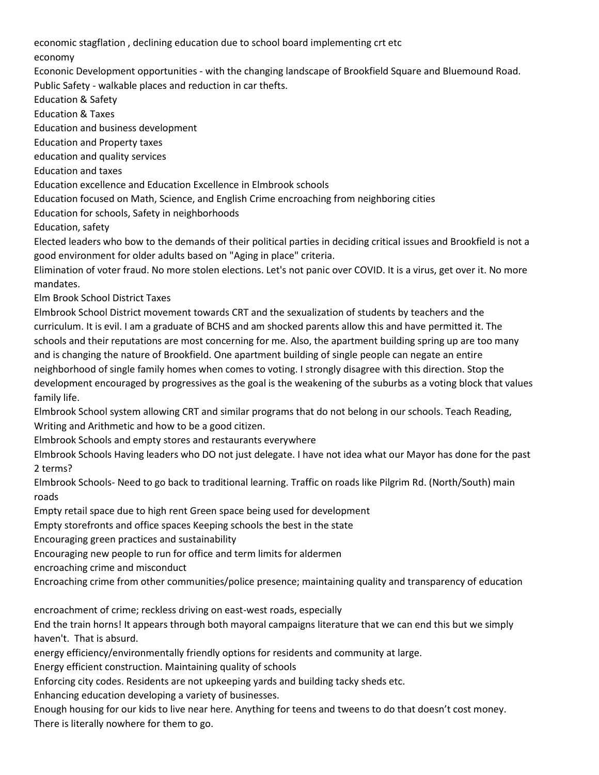economic stagflation , declining education due to school board implementing crt etc

economy

Econonic Development opportunities - with the changing landscape of Brookfield Square and Bluemound Road. Public Safety - walkable places and reduction in car thefts.

Education & Safety

Education & Taxes

Education and business development

Education and Property taxes

education and quality services

Education and taxes

Education excellence and Education Excellence in Elmbrook schools

Education focused on Math, Science, and English Crime encroaching from neighboring cities

Education for schools, Safety in neighborhoods

Education, safety

Elected leaders who bow to the demands of their political parties in deciding critical issues and Brookfield is not a good environment for older adults based on "Aging in place" criteria.

Elimination of voter fraud. No more stolen elections. Let's not panic over COVID. It is a virus, get over it. No more mandates.

Elm Brook School District Taxes

Elmbrook School District movement towards CRT and the sexualization of students by teachers and the curriculum. It is evil. I am a graduate of BCHS and am shocked parents allow this and have permitted it. The schools and their reputations are most concerning for me. Also, the apartment building spring up are too many and is changing the nature of Brookfield. One apartment building of single people can negate an entire neighborhood of single family homes when comes to voting. I strongly disagree with this direction. Stop the development encouraged by progressives as the goal is the weakening of the suburbs as a voting block that values family life.

Elmbrook School system allowing CRT and similar programs that do not belong in our schools. Teach Reading, Writing and Arithmetic and how to be a good citizen.

Elmbrook Schools and empty stores and restaurants everywhere

Elmbrook Schools Having leaders who DO not just delegate. I have not idea what our Mayor has done for the past 2 terms?

Elmbrook Schools- Need to go back to traditional learning. Traffic on roads like Pilgrim Rd. (North/South) main roads

Empty retail space due to high rent Green space being used for development

Empty storefronts and office spaces Keeping schools the best in the state

Encouraging green practices and sustainability

Encouraging new people to run for office and term limits for aldermen

encroaching crime and misconduct

Encroaching crime from other communities/police presence; maintaining quality and transparency of education

encroachment of crime; reckless driving on east-west roads, especially

End the train horns! It appears through both mayoral campaigns literature that we can end this but we simply haven't. That is absurd.

energy efficiency/environmentally friendly options for residents and community at large.

Energy efficient construction. Maintaining quality of schools

Enforcing city codes. Residents are not upkeeping yards and building tacky sheds etc.

Enhancing education developing a variety of businesses.

Enough housing for our kids to live near here. Anything for teens and tweens to do that doesn't cost money. There is literally nowhere for them to go.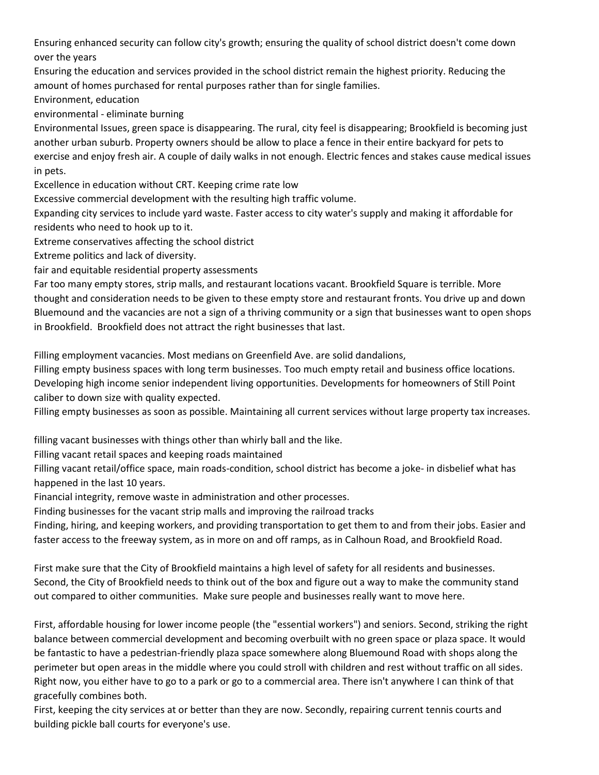Ensuring enhanced security can follow city's growth; ensuring the quality of school district doesn't come down over the years

Ensuring the education and services provided in the school district remain the highest priority. Reducing the amount of homes purchased for rental purposes rather than for single families.

Environment, education

environmental - eliminate burning

Environmental Issues, green space is disappearing. The rural, city feel is disappearing; Brookfield is becoming just another urban suburb. Property owners should be allow to place a fence in their entire backyard for pets to exercise and enjoy fresh air. A couple of daily walks in not enough. Electric fences and stakes cause medical issues in pets.

Excellence in education without CRT. Keeping crime rate low

Excessive commercial development with the resulting high traffic volume.

Expanding city services to include yard waste. Faster access to city water's supply and making it affordable for residents who need to hook up to it.

Extreme conservatives affecting the school district

Extreme politics and lack of diversity.

fair and equitable residential property assessments

Far too many empty stores, strip malls, and restaurant locations vacant. Brookfield Square is terrible. More thought and consideration needs to be given to these empty store and restaurant fronts. You drive up and down Bluemound and the vacancies are not a sign of a thriving community or a sign that businesses want to open shops in Brookfield. Brookfield does not attract the right businesses that last.

Filling employment vacancies. Most medians on Greenfield Ave. are solid dandalions,

Filling empty business spaces with long term businesses. Too much empty retail and business office locations. Developing high income senior independent living opportunities. Developments for homeowners of Still Point caliber to down size with quality expected.

Filling empty businesses as soon as possible. Maintaining all current services without large property tax increases.

filling vacant businesses with things other than whirly ball and the like.

Filling vacant retail spaces and keeping roads maintained

Filling vacant retail/office space, main roads-condition, school district has become a joke- in disbelief what has happened in the last 10 years.

Financial integrity, remove waste in administration and other processes.

Finding businesses for the vacant strip malls and improving the railroad tracks

Finding, hiring, and keeping workers, and providing transportation to get them to and from their jobs. Easier and faster access to the freeway system, as in more on and off ramps, as in Calhoun Road, and Brookfield Road.

First make sure that the City of Brookfield maintains a high level of safety for all residents and businesses. Second, the City of Brookfield needs to think out of the box and figure out a way to make the community stand out compared to oither communities. Make sure people and businesses really want to move here.

First, affordable housing for lower income people (the "essential workers") and seniors. Second, striking the right balance between commercial development and becoming overbuilt with no green space or plaza space. It would be fantastic to have a pedestrian-friendly plaza space somewhere along Bluemound Road with shops along the perimeter but open areas in the middle where you could stroll with children and rest without traffic on all sides. Right now, you either have to go to a park or go to a commercial area. There isn't anywhere I can think of that gracefully combines both.

First, keeping the city services at or better than they are now. Secondly, repairing current tennis courts and building pickle ball courts for everyone's use.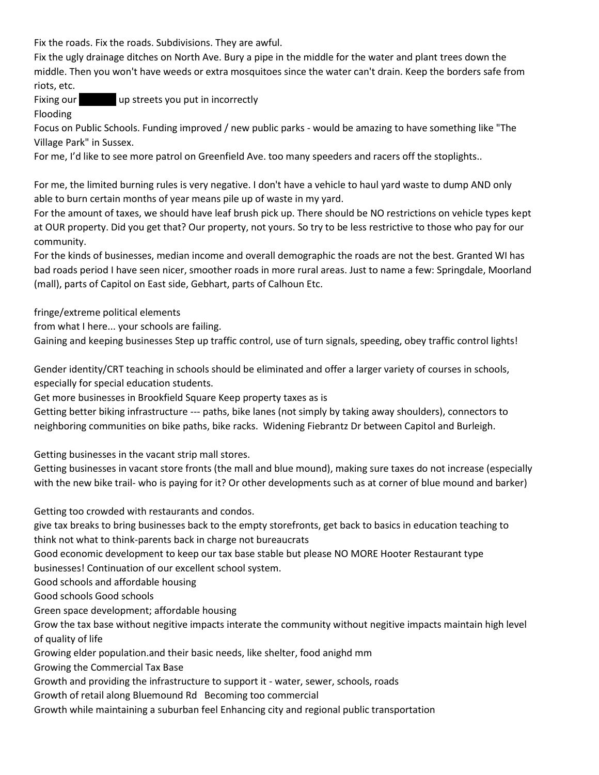Fix the roads. Fix the roads. Subdivisions. They are awful.

Fix the ugly drainage ditches on North Ave. Bury a pipe in the middle for the water and plant trees down the middle. Then you won't have weeds or extra mosquitoes since the water can't drain. Keep the borders safe from riots, etc.

Fixing our **Fixing our** up streets you put in incorrectly

Flooding

Focus on Public Schools. Funding improved / new public parks - would be amazing to have something like "The Village Park" in Sussex.

For me, I'd like to see more patrol on Greenfield Ave. too many speeders and racers off the stoplights..

For me, the limited burning rules is very negative. I don't have a vehicle to haul yard waste to dump AND only able to burn certain months of year means pile up of waste in my yard.

For the amount of taxes, we should have leaf brush pick up. There should be NO restrictions on vehicle types kept at OUR property. Did you get that? Our property, not yours. So try to be less restrictive to those who pay for our community.

For the kinds of businesses, median income and overall demographic the roads are not the best. Granted WI has bad roads period I have seen nicer, smoother roads in more rural areas. Just to name a few: Springdale, Moorland (mall), parts of Capitol on East side, Gebhart, parts of Calhoun Etc.

fringe/extreme political elements

from what I here... your schools are failing.

Gaining and keeping businesses Step up traffic control, use of turn signals, speeding, obey traffic control lights!

Gender identity/CRT teaching in schools should be eliminated and offer a larger variety of courses in schools, especially for special education students.

Get more businesses in Brookfield Square Keep property taxes as is

Getting better biking infrastructure --- paths, bike lanes (not simply by taking away shoulders), connectors to neighboring communities on bike paths, bike racks. Widening Fiebrantz Dr between Capitol and Burleigh.

Getting businesses in the vacant strip mall stores.

Getting businesses in vacant store fronts (the mall and blue mound), making sure taxes do not increase (especially with the new bike trail- who is paying for it? Or other developments such as at corner of blue mound and barker)

Getting too crowded with restaurants and condos.

give tax breaks to bring businesses back to the empty storefronts, get back to basics in education teaching to think not what to think-parents back in charge not bureaucrats

Good economic development to keep our tax base stable but please NO MORE Hooter Restaurant type businesses! Continuation of our excellent school system.

Good schools and affordable housing

Good schools Good schools

Green space development; affordable housing

Grow the tax base without negitive impacts interate the community without negitive impacts maintain high level of quality of life

Growing elder population.and their basic needs, like shelter, food anighd mm

Growing the Commercial Tax Base

Growth and providing the infrastructure to support it - water, sewer, schools, roads

Growth of retail along Bluemound Rd Becoming too commercial

Growth while maintaining a suburban feel Enhancing city and regional public transportation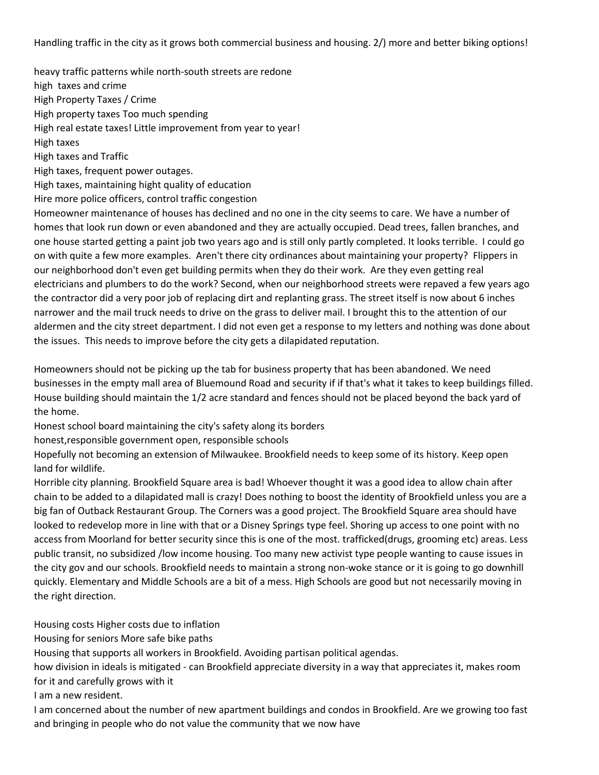Handling traffic in the city as it grows both commercial business and housing. 2/) more and better biking options!

heavy traffic patterns while north-south streets are redone high taxes and crime High Property Taxes / Crime High property taxes Too much spending High real estate taxes! Little improvement from year to year! High taxes High taxes and Traffic High taxes, frequent power outages. High taxes, maintaining hight quality of education Hire more police officers, control traffic congestion Homeowner maintenance of houses has declined and no one in the city seems to care. We have a number of homes that look run down or even abandoned and they are actually occupied. Dead trees, fallen branches, and one house started getting a paint job two years ago and is still only partly completed. It looks terrible. I could go on with quite a few more examples. Aren't there city ordinances about maintaining your property? Flippers in our neighborhood don't even get building permits when they do their work. Are they even getting real electricians and plumbers to do the work? Second, when our neighborhood streets were repaved a few years ago

the contractor did a very poor job of replacing dirt and replanting grass. The street itself is now about 6 inches narrower and the mail truck needs to drive on the grass to deliver mail. I brought this to the attention of our aldermen and the city street department. I did not even get a response to my letters and nothing was done about the issues. This needs to improve before the city gets a dilapidated reputation.

Homeowners should not be picking up the tab for business property that has been abandoned. We need businesses in the empty mall area of Bluemound Road and security if if that's what it takes to keep buildings filled. House building should maintain the 1/2 acre standard and fences should not be placed beyond the back yard of the home.

Honest school board maintaining the city's safety along its borders

honest,responsible government open, responsible schools

Hopefully not becoming an extension of Milwaukee. Brookfield needs to keep some of its history. Keep open land for wildlife.

Horrible city planning. Brookfield Square area is bad! Whoever thought it was a good idea to allow chain after chain to be added to a dilapidated mall is crazy! Does nothing to boost the identity of Brookfield unless you are a big fan of Outback Restaurant Group. The Corners was a good project. The Brookfield Square area should have looked to redevelop more in line with that or a Disney Springs type feel. Shoring up access to one point with no access from Moorland for better security since this is one of the most. trafficked(drugs, grooming etc) areas. Less public transit, no subsidized /low income housing. Too many new activist type people wanting to cause issues in the city gov and our schools. Brookfield needs to maintain a strong non-woke stance or it is going to go downhill quickly. Elementary and Middle Schools are a bit of a mess. High Schools are good but not necessarily moving in the right direction.

Housing costs Higher costs due to inflation

Housing for seniors More safe bike paths

Housing that supports all workers in Brookfield. Avoiding partisan political agendas.

how division in ideals is mitigated - can Brookfield appreciate diversity in a way that appreciates it, makes room for it and carefully grows with it

I am a new resident.

I am concerned about the number of new apartment buildings and condos in Brookfield. Are we growing too fast and bringing in people who do not value the community that we now have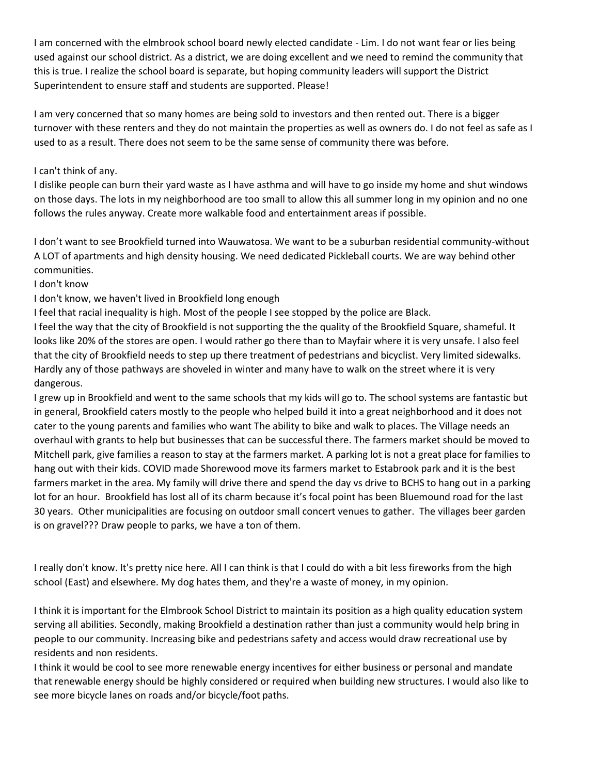I am concerned with the elmbrook school board newly elected candidate - Lim. I do not want fear or lies being used against our school district. As a district, we are doing excellent and we need to remind the community that this is true. I realize the school board is separate, but hoping community leaders will support the District Superintendent to ensure staff and students are supported. Please!

I am very concerned that so many homes are being sold to investors and then rented out. There is a bigger turnover with these renters and they do not maintain the properties as well as owners do. I do not feel as safe as I used to as a result. There does not seem to be the same sense of community there was before.

# I can't think of any.

I dislike people can burn their yard waste as I have asthma and will have to go inside my home and shut windows on those days. The lots in my neighborhood are too small to allow this all summer long in my opinion and no one follows the rules anyway. Create more walkable food and entertainment areas if possible.

I don't want to see Brookfield turned into Wauwatosa. We want to be a suburban residential community-without A LOT of apartments and high density housing. We need dedicated Pickleball courts. We are way behind other communities.

I don't know

I don't know, we haven't lived in Brookfield long enough

I feel that racial inequality is high. Most of the people I see stopped by the police are Black.

I feel the way that the city of Brookfield is not supporting the the quality of the Brookfield Square, shameful. It looks like 20% of the stores are open. I would rather go there than to Mayfair where it is very unsafe. I also feel that the city of Brookfield needs to step up there treatment of pedestrians and bicyclist. Very limited sidewalks. Hardly any of those pathways are shoveled in winter and many have to walk on the street where it is very dangerous.

I grew up in Brookfield and went to the same schools that my kids will go to. The school systems are fantastic but in general, Brookfield caters mostly to the people who helped build it into a great neighborhood and it does not cater to the young parents and families who want The ability to bike and walk to places. The Village needs an overhaul with grants to help but businesses that can be successful there. The farmers market should be moved to Mitchell park, give families a reason to stay at the farmers market. A parking lot is not a great place for families to hang out with their kids. COVID made Shorewood move its farmers market to Estabrook park and it is the best farmers market in the area. My family will drive there and spend the day vs drive to BCHS to hang out in a parking lot for an hour. Brookfield has lost all of its charm because it's focal point has been Bluemound road for the last 30 years. Other municipalities are focusing on outdoor small concert venues to gather. The villages beer garden is on gravel??? Draw people to parks, we have a ton of them.

I really don't know. It's pretty nice here. All I can think is that I could do with a bit less fireworks from the high school (East) and elsewhere. My dog hates them, and they're a waste of money, in my opinion.

I think it is important for the Elmbrook School District to maintain its position as a high quality education system serving all abilities. Secondly, making Brookfield a destination rather than just a community would help bring in people to our community. Increasing bike and pedestrians safety and access would draw recreational use by residents and non residents.

I think it would be cool to see more renewable energy incentives for either business or personal and mandate that renewable energy should be highly considered or required when building new structures. I would also like to see more bicycle lanes on roads and/or bicycle/foot paths.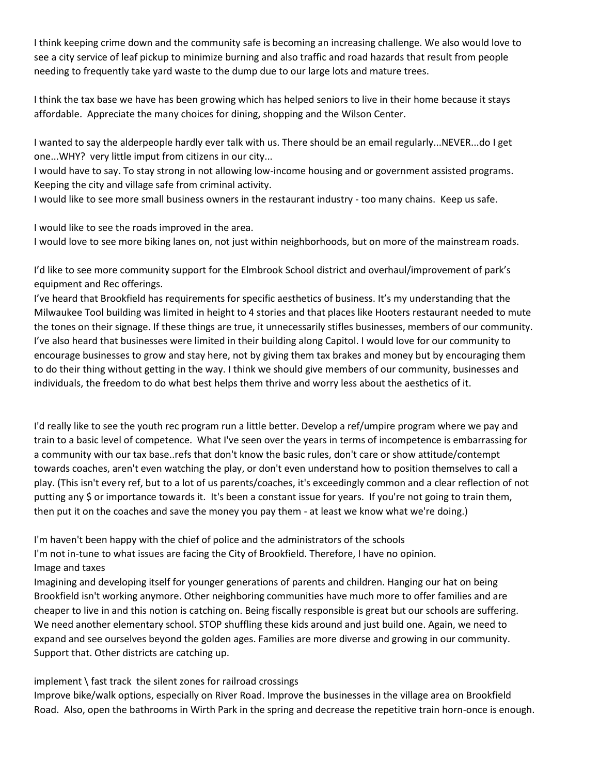I think keeping crime down and the community safe is becoming an increasing challenge. We also would love to see a city service of leaf pickup to minimize burning and also traffic and road hazards that result from people needing to frequently take yard waste to the dump due to our large lots and mature trees.

I think the tax base we have has been growing which has helped seniors to live in their home because it stays affordable. Appreciate the many choices for dining, shopping and the Wilson Center.

I wanted to say the alderpeople hardly ever talk with us. There should be an email regularly...NEVER...do I get one...WHY? very little imput from citizens in our city...

I would have to say. To stay strong in not allowing low-income housing and or government assisted programs. Keeping the city and village safe from criminal activity.

I would like to see more small business owners in the restaurant industry - too many chains. Keep us safe.

I would like to see the roads improved in the area.

I would love to see more biking lanes on, not just within neighborhoods, but on more of the mainstream roads.

I'd like to see more community support for the Elmbrook School district and overhaul/improvement of park's equipment and Rec offerings.

I've heard that Brookfield has requirements for specific aesthetics of business. It's my understanding that the Milwaukee Tool building was limited in height to 4 stories and that places like Hooters restaurant needed to mute the tones on their signage. If these things are true, it unnecessarily stifles businesses, members of our community. I've also heard that businesses were limited in their building along Capitol. I would love for our community to encourage businesses to grow and stay here, not by giving them tax brakes and money but by encouraging them to do their thing without getting in the way. I think we should give members of our community, businesses and individuals, the freedom to do what best helps them thrive and worry less about the aesthetics of it.

I'd really like to see the youth rec program run a little better. Develop a ref/umpire program where we pay and train to a basic level of competence. What I've seen over the years in terms of incompetence is embarrassing for a community with our tax base..refs that don't know the basic rules, don't care or show attitude/contempt towards coaches, aren't even watching the play, or don't even understand how to position themselves to call a play. (This isn't every ref, but to a lot of us parents/coaches, it's exceedingly common and a clear reflection of not putting any \$ or importance towards it. It's been a constant issue for years. If you're not going to train them, then put it on the coaches and save the money you pay them - at least we know what we're doing.)

I'm haven't been happy with the chief of police and the administrators of the schools I'm not in-tune to what issues are facing the City of Brookfield. Therefore, I have no opinion. Image and taxes

Imagining and developing itself for younger generations of parents and children. Hanging our hat on being Brookfield isn't working anymore. Other neighboring communities have much more to offer families and are cheaper to live in and this notion is catching on. Being fiscally responsible is great but our schools are suffering. We need another elementary school. STOP shuffling these kids around and just build one. Again, we need to expand and see ourselves beyond the golden ages. Families are more diverse and growing in our community. Support that. Other districts are catching up.

# implement \ fast track the silent zones for railroad crossings

Improve bike/walk options, especially on River Road. Improve the businesses in the village area on Brookfield Road. Also, open the bathrooms in Wirth Park in the spring and decrease the repetitive train horn-once is enough.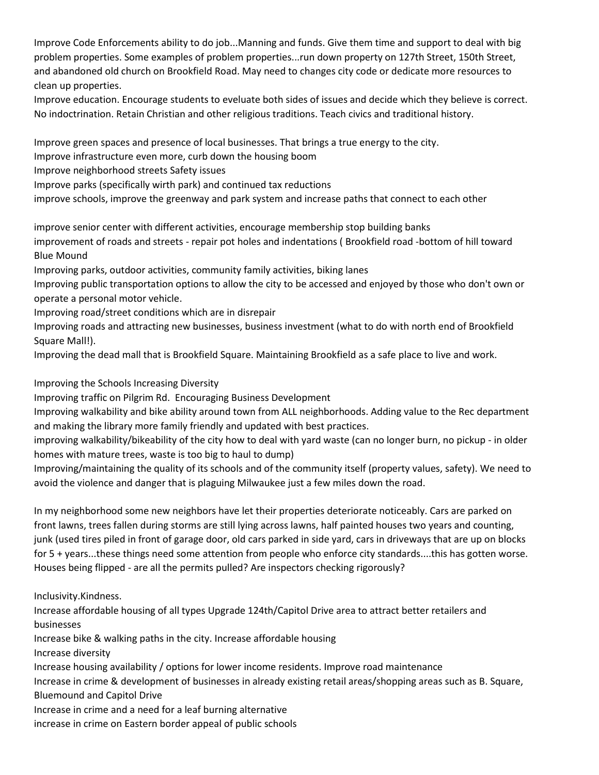Improve Code Enforcements ability to do job...Manning and funds. Give them time and support to deal with big problem properties. Some examples of problem properties...run down property on 127th Street, 150th Street, and abandoned old church on Brookfield Road. May need to changes city code or dedicate more resources to clean up properties.

Improve education. Encourage students to eveluate both sides of issues and decide which they believe is correct. No indoctrination. Retain Christian and other religious traditions. Teach civics and traditional history.

Improve green spaces and presence of local businesses. That brings a true energy to the city.

Improve infrastructure even more, curb down the housing boom

Improve neighborhood streets Safety issues

Improve parks (specifically wirth park) and continued tax reductions

improve schools, improve the greenway and park system and increase paths that connect to each other

improve senior center with different activities, encourage membership stop building banks improvement of roads and streets - repair pot holes and indentations ( Brookfield road -bottom of hill toward Blue Mound

Improving parks, outdoor activities, community family activities, biking lanes

Improving public transportation options to allow the city to be accessed and enjoyed by those who don't own or operate a personal motor vehicle.

Improving road/street conditions which are in disrepair

Improving roads and attracting new businesses, business investment (what to do with north end of Brookfield Square Mall!).

Improving the dead mall that is Brookfield Square. Maintaining Brookfield as a safe place to live and work.

Improving the Schools Increasing Diversity

Improving traffic on Pilgrim Rd. Encouraging Business Development

Improving walkability and bike ability around town from ALL neighborhoods. Adding value to the Rec department and making the library more family friendly and updated with best practices.

improving walkability/bikeability of the city how to deal with yard waste (can no longer burn, no pickup - in older homes with mature trees, waste is too big to haul to dump)

Improving/maintaining the quality of its schools and of the community itself (property values, safety). We need to avoid the violence and danger that is plaguing Milwaukee just a few miles down the road.

In my neighborhood some new neighbors have let their properties deteriorate noticeably. Cars are parked on front lawns, trees fallen during storms are still lying across lawns, half painted houses two years and counting, junk (used tires piled in front of garage door, old cars parked in side yard, cars in driveways that are up on blocks for 5 + years...these things need some attention from people who enforce city standards....this has gotten worse. Houses being flipped - are all the permits pulled? Are inspectors checking rigorously?

Inclusivity.Kindness.

Increase affordable housing of all types Upgrade 124th/Capitol Drive area to attract better retailers and businesses

Increase bike & walking paths in the city. Increase affordable housing

Increase diversity

Increase housing availability / options for lower income residents. Improve road maintenance

Increase in crime & development of businesses in already existing retail areas/shopping areas such as B. Square, Bluemound and Capitol Drive

Increase in crime and a need for a leaf burning alternative

increase in crime on Eastern border appeal of public schools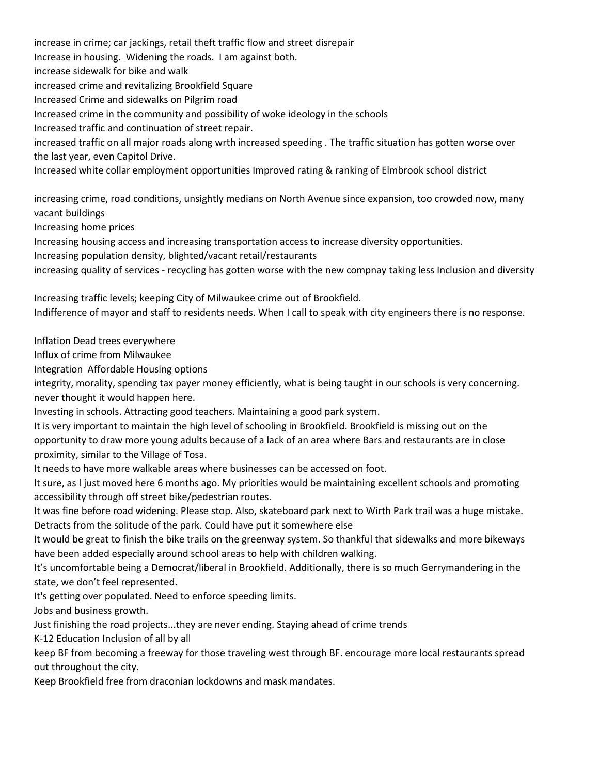increase in crime; car jackings, retail theft traffic flow and street disrepair Increase in housing. Widening the roads. I am against both. increase sidewalk for bike and walk increased crime and revitalizing Brookfield Square Increased Crime and sidewalks on Pilgrim road Increased crime in the community and possibility of woke ideology in the schools Increased traffic and continuation of street repair. increased traffic on all major roads along wrth increased speeding . The traffic situation has gotten worse over the last year, even Capitol Drive. Increased white collar employment opportunities Improved rating & ranking of Elmbrook school district

increasing crime, road conditions, unsightly medians on North Avenue since expansion, too crowded now, many vacant buildings

Increasing home prices

Increasing housing access and increasing transportation access to increase diversity opportunities.

Increasing population density, blighted/vacant retail/restaurants

increasing quality of services - recycling has gotten worse with the new compnay taking less Inclusion and diversity

Increasing traffic levels; keeping City of Milwaukee crime out of Brookfield. Indifference of mayor and staff to residents needs. When I call to speak with city engineers there is no response.

Inflation Dead trees everywhere

Influx of crime from Milwaukee

Integration Affordable Housing options

integrity, morality, spending tax payer money efficiently, what is being taught in our schools is very concerning. never thought it would happen here.

Investing in schools. Attracting good teachers. Maintaining a good park system.

It is very important to maintain the high level of schooling in Brookfield. Brookfield is missing out on the opportunity to draw more young adults because of a lack of an area where Bars and restaurants are in close proximity, similar to the Village of Tosa.

It needs to have more walkable areas where businesses can be accessed on foot.

It sure, as I just moved here 6 months ago. My priorities would be maintaining excellent schools and promoting accessibility through off street bike/pedestrian routes.

It was fine before road widening. Please stop. Also, skateboard park next to Wirth Park trail was a huge mistake. Detracts from the solitude of the park. Could have put it somewhere else

It would be great to finish the bike trails on the greenway system. So thankful that sidewalks and more bikeways have been added especially around school areas to help with children walking.

It's uncomfortable being a Democrat/liberal in Brookfield. Additionally, there is so much Gerrymandering in the state, we don't feel represented.

It's getting over populated. Need to enforce speeding limits.

Jobs and business growth.

Just finishing the road projects...they are never ending. Staying ahead of crime trends

K-12 Education Inclusion of all by all

keep BF from becoming a freeway for those traveling west through BF. encourage more local restaurants spread out throughout the city.

Keep Brookfield free from draconian lockdowns and mask mandates.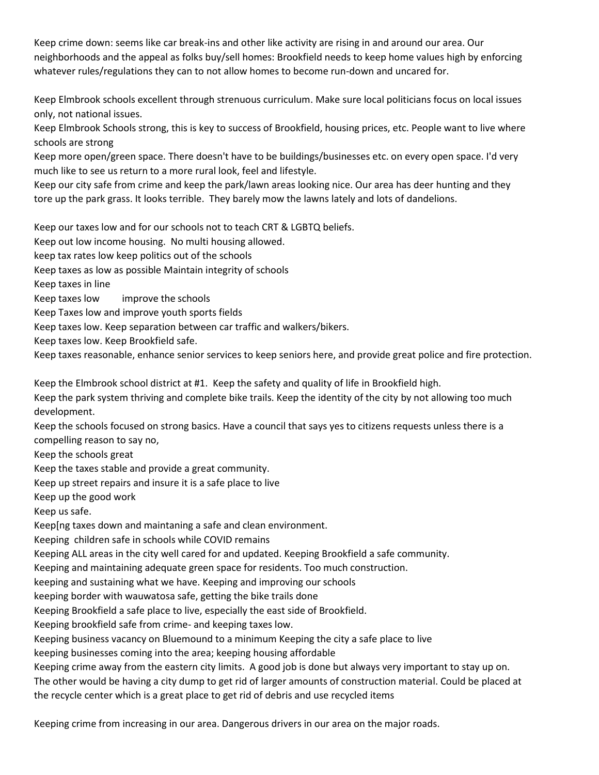Keep crime down: seems like car break-ins and other like activity are rising in and around our area. Our neighborhoods and the appeal as folks buy/sell homes: Brookfield needs to keep home values high by enforcing whatever rules/regulations they can to not allow homes to become run-down and uncared for.

Keep Elmbrook schools excellent through strenuous curriculum. Make sure local politicians focus on local issues only, not national issues.

Keep Elmbrook Schools strong, this is key to success of Brookfield, housing prices, etc. People want to live where schools are strong

Keep more open/green space. There doesn't have to be buildings/businesses etc. on every open space. I'd very much like to see us return to a more rural look, feel and lifestyle.

Keep our city safe from crime and keep the park/lawn areas looking nice. Our area has deer hunting and they tore up the park grass. It looks terrible. They barely mow the lawns lately and lots of dandelions.

Keep our taxes low and for our schools not to teach CRT & LGBTQ beliefs.

Keep out low income housing. No multi housing allowed.

keep tax rates low keep politics out of the schools

Keep taxes as low as possible Maintain integrity of schools

Keep taxes in line

Keep taxes low improve the schools

Keep Taxes low and improve youth sports fields

Keep taxes low. Keep separation between car traffic and walkers/bikers.

Keep taxes low. Keep Brookfield safe.

Keep taxes reasonable, enhance senior services to keep seniors here, and provide great police and fire protection.

Keep the Elmbrook school district at #1. Keep the safety and quality of life in Brookfield high.

Keep the park system thriving and complete bike trails. Keep the identity of the city by not allowing too much development.

Keep the schools focused on strong basics. Have a council that says yes to citizens requests unless there is a compelling reason to say no,

Keep the schools great

Keep the taxes stable and provide a great community.

Keep up street repairs and insure it is a safe place to live

Keep up the good work

Keep us safe.

Keep[ng taxes down and maintaning a safe and clean environment.

Keeping children safe in schools while COVID remains

Keeping ALL areas in the city well cared for and updated. Keeping Brookfield a safe community.

Keeping and maintaining adequate green space for residents. Too much construction.

keeping and sustaining what we have. Keeping and improving our schools

keeping border with wauwatosa safe, getting the bike trails done

Keeping Brookfield a safe place to live, especially the east side of Brookfield.

Keeping brookfield safe from crime- and keeping taxes low.

Keeping business vacancy on Bluemound to a minimum Keeping the city a safe place to live

keeping businesses coming into the area; keeping housing affordable

Keeping crime away from the eastern city limits. A good job is done but always very important to stay up on.

The other would be having a city dump to get rid of larger amounts of construction material. Could be placed at the recycle center which is a great place to get rid of debris and use recycled items

Keeping crime from increasing in our area. Dangerous drivers in our area on the major roads.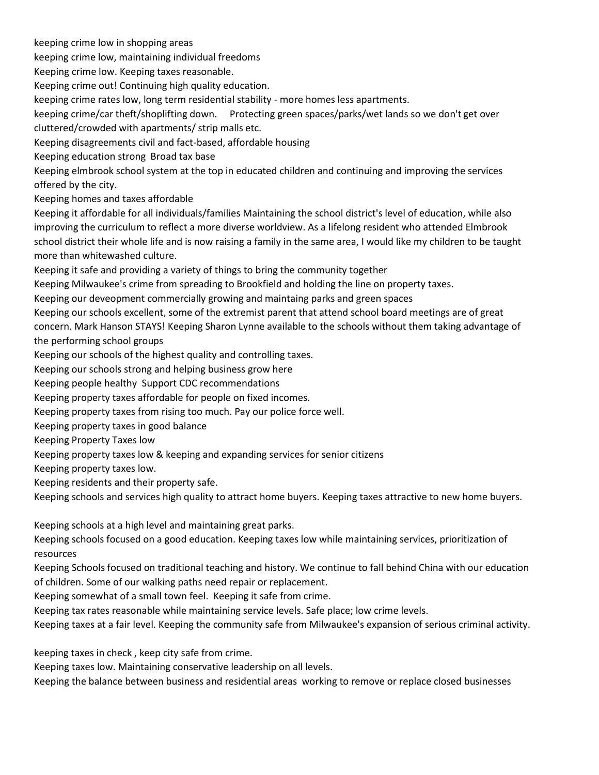keeping crime low in shopping areas keeping crime low, maintaining individual freedoms Keeping crime low. Keeping taxes reasonable. Keeping crime out! Continuing high quality education. keeping crime rates low, long term residential stability - more homes less apartments. keeping crime/car theft/shoplifting down. Protecting green spaces/parks/wet lands so we don't get over cluttered/crowded with apartments/ strip malls etc. Keeping disagreements civil and fact-based, affordable housing Keeping education strong Broad tax base Keeping elmbrook school system at the top in educated children and continuing and improving the services offered by the city. Keeping homes and taxes affordable Keeping it affordable for all individuals/families Maintaining the school district's level of education, while also improving the curriculum to reflect a more diverse worldview. As a lifelong resident who attended Elmbrook school district their whole life and is now raising a family in the same area, I would like my children to be taught more than whitewashed culture. Keeping it safe and providing a variety of things to bring the community together Keeping Milwaukee's crime from spreading to Brookfield and holding the line on property taxes. Keeping our deveopment commercially growing and maintaing parks and green spaces Keeping our schools excellent, some of the extremist parent that attend school board meetings are of great concern. Mark Hanson STAYS! Keeping Sharon Lynne available to the schools without them taking advantage of the performing school groups Keeping our schools of the highest quality and controlling taxes. Keeping our schools strong and helping business grow here Keeping people healthy Support CDC recommendations Keeping property taxes affordable for people on fixed incomes. Keeping property taxes from rising too much. Pay our police force well. Keeping property taxes in good balance Keeping Property Taxes low Keeping property taxes low & keeping and expanding services for senior citizens Keeping property taxes low. Keeping residents and their property safe. Keeping schools and services high quality to attract home buyers. Keeping taxes attractive to new home buyers. Keeping schools at a high level and maintaining great parks. Keeping schools focused on a good education. Keeping taxes low while maintaining services, prioritization of resources Keeping Schools focused on traditional teaching and history. We continue to fall behind China with our education

of children. Some of our walking paths need repair or replacement. Keeping somewhat of a small town feel. Keeping it safe from crime.

Keeping tax rates reasonable while maintaining service levels. Safe place; low crime levels.

Keeping taxes at a fair level. Keeping the community safe from Milwaukee's expansion of serious criminal activity.

keeping taxes in check , keep city safe from crime.

Keeping taxes low. Maintaining conservative leadership on all levels.

Keeping the balance between business and residential areas working to remove or replace closed businesses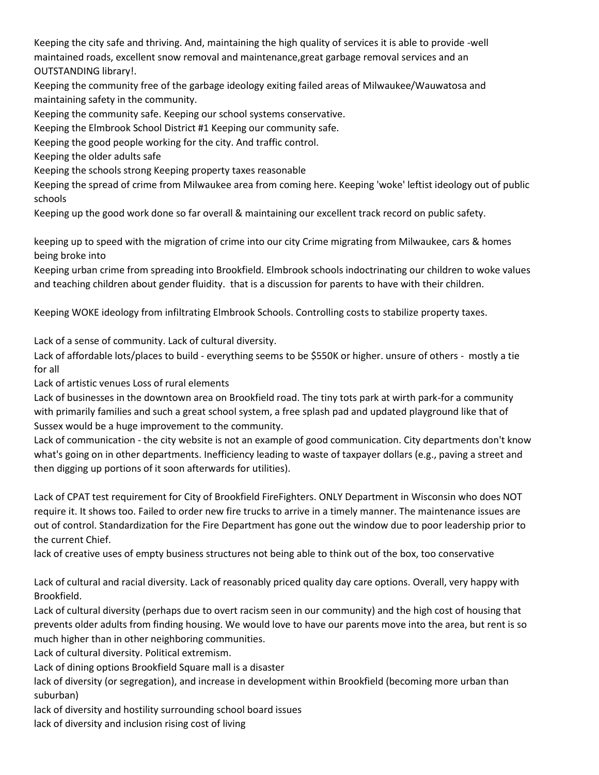Keeping the city safe and thriving. And, maintaining the high quality of services it is able to provide -well maintained roads, excellent snow removal and maintenance,great garbage removal services and an OUTSTANDING library!.

Keeping the community free of the garbage ideology exiting failed areas of Milwaukee/Wauwatosa and maintaining safety in the community.

Keeping the community safe. Keeping our school systems conservative.

Keeping the Elmbrook School District #1 Keeping our community safe.

Keeping the good people working for the city. And traffic control.

Keeping the older adults safe

Keeping the schools strong Keeping property taxes reasonable

Keeping the spread of crime from Milwaukee area from coming here. Keeping 'woke' leftist ideology out of public schools

Keeping up the good work done so far overall & maintaining our excellent track record on public safety.

keeping up to speed with the migration of crime into our city Crime migrating from Milwaukee, cars & homes being broke into

Keeping urban crime from spreading into Brookfield. Elmbrook schools indoctrinating our children to woke values and teaching children about gender fluidity. that is a discussion for parents to have with their children.

Keeping WOKE ideology from infiltrating Elmbrook Schools. Controlling costs to stabilize property taxes.

Lack of a sense of community. Lack of cultural diversity.

Lack of affordable lots/places to build - everything seems to be \$550K or higher. unsure of others - mostly a tie for all

Lack of artistic venues Loss of rural elements

Lack of businesses in the downtown area on Brookfield road. The tiny tots park at wirth park-for a community with primarily families and such a great school system, a free splash pad and updated playground like that of Sussex would be a huge improvement to the community.

Lack of communication - the city website is not an example of good communication. City departments don't know what's going on in other departments. Inefficiency leading to waste of taxpayer dollars (e.g., paving a street and then digging up portions of it soon afterwards for utilities).

Lack of CPAT test requirement for City of Brookfield FireFighters. ONLY Department in Wisconsin who does NOT require it. It shows too. Failed to order new fire trucks to arrive in a timely manner. The maintenance issues are out of control. Standardization for the Fire Department has gone out the window due to poor leadership prior to the current Chief.

lack of creative uses of empty business structures not being able to think out of the box, too conservative

Lack of cultural and racial diversity. Lack of reasonably priced quality day care options. Overall, very happy with Brookfield.

Lack of cultural diversity (perhaps due to overt racism seen in our community) and the high cost of housing that prevents older adults from finding housing. We would love to have our parents move into the area, but rent is so much higher than in other neighboring communities.

Lack of cultural diversity. Political extremism.

Lack of dining options Brookfield Square mall is a disaster

lack of diversity (or segregation), and increase in development within Brookfield (becoming more urban than suburban)

lack of diversity and hostility surrounding school board issues

lack of diversity and inclusion rising cost of living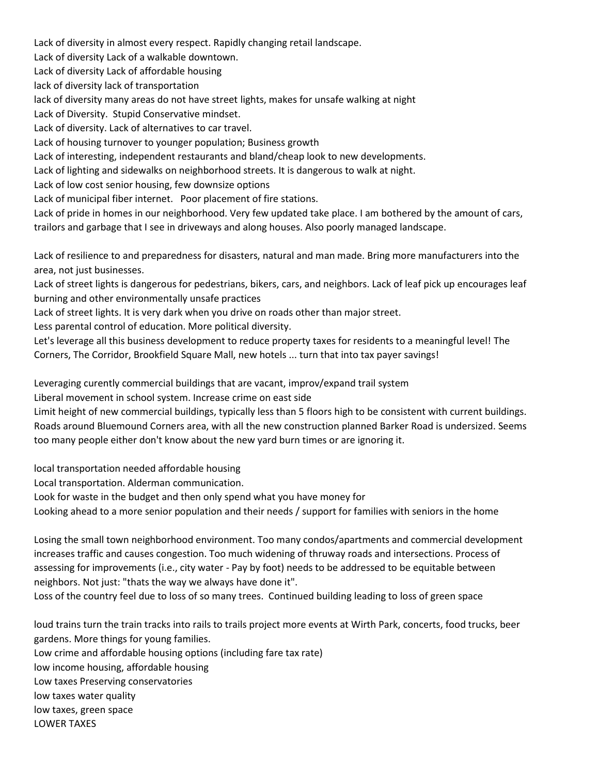Lack of diversity in almost every respect. Rapidly changing retail landscape. Lack of diversity Lack of a walkable downtown. Lack of diversity Lack of affordable housing lack of diversity lack of transportation lack of diversity many areas do not have street lights, makes for unsafe walking at night Lack of Diversity. Stupid Conservative mindset. Lack of diversity. Lack of alternatives to car travel. Lack of housing turnover to younger population; Business growth Lack of interesting, independent restaurants and bland/cheap look to new developments. Lack of lighting and sidewalks on neighborhood streets. It is dangerous to walk at night. Lack of low cost senior housing, few downsize options Lack of municipal fiber internet. Poor placement of fire stations. Lack of pride in homes in our neighborhood. Very few updated take place. I am bothered by the amount of cars, trailors and garbage that I see in driveways and along houses. Also poorly managed landscape. Lack of resilience to and preparedness for disasters, natural and man made. Bring more manufacturers into the area, not just businesses. Lack of street lights is dangerous for pedestrians, bikers, cars, and neighbors. Lack of leaf pick up encourages leaf burning and other environmentally unsafe practices Lack of street lights. It is very dark when you drive on roads other than major street.

Less parental control of education. More political diversity.

Let's leverage all this business development to reduce property taxes for residents to a meaningful level! The Corners, The Corridor, Brookfield Square Mall, new hotels ... turn that into tax payer savings!

Leveraging curently commercial buildings that are vacant, improv/expand trail system

Liberal movement in school system. Increase crime on east side

Limit height of new commercial buildings, typically less than 5 floors high to be consistent with current buildings. Roads around Bluemound Corners area, with all the new construction planned Barker Road is undersized. Seems too many people either don't know about the new yard burn times or are ignoring it.

local transportation needed affordable housing

Local transportation. Alderman communication.

Look for waste in the budget and then only spend what you have money for

Looking ahead to a more senior population and their needs / support for families with seniors in the home

Losing the small town neighborhood environment. Too many condos/apartments and commercial development increases traffic and causes congestion. Too much widening of thruway roads and intersections. Process of assessing for improvements (i.e., city water - Pay by foot) needs to be addressed to be equitable between neighbors. Not just: "thats the way we always have done it".

Loss of the country feel due to loss of so many trees. Continued building leading to loss of green space

loud trains turn the train tracks into rails to trails project more events at Wirth Park, concerts, food trucks, beer gardens. More things for young families.

Low crime and affordable housing options (including fare tax rate)

low income housing, affordable housing

Low taxes Preserving conservatories

low taxes water quality

low taxes, green space

LOWER TAXES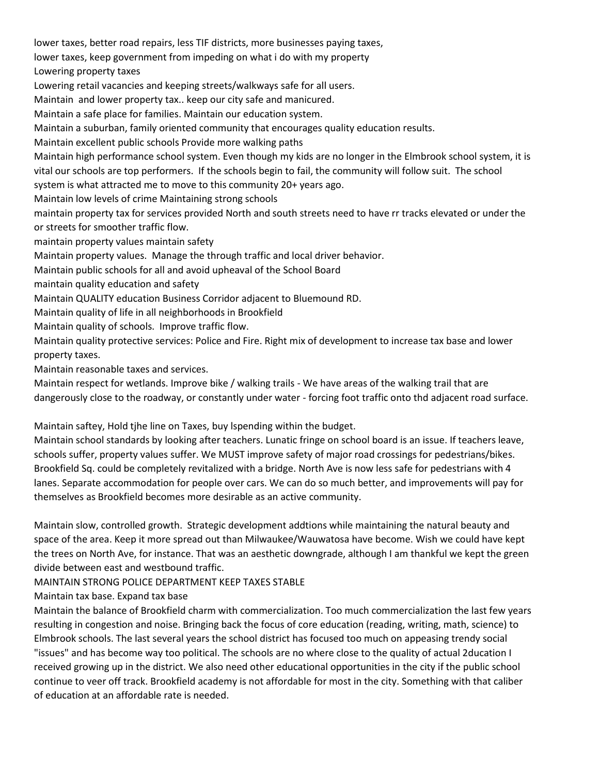lower taxes, better road repairs, less TIF districts, more businesses paying taxes, lower taxes, keep government from impeding on what i do with my property Lowering property taxes Lowering retail vacancies and keeping streets/walkways safe for all users. Maintain and lower property tax.. keep our city safe and manicured. Maintain a safe place for families. Maintain our education system. Maintain a suburban, family oriented community that encourages quality education results. Maintain excellent public schools Provide more walking paths Maintain high performance school system. Even though my kids are no longer in the Elmbrook school system, it is vital our schools are top performers. If the schools begin to fail, the community will follow suit. The school system is what attracted me to move to this community 20+ years ago. Maintain low levels of crime Maintaining strong schools maintain property tax for services provided North and south streets need to have rr tracks elevated or under the or streets for smoother traffic flow. maintain property values maintain safety Maintain property values. Manage the through traffic and local driver behavior. Maintain public schools for all and avoid upheaval of the School Board maintain quality education and safety Maintain QUALITY education Business Corridor adjacent to Bluemound RD. Maintain quality of life in all neighborhoods in Brookfield Maintain quality of schools. Improve traffic flow. Maintain quality protective services: Police and Fire. Right mix of development to increase tax base and lower

property taxes.

Maintain reasonable taxes and services.

Maintain respect for wetlands. Improve bike / walking trails - We have areas of the walking trail that are dangerously close to the roadway, or constantly under water - forcing foot traffic onto thd adjacent road surface.

Maintain saftey, Hold tjhe line on Taxes, buy lspending within the budget.

Maintain school standards by looking after teachers. Lunatic fringe on school board is an issue. If teachers leave, schools suffer, property values suffer. We MUST improve safety of major road crossings for pedestrians/bikes. Brookfield Sq. could be completely revitalized with a bridge. North Ave is now less safe for pedestrians with 4 lanes. Separate accommodation for people over cars. We can do so much better, and improvements will pay for themselves as Brookfield becomes more desirable as an active community.

Maintain slow, controlled growth. Strategic development addtions while maintaining the natural beauty and space of the area. Keep it more spread out than Milwaukee/Wauwatosa have become. Wish we could have kept the trees on North Ave, for instance. That was an aesthetic downgrade, although I am thankful we kept the green divide between east and westbound traffic.

MAINTAIN STRONG POLICE DEPARTMENT KEEP TAXES STABLE

Maintain tax base. Expand tax base

Maintain the balance of Brookfield charm with commercialization. Too much commercialization the last few years resulting in congestion and noise. Bringing back the focus of core education (reading, writing, math, science) to Elmbrook schools. The last several years the school district has focused too much on appeasing trendy social "issues" and has become way too political. The schools are no where close to the quality of actual 2ducation I received growing up in the district. We also need other educational opportunities in the city if the public school continue to veer off track. Brookfield academy is not affordable for most in the city. Something with that caliber of education at an affordable rate is needed.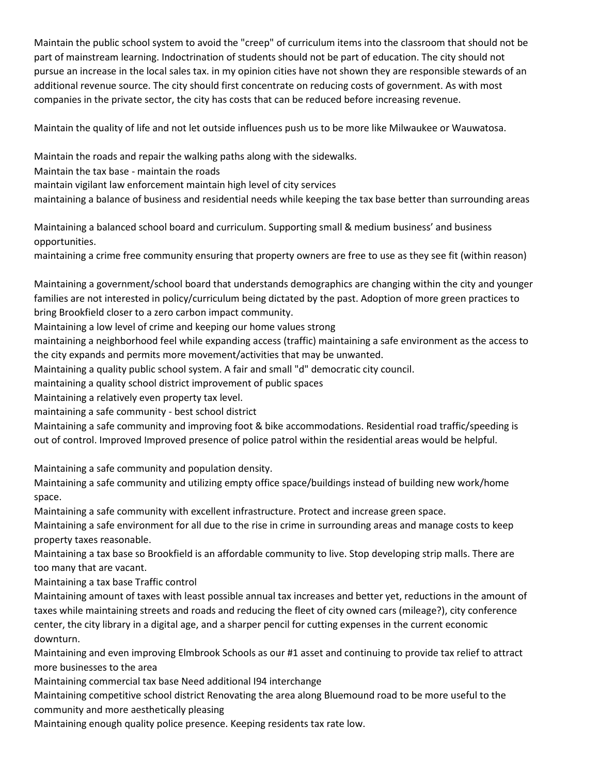Maintain the public school system to avoid the "creep" of curriculum items into the classroom that should not be part of mainstream learning. Indoctrination of students should not be part of education. The city should not pursue an increase in the local sales tax. in my opinion cities have not shown they are responsible stewards of an additional revenue source. The city should first concentrate on reducing costs of government. As with most companies in the private sector, the city has costs that can be reduced before increasing revenue.

Maintain the quality of life and not let outside influences push us to be more like Milwaukee or Wauwatosa.

Maintain the roads and repair the walking paths along with the sidewalks.

Maintain the tax base - maintain the roads

maintain vigilant law enforcement maintain high level of city services

maintaining a balance of business and residential needs while keeping the tax base better than surrounding areas

Maintaining a balanced school board and curriculum. Supporting small & medium business' and business opportunities.

maintaining a crime free community ensuring that property owners are free to use as they see fit (within reason)

Maintaining a government/school board that understands demographics are changing within the city and younger families are not interested in policy/curriculum being dictated by the past. Adoption of more green practices to bring Brookfield closer to a zero carbon impact community.

Maintaining a low level of crime and keeping our home values strong

maintaining a neighborhood feel while expanding access (traffic) maintaining a safe environment as the access to the city expands and permits more movement/activities that may be unwanted.

Maintaining a quality public school system. A fair and small "d" democratic city council.

maintaining a quality school district improvement of public spaces

Maintaining a relatively even property tax level.

maintaining a safe community - best school district

Maintaining a safe community and improving foot & bike accommodations. Residential road traffic/speeding is out of control. Improved Improved presence of police patrol within the residential areas would be helpful.

Maintaining a safe community and population density.

Maintaining a safe community and utilizing empty office space/buildings instead of building new work/home space.

Maintaining a safe community with excellent infrastructure. Protect and increase green space.

Maintaining a safe environment for all due to the rise in crime in surrounding areas and manage costs to keep property taxes reasonable.

Maintaining a tax base so Brookfield is an affordable community to live. Stop developing strip malls. There are too many that are vacant.

Maintaining a tax base Traffic control

Maintaining amount of taxes with least possible annual tax increases and better yet, reductions in the amount of taxes while maintaining streets and roads and reducing the fleet of city owned cars (mileage?), city conference center, the city library in a digital age, and a sharper pencil for cutting expenses in the current economic downturn.

Maintaining and even improving Elmbrook Schools as our #1 asset and continuing to provide tax relief to attract more businesses to the area

Maintaining commercial tax base Need additional I94 interchange

Maintaining competitive school district Renovating the area along Bluemound road to be more useful to the community and more aesthetically pleasing

Maintaining enough quality police presence. Keeping residents tax rate low.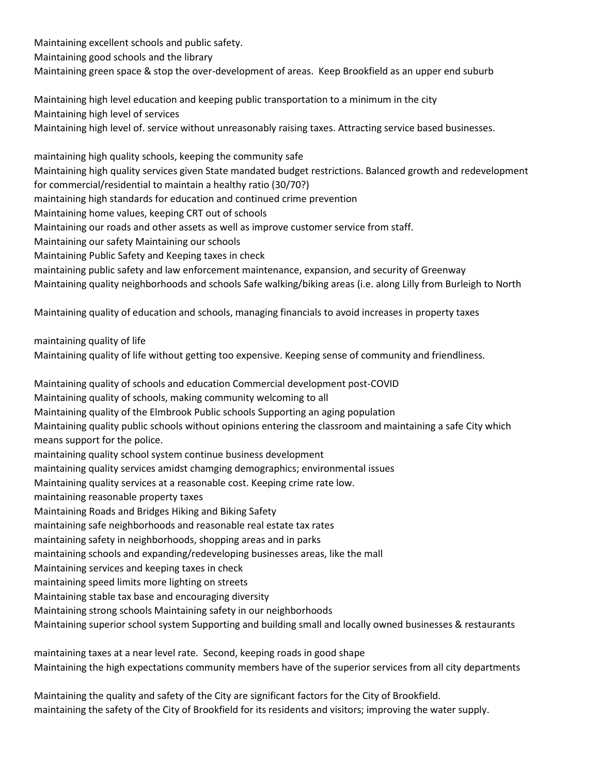Maintaining excellent schools and public safety. Maintaining good schools and the library Maintaining green space & stop the over-development of areas. Keep Brookfield as an upper end suburb

Maintaining high level education and keeping public transportation to a minimum in the city Maintaining high level of services Maintaining high level of. service without unreasonably raising taxes. Attracting service based businesses.

maintaining high quality schools, keeping the community safe Maintaining high quality services given State mandated budget restrictions. Balanced growth and redevelopment for commercial/residential to maintain a healthy ratio (30/70?) maintaining high standards for education and continued crime prevention Maintaining home values, keeping CRT out of schools Maintaining our roads and other assets as well as improve customer service from staff. Maintaining our safety Maintaining our schools Maintaining Public Safety and Keeping taxes in check maintaining public safety and law enforcement maintenance, expansion, and security of Greenway Maintaining quality neighborhoods and schools Safe walking/biking areas (i.e. along Lilly from Burleigh to North Maintaining quality of education and schools, managing financials to avoid increases in property taxes maintaining quality of life Maintaining quality of life without getting too expensive. Keeping sense of community and friendliness. Maintaining quality of schools and education Commercial development post-COVID Maintaining quality of schools, making community welcoming to all Maintaining quality of the Elmbrook Public schools Supporting an aging population Maintaining quality public schools without opinions entering the classroom and maintaining a safe City which means support for the police. maintaining quality school system continue business development maintaining quality services amidst chamging demographics; environmental issues Maintaining quality services at a reasonable cost. Keeping crime rate low. maintaining reasonable property taxes Maintaining Roads and Bridges Hiking and Biking Safety maintaining safe neighborhoods and reasonable real estate tax rates maintaining safety in neighborhoods, shopping areas and in parks maintaining schools and expanding/redeveloping businesses areas, like the mall Maintaining services and keeping taxes in check maintaining speed limits more lighting on streets Maintaining stable tax base and encouraging diversity

Maintaining strong schools Maintaining safety in our neighborhoods Maintaining superior school system Supporting and building small and locally owned businesses & restaurants

maintaining taxes at a near level rate. Second, keeping roads in good shape Maintaining the high expectations community members have of the superior services from all city departments

Maintaining the quality and safety of the City are significant factors for the City of Brookfield. maintaining the safety of the City of Brookfield for its residents and visitors; improving the water supply.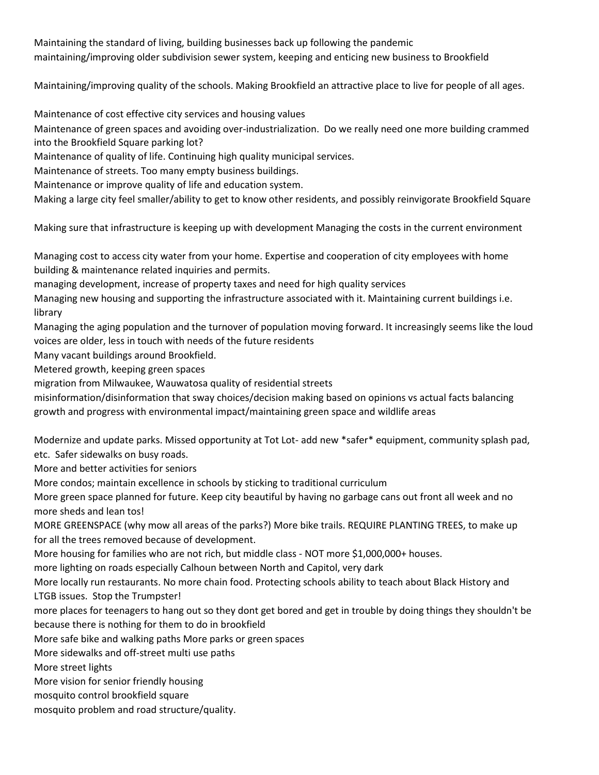Maintaining the standard of living, building businesses back up following the pandemic maintaining/improving older subdivision sewer system, keeping and enticing new business to Brookfield

Maintaining/improving quality of the schools. Making Brookfield an attractive place to live for people of all ages.

Maintenance of cost effective city services and housing values

Maintenance of green spaces and avoiding over-industrialization. Do we really need one more building crammed into the Brookfield Square parking lot?

Maintenance of quality of life. Continuing high quality municipal services.

Maintenance of streets. Too many empty business buildings.

Maintenance or improve quality of life and education system.

Making a large city feel smaller/ability to get to know other residents, and possibly reinvigorate Brookfield Square

Making sure that infrastructure is keeping up with development Managing the costs in the current environment

Managing cost to access city water from your home. Expertise and cooperation of city employees with home building & maintenance related inquiries and permits.

managing development, increase of property taxes and need for high quality services

Managing new housing and supporting the infrastructure associated with it. Maintaining current buildings i.e. library

Managing the aging population and the turnover of population moving forward. It increasingly seems like the loud voices are older, less in touch with needs of the future residents

Many vacant buildings around Brookfield.

Metered growth, keeping green spaces

migration from Milwaukee, Wauwatosa quality of residential streets

misinformation/disinformation that sway choices/decision making based on opinions vs actual facts balancing growth and progress with environmental impact/maintaining green space and wildlife areas

Modernize and update parks. Missed opportunity at Tot Lot- add new \*safer\* equipment, community splash pad, etc. Safer sidewalks on busy roads.

More and better activities for seniors

More condos; maintain excellence in schools by sticking to traditional curriculum

More green space planned for future. Keep city beautiful by having no garbage cans out front all week and no more sheds and lean tos!

MORE GREENSPACE (why mow all areas of the parks?) More bike trails. REQUIRE PLANTING TREES, to make up for all the trees removed because of development.

More housing for families who are not rich, but middle class - NOT more \$1,000,000+ houses.

more lighting on roads especially Calhoun between North and Capitol, very dark

More locally run restaurants. No more chain food. Protecting schools ability to teach about Black History and LTGB issues. Stop the Trumpster!

more places for teenagers to hang out so they dont get bored and get in trouble by doing things they shouldn't be because there is nothing for them to do in brookfield

More safe bike and walking paths More parks or green spaces

More sidewalks and off-street multi use paths

More street lights

More vision for senior friendly housing

mosquito control brookfield square

mosquito problem and road structure/quality.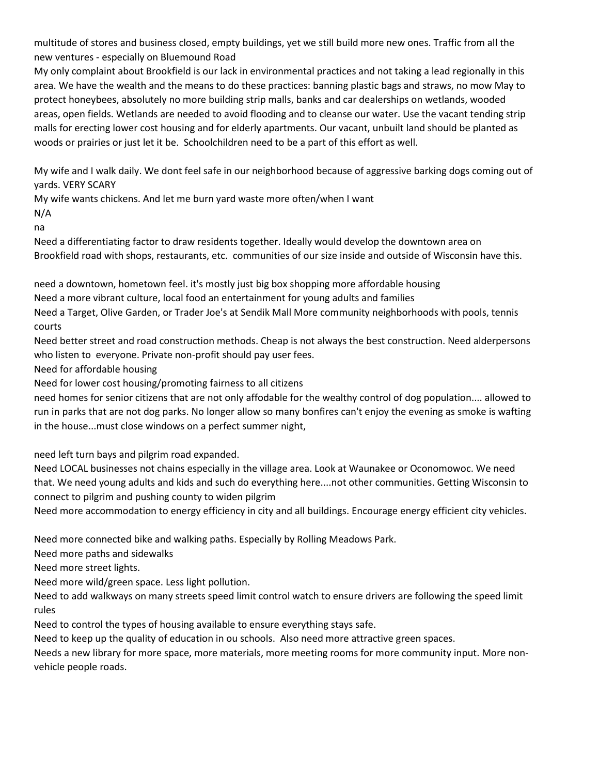multitude of stores and business closed, empty buildings, yet we still build more new ones. Traffic from all the new ventures - especially on Bluemound Road

My only complaint about Brookfield is our lack in environmental practices and not taking a lead regionally in this area. We have the wealth and the means to do these practices: banning plastic bags and straws, no mow May to protect honeybees, absolutely no more building strip malls, banks and car dealerships on wetlands, wooded areas, open fields. Wetlands are needed to avoid flooding and to cleanse our water. Use the vacant tending strip malls for erecting lower cost housing and for elderly apartments. Our vacant, unbuilt land should be planted as woods or prairies or just let it be. Schoolchildren need to be a part of this effort as well.

My wife and I walk daily. We dont feel safe in our neighborhood because of aggressive barking dogs coming out of yards. VERY SCARY

My wife wants chickens. And let me burn yard waste more often/when I want N/A

na

Need a differentiating factor to draw residents together. Ideally would develop the downtown area on Brookfield road with shops, restaurants, etc. communities of our size inside and outside of Wisconsin have this.

need a downtown, hometown feel. it's mostly just big box shopping more affordable housing

Need a more vibrant culture, local food an entertainment for young adults and families

Need a Target, Olive Garden, or Trader Joe's at Sendik Mall More community neighborhoods with pools, tennis courts

Need better street and road construction methods. Cheap is not always the best construction. Need alderpersons who listen to everyone. Private non-profit should pay user fees.

Need for affordable housing

Need for lower cost housing/promoting fairness to all citizens

need homes for senior citizens that are not only affodable for the wealthy control of dog population.... allowed to run in parks that are not dog parks. No longer allow so many bonfires can't enjoy the evening as smoke is wafting in the house...must close windows on a perfect summer night,

need left turn bays and pilgrim road expanded.

Need LOCAL businesses not chains especially in the village area. Look at Waunakee or Oconomowoc. We need that. We need young adults and kids and such do everything here....not other communities. Getting Wisconsin to connect to pilgrim and pushing county to widen pilgrim

Need more accommodation to energy efficiency in city and all buildings. Encourage energy efficient city vehicles.

Need more connected bike and walking paths. Especially by Rolling Meadows Park.

Need more paths and sidewalks

Need more street lights.

Need more wild/green space. Less light pollution.

Need to add walkways on many streets speed limit control watch to ensure drivers are following the speed limit rules

Need to control the types of housing available to ensure everything stays safe.

Need to keep up the quality of education in ou schools. Also need more attractive green spaces.

Needs a new library for more space, more materials, more meeting rooms for more community input. More nonvehicle people roads.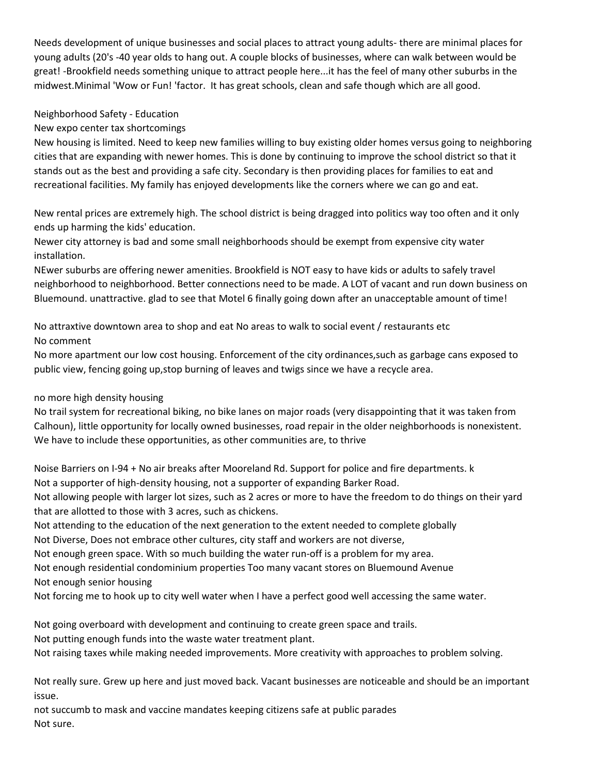Needs development of unique businesses and social places to attract young adults- there are minimal places for young adults (20's -40 year olds to hang out. A couple blocks of businesses, where can walk between would be great! -Brookfield needs something unique to attract people here...it has the feel of many other suburbs in the midwest.Minimal 'Wow or Fun! 'factor. It has great schools, clean and safe though which are all good.

# Neighborhood Safety - Education

New expo center tax shortcomings

New housing is limited. Need to keep new families willing to buy existing older homes versus going to neighboring cities that are expanding with newer homes. This is done by continuing to improve the school district so that it stands out as the best and providing a safe city. Secondary is then providing places for families to eat and recreational facilities. My family has enjoyed developments like the corners where we can go and eat.

New rental prices are extremely high. The school district is being dragged into politics way too often and it only ends up harming the kids' education.

Newer city attorney is bad and some small neighborhoods should be exempt from expensive city water installation.

NEwer suburbs are offering newer amenities. Brookfield is NOT easy to have kids or adults to safely travel neighborhood to neighborhood. Better connections need to be made. A LOT of vacant and run down business on Bluemound. unattractive. glad to see that Motel 6 finally going down after an unacceptable amount of time!

No attraxtive downtown area to shop and eat No areas to walk to social event / restaurants etc No comment

No more apartment our low cost housing. Enforcement of the city ordinances,such as garbage cans exposed to public view, fencing going up,stop burning of leaves and twigs since we have a recycle area.

# no more high density housing

No trail system for recreational biking, no bike lanes on major roads (very disappointing that it was taken from Calhoun), little opportunity for locally owned businesses, road repair in the older neighborhoods is nonexistent. We have to include these opportunities, as other communities are, to thrive

Noise Barriers on I-94 + No air breaks after Mooreland Rd. Support for police and fire departments. k Not a supporter of high-density housing, not a supporter of expanding Barker Road.

Not allowing people with larger lot sizes, such as 2 acres or more to have the freedom to do things on their yard that are allotted to those with 3 acres, such as chickens.

Not attending to the education of the next generation to the extent needed to complete globally

Not Diverse, Does not embrace other cultures, city staff and workers are not diverse,

Not enough green space. With so much building the water run-off is a problem for my area.

Not enough residential condominium properties Too many vacant stores on Bluemound Avenue Not enough senior housing

Not forcing me to hook up to city well water when I have a perfect good well accessing the same water.

Not going overboard with development and continuing to create green space and trails. Not putting enough funds into the waste water treatment plant. Not raising taxes while making needed improvements. More creativity with approaches to problem solving.

Not really sure. Grew up here and just moved back. Vacant businesses are noticeable and should be an important issue.

not succumb to mask and vaccine mandates keeping citizens safe at public parades Not sure.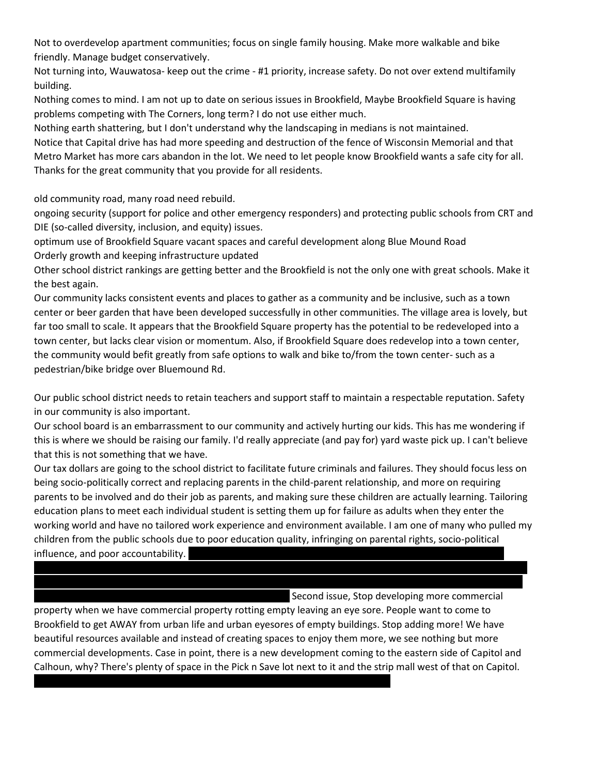Not to overdevelop apartment communities; focus on single family housing. Make more walkable and bike friendly. Manage budget conservatively.

Not turning into, Wauwatosa- keep out the crime - #1 priority, increase safety. Do not over extend multifamily building.

Nothing comes to mind. I am not up to date on serious issues in Brookfield, Maybe Brookfield Square is having problems competing with The Corners, long term? I do not use either much.

Nothing earth shattering, but I don't understand why the landscaping in medians is not maintained.

Notice that Capital drive has had more speeding and destruction of the fence of Wisconsin Memorial and that Metro Market has more cars abandon in the lot. We need to let people know Brookfield wants a safe city for all. Thanks for the great community that you provide for all residents.

old community road, many road need rebuild.

ongoing security (support for police and other emergency responders) and protecting public schools from CRT and DIE (so-called diversity, inclusion, and equity) issues.

optimum use of Brookfield Square vacant spaces and careful development along Blue Mound Road Orderly growth and keeping infrastructure updated

Other school district rankings are getting better and the Brookfield is not the only one with great schools. Make it the best again.

Our community lacks consistent events and places to gather as a community and be inclusive, such as a town center or beer garden that have been developed successfully in other communities. The village area is lovely, but far too small to scale. It appears that the Brookfield Square property has the potential to be redeveloped into a town center, but lacks clear vision or momentum. Also, if Brookfield Square does redevelop into a town center, the community would befit greatly from safe options to walk and bike to/from the town center- such as a pedestrian/bike bridge over Bluemound Rd.

Our public school district needs to retain teachers and support staff to maintain a respectable reputation. Safety in our community is also important.

Our school board is an embarrassment to our community and actively hurting our kids. This has me wondering if this is where we should be raising our family. I'd really appreciate (and pay for) yard waste pick up. I can't believe that this is not something that we have.

Our tax dollars are going to the school district to facilitate future criminals and failures. They should focus less on being socio-politically correct and replacing parents in the child-parent relationship, and more on requiring parents to be involved and do their job as parents, and making sure these children are actually learning. Tailoring education plans to meet each individual student is setting them up for failure as adults when they enter the working world and have no tailored work experience and environment available. I am one of many who pulled my children from the public schools due to poor education quality, infringing on parental rights, socio-political influence, and poor accountability.

Second issue, Stop developing more commercial

property when we have commercial property rotting empty leaving an eye sore. People want to come to Brookfield to get AWAY from urban life and urban eyesores of empty buildings. Stop adding more! We have beautiful resources available and instead of creating spaces to enjoy them more, we see nothing but more commercial developments. Case in point, there is a new development coming to the eastern side of Capitol and Calhoun, why? There's plenty of space in the Pick n Save lot next to it and the strip mall west of that on Capitol.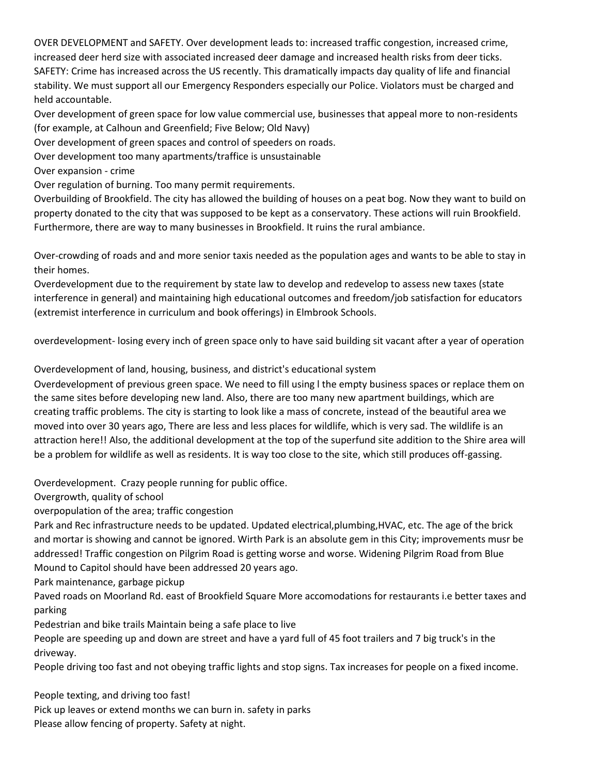OVER DEVELOPMENT and SAFETY. Over development leads to: increased traffic congestion, increased crime, increased deer herd size with associated increased deer damage and increased health risks from deer ticks. SAFETY: Crime has increased across the US recently. This dramatically impacts day quality of life and financial stability. We must support all our Emergency Responders especially our Police. Violators must be charged and held accountable.

Over development of green space for low value commercial use, businesses that appeal more to non-residents (for example, at Calhoun and Greenfield; Five Below; Old Navy)

Over development of green spaces and control of speeders on roads.

Over development too many apartments/traffice is unsustainable

Over expansion - crime

Over regulation of burning. Too many permit requirements.

Overbuilding of Brookfield. The city has allowed the building of houses on a peat bog. Now they want to build on property donated to the city that was supposed to be kept as a conservatory. These actions will ruin Brookfield. Furthermore, there are way to many businesses in Brookfield. It ruins the rural ambiance.

Over-crowding of roads and and more senior taxis needed as the population ages and wants to be able to stay in their homes.

Overdevelopment due to the requirement by state law to develop and redevelop to assess new taxes (state interference in general) and maintaining high educational outcomes and freedom/job satisfaction for educators (extremist interference in curriculum and book offerings) in Elmbrook Schools.

overdevelopment- losing every inch of green space only to have said building sit vacant after a year of operation

Overdevelopment of land, housing, business, and district's educational system

Overdevelopment of previous green space. We need to fill using l the empty business spaces or replace them on the same sites before developing new land. Also, there are too many new apartment buildings, which are creating traffic problems. The city is starting to look like a mass of concrete, instead of the beautiful area we moved into over 30 years ago, There are less and less places for wildlife, which is very sad. The wildlife is an attraction here!! Also, the additional development at the top of the superfund site addition to the Shire area will be a problem for wildlife as well as residents. It is way too close to the site, which still produces off-gassing.

Overdevelopment. Crazy people running for public office.

Overgrowth, quality of school

overpopulation of the area; traffic congestion

Park and Rec infrastructure needs to be updated. Updated electrical,plumbing,HVAC, etc. The age of the brick and mortar is showing and cannot be ignored. Wirth Park is an absolute gem in this City; improvements musr be addressed! Traffic congestion on Pilgrim Road is getting worse and worse. Widening Pilgrim Road from Blue Mound to Capitol should have been addressed 20 years ago.

Park maintenance, garbage pickup

Paved roads on Moorland Rd. east of Brookfield Square More accomodations for restaurants i.e better taxes and parking

Pedestrian and bike trails Maintain being a safe place to live

People are speeding up and down are street and have a yard full of 45 foot trailers and 7 big truck's in the driveway.

People driving too fast and not obeying traffic lights and stop signs. Tax increases for people on a fixed income.

People texting, and driving too fast!

Pick up leaves or extend months we can burn in. safety in parks Please allow fencing of property. Safety at night.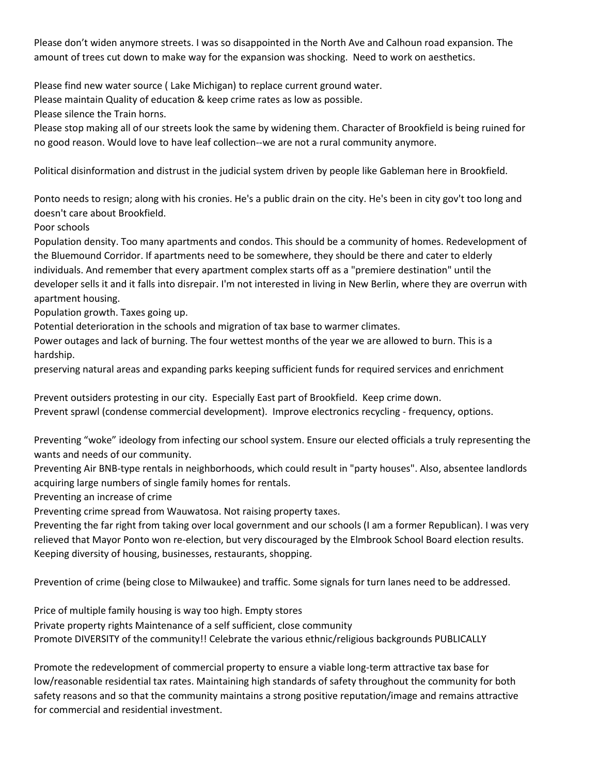Please don't widen anymore streets. I was so disappointed in the North Ave and Calhoun road expansion. The amount of trees cut down to make way for the expansion was shocking. Need to work on aesthetics.

Please find new water source ( Lake Michigan) to replace current ground water.

Please maintain Quality of education & keep crime rates as low as possible.

Please silence the Train horns.

Please stop making all of our streets look the same by widening them. Character of Brookfield is being ruined for no good reason. Would love to have leaf collection--we are not a rural community anymore.

Political disinformation and distrust in the judicial system driven by people like Gableman here in Brookfield.

Ponto needs to resign; along with his cronies. He's a public drain on the city. He's been in city gov't too long and doesn't care about Brookfield.

Poor schools

Population density. Too many apartments and condos. This should be a community of homes. Redevelopment of the Bluemound Corridor. If apartments need to be somewhere, they should be there and cater to elderly individuals. And remember that every apartment complex starts off as a "premiere destination" until the developer sells it and it falls into disrepair. I'm not interested in living in New Berlin, where they are overrun with apartment housing.

Population growth. Taxes going up.

Potential deterioration in the schools and migration of tax base to warmer climates.

Power outages and lack of burning. The four wettest months of the year we are allowed to burn. This is a hardship.

preserving natural areas and expanding parks keeping sufficient funds for required services and enrichment

Prevent outsiders protesting in our city. Especially East part of Brookfield. Keep crime down. Prevent sprawl (condense commercial development). Improve electronics recycling - frequency, options.

Preventing "woke" ideology from infecting our school system. Ensure our elected officials a truly representing the wants and needs of our community.

Preventing Air BNB-type rentals in neighborhoods, which could result in "party houses". Also, absentee landlords acquiring large numbers of single family homes for rentals.

Preventing an increase of crime

Preventing crime spread from Wauwatosa. Not raising property taxes.

Preventing the far right from taking over local government and our schools (I am a former Republican). I was very relieved that Mayor Ponto won re-election, but very discouraged by the Elmbrook School Board election results. Keeping diversity of housing, businesses, restaurants, shopping.

Prevention of crime (being close to Milwaukee) and traffic. Some signals for turn lanes need to be addressed.

Price of multiple family housing is way too high. Empty stores Private property rights Maintenance of a self sufficient, close community Promote DIVERSITY of the community!! Celebrate the various ethnic/religious backgrounds PUBLICALLY

Promote the redevelopment of commercial property to ensure a viable long-term attractive tax base for low/reasonable residential tax rates. Maintaining high standards of safety throughout the community for both safety reasons and so that the community maintains a strong positive reputation/image and remains attractive for commercial and residential investment.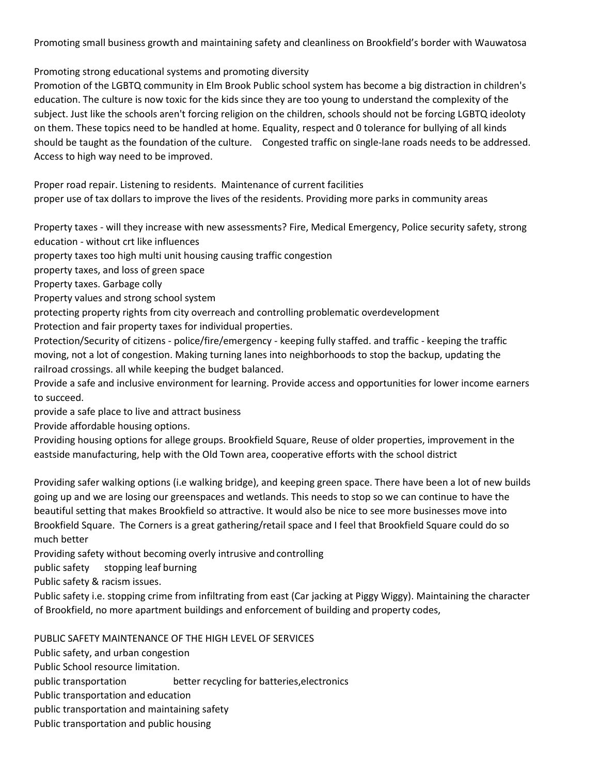Promoting small business growth and maintaining safety and cleanliness on Brookfield's border with Wauwatosa

Promoting strong educational systems and promoting diversity

Promotion of the LGBTQ community in Elm Brook Public school system has become a big distraction in children's education. The culture is now toxic for the kids since they are too young to understand the complexity of the subject. Just like the schools aren't forcing religion on the children, schools should not be forcing LGBTQ ideoloty on them. These topics need to be handled at home. Equality, respect and 0 tolerance for bullying of all kinds should be taught as the foundation of the culture. Congested traffic on single-lane roads needs to be addressed. Access to high way need to be improved.

Proper road repair. Listening to residents. Maintenance of current facilities proper use of tax dollars to improve the lives of the residents. Providing more parks in community areas

Property taxes - will they increase with new assessments? Fire, Medical Emergency, Police security safety, strong education - without crt like influences

property taxes too high multi unit housing causing traffic congestion

property taxes, and loss of green space

Property taxes. Garbage colly

Property values and strong school system

protecting property rights from city overreach and controlling problematic overdevelopment

Protection and fair property taxes for individual properties.

Protection/Security of citizens - police/fire/emergency - keeping fully staffed. and traffic - keeping the traffic moving, not a lot of congestion. Making turning lanes into neighborhoods to stop the backup, updating the railroad crossings. all while keeping the budget balanced.

Provide a safe and inclusive environment for learning. Provide access and opportunities for lower income earners to succeed.

provide a safe place to live and attract business

Provide affordable housing options.

Providing housing options for allege groups. Brookfield Square, Reuse of older properties, improvement in the eastside manufacturing, help with the Old Town area, cooperative efforts with the school district

Providing safer walking options (i.e walking bridge), and keeping green space. There have been a lot of new builds going up and we are losing our greenspaces and wetlands. This needs to stop so we can continue to have the beautiful setting that makes Brookfield so attractive. It would also be nice to see more businesses move into Brookfield Square. The Corners is a great gathering/retail space and I feel that Brookfield Square could do so much better

Providing safety without becoming overly intrusive and controlling

public safety stopping leaf burning

Public safety & racism issues.

Public safety i.e. stopping crime from infiltrating from east (Car jacking at Piggy Wiggy). Maintaining the character of Brookfield, no more apartment buildings and enforcement of building and property codes,

PUBLIC SAFETY MAINTENANCE OF THE HIGH LEVEL OF SERVICES

Public safety, and urban congestion

Public School resource limitation.

public transportation better recycling for batteries,electronics

Public transportation and education

public transportation and maintaining safety

Public transportation and public housing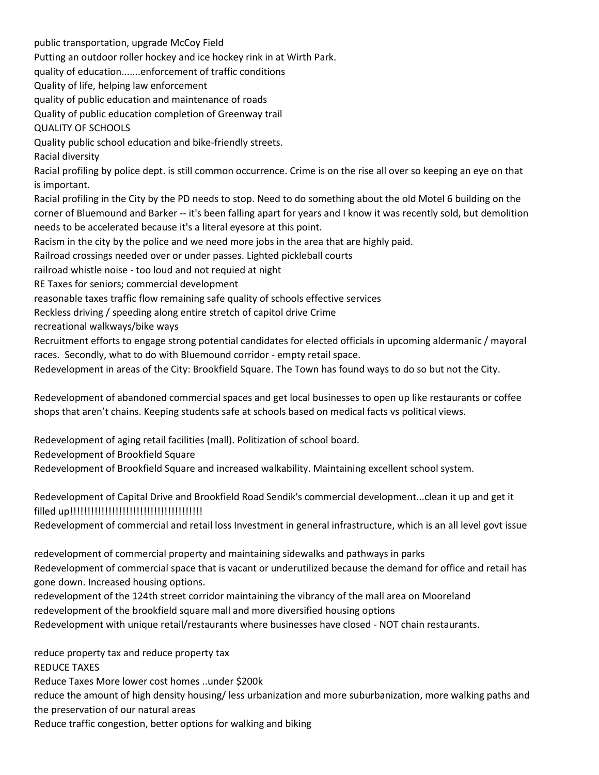public transportation, upgrade McCoy Field Putting an outdoor roller hockey and ice hockey rink in at Wirth Park. quality of education.......enforcement of traffic conditions Quality of life, helping law enforcement quality of public education and maintenance of roads Quality of public education completion of Greenway trail QUALITY OF SCHOOLS Quality public school education and bike-friendly streets. Racial diversity Racial profiling by police dept. is still common occurrence. Crime is on the rise all over so keeping an eye on that is important. Racial profiling in the City by the PD needs to stop. Need to do something about the old Motel 6 building on the corner of Bluemound and Barker -- it's been falling apart for years and I know it was recently sold, but demolition needs to be accelerated because it's a literal eyesore at this point. Racism in the city by the police and we need more jobs in the area that are highly paid. Railroad crossings needed over or under passes. Lighted pickleball courts railroad whistle noise - too loud and not requied at night RE Taxes for seniors; commercial development reasonable taxes traffic flow remaining safe quality of schools effective services Reckless driving / speeding along entire stretch of capitol drive Crime recreational walkways/bike ways Recruitment efforts to engage strong potential candidates for elected officials in upcoming aldermanic / mayoral races. Secondly, what to do with Bluemound corridor - empty retail space. Redevelopment in areas of the City: Brookfield Square. The Town has found ways to do so but not the City.

Redevelopment of abandoned commercial spaces and get local businesses to open up like restaurants or coffee shops that aren't chains. Keeping students safe at schools based on medical facts vs political views.

Redevelopment of aging retail facilities (mall). Politization of school board.

Redevelopment of Brookfield Square

Redevelopment of Brookfield Square and increased walkability. Maintaining excellent school system.

Redevelopment of Capital Drive and Brookfield Road Sendik's commercial development...clean it up and get it filled up!!!!!!!!!!!!!!!!!!!!!!!!!!!!!!!!!!!!!!

Redevelopment of commercial and retail loss Investment in general infrastructure, which is an all level govt issue

redevelopment of commercial property and maintaining sidewalks and pathways in parks Redevelopment of commercial space that is vacant or underutilized because the demand for office and retail has gone down. Increased housing options.

redevelopment of the 124th street corridor maintaining the vibrancy of the mall area on Mooreland redevelopment of the brookfield square mall and more diversified housing options Redevelopment with unique retail/restaurants where businesses have closed - NOT chain restaurants.

reduce property tax and reduce property tax REDUCE TAXES Reduce Taxes More lower cost homes ..under \$200k reduce the amount of high density housing/ less urbanization and more suburbanization, more walking paths and the preservation of our natural areas

Reduce traffic congestion, better options for walking and biking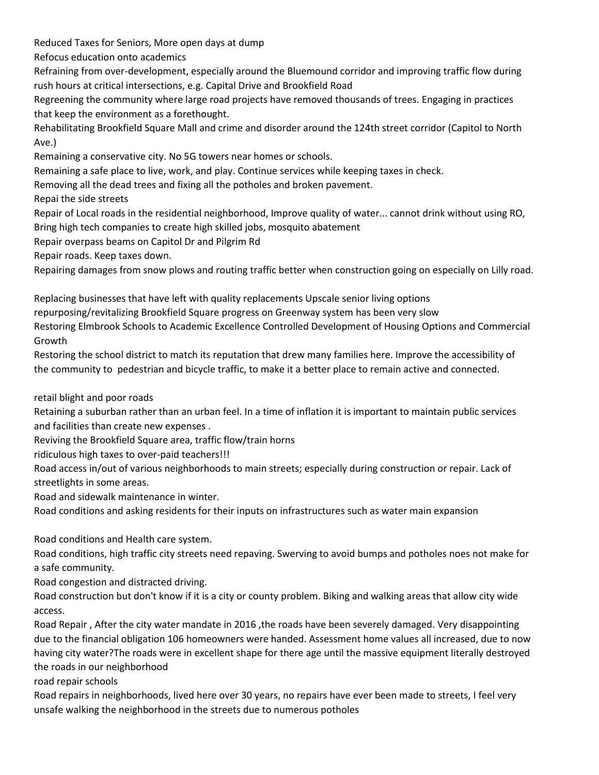Reduced Taxes for Seniors, More open days at dump

Refocus education onto academics

Refraining from over-development, especially around the Bluemound corridor and improving traffic flow during rush hours at critical intersections, e.g. Capital Drive and Brookfield Road

Regreening the community where large road projects have removed thousands of trees. Engaging in practices that keep the environment as a forethought.

Rehabilitating Brookfield Square Mall and crime and disorder around the 124th street corridor (Capitol to North Ave.)

Remaining a conservative city. No 5G towers near homes or schools.

Remaining a safe place to live, work, and play. Continue services while keeping taxes in check.

Removing all the dead trees and fixing all the potholes and broken pavement.

Repai the side streets

Repair of Local roads in the residential neighborhood, Improve quality of water... cannot drink without using RO,

Bring high tech companies to create high skilled jobs, mosquito abatement

Repair overpass beams on Capitol Dr and Pilgrim Rd

Repair roads. Keep taxes down.

Repairing damages from snow plows and routing traffic better when construction going on especially on Lilly road.

Replacing businesses that have left with quality replacements Upscale senior living options

repurposing/revitalizing Brookfield Square progress on Greenway system has been very slow

Restoring Elmbrook Schools to Academic Excellence Controlled Development of Housing Options and Commercial Growth

Restoring the school district to match its reputation that drew many families here. Improve the accessibility of the community to pedestrian and bicycle traffic, to make it a better place to remain active and connected.

retail blight and poor roads

Retaining a suburban rather than an urban feel. In a time of inflation it is important to maintain public services and facilities than create new expenses .

Reviving the Brookfield Square area, traffic flow/train horns

ridiculous high taxes to over-paid teachers!!!

Road access in/out of various neighborhoods to main streets; especially during construction or repair. Lack of streetlights in some areas.

Road and sidewalk maintenance in winter.

Road conditions and asking residents for their inputs on infrastructures such as water main expansion

Road conditions and Health care system.

Road conditions, high traffic city streets need repaving. Swerving to avoid bumps and potholes noes not make for a safe community.

Road congestion and distracted driving.

Road construction but don't know if it is a city or county problem. Biking and walking areas that allow city wide access.

Road Repair , After the city water mandate in 2016 ,the roads have been severely damaged. Very disappointing due to the financial obligation 106 homeowners were handed. Assessment home values all increased, due to now having city water?The roads were in excellent shape for there age until the massive equipment literally destroyed the roads in our neighborhood

road repair schools

Road repairs in neighborhoods, lived here over 30 years, no repairs have ever been made to streets, I feel very unsafe walking the neighborhood in the streets due to numerous potholes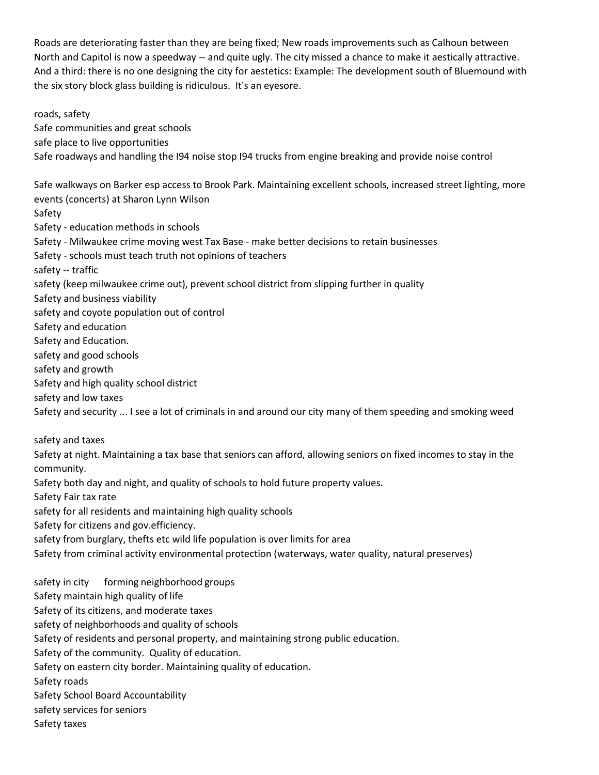Roads are deteriorating faster than they are being fixed; New roads improvements such as Calhoun between North and Capitol is now a speedway -- and quite ugly. The city missed a chance to make it aestically attractive. And a third: there is no one designing the city for aestetics: Example: The development south of Bluemound with the six story block glass building is ridiculous. It's an eyesore.

roads, safety Safe communities and great schools safe place to live opportunities Safe roadways and handling the I94 noise stop I94 trucks from engine breaking and provide noise control Safe walkways on Barker esp access to Brook Park. Maintaining excellent schools, increased street lighting, more events (concerts) at Sharon Lynn Wilson Safety Safety - education methods in schools Safety - Milwaukee crime moving west Tax Base - make better decisions to retain businesses Safety - schools must teach truth not opinions of teachers safety -- traffic safety (keep milwaukee crime out), prevent school district from slipping further in quality

Safety and business viability

safety and coyote population out of control

Safety and education

Safety and Education.

safety and good schools

safety and growth

Safety and high quality school district

safety and low taxes

Safety and security ... I see a lot of criminals in and around our city many of them speeding and smoking weed

safety and taxes

Safety at night. Maintaining a tax base that seniors can afford, allowing seniors on fixed incomes to stay in the community.

Safety both day and night, and quality of schools to hold future property values.

Safety Fair tax rate

safety for all residents and maintaining high quality schools

Safety for citizens and gov.efficiency.

safety from burglary, thefts etc wild life population is over limits for area

Safety from criminal activity environmental protection (waterways, water quality, natural preserves)

safety in city forming neighborhood groups Safety maintain high quality of life Safety of its citizens, and moderate taxes safety of neighborhoods and quality of schools Safety of residents and personal property, and maintaining strong public education. Safety of the community. Quality of education. Safety on eastern city border. Maintaining quality of education. Safety roads Safety School Board Accountability safety services for seniors Safety taxes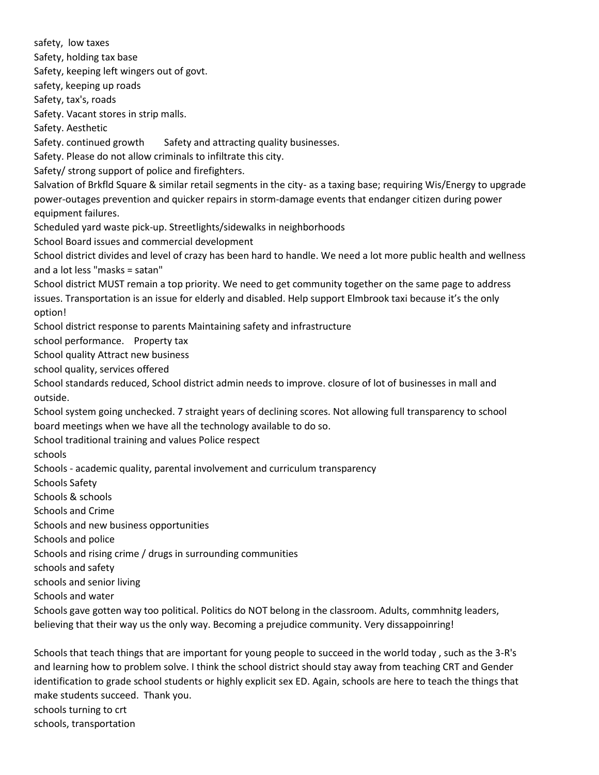safety, low taxes Safety, holding tax base Safety, keeping left wingers out of govt. safety, keeping up roads Safety, tax's, roads Safety. Vacant stores in strip malls. Safety. Aesthetic Safety. continued growth Safety and attracting quality businesses. Safety. Please do not allow criminals to infiltrate this city. Safety/ strong support of police and firefighters. Salvation of Brkfld Square & similar retail segments in the city- as a taxing base; requiring Wis/Energy to upgrade power-outages prevention and quicker repairs in storm-damage events that endanger citizen during power equipment failures. Scheduled yard waste pick-up. Streetlights/sidewalks in neighborhoods School Board issues and commercial development School district divides and level of crazy has been hard to handle. We need a lot more public health and wellness and a lot less "masks = satan" School district MUST remain a top priority. We need to get community together on the same page to address issues. Transportation is an issue for elderly and disabled. Help support Elmbrook taxi because it's the only option! School district response to parents Maintaining safety and infrastructure school performance. Property tax School quality Attract new business school quality, services offered School standards reduced, School district admin needs to improve. closure of lot of businesses in mall and outside. School system going unchecked. 7 straight years of declining scores. Not allowing full transparency to school board meetings when we have all the technology available to do so. School traditional training and values Police respect schools Schools - academic quality, parental involvement and curriculum transparency Schools Safety Schools & schools Schools and Crime Schools and new business opportunities Schools and police Schools and rising crime / drugs in surrounding communities schools and safety schools and senior living Schools and water Schools gave gotten way too political. Politics do NOT belong in the classroom. Adults, commhnitg leaders, believing that their way us the only way. Becoming a prejudice community. Very dissappoinring!

Schools that teach things that are important for young people to succeed in the world today , such as the 3-R's and learning how to problem solve. I think the school district should stay away from teaching CRT and Gender identification to grade school students or highly explicit sex ED. Again, schools are here to teach the things that make students succeed. Thank you. schools turning to crt

schools, transportation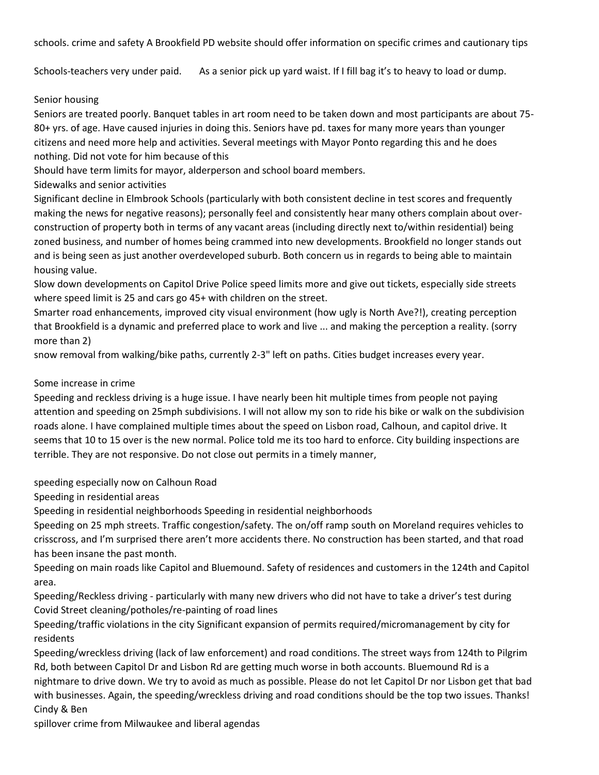schools. crime and safety A Brookfield PD website should offer information on specific crimes and cautionary tips

Schools-teachers very under paid. As a senior pick up yard waist. If I fill bag it's to heavy to load or dump.

### Senior housing

Seniors are treated poorly. Banquet tables in art room need to be taken down and most participants are about 75- 80+ yrs. of age. Have caused injuries in doing this. Seniors have pd. taxes for many more years than younger citizens and need more help and activities. Several meetings with Mayor Ponto regarding this and he does nothing. Did not vote for him because ofthis

Should have term limits for mayor, alderperson and school board members.

Sidewalks and senior activities

Significant decline in Elmbrook Schools (particularly with both consistent decline in test scores and frequently making the news for negative reasons); personally feel and consistently hear many others complain about overconstruction of property both in terms of any vacant areas (including directly next to/within residential) being zoned business, and number of homes being crammed into new developments. Brookfield no longer stands out and is being seen as just another overdeveloped suburb. Both concern us in regards to being able to maintain housing value.

Slow down developments on Capitol Drive Police speed limits more and give out tickets, especially side streets where speed limit is 25 and cars go 45+ with children on the street.

Smarter road enhancements, improved city visual environment (how ugly is North Ave?!), creating perception that Brookfield is a dynamic and preferred place to work and live ... and making the perception a reality. (sorry more than 2)

snow removal from walking/bike paths, currently 2-3" left on paths. Cities budget increases every year.

### Some increase in crime

Speeding and reckless driving is a huge issue. I have nearly been hit multiple times from people not paying attention and speeding on 25mph subdivisions. I will not allow my son to ride his bike or walk on the subdivision roads alone. I have complained multiple times about the speed on Lisbon road, Calhoun, and capitol drive. It seems that 10 to 15 over is the new normal. Police told me its too hard to enforce. City building inspections are terrible. They are not responsive. Do not close out permits in a timely manner,

speeding especially now on Calhoun Road

Speeding in residential areas

Speeding in residential neighborhoods Speeding in residential neighborhoods

Speeding on 25 mph streets. Traffic congestion/safety. The on/off ramp south on Moreland requires vehicles to crisscross, and I'm surprised there aren't more accidents there. No construction has been started, and that road has been insane the past month.

Speeding on main roads like Capitol and Bluemound. Safety of residences and customers in the 124th and Capitol area.

Speeding/Reckless driving - particularly with many new drivers who did not have to take a driver's test during Covid Street cleaning/potholes/re-painting of road lines

Speeding/traffic violations in the city Significant expansion of permits required/micromanagement by city for residents

Speeding/wreckless driving (lack of law enforcement) and road conditions. The street ways from 124th to Pilgrim Rd, both between Capitol Dr and Lisbon Rd are getting much worse in both accounts. Bluemound Rd is a nightmare to drive down. We try to avoid as much as possible. Please do not let Capitol Dr nor Lisbon get that bad with businesses. Again, the speeding/wreckless driving and road conditions should be the top two issues. Thanks! Cindy & Ben

spillover crime from Milwaukee and liberal agendas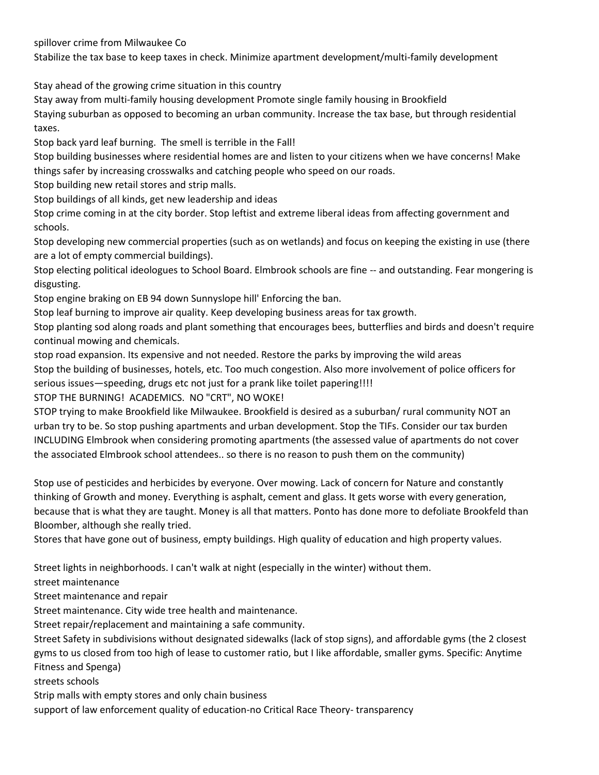spillover crime from Milwaukee Co

Stabilize the tax base to keep taxes in check. Minimize apartment development/multi-family development

Stay ahead of the growing crime situation in this country

Stay away from multi-family housing development Promote single family housing in Brookfield

Staying suburban as opposed to becoming an urban community. Increase the tax base, but through residential taxes.

Stop back yard leaf burning. The smell is terrible in the Fall!

Stop building businesses where residential homes are and listen to your citizens when we have concerns! Make things safer by increasing crosswalks and catching people who speed on our roads.

Stop building new retail stores and strip malls.

Stop buildings of all kinds, get new leadership and ideas

Stop crime coming in at the city border. Stop leftist and extreme liberal ideas from affecting government and schools.

Stop developing new commercial properties (such as on wetlands) and focus on keeping the existing in use (there are a lot of empty commercial buildings).

Stop electing political ideologues to School Board. Elmbrook schools are fine -- and outstanding. Fear mongering is disgusting.

Stop engine braking on EB 94 down Sunnyslope hill' Enforcing the ban.

Stop leaf burning to improve air quality. Keep developing business areas for tax growth.

Stop planting sod along roads and plant something that encourages bees, butterflies and birds and doesn't require continual mowing and chemicals.

stop road expansion. Its expensive and not needed. Restore the parks by improving the wild areas Stop the building of businesses, hotels, etc. Too much congestion. Also more involvement of police officers for serious issues—speeding, drugs etc not just for a prank like toilet papering!!!!

STOP THE BURNING! ACADEMICS. NO "CRT", NO WOKE!

STOP trying to make Brookfield like Milwaukee. Brookfield is desired as a suburban/ rural community NOT an urban try to be. So stop pushing apartments and urban development. Stop the TIFs. Consider our tax burden INCLUDING Elmbrook when considering promoting apartments (the assessed value of apartments do not cover the associated Elmbrook school attendees.. so there is no reason to push them on the community)

Stop use of pesticides and herbicides by everyone. Over mowing. Lack of concern for Nature and constantly thinking of Growth and money. Everything is asphalt, cement and glass. It gets worse with every generation, because that is what they are taught. Money is all that matters. Ponto has done more to defoliate Brookfeld than Bloomber, although she really tried.

Stores that have gone out of business, empty buildings. High quality of education and high property values.

Street lights in neighborhoods. I can't walk at night (especially in the winter) without them.

street maintenance

Street maintenance and repair

Street maintenance. City wide tree health and maintenance.

Street repair/replacement and maintaining a safe community.

Street Safety in subdivisions without designated sidewalks (lack of stop signs), and affordable gyms (the 2 closest gyms to us closed from too high of lease to customer ratio, but I like affordable, smaller gyms. Specific: Anytime Fitness and Spenga)

streets schools

Strip malls with empty stores and only chain business

support of law enforcement quality of education-no Critical Race Theory- transparency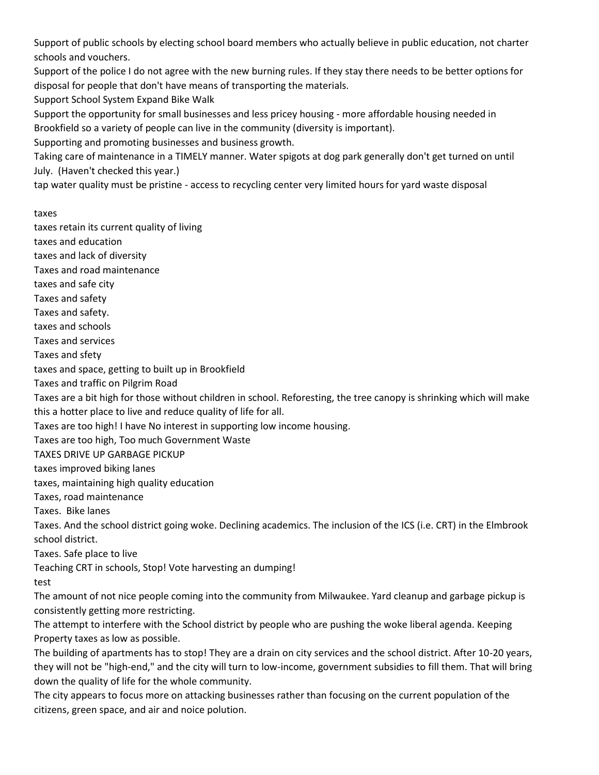Support of public schools by electing school board members who actually believe in public education, not charter schools and vouchers.

Support of the police I do not agree with the new burning rules. If they stay there needs to be better options for disposal for people that don't have means of transporting the materials.

Support School System Expand Bike Walk

Support the opportunity for small businesses and less pricey housing - more affordable housing needed in Brookfield so a variety of people can live in the community (diversity is important).

Supporting and promoting businesses and business growth.

Taking care of maintenance in a TIMELY manner. Water spigots at dog park generally don't get turned on until July. (Haven't checked this year.)

tap water quality must be pristine - access to recycling center very limited hours for yard waste disposal

taxes

taxes retain its current quality of living

taxes and education

taxes and lack of diversity

Taxes and road maintenance

taxes and safe city

Taxes and safety

Taxes and safety.

taxes and schools

Taxes and services

Taxes and sfety

taxes and space, getting to built up in Brookfield

Taxes and traffic on Pilgrim Road

Taxes are a bit high for those without children in school. Reforesting, the tree canopy is shrinking which will make this a hotter place to live and reduce quality of life for all.

Taxes are too high! I have No interest in supporting low income housing.

Taxes are too high, Too much Government Waste

TAXES DRIVE UP GARBAGE PICKUP

taxes improved biking lanes

taxes, maintaining high quality education

Taxes, road maintenance

Taxes. Bike lanes

Taxes. And the school district going woke. Declining academics. The inclusion of the ICS (i.e. CRT) in the Elmbrook school district.

Taxes. Safe place to live

Teaching CRT in schools, Stop! Vote harvesting an dumping!

test

The amount of not nice people coming into the community from Milwaukee. Yard cleanup and garbage pickup is consistently getting more restricting.

The attempt to interfere with the School district by people who are pushing the woke liberal agenda. Keeping Property taxes as low as possible.

The building of apartments has to stop! They are a drain on city services and the school district. After 10-20 years, they will not be "high-end," and the city will turn to low-income, government subsidies to fill them. That will bring down the quality of life for the whole community.

The city appears to focus more on attacking businesses rather than focusing on the current population of the citizens, green space, and air and noice polution.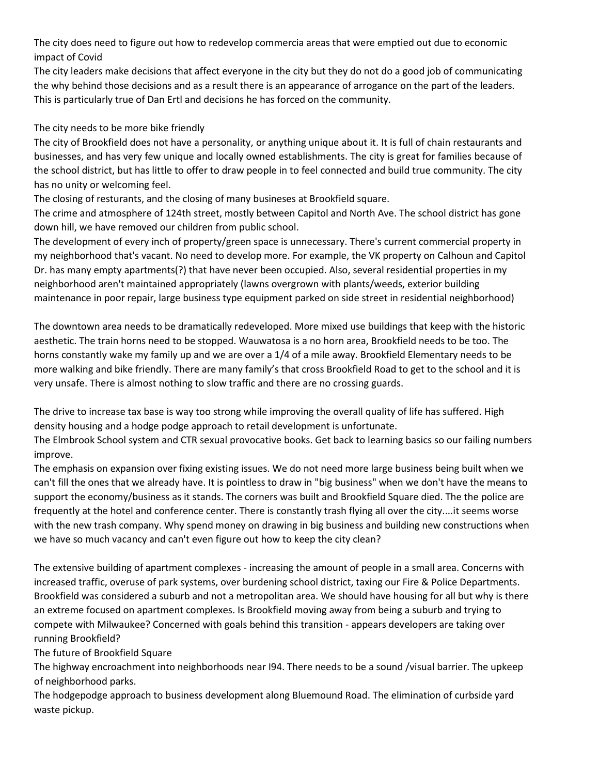The city does need to figure out how to redevelop commercia areas that were emptied out due to economic impact of Covid

The city leaders make decisions that affect everyone in the city but they do not do a good job of communicating the why behind those decisions and as a result there is an appearance of arrogance on the part of the leaders. This is particularly true of Dan Ertl and decisions he has forced on the community.

# The city needs to be more bike friendly

The city of Brookfield does not have a personality, or anything unique about it. It is full of chain restaurants and businesses, and has very few unique and locally owned establishments. The city is great for families because of the school district, but has little to offer to draw people in to feel connected and build true community. The city has no unity or welcoming feel.

The closing of resturants, and the closing of many busineses at Brookfield square.

The crime and atmosphere of 124th street, mostly between Capitol and North Ave. The school district has gone down hill, we have removed our children from public school.

The development of every inch of property/green space is unnecessary. There's current commercial property in my neighborhood that's vacant. No need to develop more. For example, the VK property on Calhoun and Capitol Dr. has many empty apartments(?) that have never been occupied. Also, several residential properties in my neighborhood aren't maintained appropriately (lawns overgrown with plants/weeds, exterior building maintenance in poor repair, large business type equipment parked on side street in residential neighborhood)

The downtown area needs to be dramatically redeveloped. More mixed use buildings that keep with the historic aesthetic. The train horns need to be stopped. Wauwatosa is a no horn area, Brookfield needs to be too. The horns constantly wake my family up and we are over a 1/4 of a mile away. Brookfield Elementary needs to be more walking and bike friendly. There are many family's that cross Brookfield Road to get to the school and it is very unsafe. There is almost nothing to slow traffic and there are no crossing guards.

The drive to increase tax base is way too strong while improving the overall quality of life has suffered. High density housing and a hodge podge approach to retail development is unfortunate.

The Elmbrook School system and CTR sexual provocative books. Get back to learning basics so our failing numbers improve.

The emphasis on expansion over fixing existing issues. We do not need more large business being built when we can't fill the ones that we already have. It is pointless to draw in "big business" when we don't have the means to support the economy/business as it stands. The corners was built and Brookfield Square died. The the police are frequently at the hotel and conference center. There is constantly trash flying all over the city....it seems worse with the new trash company. Why spend money on drawing in big business and building new constructions when we have so much vacancy and can't even figure out how to keep the city clean?

The extensive building of apartment complexes - increasing the amount of people in a small area. Concerns with increased traffic, overuse of park systems, over burdening school district, taxing our Fire & Police Departments. Brookfield was considered a suburb and not a metropolitan area. We should have housing for all but why is there an extreme focused on apartment complexes. Is Brookfield moving away from being a suburb and trying to compete with Milwaukee? Concerned with goals behind this transition - appears developers are taking over running Brookfield?

# The future of Brookfield Square

The highway encroachment into neighborhoods near I94. There needs to be a sound /visual barrier. The upkeep of neighborhood parks.

The hodgepodge approach to business development along Bluemound Road. The elimination of curbside yard waste pickup.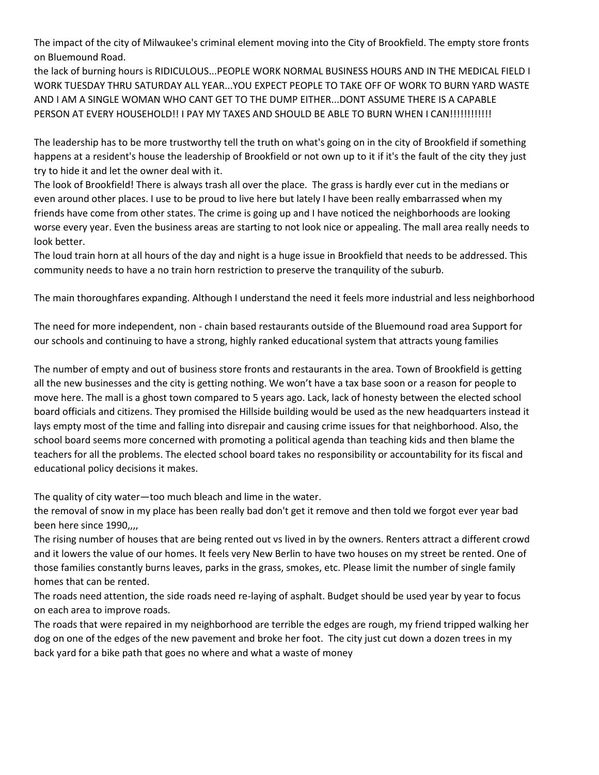The impact of the city of Milwaukee's criminal element moving into the City of Brookfield. The empty store fronts on Bluemound Road.

the lack of burning hours is RIDICULOUS...PEOPLE WORK NORMAL BUSINESS HOURS AND IN THE MEDICAL FIELD I WORK TUESDAY THRU SATURDAY ALL YEAR...YOU EXPECT PEOPLE TO TAKE OFF OF WORK TO BURN YARD WASTE AND I AM A SINGLE WOMAN WHO CANT GET TO THE DUMP EITHER...DONT ASSUME THERE IS A CAPABLE PERSON AT EVERY HOUSEHOLD!! I PAY MY TAXES AND SHOULD BE ABLE TO BURN WHEN I CAN!!!!!!!!!!!!

The leadership has to be more trustworthy tell the truth on what's going on in the city of Brookfield if something happens at a resident's house the leadership of Brookfield or not own up to it if it's the fault of the city they just try to hide it and let the owner deal with it.

The look of Brookfield! There is always trash all over the place. The grass is hardly ever cut in the medians or even around other places. I use to be proud to live here but lately I have been really embarrassed when my friends have come from other states. The crime is going up and I have noticed the neighborhoods are looking worse every year. Even the business areas are starting to not look nice or appealing. The mall area really needs to look better.

The loud train horn at all hours of the day and night is a huge issue in Brookfield that needs to be addressed. This community needs to have a no train horn restriction to preserve the tranquility of the suburb.

The main thoroughfares expanding. Although I understand the need it feels more industrial and less neighborhood

The need for more independent, non - chain based restaurants outside of the Bluemound road area Support for our schools and continuing to have a strong, highly ranked educational system that attracts young families

The number of empty and out of business store fronts and restaurants in the area. Town of Brookfield is getting all the new businesses and the city is getting nothing. We won't have a tax base soon or a reason for people to move here. The mall is a ghost town compared to 5 years ago. Lack, lack of honesty between the elected school board officials and citizens. They promised the Hillside building would be used as the new headquarters instead it lays empty most of the time and falling into disrepair and causing crime issues for that neighborhood. Also, the school board seems more concerned with promoting a political agenda than teaching kids and then blame the teachers for all the problems. The elected school board takes no responsibility or accountability for its fiscal and educational policy decisions it makes.

The quality of city water—too much bleach and lime in the water.

the removal of snow in my place has been really bad don't get it remove and then told we forgot ever year bad been here since 1990,,,,

The rising number of houses that are being rented out vs lived in by the owners. Renters attract a different crowd and it lowers the value of our homes. It feels very New Berlin to have two houses on my street be rented. One of those families constantly burns leaves, parks in the grass, smokes, etc. Please limit the number of single family homes that can be rented.

The roads need attention, the side roads need re-laying of asphalt. Budget should be used year by year to focus on each area to improve roads.

The roads that were repaired in my neighborhood are terrible the edges are rough, my friend tripped walking her dog on one of the edges of the new pavement and broke her foot. The city just cut down a dozen trees in my back yard for a bike path that goes no where and what a waste of money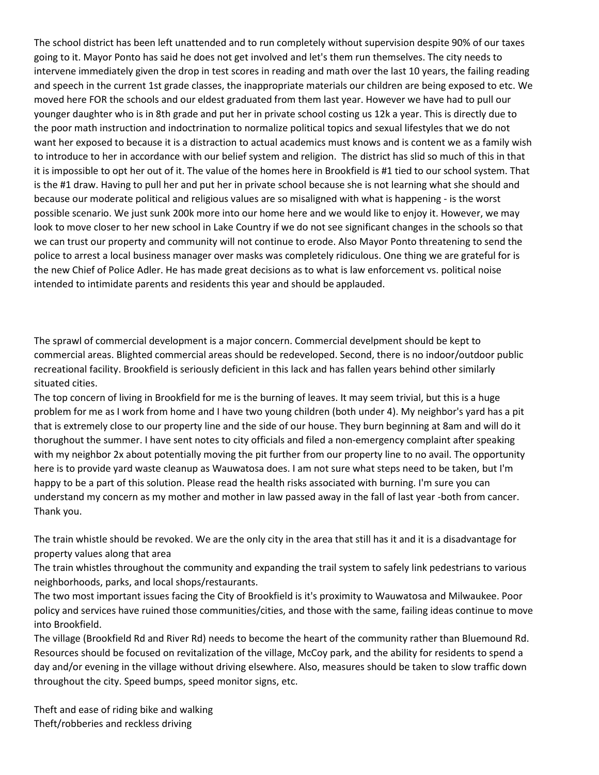The school district has been left unattended and to run completely without supervision despite 90% of our taxes going to it. Mayor Ponto has said he does not get involved and let's them run themselves. The city needs to intervene immediately given the drop in test scores in reading and math over the last 10 years, the failing reading and speech in the current 1st grade classes, the inappropriate materials our children are being exposed to etc. We moved here FOR the schools and our eldest graduated from them last year. However we have had to pull our younger daughter who is in 8th grade and put her in private school costing us 12k a year. This is directly due to the poor math instruction and indoctrination to normalize political topics and sexual lifestyles that we do not want her exposed to because it is a distraction to actual academics must knows and is content we as a family wish to introduce to her in accordance with our belief system and religion. The district has slid so much of this in that it is impossible to opt her out of it. The value of the homes here in Brookfield is #1 tied to our school system. That is the #1 draw. Having to pull her and put her in private school because she is not learning what she should and because our moderate political and religious values are so misaligned with what is happening - is the worst possible scenario. We just sunk 200k more into our home here and we would like to enjoy it. However, we may look to move closer to her new school in Lake Country if we do not see significant changes in the schools so that we can trust our property and community will not continue to erode. Also Mayor Ponto threatening to send the police to arrest a local business manager over masks was completely ridiculous. One thing we are grateful for is the new Chief of Police Adler. He has made great decisions as to what is law enforcement vs. political noise intended to intimidate parents and residents this year and should be applauded.

The sprawl of commercial development is a major concern. Commercial develpment should be kept to commercial areas. Blighted commercial areas should be redeveloped. Second, there is no indoor/outdoor public recreational facility. Brookfield is seriously deficient in this lack and has fallen years behind other similarly situated cities.

The top concern of living in Brookfield for me is the burning of leaves. It may seem trivial, but this is a huge problem for me as I work from home and I have two young children (both under 4). My neighbor's yard has a pit that is extremely close to our property line and the side of our house. They burn beginning at 8am and will do it thorughout the summer. I have sent notes to city officials and filed a non-emergency complaint after speaking with my neighbor 2x about potentially moving the pit further from our property line to no avail. The opportunity here is to provide yard waste cleanup as Wauwatosa does. I am not sure what steps need to be taken, but I'm happy to be a part of this solution. Please read the health risks associated with burning. I'm sure you can understand my concern as my mother and mother in law passed away in the fall of last year -both from cancer. Thank you.

The train whistle should be revoked. We are the only city in the area that still has it and it is a disadvantage for property values along that area

The train whistles throughout the community and expanding the trail system to safely link pedestrians to various neighborhoods, parks, and local shops/restaurants.

The two most important issues facing the City of Brookfield is it's proximity to Wauwatosa and Milwaukee. Poor policy and services have ruined those communities/cities, and those with the same, failing ideas continue to move into Brookfield.

The village (Brookfield Rd and River Rd) needs to become the heart of the community rather than Bluemound Rd. Resources should be focused on revitalization of the village, McCoy park, and the ability for residents to spend a day and/or evening in the village without driving elsewhere. Also, measures should be taken to slow traffic down throughout the city. Speed bumps, speed monitor signs, etc.

Theft and ease of riding bike and walking Theft/robberies and reckless driving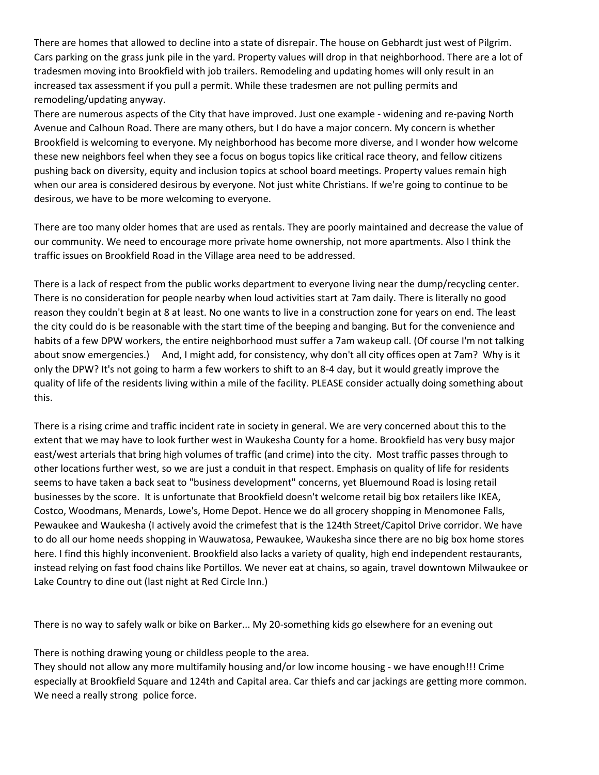There are homes that allowed to decline into a state of disrepair. The house on Gebhardt just west of Pilgrim. Cars parking on the grass junk pile in the yard. Property values will drop in that neighborhood. There are a lot of tradesmen moving into Brookfield with job trailers. Remodeling and updating homes will only result in an increased tax assessment if you pull a permit. While these tradesmen are not pulling permits and remodeling/updating anyway.

There are numerous aspects of the City that have improved. Just one example - widening and re-paving North Avenue and Calhoun Road. There are many others, but I do have a major concern. My concern is whether Brookfield is welcoming to everyone. My neighborhood has become more diverse, and I wonder how welcome these new neighbors feel when they see a focus on bogus topics like critical race theory, and fellow citizens pushing back on diversity, equity and inclusion topics at school board meetings. Property values remain high when our area is considered desirous by everyone. Not just white Christians. If we're going to continue to be desirous, we have to be more welcoming to everyone.

There are too many older homes that are used as rentals. They are poorly maintained and decrease the value of our community. We need to encourage more private home ownership, not more apartments. Also I think the traffic issues on Brookfield Road in the Village area need to be addressed.

There is a lack of respect from the public works department to everyone living near the dump/recycling center. There is no consideration for people nearby when loud activities start at 7am daily. There is literally no good reason they couldn't begin at 8 at least. No one wants to live in a construction zone for years on end. The least the city could do is be reasonable with the start time of the beeping and banging. But for the convenience and habits of a few DPW workers, the entire neighborhood must suffer a 7am wakeup call. (Of course I'm not talking about snow emergencies.) And, I might add, for consistency, why don't all city offices open at 7am? Why is it only the DPW? It's not going to harm a few workers to shift to an 8-4 day, but it would greatly improve the quality of life of the residents living within a mile of the facility. PLEASE consider actually doing something about this.

There is a rising crime and traffic incident rate in society in general. We are very concerned about this to the extent that we may have to look further west in Waukesha County for a home. Brookfield has very busy major east/west arterials that bring high volumes of traffic (and crime) into the city. Most traffic passes through to other locations further west, so we are just a conduit in that respect. Emphasis on quality of life for residents seems to have taken a back seat to "business development" concerns, yet Bluemound Road is losing retail businesses by the score. It is unfortunate that Brookfield doesn't welcome retail big box retailers like IKEA, Costco, Woodmans, Menards, Lowe's, Home Depot. Hence we do all grocery shopping in Menomonee Falls, Pewaukee and Waukesha (I actively avoid the crimefest that is the 124th Street/Capitol Drive corridor. We have to do all our home needs shopping in Wauwatosa, Pewaukee, Waukesha since there are no big box home stores here. I find this highly inconvenient. Brookfield also lacks a variety of quality, high end independent restaurants, instead relying on fast food chains like Portillos. We never eat at chains, so again, travel downtown Milwaukee or Lake Country to dine out (last night at Red Circle Inn.)

There is no way to safely walk or bike on Barker... My 20-something kids go elsewhere for an evening out

There is nothing drawing young or childless people to the area.

They should not allow any more multifamily housing and/or low income housing - we have enough!!! Crime especially at Brookfield Square and 124th and Capital area. Car thiefs and car jackings are getting more common. We need a really strong police force.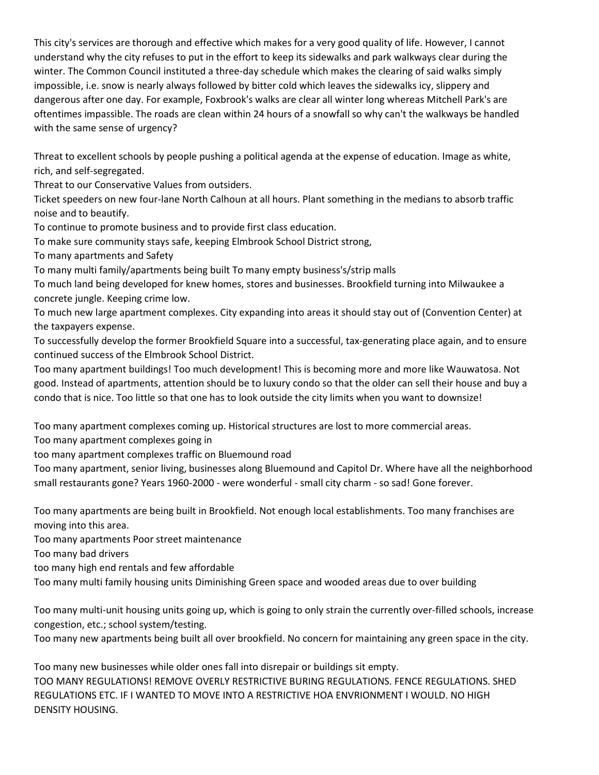This city's services are thorough and effective which makes for a very good quality of life. However, I cannot understand why the city refuses to put in the effort to keep its sidewalks and park walkways clear during the winter. The Common Council instituted a three-day schedule which makes the clearing of said walks simply impossible, i.e. snow is nearly always followed by bitter cold which leaves the sidewalks icy, slippery and dangerous after one day. For example, Foxbrook's walks are clear all winter long whereas Mitchell Park's are oftentimes impassible. The roads are clean within 24 hours of a snowfall so why can't the walkways be handled with the same sense of urgency?

Threat to excellent schools by people pushing a political agenda at the expense of education. Image as white, rich, and self-segregated.

Threat to our Conservative Values from outsiders.

Ticket speeders on new four-lane North Calhoun at all hours. Plant something in the medians to absorb traffic noise and to beautify.

To continue to promote business and to provide first class education.

To make sure community stays safe, keeping Elmbrook School District strong,

To many apartments and Safety

To many multi family/apartments being built To many empty business's/strip malls

To much land being developed for knew homes, stores and businesses. Brookfield turning into Milwaukee a concrete jungle. Keeping crime low.

To much new large apartment complexes. City expanding into areas it should stay out of (Convention Center) at the taxpayers expense.

To successfully develop the former Brookfield Square into a successful, tax-generating place again, and to ensure continued success of the Elmbrook School District.

Too many apartment buildings! Too much development! This is becoming more and more like Wauwatosa. Not good. Instead of apartments, attention should be to luxury condo so that the older can sell their house and buy a condo that is nice. Too little so that one has to look outside the city limits when you want to downsize!

Too many apartment complexes coming up. Historical structures are lost to more commercial areas.

Too many apartment complexes going in

too many apartment complexes traffic on Bluemound road

Too many apartment, senior living, businesses along Bluemound and Capitol Dr. Where have all the neighborhood small restaurants gone? Years 1960-2000 - were wonderful - small city charm - so sad! Gone forever.

Too many apartments are being built in Brookfield. Not enough local establishments. Too many franchises are moving into this area.

Too many apartments Poor street maintenance

Too many bad drivers

too many high end rentals and few affordable

Too many multi family housing units Diminishing Green space and wooded areas due to over building

Too many multi-unit housing units going up, which is going to only strain the currently over-filled schools, increase congestion, etc.; school system/testing.

Too many new apartments being built all over brookfield. No concern for maintaining any green space in the city.

Too many new businesses while older ones fall into disrepair or buildings sit empty. TOO MANY REGULATIONS! REMOVE OVERLY RESTRICTIVE BURING REGULATIONS. FENCE REGULATIONS. SHED REGULATIONS ETC. IF I WANTED TO MOVE INTO A RESTRICTIVE HOA ENVRIONMENT I WOULD. NO HIGH DENSITY HOUSING.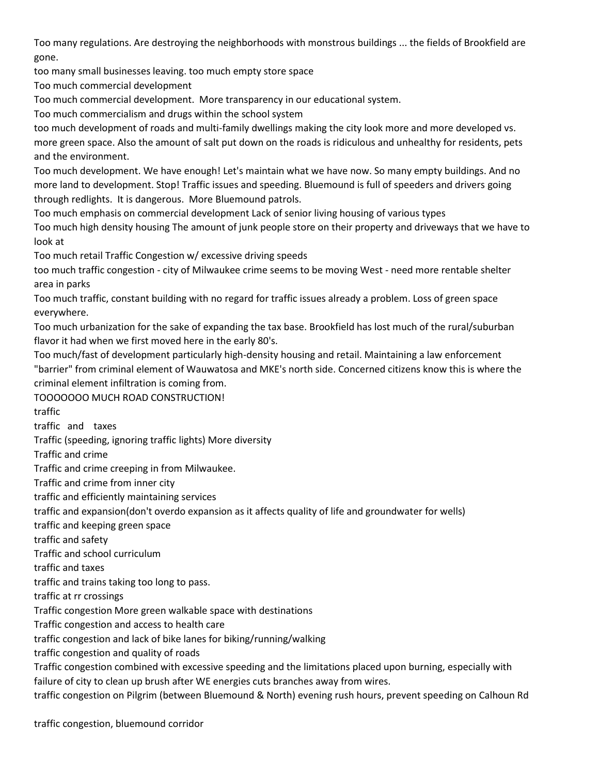Too many regulations. Are destroying the neighborhoods with monstrous buildings ... the fields of Brookfield are gone.

too many small businesses leaving. too much empty store space

Too much commercial development

Too much commercial development. More transparency in our educational system.

Too much commercialism and drugs within the school system

too much development of roads and multi-family dwellings making the city look more and more developed vs. more green space. Also the amount of salt put down on the roads is ridiculous and unhealthy for residents, pets and the environment.

Too much development. We have enough! Let's maintain what we have now. So many empty buildings. And no more land to development. Stop! Traffic issues and speeding. Bluemound is full of speeders and drivers going through redlights. It is dangerous. More Bluemound patrols.

Too much emphasis on commercial development Lack of senior living housing of various types

Too much high density housing The amount of junk people store on their property and driveways that we have to look at

Too much retail Traffic Congestion w/ excessive driving speeds

too much traffic congestion - city of Milwaukee crime seems to be moving West - need more rentable shelter area in parks

Too much traffic, constant building with no regard for traffic issues already a problem. Loss of green space everywhere.

Too much urbanization for the sake of expanding the tax base. Brookfield has lost much of the rural/suburban flavor it had when we first moved here in the early 80's.

Too much/fast of development particularly high-density housing and retail. Maintaining a law enforcement "barrier" from criminal element of Wauwatosa and MKE's north side. Concerned citizens know this is where the criminal element infiltration is coming from.

TOOOOOOO MUCH ROAD CONSTRUCTION!

traffic

traffic and taxes

Traffic (speeding, ignoring traffic lights) More diversity

Traffic and crime

Traffic and crime creeping in from Milwaukee.

Traffic and crime from inner city

traffic and efficiently maintaining services

traffic and expansion(don't overdo expansion as it affects quality of life and groundwater for wells)

traffic and keeping green space

traffic and safety

Traffic and school curriculum

traffic and taxes

traffic and trains taking too long to pass.

traffic at rr crossings

Traffic congestion More green walkable space with destinations

Traffic congestion and access to health care

traffic congestion and lack of bike lanes for biking/running/walking

traffic congestion and quality of roads

Traffic congestion combined with excessive speeding and the limitations placed upon burning, especially with failure of city to clean up brush after WE energies cuts branches away from wires.

traffic congestion on Pilgrim (between Bluemound & North) evening rush hours, prevent speeding on Calhoun Rd

traffic congestion, bluemound corridor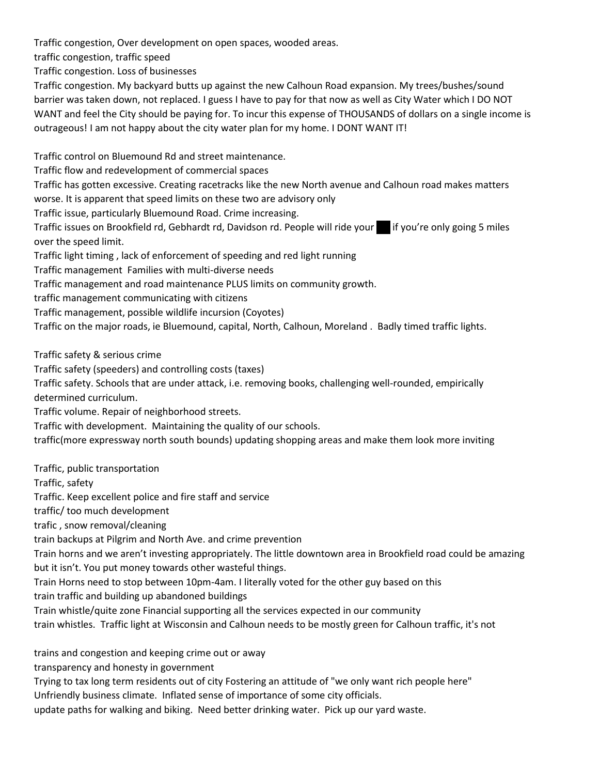Traffic congestion, Over development on open spaces, wooded areas.

traffic congestion, traffic speed

Traffic congestion. Loss of businesses

Traffic congestion. My backyard butts up against the new Calhoun Road expansion. My trees/bushes/sound barrier was taken down, not replaced. I guess I have to pay for that now as well as City Water which I DO NOT WANT and feel the City should be paying for. To incur this expense of THOUSANDS of dollars on a single income is outrageous! I am not happy about the city water plan for my home. I DONT WANT IT!

Traffic control on Bluemound Rd and street maintenance.

Traffic flow and redevelopment of commercial spaces

Traffic has gotten excessive. Creating racetracks like the new North avenue and Calhoun road makes matters worse. It is apparent that speed limits on these two are advisory only

Traffic issue, particularly Bluemound Road. Crime increasing.

Traffic issues on Brookfield rd, Gebhardt rd, Davidson rd. People will ride your if you're only going 5 miles over the speed limit.

Traffic light timing , lack of enforcement of speeding and red light running

Traffic management Families with multi-diverse needs

Traffic management and road maintenance PLUS limits on community growth.

traffic management communicating with citizens

Traffic management, possible wildlife incursion (Coyotes)

Traffic on the major roads, ie Bluemound, capital, North, Calhoun, Moreland . Badly timed traffic lights.

Traffic safety & serious crime

Traffic safety (speeders) and controlling costs (taxes)

Traffic safety. Schools that are under attack, i.e. removing books, challenging well-rounded, empirically determined curriculum.

Traffic volume. Repair of neighborhood streets.

Traffic with development. Maintaining the quality of our schools.

traffic(more expressway north south bounds) updating shopping areas and make them look more inviting

Traffic, public transportation

Traffic, safety

Traffic. Keep excellent police and fire staff and service

traffic/ too much development

trafic , snow removal/cleaning

train backups at Pilgrim and North Ave. and crime prevention

Train horns and we aren't investing appropriately. The little downtown area in Brookfield road could be amazing but it isn't. You put money towards other wasteful things.

Train Horns need to stop between 10pm-4am. I literally voted for the other guy based on this

train traffic and building up abandoned buildings

Train whistle/quite zone Financial supporting all the services expected in our community

train whistles. Traffic light at Wisconsin and Calhoun needs to be mostly green for Calhoun traffic, it's not

trains and congestion and keeping crime out or away

transparency and honesty in government

Trying to tax long term residents out of city Fostering an attitude of "we only want rich people here"

Unfriendly business climate. Inflated sense of importance of some city officials.

update paths for walking and biking. Need better drinking water. Pick up our yard waste.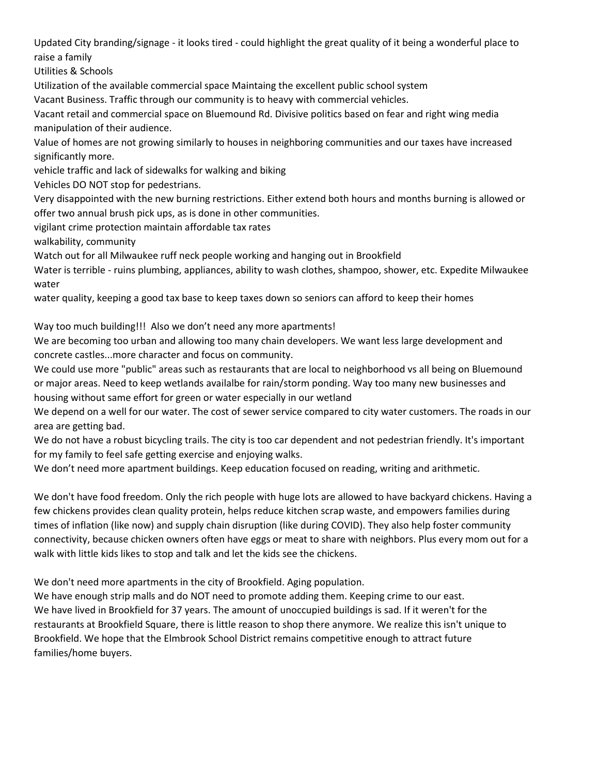Updated City branding/signage - it looks tired - could highlight the great quality of it being a wonderful place to raise a family

Utilities & Schools

Utilization of the available commercial space Maintaing the excellent public school system

Vacant Business. Traffic through our community is to heavy with commercial vehicles.

Vacant retail and commercial space on Bluemound Rd. Divisive politics based on fear and right wing media manipulation of their audience.

Value of homes are not growing similarly to houses in neighboring communities and our taxes have increased significantly more.

vehicle traffic and lack of sidewalks for walking and biking

Vehicles DO NOT stop for pedestrians.

Very disappointed with the new burning restrictions. Either extend both hours and months burning is allowed or offer two annual brush pick ups, as is done in other communities.

vigilant crime protection maintain affordable tax rates

walkability, community

Watch out for all Milwaukee ruff neck people working and hanging out in Brookfield

Water is terrible - ruins plumbing, appliances, ability to wash clothes, shampoo, shower, etc. Expedite Milwaukee water

water quality, keeping a good tax base to keep taxes down so seniors can afford to keep their homes

Way too much building!!! Also we don't need any more apartments!

We are becoming too urban and allowing too many chain developers. We want less large development and concrete castles...more character and focus on community.

We could use more "public" areas such as restaurants that are local to neighborhood vs all being on Bluemound or major areas. Need to keep wetlands availalbe for rain/storm ponding. Way too many new businesses and housing without same effort for green or water especially in our wetland

We depend on a well for our water. The cost of sewer service compared to city water customers. The roads in our area are getting bad.

We do not have a robust bicycling trails. The city is too car dependent and not pedestrian friendly. It's important for my family to feel safe getting exercise and enjoying walks.

We don't need more apartment buildings. Keep education focused on reading, writing and arithmetic.

We don't have food freedom. Only the rich people with huge lots are allowed to have backyard chickens. Having a few chickens provides clean quality protein, helps reduce kitchen scrap waste, and empowers families during times of inflation (like now) and supply chain disruption (like during COVID). They also help foster community connectivity, because chicken owners often have eggs or meat to share with neighbors. Plus every mom out for a walk with little kids likes to stop and talk and let the kids see the chickens.

We don't need more apartments in the city of Brookfield. Aging population.

We have enough strip malls and do NOT need to promote adding them. Keeping crime to our east. We have lived in Brookfield for 37 years. The amount of unoccupied buildings is sad. If it weren't for the restaurants at Brookfield Square, there is little reason to shop there anymore. We realize this isn't unique to Brookfield. We hope that the Elmbrook School District remains competitive enough to attract future families/home buyers.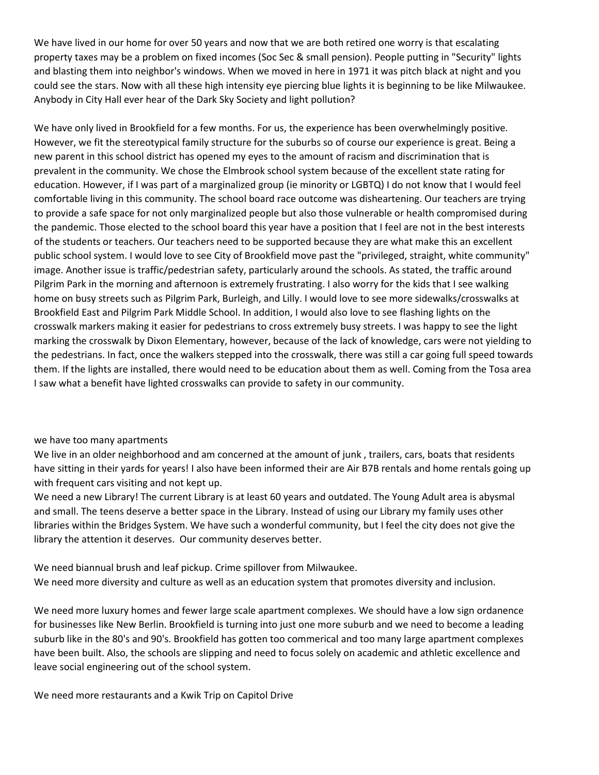We have lived in our home for over 50 years and now that we are both retired one worry is that escalating property taxes may be a problem on fixed incomes (Soc Sec & small pension). People putting in "Security" lights and blasting them into neighbor's windows. When we moved in here in 1971 it was pitch black at night and you could see the stars. Now with all these high intensity eye piercing blue lights it is beginning to be like Milwaukee. Anybody in City Hall ever hear of the Dark Sky Society and light pollution?

We have only lived in Brookfield for a few months. For us, the experience has been overwhelmingly positive. However, we fit the stereotypical family structure for the suburbs so of course our experience is great. Being a new parent in this school district has opened my eyes to the amount of racism and discrimination that is prevalent in the community. We chose the Elmbrook school system because of the excellent state rating for education. However, if I was part of a marginalized group (ie minority or LGBTQ) I do not know that I would feel comfortable living in this community. The school board race outcome was disheartening. Our teachers are trying to provide a safe space for not only marginalized people but also those vulnerable or health compromised during the pandemic. Those elected to the school board this year have a position that I feel are not in the best interests of the students or teachers. Our teachers need to be supported because they are what make this an excellent public school system. I would love to see City of Brookfield move past the "privileged, straight, white community" image. Another issue is traffic/pedestrian safety, particularly around the schools. As stated, the traffic around Pilgrim Park in the morning and afternoon is extremely frustrating. I also worry for the kids that I see walking home on busy streets such as Pilgrim Park, Burleigh, and Lilly. I would love to see more sidewalks/crosswalks at Brookfield East and Pilgrim Park Middle School. In addition, I would also love to see flashing lights on the crosswalk markers making it easier for pedestrians to cross extremely busy streets. I was happy to see the light marking the crosswalk by Dixon Elementary, however, because of the lack of knowledge, cars were not yielding to the pedestrians. In fact, once the walkers stepped into the crosswalk, there was still a car going full speed towards them. If the lights are installed, there would need to be education about them as well. Coming from the Tosa area I saw what a benefit have lighted crosswalks can provide to safety in our community.

#### we have too many apartments

We live in an older neighborhood and am concerned at the amount of junk, trailers, cars, boats that residents have sitting in their yards for years! I also have been informed their are Air B7B rentals and home rentals going up with frequent cars visiting and not kept up.

We need a new Library! The current Library is at least 60 years and outdated. The Young Adult area is abysmal and small. The teens deserve a better space in the Library. Instead of using our Library my family uses other libraries within the Bridges System. We have such a wonderful community, but I feel the city does not give the library the attention it deserves. Our community deserves better.

We need biannual brush and leaf pickup. Crime spillover from Milwaukee. We need more diversity and culture as well as an education system that promotes diversity and inclusion.

We need more luxury homes and fewer large scale apartment complexes. We should have a low sign ordanence for businesses like New Berlin. Brookfield is turning into just one more suburb and we need to become a leading suburb like in the 80's and 90's. Brookfield has gotten too commerical and too many large apartment complexes have been built. Also, the schools are slipping and need to focus solely on academic and athletic excellence and leave social engineering out of the school system.

We need more restaurants and a Kwik Trip on Capitol Drive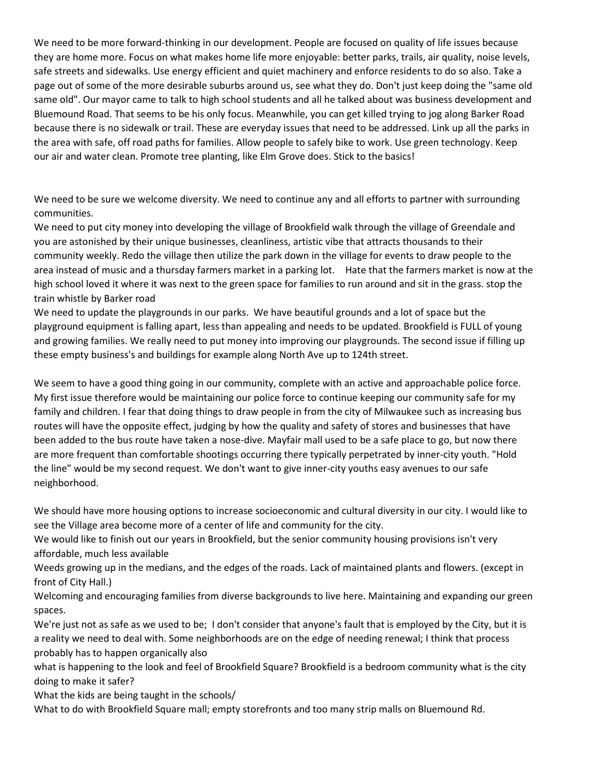We need to be more forward-thinking in our development. People are focused on quality of life issues because they are home more. Focus on what makes home life more enjoyable: better parks, trails, air quality, noise levels, safe streets and sidewalks. Use energy efficient and quiet machinery and enforce residents to do so also. Take a page out of some of the more desirable suburbs around us, see what they do. Don't just keep doing the "same old same old". Our mayor came to talk to high school students and all he talked about was business development and Bluemound Road. That seems to be his only focus. Meanwhile, you can get killed trying to jog along Barker Road because there is no sidewalk or trail. These are everyday issues that need to be addressed. Link up all the parks in the area with safe, off road paths for families. Allow people to safely bike to work. Use green technology. Keep our air and water clean. Promote tree planting, like Elm Grove does. Stick to the basics!

We need to be sure we welcome diversity. We need to continue any and all efforts to partner with surrounding communities.

We need to put city money into developing the village of Brookfield walk through the village of Greendale and you are astonished by their unique businesses, cleanliness, artistic vibe that attracts thousands to their community weekly. Redo the village then utilize the park down in the village for events to draw people to the area instead of music and a thursday farmers market in a parking lot. Hate that the farmers market is now at the high school loved it where it was next to the green space for families to run around and sit in the grass. stop the train whistle by Barker road

We need to update the playgrounds in our parks. We have beautiful grounds and a lot of space but the playground equipment is falling apart, less than appealing and needs to be updated. Brookfield is FULL of young and growing families. We really need to put money into improving our playgrounds. The second issue if filling up these empty business's and buildings for example along North Ave up to 124th street.

We seem to have a good thing going in our community, complete with an active and approachable police force. My first issue therefore would be maintaining our police force to continue keeping our community safe for my family and children. I fear that doing things to draw people in from the city of Milwaukee such as increasing bus routes will have the opposite effect, judging by how the quality and safety of stores and businesses that have been added to the bus route have taken a nose-dive. Mayfair mall used to be a safe place to go, but now there are more frequent than comfortable shootings occurring there typically perpetrated by inner-city youth. "Hold the line" would be my second request. We don't want to give inner-city youths easy avenues to our safe neighborhood.

We should have more housing options to increase socioeconomic and cultural diversity in our city. I would like to see the Village area become more of a center of life and community for the city.

We would like to finish out our years in Brookfield, but the senior community housing provisions isn't very affordable, much less available

Weeds growing up in the medians, and the edges of the roads. Lack of maintained plants and flowers. (except in front of City Hall.)

Welcoming and encouraging families from diverse backgrounds to live here. Maintaining and expanding our green spaces.

We're just not as safe as we used to be; I don't consider that anyone's fault that is employed by the City, but it is a reality we need to deal with. Some neighborhoods are on the edge of needing renewal; I think that process probably has to happen organically also

what is happening to the look and feel of Brookfield Square? Brookfield is a bedroom community what is the city doing to make it safer?

What the kids are being taught in the schools/

What to do with Brookfield Square mall; empty storefronts and too many strip malls on Bluemound Rd.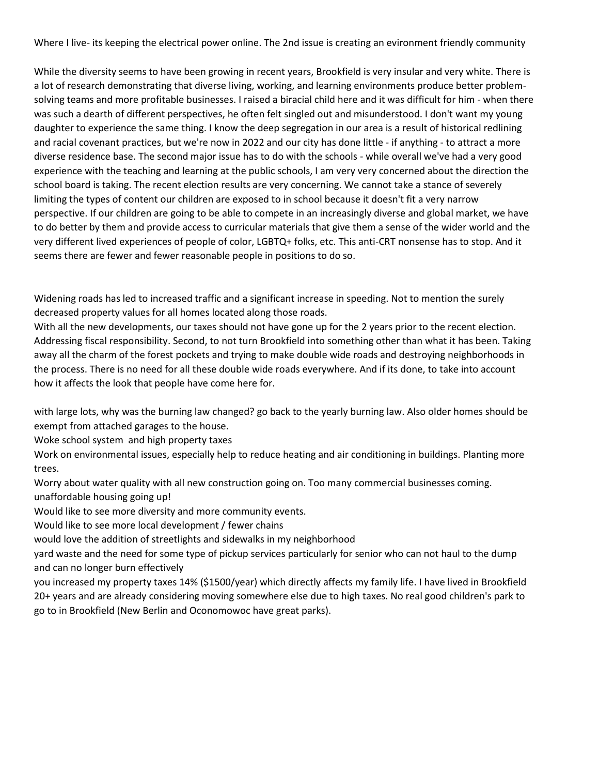Where I live- its keeping the electrical power online. The 2nd issue is creating an evironment friendly community

While the diversity seems to have been growing in recent years, Brookfield is very insular and very white. There is a lot of research demonstrating that diverse living, working, and learning environments produce better problemsolving teams and more profitable businesses. I raised a biracial child here and it was difficult for him - when there was such a dearth of different perspectives, he often felt singled out and misunderstood. I don't want my young daughter to experience the same thing. I know the deep segregation in our area is a result of historical redlining and racial covenant practices, but we're now in 2022 and our city has done little - if anything - to attract a more diverse residence base. The second major issue has to do with the schools - while overall we've had a very good experience with the teaching and learning at the public schools, I am very very concerned about the direction the school board is taking. The recent election results are very concerning. We cannot take a stance of severely limiting the types of content our children are exposed to in school because it doesn't fit a very narrow perspective. If our children are going to be able to compete in an increasingly diverse and global market, we have to do better by them and provide access to curricular materials that give them a sense of the wider world and the very different lived experiences of people of color, LGBTQ+ folks, etc. This anti-CRT nonsense has to stop. And it seems there are fewer and fewer reasonable people in positions to do so.

Widening roads has led to increased traffic and a significant increase in speeding. Not to mention the surely decreased property values for all homes located along those roads.

With all the new developments, our taxes should not have gone up for the 2 years prior to the recent election. Addressing fiscal responsibility. Second, to not turn Brookfield into something other than what it has been. Taking away all the charm of the forest pockets and trying to make double wide roads and destroying neighborhoods in the process. There is no need for all these double wide roads everywhere. And if its done, to take into account how it affects the look that people have come here for.

with large lots, why was the burning law changed? go back to the yearly burning law. Also older homes should be exempt from attached garages to the house.

Woke school system and high property taxes

Work on environmental issues, especially help to reduce heating and air conditioning in buildings. Planting more trees.

Worry about water quality with all new construction going on. Too many commercial businesses coming. unaffordable housing going up!

Would like to see more diversity and more community events.

Would like to see more local development / fewer chains

would love the addition of streetlights and sidewalks in my neighborhood

yard waste and the need for some type of pickup services particularly for senior who can not haul to the dump and can no longer burn effectively

you increased my property taxes 14% (\$1500/year) which directly affects my family life. I have lived in Brookfield 20+ years and are already considering moving somewhere else due to high taxes. No real good children's park to go to in Brookfield (New Berlin and Oconomowoc have great parks).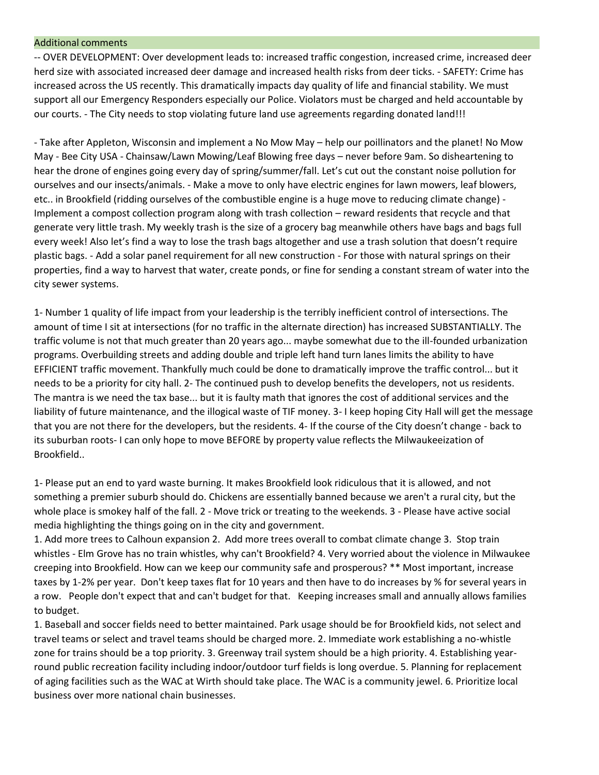#### Additional comments

-- OVER DEVELOPMENT: Over development leads to: increased traffic congestion, increased crime, increased deer herd size with associated increased deer damage and increased health risks from deer ticks. - SAFETY: Crime has increased across the US recently. This dramatically impacts day quality of life and financial stability. We must support all our Emergency Responders especially our Police. Violators must be charged and held accountable by our courts. - The City needs to stop violating future land use agreements regarding donated land!!!

- Take after Appleton, Wisconsin and implement a No Mow May – help our poillinators and the planet! No Mow May - Bee City USA - Chainsaw/Lawn Mowing/Leaf Blowing free days – never before 9am. So disheartening to hear the drone of engines going every day of spring/summer/fall. Let's cut out the constant noise pollution for ourselves and our insects/animals. - Make a move to only have electric engines for lawn mowers, leaf blowers, etc.. in Brookfield (ridding ourselves of the combustible engine is a huge move to reducing climate change) - Implement a compost collection program along with trash collection – reward residents that recycle and that generate very little trash. My weekly trash is the size of a grocery bag meanwhile others have bags and bags full every week! Also let's find a way to lose the trash bags altogether and use a trash solution that doesn't require plastic bags. - Add a solar panel requirement for all new construction - For those with natural springs on their properties, find a way to harvest that water, create ponds, or fine for sending a constant stream of water into the city sewer systems.

1- Number 1 quality of life impact from your leadership is the terribly inefficient control of intersections. The amount of time I sit at intersections (for no traffic in the alternate direction) has increased SUBSTANTIALLY. The traffic volume is not that much greater than 20 years ago... maybe somewhat due to the ill-founded urbanization programs. Overbuilding streets and adding double and triple left hand turn lanes limits the ability to have EFFICIENT traffic movement. Thankfully much could be done to dramatically improve the traffic control... but it needs to be a priority for city hall. 2- The continued push to develop benefits the developers, not us residents. The mantra is we need the tax base... but it is faulty math that ignores the cost of additional services and the liability of future maintenance, and the illogical waste of TIF money. 3- I keep hoping City Hall will get the message that you are not there for the developers, but the residents. 4- If the course of the City doesn't change - back to its suburban roots- I can only hope to move BEFORE by property value reflects the Milwaukeeization of Brookfield..

1- Please put an end to yard waste burning. It makes Brookfield look ridiculous that it is allowed, and not something a premier suburb should do. Chickens are essentially banned because we aren't a rural city, but the whole place is smokey half of the fall. 2 - Move trick or treating to the weekends. 3 - Please have active social media highlighting the things going on in the city and government.

1. Add more trees to Calhoun expansion 2. Add more trees overall to combat climate change 3. Stop train whistles - Elm Grove has no train whistles, why can't Brookfield? 4. Very worried about the violence in Milwaukee creeping into Brookfield. How can we keep our community safe and prosperous? \*\* Most important, increase taxes by 1-2% per year. Don't keep taxes flat for 10 years and then have to do increases by % for several years in a row. People don't expect that and can't budget for that. Keeping increases small and annually allows families to budget.

1. Baseball and soccer fields need to better maintained. Park usage should be for Brookfield kids, not select and travel teams or select and travel teams should be charged more. 2. Immediate work establishing a no-whistle zone for trains should be a top priority. 3. Greenway trail system should be a high priority. 4. Establishing yearround public recreation facility including indoor/outdoor turf fields is long overdue. 5. Planning for replacement of aging facilities such as the WAC at Wirth should take place. The WAC is a community jewel. 6. Prioritize local business over more national chain businesses.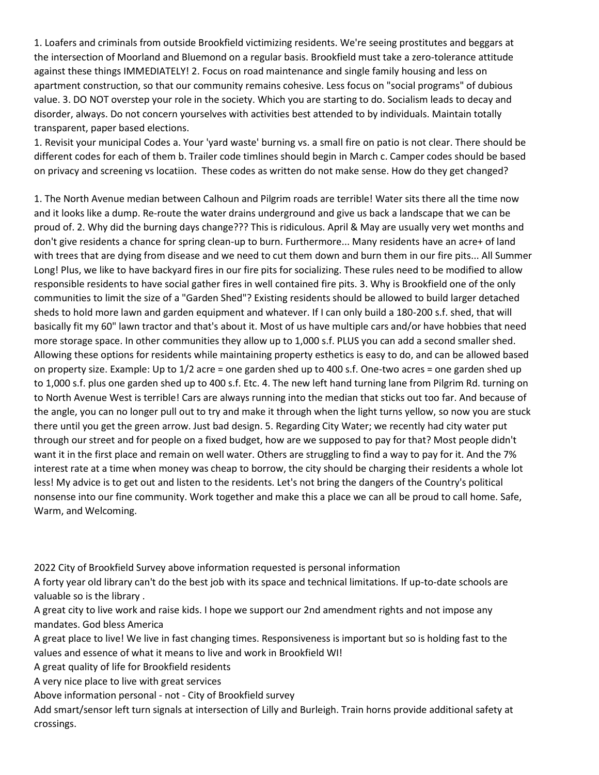1. Loafers and criminals from outside Brookfield victimizing residents. We're seeing prostitutes and beggars at the intersection of Moorland and Bluemond on a regular basis. Brookfield must take a zero-tolerance attitude against these things IMMEDIATELY! 2. Focus on road maintenance and single family housing and less on apartment construction, so that our community remains cohesive. Less focus on "social programs" of dubious value. 3. DO NOT overstep your role in the society. Which you are starting to do. Socialism leads to decay and disorder, always. Do not concern yourselves with activities best attended to by individuals. Maintain totally transparent, paper based elections.

1. Revisit your municipal Codes a. Your 'yard waste' burning vs. a small fire on patio is not clear. There should be different codes for each of them b. Trailer code timlines should begin in March c. Camper codes should be based on privacy and screening vs locatiion. These codes as written do not make sense. How do they get changed?

1. The North Avenue median between Calhoun and Pilgrim roads are terrible! Water sits there all the time now and it looks like a dump. Re-route the water drains underground and give us back a landscape that we can be proud of. 2. Why did the burning days change??? This is ridiculous. April & May are usually very wet months and don't give residents a chance for spring clean-up to burn. Furthermore... Many residents have an acre+ of land with trees that are dying from disease and we need to cut them down and burn them in our fire pits... All Summer Long! Plus, we like to have backyard fires in our fire pits for socializing. These rules need to be modified to allow responsible residents to have social gather fires in well contained fire pits. 3. Why is Brookfield one of the only communities to limit the size of a "Garden Shed"? Existing residents should be allowed to build larger detached sheds to hold more lawn and garden equipment and whatever. If I can only build a 180-200 s.f. shed, that will basically fit my 60" lawn tractor and that's about it. Most of us have multiple cars and/or have hobbies that need more storage space. In other communities they allow up to 1,000 s.f. PLUS you can add a second smaller shed. Allowing these options for residents while maintaining property esthetics is easy to do, and can be allowed based on property size. Example: Up to 1/2 acre = one garden shed up to 400 s.f. One-two acres = one garden shed up to 1,000 s.f. plus one garden shed up to 400 s.f. Etc. 4. The new left hand turning lane from Pilgrim Rd. turning on to North Avenue West is terrible! Cars are always running into the median that sticks out too far. And because of the angle, you can no longer pull out to try and make it through when the light turns yellow, so now you are stuck there until you get the green arrow. Just bad design. 5. Regarding City Water; we recently had city water put through our street and for people on a fixed budget, how are we supposed to pay for that? Most people didn't want it in the first place and remain on well water. Others are struggling to find a way to pay for it. And the 7% interest rate at a time when money was cheap to borrow, the city should be charging their residents a whole lot less! My advice is to get out and listen to the residents. Let's not bring the dangers of the Country's political nonsense into our fine community. Work together and make this a place we can all be proud to call home. Safe, Warm, and Welcoming.

2022 City of Brookfield Survey above information requested is personal information

A forty year old library can't do the best job with its space and technical limitations. If up-to-date schools are valuable so is the library .

A great city to live work and raise kids. I hope we support our 2nd amendment rights and not impose any mandates. God bless America

A great place to live! We live in fast changing times. Responsiveness is important but so is holding fast to the values and essence of what it means to live and work in Brookfield WI!

A great quality of life for Brookfield residents

A very nice place to live with great services

Above information personal - not - City of Brookfield survey

Add smart/sensor left turn signals at intersection of Lilly and Burleigh. Train horns provide additional safety at crossings.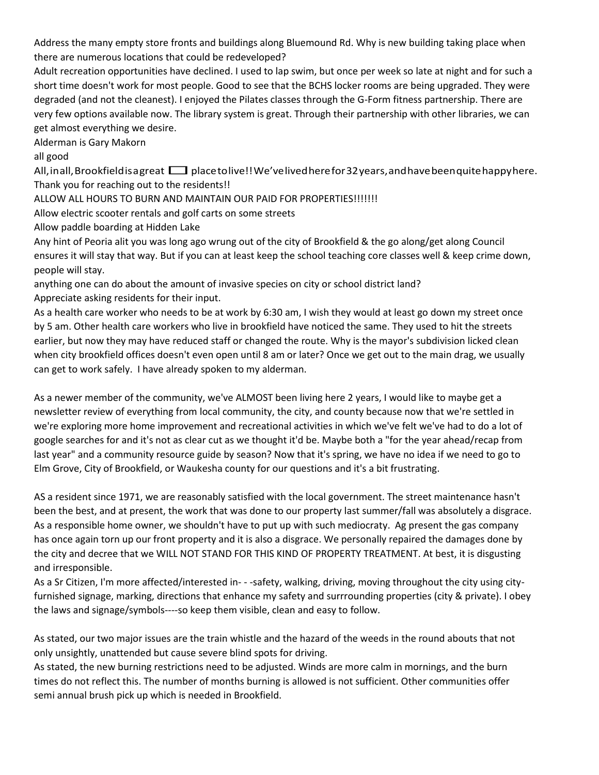Address the many empty store fronts and buildings along Bluemound Rd. Why is new building taking place when there are numerous locations that could be redeveloped?

Adult recreation opportunities have declined. I used to lap swim, but once per week so late at night and for such a short time doesn't work for most people. Good to see that the BCHS locker rooms are being upgraded. They were degraded (and not the cleanest). I enjoyed the Pilates classes through the G-Form fitness partnership. There are very few options available now. The library system is great. Through their partnership with other libraries, we can get almost everything we desire.

Alderman is Gary Makorn

all good

All, inall, Brookfield is a great  $\Box$  place to live!! We've lived here for 32 years, and have been quite happy here. Thank you for reaching out to the residents!!

ALLOW ALL HOURS TO BURN AND MAINTAIN OUR PAID FOR PROPERTIES!!!!!!!

Allow electric scooter rentals and golf carts on some streets

Allow paddle boarding at Hidden Lake

Any hint of Peoria alit you was long ago wrung out of the city of Brookfield & the go along/get along Council ensures it will stay that way. But if you can at least keep the school teaching core classes well & keep crime down, people will stay.

anything one can do about the amount of invasive species on city or school district land? Appreciate asking residents for their input.

As a health care worker who needs to be at work by 6:30 am, I wish they would at least go down my street once by 5 am. Other health care workers who live in brookfield have noticed the same. They used to hit the streets earlier, but now they may have reduced staff or changed the route. Why is the mayor's subdivision licked clean when city brookfield offices doesn't even open until 8 am or later? Once we get out to the main drag, we usually can get to work safely. I have already spoken to my alderman.

As a newer member of the community, we've ALMOST been living here 2 years, I would like to maybe get a newsletter review of everything from local community, the city, and county because now that we're settled in we're exploring more home improvement and recreational activities in which we've felt we've had to do a lot of google searches for and it's not as clear cut as we thought it'd be. Maybe both a "for the year ahead/recap from last year" and a community resource guide by season? Now that it's spring, we have no idea if we need to go to Elm Grove, City of Brookfield, or Waukesha county for our questions and it's a bit frustrating.

AS a resident since 1971, we are reasonably satisfied with the local government. The street maintenance hasn't been the best, and at present, the work that was done to our property last summer/fall was absolutely a disgrace. As a responsible home owner, we shouldn't have to put up with such mediocraty. Ag present the gas company has once again torn up our front property and it is also a disgrace. We personally repaired the damages done by the city and decree that we WILL NOT STAND FOR THIS KIND OF PROPERTY TREATMENT. At best, it is disgusting and irresponsible.

As a Sr Citizen, I'm more affected/interested in- - -safety, walking, driving, moving throughout the city using cityfurnished signage, marking, directions that enhance my safety and surrrounding properties (city & private). I obey the laws and signage/symbols----so keep them visible, clean and easy to follow.

As stated, our two major issues are the train whistle and the hazard of the weeds in the round abouts that not only unsightly, unattended but cause severe blind spots for driving.

As stated, the new burning restrictions need to be adjusted. Winds are more calm in mornings, and the burn times do not reflect this. The number of months burning is allowed is not sufficient. Other communities offer semi annual brush pick up which is needed in Brookfield.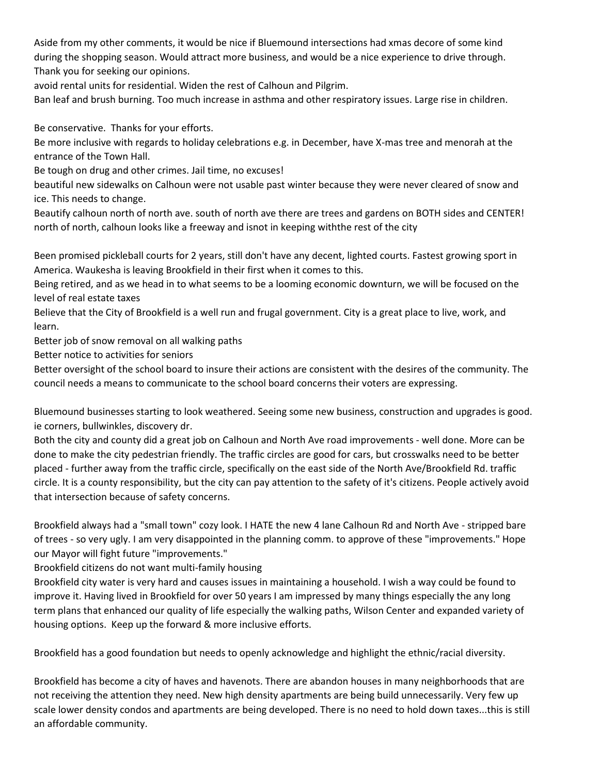Aside from my other comments, it would be nice if Bluemound intersections had xmas decore of some kind during the shopping season. Would attract more business, and would be a nice experience to drive through. Thank you for seeking our opinions.

avoid rental units for residential. Widen the rest of Calhoun and Pilgrim.

Ban leaf and brush burning. Too much increase in asthma and other respiratory issues. Large rise in children.

Be conservative. Thanks for your efforts.

Be more inclusive with regards to holiday celebrations e.g. in December, have X-mas tree and menorah at the entrance of the Town Hall.

Be tough on drug and other crimes. Jail time, no excuses!

beautiful new sidewalks on Calhoun were not usable past winter because they were never cleared of snow and ice. This needs to change.

Beautify calhoun north of north ave. south of north ave there are trees and gardens on BOTH sides and CENTER! north of north, calhoun looks like a freeway and isnot in keeping withthe rest of the city

Been promised pickleball courts for 2 years, still don't have any decent, lighted courts. Fastest growing sport in America. Waukesha is leaving Brookfield in their first when it comes to this.

Being retired, and as we head in to what seems to be a looming economic downturn, we will be focused on the level of real estate taxes

Believe that the City of Brookfield is a well run and frugal government. City is a great place to live, work, and learn.

Better job of snow removal on all walking paths

Better notice to activities for seniors

Better oversight of the school board to insure their actions are consistent with the desires of the community. The council needs a means to communicate to the school board concerns their voters are expressing.

Bluemound businesses starting to look weathered. Seeing some new business, construction and upgrades is good. ie corners, bullwinkles, discovery dr.

Both the city and county did a great job on Calhoun and North Ave road improvements - well done. More can be done to make the city pedestrian friendly. The traffic circles are good for cars, but crosswalks need to be better placed - further away from the traffic circle, specifically on the east side of the North Ave/Brookfield Rd. traffic circle. It is a county responsibility, but the city can pay attention to the safety of it's citizens. People actively avoid that intersection because of safety concerns.

Brookfield always had a "small town" cozy look. I HATE the new 4 lane Calhoun Rd and North Ave - stripped bare of trees - so very ugly. I am very disappointed in the planning comm. to approve of these "improvements." Hope our Mayor will fight future "improvements."

Brookfield citizens do not want multi-family housing

Brookfield city water is very hard and causes issues in maintaining a household. I wish a way could be found to improve it. Having lived in Brookfield for over 50 years I am impressed by many things especially the any long term plans that enhanced our quality of life especially the walking paths, Wilson Center and expanded variety of housing options. Keep up the forward & more inclusive efforts.

Brookfield has a good foundation but needs to openly acknowledge and highlight the ethnic/racial diversity.

Brookfield has become a city of haves and havenots. There are abandon houses in many neighborhoods that are not receiving the attention they need. New high density apartments are being build unnecessarily. Very few up scale lower density condos and apartments are being developed. There is no need to hold down taxes...this is still an affordable community.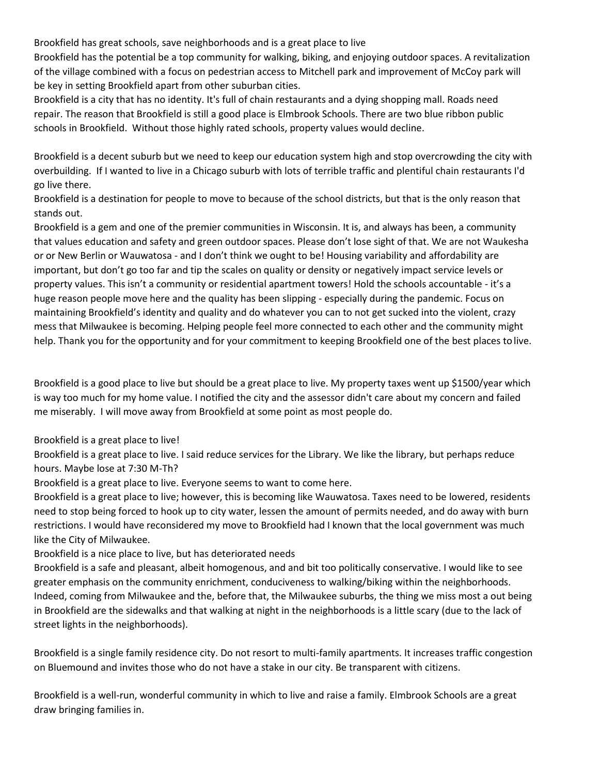Brookfield has great schools, save neighborhoods and is a great place to live

Brookfield has the potential be a top community for walking, biking, and enjoying outdoor spaces. A revitalization of the village combined with a focus on pedestrian access to Mitchell park and improvement of McCoy park will be key in setting Brookfield apart from other suburban cities.

Brookfield is a city that has no identity. It's full of chain restaurants and a dying shopping mall. Roads need repair. The reason that Brookfield is still a good place is Elmbrook Schools. There are two blue ribbon public schools in Brookfield. Without those highly rated schools, property values would decline.

Brookfield is a decent suburb but we need to keep our education system high and stop overcrowding the city with overbuilding. If I wanted to live in a Chicago suburb with lots of terrible traffic and plentiful chain restaurants I'd go live there.

Brookfield is a destination for people to move to because of the school districts, but that is the only reason that stands out.

Brookfield is a gem and one of the premier communities in Wisconsin. It is, and always has been, a community that values education and safety and green outdoor spaces. Please don't lose sight of that. We are not Waukesha or or New Berlin or Wauwatosa - and I don't think we ought to be! Housing variability and affordability are important, but don't go too far and tip the scales on quality or density or negatively impact service levels or property values. This isn't a community or residential apartment towers! Hold the schools accountable - it's a huge reason people move here and the quality has been slipping - especially during the pandemic. Focus on maintaining Brookfield's identity and quality and do whatever you can to not get sucked into the violent, crazy mess that Milwaukee is becoming. Helping people feel more connected to each other and the community might help. Thank you for the opportunity and for your commitment to keeping Brookfield one of the best places to live.

Brookfield is a good place to live but should be a great place to live. My property taxes went up \$1500/year which is way too much for my home value. I notified the city and the assessor didn't care about my concern and failed me miserably. I will move away from Brookfield at some point as most people do.

Brookfield is a great place to live!

Brookfield is a great place to live. I said reduce services for the Library. We like the library, but perhaps reduce hours. Maybe lose at 7:30 M-Th?

Brookfield is a great place to live. Everyone seems to want to come here.

Brookfield is a great place to live; however, this is becoming like Wauwatosa. Taxes need to be lowered, residents need to stop being forced to hook up to city water, lessen the amount of permits needed, and do away with burn restrictions. I would have reconsidered my move to Brookfield had I known that the local government was much like the City of Milwaukee.

Brookfield is a nice place to live, but has deteriorated needs

Brookfield is a safe and pleasant, albeit homogenous, and and bit too politically conservative. I would like to see greater emphasis on the community enrichment, conduciveness to walking/biking within the neighborhoods. Indeed, coming from Milwaukee and the, before that, the Milwaukee suburbs, the thing we miss most a out being in Brookfield are the sidewalks and that walking at night in the neighborhoods is a little scary (due to the lack of street lights in the neighborhoods).

Brookfield is a single family residence city. Do not resort to multi-family apartments. It increases traffic congestion on Bluemound and invites those who do not have a stake in our city. Be transparent with citizens.

Brookfield is a well-run, wonderful community in which to live and raise a family. Elmbrook Schools are a great draw bringing families in.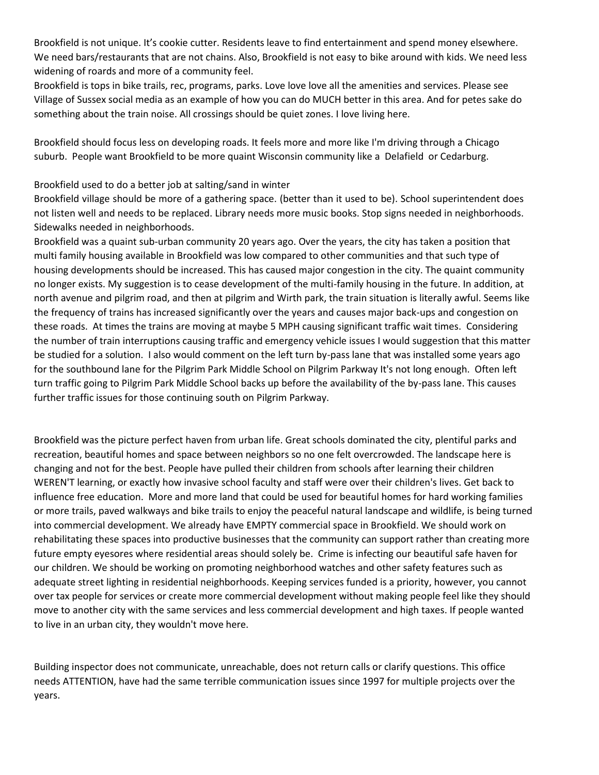Brookfield is not unique. It's cookie cutter. Residents leave to find entertainment and spend money elsewhere. We need bars/restaurants that are not chains. Also, Brookfield is not easy to bike around with kids. We need less widening of roards and more of a community feel.

Brookfield is tops in bike trails, rec, programs, parks. Love love love all the amenities and services. Please see Village of Sussex social media as an example of how you can do MUCH better in this area. And for petes sake do something about the train noise. All crossings should be quiet zones. I love living here.

Brookfield should focus less on developing roads. It feels more and more like I'm driving through a Chicago suburb. People want Brookfield to be more quaint Wisconsin community like a Delafield or Cedarburg.

#### Brookfield used to do a better job at salting/sand in winter

Brookfield village should be more of a gathering space. (better than it used to be). School superintendent does not listen well and needs to be replaced. Library needs more music books. Stop signs needed in neighborhoods. Sidewalks needed in neighborhoods.

Brookfield was a quaint sub-urban community 20 years ago. Over the years, the city has taken a position that multi family housing available in Brookfield was low compared to other communities and that such type of housing developments should be increased. This has caused major congestion in the city. The quaint community no longer exists. My suggestion is to cease development of the multi-family housing in the future. In addition, at north avenue and pilgrim road, and then at pilgrim and Wirth park, the train situation is literally awful. Seems like the frequency of trains has increased significantly over the years and causes major back-ups and congestion on these roads. At times the trains are moving at maybe 5 MPH causing significant traffic wait times. Considering the number of train interruptions causing traffic and emergency vehicle issues I would suggestion that this matter be studied for a solution. I also would comment on the left turn by-pass lane that was installed some years ago for the southbound lane for the Pilgrim Park Middle School on Pilgrim Parkway It's not long enough. Often left turn traffic going to Pilgrim Park Middle School backs up before the availability of the by-pass lane. This causes further traffic issues for those continuing south on Pilgrim Parkway.

Brookfield was the picture perfect haven from urban life. Great schools dominated the city, plentiful parks and recreation, beautiful homes and space between neighbors so no one felt overcrowded. The landscape here is changing and not for the best. People have pulled their children from schools after learning their children WEREN'T learning, or exactly how invasive school faculty and staff were over their children's lives. Get back to influence free education. More and more land that could be used for beautiful homes for hard working families or more trails, paved walkways and bike trails to enjoy the peaceful natural landscape and wildlife, is being turned into commercial development. We already have EMPTY commercial space in Brookfield. We should work on rehabilitating these spaces into productive businesses that the community can support rather than creating more future empty eyesores where residential areas should solely be. Crime is infecting our beautiful safe haven for our children. We should be working on promoting neighborhood watches and other safety features such as adequate street lighting in residential neighborhoods. Keeping services funded is a priority, however, you cannot over tax people for services or create more commercial development without making people feel like they should move to another city with the same services and less commercial development and high taxes. If people wanted to live in an urban city, they wouldn't move here.

Building inspector does not communicate, unreachable, does not return calls or clarify questions. This office needs ATTENTION, have had the same terrible communication issues since 1997 for multiple projects over the years.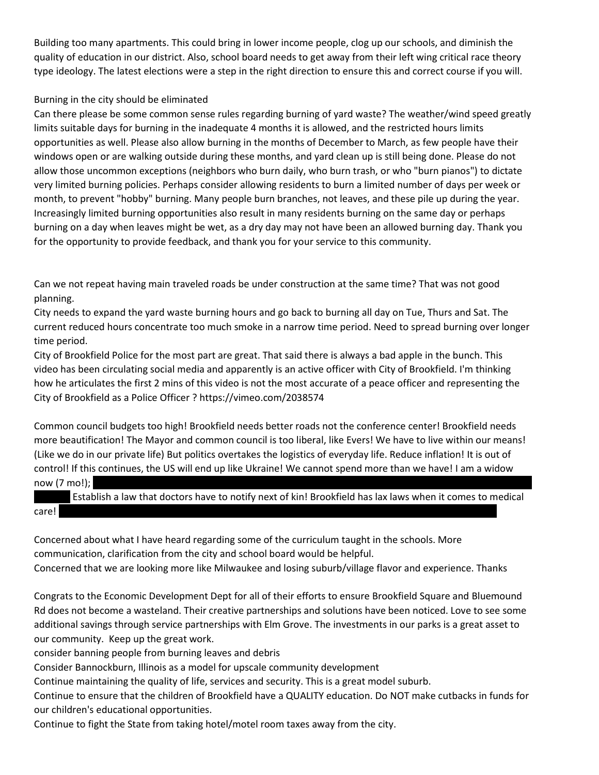Building too many apartments. This could bring in lower income people, clog up our schools, and diminish the quality of education in our district. Also, school board needs to get away from their left wing critical race theory type ideology. The latest elections were a step in the right direction to ensure this and correct course if you will.

### Burning in the city should be eliminated

Can there please be some common sense rules regarding burning of yard waste? The weather/wind speed greatly limits suitable days for burning in the inadequate 4 months it is allowed, and the restricted hours limits opportunities as well. Please also allow burning in the months of December to March, as few people have their windows open or are walking outside during these months, and yard clean up is still being done. Please do not allow those uncommon exceptions (neighbors who burn daily, who burn trash, or who "burn pianos") to dictate very limited burning policies. Perhaps consider allowing residents to burn a limited number of days per week or month, to prevent "hobby" burning. Many people burn branches, not leaves, and these pile up during the year. Increasingly limited burning opportunities also result in many residents burning on the same day or perhaps burning on a day when leaves might be wet, as a dry day may not have been an allowed burning day. Thank you for the opportunity to provide feedback, and thank you for your service to this community.

Can we not repeat having main traveled roads be under construction at the same time? That was not good planning.

City needs to expand the yard waste burning hours and go back to burning all day on Tue, Thurs and Sat. The current reduced hours concentrate too much smoke in a narrow time period. Need to spread burning over longer time period.

City of Brookfield Police for the most part are great. That said there is always a bad apple in the bunch. This video has been circulating social media and apparently is an active officer with City of Brookfield. I'm thinking how he articulates the first 2 mins of this video is not the most accurate of a peace officer and representing the City of Brookfield as a Police Officer ? https://vimeo.com/2038574

Common council budgets too high! Brookfield needs better roads not the conference center! Brookfield needs more beautification! The Mayor and common council is too liberal, like Evers! We have to live within our means! (Like we do in our private life) But politics overtakes the logistics of everyday life. Reduce inflation! It is out of control! If this continues, the US will end up like Ukraine! We cannot spend more than we have! I am a widow now  $(7 \text{ mol})$ ;

|       | Establish a law that doctors have to notify next of kin! Brookfield has lax laws when it comes to medical |  |
|-------|-----------------------------------------------------------------------------------------------------------|--|
| care! |                                                                                                           |  |

Concerned about what I have heard regarding some of the curriculum taught in the schools. More communication, clarification from the city and school board would be helpful. Concerned that we are looking more like Milwaukee and losing suburb/village flavor and experience. Thanks

Congrats to the Economic Development Dept for all of their efforts to ensure Brookfield Square and Bluemound Rd does not become a wasteland. Their creative partnerships and solutions have been noticed. Love to see some additional savings through service partnerships with Elm Grove. The investments in our parks is a great asset to our community. Keep up the great work.

consider banning people from burning leaves and debris

Consider Bannockburn, Illinois as a model for upscale community development

Continue maintaining the quality of life, services and security. This is a great model suburb.

Continue to ensure that the children of Brookfield have a QUALITY education. Do NOT make cutbacks in funds for our children's educational opportunities.

Continue to fight the State from taking hotel/motel room taxes away from the city.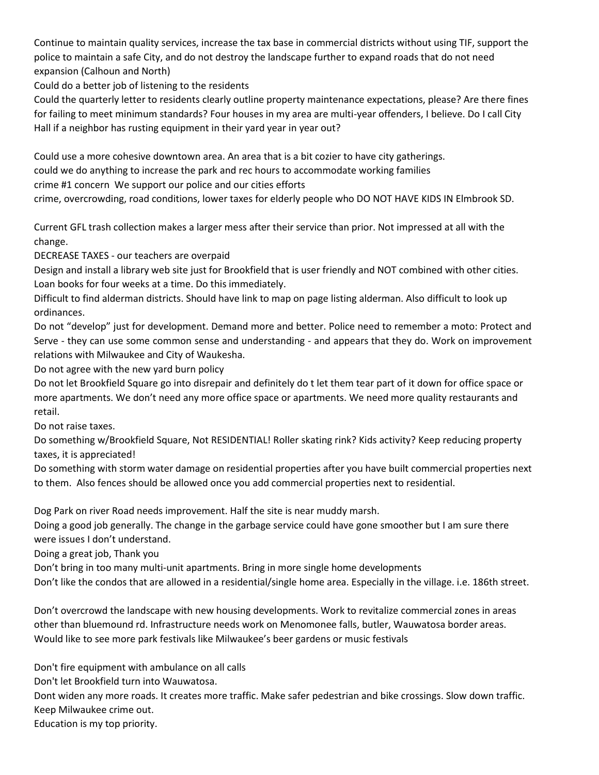Continue to maintain quality services, increase the tax base in commercial districts without using TIF, support the police to maintain a safe City, and do not destroy the landscape further to expand roads that do not need expansion (Calhoun and North)

Could do a better job of listening to the residents

Could the quarterly letter to residents clearly outline property maintenance expectations, please? Are there fines for failing to meet minimum standards? Four houses in my area are multi-year offenders, I believe. Do I call City Hall if a neighbor has rusting equipment in their yard year in year out?

Could use a more cohesive downtown area. An area that is a bit cozier to have city gatherings.

could we do anything to increase the park and rec hours to accommodate working families

crime #1 concern We support our police and our cities efforts

crime, overcrowding, road conditions, lower taxes for elderly people who DO NOT HAVE KIDS IN Elmbrook SD.

Current GFL trash collection makes a larger mess after their service than prior. Not impressed at all with the change.

DECREASE TAXES - our teachers are overpaid

Design and install a library web site just for Brookfield that is user friendly and NOT combined with other cities. Loan books for four weeks at a time. Do this immediately.

Difficult to find alderman districts. Should have link to map on page listing alderman. Also difficult to look up ordinances.

Do not "develop" just for development. Demand more and better. Police need to remember a moto: Protect and Serve - they can use some common sense and understanding - and appears that they do. Work on improvement relations with Milwaukee and City of Waukesha.

Do not agree with the new yard burn policy

Do not let Brookfield Square go into disrepair and definitely do t let them tear part of it down for office space or more apartments. We don't need any more office space or apartments. We need more quality restaurants and retail.

Do not raise taxes.

Do something w/Brookfield Square, Not RESIDENTIAL! Roller skating rink? Kids activity? Keep reducing property taxes, it is appreciated!

Do something with storm water damage on residential properties after you have built commercial properties next to them. Also fences should be allowed once you add commercial properties next to residential.

Dog Park on river Road needs improvement. Half the site is near muddy marsh.

Doing a good job generally. The change in the garbage service could have gone smoother but I am sure there were issues I don't understand.

Doing a great job, Thank you

Don't bring in too many multi-unit apartments. Bring in more single home developments

Don't like the condos that are allowed in a residential/single home area. Especially in the village. i.e. 186th street.

Don't overcrowd the landscape with new housing developments. Work to revitalize commercial zones in areas other than bluemound rd. Infrastructure needs work on Menomonee falls, butler, Wauwatosa border areas. Would like to see more park festivals like Milwaukee's beer gardens or music festivals

Don't fire equipment with ambulance on all calls

Don't let Brookfield turn into Wauwatosa.

Dont widen any more roads. It creates more traffic. Make safer pedestrian and bike crossings. Slow down traffic. Keep Milwaukee crime out.

Education is my top priority.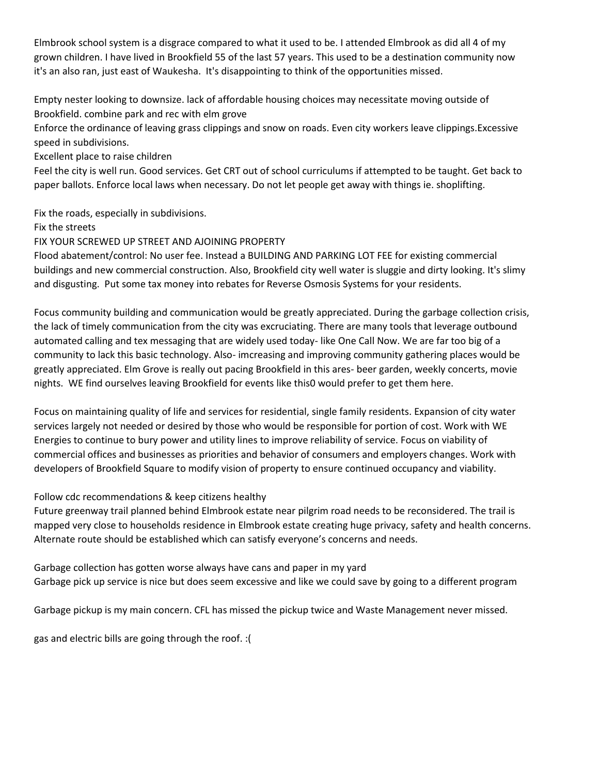Elmbrook school system is a disgrace compared to what it used to be. I attended Elmbrook as did all 4 of my grown children. I have lived in Brookfield 55 of the last 57 years. This used to be a destination community now it's an also ran, just east of Waukesha. It's disappointing to think of the opportunities missed.

Empty nester looking to downsize. lack of affordable housing choices may necessitate moving outside of Brookfield. combine park and rec with elm grove

Enforce the ordinance of leaving grass clippings and snow on roads. Even city workers leave clippings.Excessive speed in subdivisions.

Excellent place to raise children

Feel the city is well run. Good services. Get CRT out of school curriculums if attempted to be taught. Get back to paper ballots. Enforce local laws when necessary. Do not let people get away with things ie. shoplifting.

Fix the roads, especially in subdivisions.

Fix the streets

FIX YOUR SCREWED UP STREET AND AJOINING PROPERTY

Flood abatement/control: No user fee. Instead a BUILDING AND PARKING LOT FEE for existing commercial buildings and new commercial construction. Also, Brookfield city well water is sluggie and dirty looking. It's slimy and disgusting. Put some tax money into rebates for Reverse Osmosis Systems for your residents.

Focus community building and communication would be greatly appreciated. During the garbage collection crisis, the lack of timely communication from the city was excruciating. There are many tools that leverage outbound automated calling and tex messaging that are widely used today- like One Call Now. We are far too big of a community to lack this basic technology. Also- imcreasing and improving community gathering places would be greatly appreciated. Elm Grove is really out pacing Brookfield in this ares- beer garden, weekly concerts, movie nights. WE find ourselves leaving Brookfield for events like this0 would prefer to get them here.

Focus on maintaining quality of life and services for residential, single family residents. Expansion of city water services largely not needed or desired by those who would be responsible for portion of cost. Work with WE Energies to continue to bury power and utility lines to improve reliability of service. Focus on viability of commercial offices and businesses as priorities and behavior of consumers and employers changes. Work with developers of Brookfield Square to modify vision of property to ensure continued occupancy and viability.

Follow cdc recommendations & keep citizens healthy

Future greenway trail planned behind Elmbrook estate near pilgrim road needs to be reconsidered. The trail is mapped very close to households residence in Elmbrook estate creating huge privacy, safety and health concerns. Alternate route should be established which can satisfy everyone's concerns and needs.

Garbage collection has gotten worse always have cans and paper in my yard Garbage pick up service is nice but does seem excessive and like we could save by going to a different program

Garbage pickup is my main concern. CFL has missed the pickup twice and Waste Management never missed.

gas and electric bills are going through the roof. :(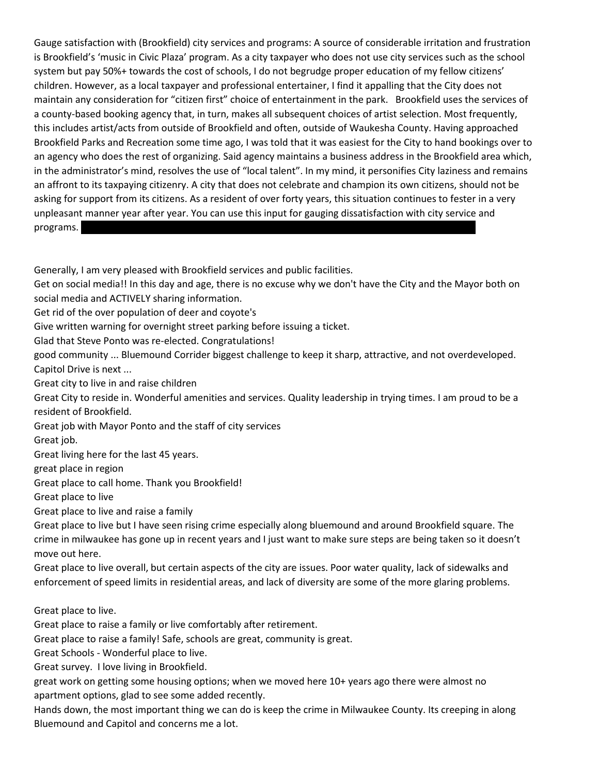Gauge satisfaction with (Brookfield) city services and programs: A source of considerable irritation and frustration is Brookfield's 'music in Civic Plaza' program. As a city taxpayer who does not use city services such as the school system but pay 50%+ towards the cost of schools, I do not begrudge proper education of my fellow citizens' children. However, as a local taxpayer and professional entertainer, I find it appalling that the City does not maintain any consideration for "citizen first" choice of entertainment in the park. Brookfield uses the services of a county-based booking agency that, in turn, makes all subsequent choices of artist selection. Most frequently, this includes artist/acts from outside of Brookfield and often, outside of Waukesha County. Having approached Brookfield Parks and Recreation some time ago, I was told that it was easiest for the City to hand bookings over to an agency who does the rest of organizing. Said agency maintains a business address in the Brookfield area which, in the administrator's mind, resolves the use of "local talent". In my mind, it personifies City laziness and remains an affront to its taxpaying citizenry. A city that does not celebrate and champion its own citizens, should not be asking for support from its citizens. As a resident of over forty years, this situation continues to fester in a very unpleasant manner year after year. You can use this input for gauging dissatisfaction with city service and programs. Jerry Stephani 14835 Clare Bridge Lane Bridge Lane Bridge Lane Bridge Lane Bridge Lane Bridge Lane B

Generally, I am very pleased with Brookfield services and public facilities.

Get on social media!! In this day and age, there is no excuse why we don't have the City and the Mayor both on social media and ACTIVELY sharing information.

Get rid of the over population of deer and coyote's

Give written warning for overnight street parking before issuing a ticket.

Glad that Steve Ponto was re-elected. Congratulations!

good community ... Bluemound Corrider biggest challenge to keep it sharp, attractive, and not overdeveloped. Capitol Drive is next ...

Great city to live in and raise children

Great City to reside in. Wonderful amenities and services. Quality leadership in trying times. I am proud to be a resident of Brookfield.

Great job with Mayor Ponto and the staff of city services

Great job.

Great living here for the last 45 years.

great place in region

Great place to call home. Thank you Brookfield!

Great place to live

Great place to live and raise a family

Great place to live but I have seen rising crime especially along bluemound and around Brookfield square. The crime in milwaukee has gone up in recent years and I just want to make sure steps are being taken so it doesn't move out here.

Great place to live overall, but certain aspects of the city are issues. Poor water quality, lack of sidewalks and enforcement of speed limits in residential areas, and lack of diversity are some of the more glaring problems.

# Great place to live.

Great place to raise a family or live comfortably after retirement.

Great place to raise a family! Safe, schools are great, community is great.

Great Schools - Wonderful place to live.

Great survey. I love living in Brookfield.

great work on getting some housing options; when we moved here 10+ years ago there were almost no apartment options, glad to see some added recently.

Hands down, the most important thing we can do is keep the crime in Milwaukee County. Its creeping in along Bluemound and Capitol and concerns me a lot.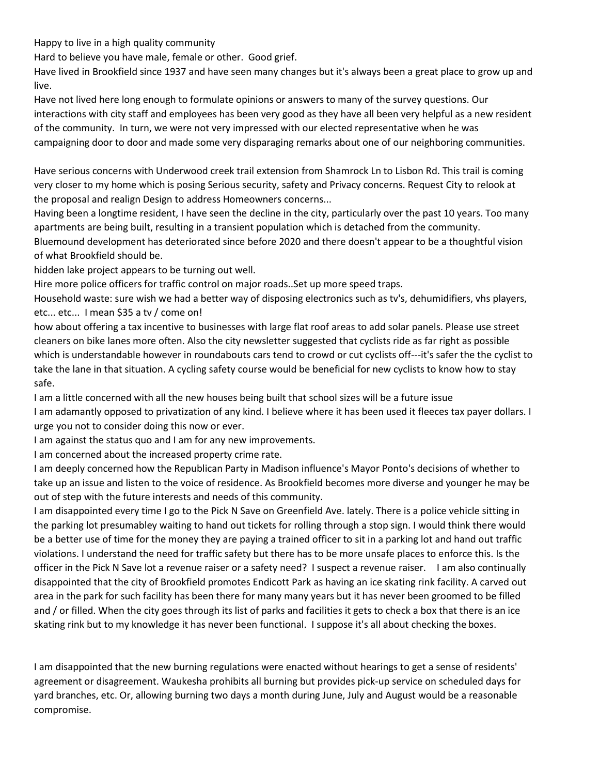Happy to live in a high quality community

Hard to believe you have male, female or other. Good grief.

Have lived in Brookfield since 1937 and have seen many changes but it's always been a great place to grow up and live.

Have not lived here long enough to formulate opinions or answers to many of the survey questions. Our interactions with city staff and employees has been very good as they have all been very helpful as a new resident of the community. In turn, we were not very impressed with our elected representative when he was campaigning door to door and made some very disparaging remarks about one of our neighboring communities.

Have serious concerns with Underwood creek trail extension from Shamrock Ln to Lisbon Rd. This trail is coming very closer to my home which is posing Serious security, safety and Privacy concerns. Request City to relook at the proposal and realign Design to address Homeowners concerns...

Having been a longtime resident, I have seen the decline in the city, particularly over the past 10 years. Too many apartments are being built, resulting in a transient population which is detached from the community. Bluemound development has deteriorated since before 2020 and there doesn't appear to be a thoughtful vision of what Brookfield should be.

hidden lake project appears to be turning out well.

Hire more police officers for traffic control on major roads..Set up more speed traps.

Household waste: sure wish we had a better way of disposing electronics such as tv's, dehumidifiers, vhs players, etc... etc... I mean \$35 a tv / come on!

how about offering a tax incentive to businesses with large flat roof areas to add solar panels. Please use street cleaners on bike lanes more often. Also the city newsletter suggested that cyclists ride as far right as possible which is understandable however in roundabouts cars tend to crowd or cut cyclists off---it's safer the the cyclist to take the lane in that situation. A cycling safety course would be beneficial for new cyclists to know how to stay safe.

I am a little concerned with all the new houses being built that school sizes will be a future issue

I am adamantly opposed to privatization of any kind. I believe where it has been used it fleeces tax payer dollars. I urge you not to consider doing this now or ever.

I am against the status quo and I am for any new improvements.

I am concerned about the increased property crime rate.

I am deeply concerned how the Republican Party in Madison influence's Mayor Ponto's decisions of whether to take up an issue and listen to the voice of residence. As Brookfield becomes more diverse and younger he may be out of step with the future interests and needs of this community.

I am disappointed every time I go to the Pick N Save on Greenfield Ave. lately. There is a police vehicle sitting in the parking lot presumabley waiting to hand out tickets for rolling through a stop sign. I would think there would be a better use of time for the money they are paying a trained officer to sit in a parking lot and hand out traffic violations. I understand the need for traffic safety but there has to be more unsafe places to enforce this. Is the officer in the Pick N Save lot a revenue raiser or a safety need? I suspect a revenue raiser. I am also continually disappointed that the city of Brookfield promotes Endicott Park as having an ice skating rink facility. A carved out area in the park for such facility has been there for many many years but it has never been groomed to be filled and / or filled. When the city goes through its list of parks and facilities it gets to check a box that there is an ice skating rink but to my knowledge it has never been functional. I suppose it's all about checking the boxes.

I am disappointed that the new burning regulations were enacted without hearings to get a sense of residents' agreement or disagreement. Waukesha prohibits all burning but provides pick-up service on scheduled days for yard branches, etc. Or, allowing burning two days a month during June, July and August would be a reasonable compromise.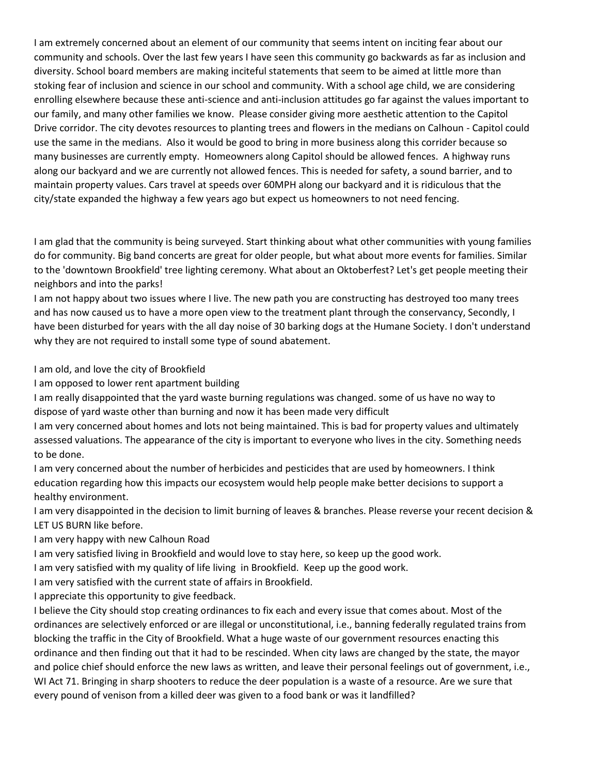I am extremely concerned about an element of our community that seems intent on inciting fear about our community and schools. Over the last few years I have seen this community go backwards as far as inclusion and diversity. School board members are making inciteful statements that seem to be aimed at little more than stoking fear of inclusion and science in our school and community. With a school age child, we are considering enrolling elsewhere because these anti-science and anti-inclusion attitudes go far against the values important to our family, and many other families we know. Please consider giving more aesthetic attention to the Capitol Drive corridor. The city devotes resources to planting trees and flowers in the medians on Calhoun - Capitol could use the same in the medians. Also it would be good to bring in more business along this corrider because so many businesses are currently empty. Homeowners along Capitol should be allowed fences. A highway runs along our backyard and we are currently not allowed fences. This is needed for safety, a sound barrier, and to maintain property values. Cars travel at speeds over 60MPH along our backyard and it is ridiculous that the city/state expanded the highway a few years ago but expect us homeowners to not need fencing.

I am glad that the community is being surveyed. Start thinking about what other communities with young families do for community. Big band concerts are great for older people, but what about more events for families. Similar to the 'downtown Brookfield' tree lighting ceremony. What about an Oktoberfest? Let's get people meeting their neighbors and into the parks!

I am not happy about two issues where I live. The new path you are constructing has destroyed too many trees and has now caused us to have a more open view to the treatment plant through the conservancy, Secondly, I have been disturbed for years with the all day noise of 30 barking dogs at the Humane Society. I don't understand why they are not required to install some type of sound abatement.

I am old, and love the city of Brookfield

I am opposed to lower rent apartment building

I am really disappointed that the yard waste burning regulations was changed. some of us have no way to dispose of yard waste other than burning and now it has been made very difficult

I am very concerned about homes and lots not being maintained. This is bad for property values and ultimately assessed valuations. The appearance of the city is important to everyone who lives in the city. Something needs to be done.

I am very concerned about the number of herbicides and pesticides that are used by homeowners. I think education regarding how this impacts our ecosystem would help people make better decisions to support a healthy environment.

I am very disappointed in the decision to limit burning of leaves & branches. Please reverse your recent decision & LET US BURN like before.

I am very happy with new Calhoun Road

I am very satisfied living in Brookfield and would love to stay here, so keep up the good work.

I am very satisfied with my quality of life living in Brookfield. Keep up the good work.

I am very satisfied with the current state of affairs in Brookfield.

I appreciate this opportunity to give feedback.

I believe the City should stop creating ordinances to fix each and every issue that comes about. Most of the ordinances are selectively enforced or are illegal or unconstitutional, i.e., banning federally regulated trains from blocking the traffic in the City of Brookfield. What a huge waste of our government resources enacting this ordinance and then finding out that it had to be rescinded. When city laws are changed by the state, the mayor and police chief should enforce the new laws as written, and leave their personal feelings out of government, i.e., WI Act 71. Bringing in sharp shooters to reduce the deer population is a waste of a resource. Are we sure that every pound of venison from a killed deer was given to a food bank or was it landfilled?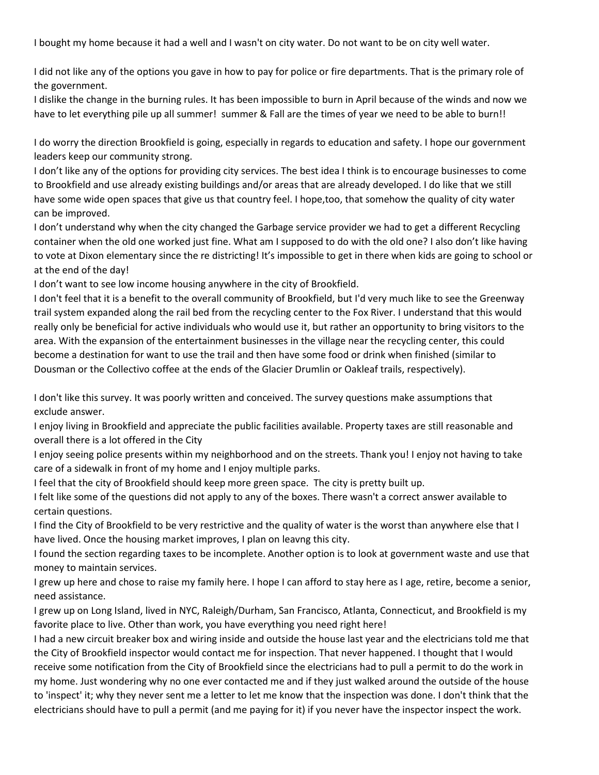I bought my home because it had a well and I wasn't on city water. Do not want to be on city well water.

I did not like any of the options you gave in how to pay for police or fire departments. That is the primary role of the government.

I dislike the change in the burning rules. It has been impossible to burn in April because of the winds and now we have to let everything pile up all summer! summer & Fall are the times of year we need to be able to burn!!

I do worry the direction Brookfield is going, especially in regards to education and safety. I hope our government leaders keep our community strong.

I don't like any of the options for providing city services. The best idea I think is to encourage businesses to come to Brookfield and use already existing buildings and/or areas that are already developed. I do like that we still have some wide open spaces that give us that country feel. I hope,too, that somehow the quality of city water can be improved.

I don't understand why when the city changed the Garbage service provider we had to get a different Recycling container when the old one worked just fine. What am I supposed to do with the old one? I also don't like having to vote at Dixon elementary since the re districting! It's impossible to get in there when kids are going to school or at the end of the day!

I don't want to see low income housing anywhere in the city of Brookfield.

I don't feel that it is a benefit to the overall community of Brookfield, but I'd very much like to see the Greenway trail system expanded along the rail bed from the recycling center to the Fox River. I understand that this would really only be beneficial for active individuals who would use it, but rather an opportunity to bring visitors to the area. With the expansion of the entertainment businesses in the village near the recycling center, this could become a destination for want to use the trail and then have some food or drink when finished (similar to Dousman or the Collectivo coffee at the ends of the Glacier Drumlin or Oakleaf trails, respectively).

I don't like this survey. It was poorly written and conceived. The survey questions make assumptions that exclude answer.

I enjoy living in Brookfield and appreciate the public facilities available. Property taxes are still reasonable and overall there is a lot offered in the City

I enjoy seeing police presents within my neighborhood and on the streets. Thank you! I enjoy not having to take care of a sidewalk in front of my home and I enjoy multiple parks.

I feel that the city of Brookfield should keep more green space. The city is pretty built up.

I felt like some of the questions did not apply to any of the boxes. There wasn't a correct answer available to certain questions.

I find the City of Brookfield to be very restrictive and the quality of water is the worst than anywhere else that I have lived. Once the housing market improves, I plan on leavng this city.

I found the section regarding taxes to be incomplete. Another option is to look at government waste and use that money to maintain services.

I grew up here and chose to raise my family here. I hope I can afford to stay here as I age, retire, become a senior, need assistance.

I grew up on Long Island, lived in NYC, Raleigh/Durham, San Francisco, Atlanta, Connecticut, and Brookfield is my favorite place to live. Other than work, you have everything you need right here!

I had a new circuit breaker box and wiring inside and outside the house last year and the electricians told me that the City of Brookfield inspector would contact me for inspection. That never happened. I thought that I would receive some notification from the City of Brookfield since the electricians had to pull a permit to do the work in my home. Just wondering why no one ever contacted me and if they just walked around the outside of the house to 'inspect' it; why they never sent me a letter to let me know that the inspection was done. I don't think that the electricians should have to pull a permit (and me paying for it) if you never have the inspector inspect the work.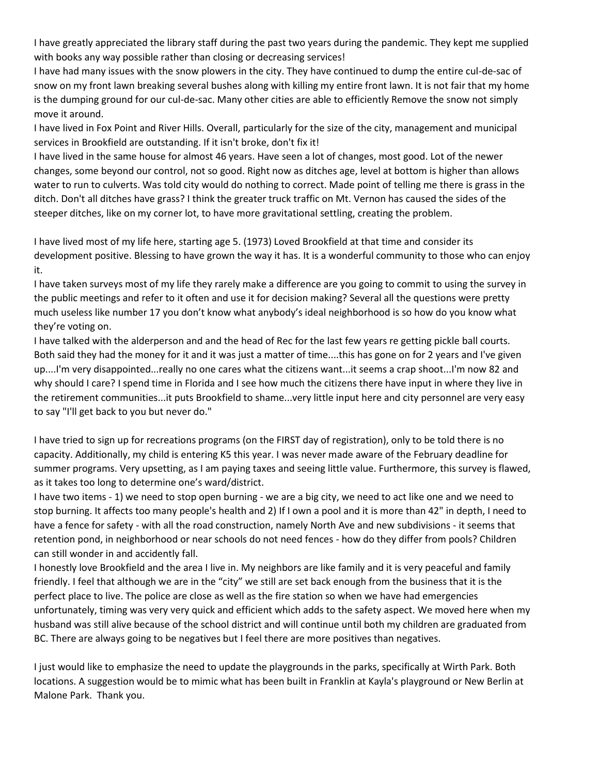I have greatly appreciated the library staff during the past two years during the pandemic. They kept me supplied with books any way possible rather than closing or decreasing services!

I have had many issues with the snow plowers in the city. They have continued to dump the entire cul-de-sac of snow on my front lawn breaking several bushes along with killing my entire front lawn. It is not fair that my home is the dumping ground for our cul-de-sac. Many other cities are able to efficiently Remove the snow not simply move it around.

I have lived in Fox Point and River Hills. Overall, particularly for the size of the city, management and municipal services in Brookfield are outstanding. If it isn't broke, don't fix it!

I have lived in the same house for almost 46 years. Have seen a lot of changes, most good. Lot of the newer changes, some beyond our control, not so good. Right now as ditches age, level at bottom is higher than allows water to run to culverts. Was told city would do nothing to correct. Made point of telling me there is grass in the ditch. Don't all ditches have grass? I think the greater truck traffic on Mt. Vernon has caused the sides of the steeper ditches, like on my corner lot, to have more gravitational settling, creating the problem.

I have lived most of my life here, starting age 5. (1973) Loved Brookfield at that time and consider its development positive. Blessing to have grown the way it has. It is a wonderful community to those who can enjoy it.

I have taken surveys most of my life they rarely make a difference are you going to commit to using the survey in the public meetings and refer to it often and use it for decision making? Several all the questions were pretty much useless like number 17 you don't know what anybody's ideal neighborhood is so how do you know what they're voting on.

I have talked with the alderperson and and the head of Rec for the last few years re getting pickle ball courts. Both said they had the money for it and it was just a matter of time....this has gone on for 2 years and I've given up....I'm very disappointed...really no one cares what the citizens want...it seems a crap shoot...I'm now 82 and why should I care? I spend time in Florida and I see how much the citizens there have input in where they live in the retirement communities...it puts Brookfield to shame...very little input here and city personnel are very easy to say "I'll get back to you but never do."

I have tried to sign up for recreations programs (on the FIRST day of registration), only to be told there is no capacity. Additionally, my child is entering K5 this year. I was never made aware of the February deadline for summer programs. Very upsetting, as I am paying taxes and seeing little value. Furthermore, this survey is flawed, as it takes too long to determine one's ward/district.

I have two items - 1) we need to stop open burning - we are a big city, we need to act like one and we need to stop burning. It affects too many people's health and 2) If I own a pool and it is more than 42" in depth, I need to have a fence for safety - with all the road construction, namely North Ave and new subdivisions - it seems that retention pond, in neighborhood or near schools do not need fences - how do they differ from pools? Children can still wonder in and accidently fall.

I honestly love Brookfield and the area I live in. My neighbors are like family and it is very peaceful and family friendly. I feel that although we are in the "city" we still are set back enough from the business that it is the perfect place to live. The police are close as well as the fire station so when we have had emergencies unfortunately, timing was very very quick and efficient which adds to the safety aspect. We moved here when my husband was still alive because of the school district and will continue until both my children are graduated from BC. There are always going to be negatives but I feel there are more positives than negatives.

I just would like to emphasize the need to update the playgrounds in the parks, specifically at Wirth Park. Both locations. A suggestion would be to mimic what has been built in Franklin at Kayla's playground or New Berlin at Malone Park. Thank you.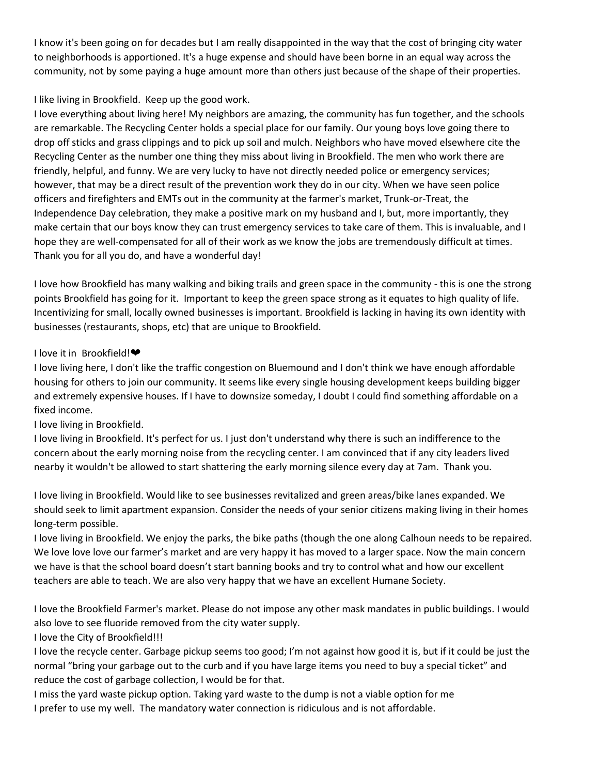I know it's been going on for decades but I am really disappointed in the way that the cost of bringing city water to neighborhoods is apportioned. It's a huge expense and should have been borne in an equal way across the community, not by some paying a huge amount more than others just because of the shape of their properties.

### I like living in Brookfield. Keep up the good work.

I love everything about living here! My neighbors are amazing, the community has fun together, and the schools are remarkable. The Recycling Center holds a special place for our family. Our young boys love going there to drop off sticks and grass clippings and to pick up soil and mulch. Neighbors who have moved elsewhere cite the Recycling Center as the number one thing they miss about living in Brookfield. The men who work there are friendly, helpful, and funny. We are very lucky to have not directly needed police or emergency services; however, that may be a direct result of the prevention work they do in our city. When we have seen police officers and firefighters and EMTs out in the community at the farmer's market, Trunk-or-Treat, the Independence Day celebration, they make a positive mark on my husband and I, but, more importantly, they make certain that our boys know they can trust emergency services to take care of them. This is invaluable, and I hope they are well-compensated for all of their work as we know the jobs are tremendously difficult at times. Thank you for all you do, and have a wonderful day!

I love how Brookfield has many walking and biking trails and green space in the community - this is one the strong points Brookfield has going for it. Important to keep the green space strong as it equates to high quality of life. Incentivizing for small, locally owned businesses is important. Brookfield is lacking in having its own identity with businesses (restaurants, shops, etc) that are unique to Brookfield.

### I love it in Brookfield!❤

I love living here, I don't like the traffic congestion on Bluemound and I don't think we have enough affordable housing for others to join our community. It seems like every single housing development keeps building bigger and extremely expensive houses. If I have to downsize someday, I doubt I could find something affordable on a fixed income.

I love living in Brookfield.

I love living in Brookfield. It's perfect for us. I just don't understand why there is such an indifference to the concern about the early morning noise from the recycling center. I am convinced that if any city leaders lived nearby it wouldn't be allowed to start shattering the early morning silence every day at 7am. Thank you.

I love living in Brookfield. Would like to see businesses revitalized and green areas/bike lanes expanded. We should seek to limit apartment expansion. Consider the needs of your senior citizens making living in their homes long-term possible.

I love living in Brookfield. We enjoy the parks, the bike paths (though the one along Calhoun needs to be repaired. We love love love our farmer's market and are very happy it has moved to a larger space. Now the main concern we have is that the school board doesn't start banning books and try to control what and how our excellent teachers are able to teach. We are also very happy that we have an excellent Humane Society.

I love the Brookfield Farmer's market. Please do not impose any other mask mandates in public buildings. I would also love to see fluoride removed from the city water supply.

# I love the City of Brookfield!!!

I love the recycle center. Garbage pickup seems too good; I'm not against how good it is, but if it could be just the normal "bring your garbage out to the curb and if you have large items you need to buy a special ticket" and reduce the cost of garbage collection, I would be for that.

I miss the yard waste pickup option. Taking yard waste to the dump is not a viable option for me I prefer to use my well. The mandatory water connection is ridiculous and is not affordable.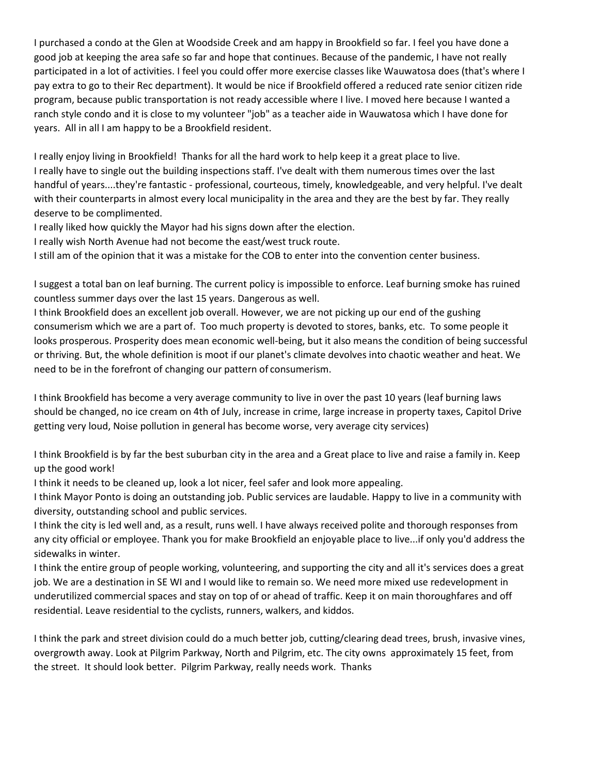I purchased a condo at the Glen at Woodside Creek and am happy in Brookfield so far. I feel you have done a good job at keeping the area safe so far and hope that continues. Because of the pandemic, I have not really participated in a lot of activities. I feel you could offer more exercise classes like Wauwatosa does (that's where I pay extra to go to their Rec department). It would be nice if Brookfield offered a reduced rate senior citizen ride program, because public transportation is not ready accessible where I live. I moved here because I wanted a ranch style condo and it is close to my volunteer "job" as a teacher aide in Wauwatosa which I have done for years. All in all I am happy to be a Brookfield resident.

I really enjoy living in Brookfield! Thanks for all the hard work to help keep it a great place to live. I really have to single out the building inspections staff. I've dealt with them numerous times over the last handful of years....they're fantastic - professional, courteous, timely, knowledgeable, and very helpful. I've dealt with their counterparts in almost every local municipality in the area and they are the best by far. They really deserve to be complimented.

I really liked how quickly the Mayor had his signs down after the election.

I really wish North Avenue had not become the east/west truck route.

I still am of the opinion that it was a mistake for the COB to enter into the convention center business.

I suggest a total ban on leaf burning. The current policy is impossible to enforce. Leaf burning smoke has ruined countless summer days over the last 15 years. Dangerous as well.

I think Brookfield does an excellent job overall. However, we are not picking up our end of the gushing consumerism which we are a part of. Too much property is devoted to stores, banks, etc. To some people it looks prosperous. Prosperity does mean economic well-being, but it also means the condition of being successful or thriving. But, the whole definition is moot if our planet's climate devolves into chaotic weather and heat. We need to be in the forefront of changing our pattern of consumerism.

I think Brookfield has become a very average community to live in over the past 10 years (leaf burning laws should be changed, no ice cream on 4th of July, increase in crime, large increase in property taxes, Capitol Drive getting very loud, Noise pollution in general has become worse, very average city services)

I think Brookfield is by far the best suburban city in the area and a Great place to live and raise a family in. Keep up the good work!

I think it needs to be cleaned up, look a lot nicer, feel safer and look more appealing.

I think Mayor Ponto is doing an outstanding job. Public services are laudable. Happy to live in a community with diversity, outstanding school and public services.

I think the city is led well and, as a result, runs well. I have always received polite and thorough responses from any city official or employee. Thank you for make Brookfield an enjoyable place to live...if only you'd address the sidewalks in winter.

I think the entire group of people working, volunteering, and supporting the city and all it's services does a great job. We are a destination in SE WI and I would like to remain so. We need more mixed use redevelopment in underutilized commercial spaces and stay on top of or ahead of traffic. Keep it on main thoroughfares and off residential. Leave residential to the cyclists, runners, walkers, and kiddos.

I think the park and street division could do a much better job, cutting/clearing dead trees, brush, invasive vines, overgrowth away. Look at Pilgrim Parkway, North and Pilgrim, etc. The city owns approximately 15 feet, from the street. It should look better. Pilgrim Parkway, really needs work. Thanks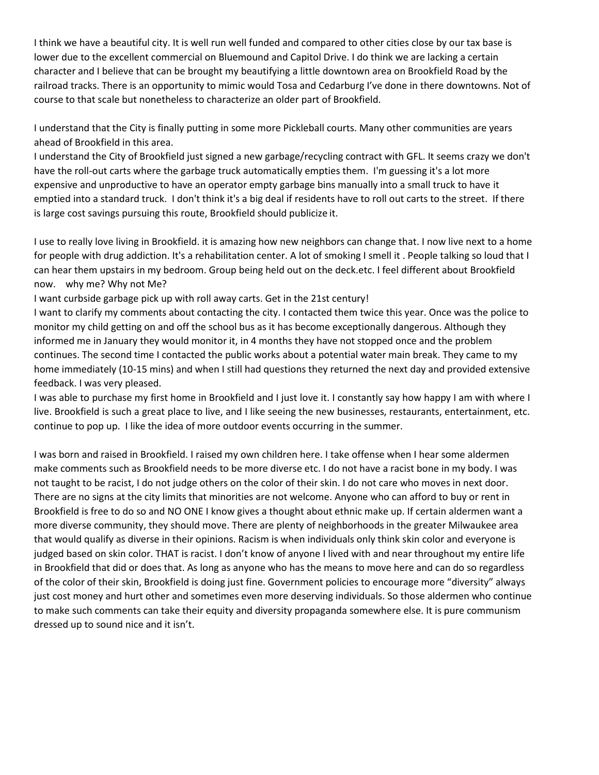I think we have a beautiful city. It is well run well funded and compared to other cities close by our tax base is lower due to the excellent commercial on Bluemound and Capitol Drive. I do think we are lacking a certain character and I believe that can be brought my beautifying a little downtown area on Brookfield Road by the railroad tracks. There is an opportunity to mimic would Tosa and Cedarburg I've done in there downtowns. Not of course to that scale but nonetheless to characterize an older part of Brookfield.

I understand that the City is finally putting in some more Pickleball courts. Many other communities are years ahead of Brookfield in this area.

I understand the City of Brookfield just signed a new garbage/recycling contract with GFL. It seems crazy we don't have the roll-out carts where the garbage truck automatically empties them. I'm guessing it's a lot more expensive and unproductive to have an operator empty garbage bins manually into a small truck to have it emptied into a standard truck. I don't think it's a big deal if residents have to roll out carts to the street. If there is large cost savings pursuing this route, Brookfield should publicize it.

I use to really love living in Brookfield. it is amazing how new neighbors can change that. I now live next to a home for people with drug addiction. It's a rehabilitation center. A lot of smoking I smell it . People talking so loud that I can hear them upstairs in my bedroom. Group being held out on the deck.etc. I feel different about Brookfield now. why me? Why not Me?

I want curbside garbage pick up with roll away carts. Get in the 21st century!

I want to clarify my comments about contacting the city. I contacted them twice this year. Once was the police to monitor my child getting on and off the school bus as it has become exceptionally dangerous. Although they informed me in January they would monitor it, in 4 months they have not stopped once and the problem continues. The second time I contacted the public works about a potential water main break. They came to my home immediately (10-15 mins) and when I still had questions they returned the next day and provided extensive feedback. I was very pleased.

I was able to purchase my first home in Brookfield and I just love it. I constantly say how happy I am with where I live. Brookfield is such a great place to live, and I like seeing the new businesses, restaurants, entertainment, etc. continue to pop up. I like the idea of more outdoor events occurring in the summer.

I was born and raised in Brookfield. I raised my own children here. I take offense when I hear some aldermen make comments such as Brookfield needs to be more diverse etc. I do not have a racist bone in my body. I was not taught to be racist, I do not judge others on the color of their skin. I do not care who moves in next door. There are no signs at the city limits that minorities are not welcome. Anyone who can afford to buy or rent in Brookfield is free to do so and NO ONE I know gives a thought about ethnic make up. If certain aldermen want a more diverse community, they should move. There are plenty of neighborhoods in the greater Milwaukee area that would qualify as diverse in their opinions. Racism is when individuals only think skin color and everyone is judged based on skin color. THAT is racist. I don't know of anyone I lived with and near throughout my entire life in Brookfield that did or does that. As long as anyone who has the means to move here and can do so regardless of the color of their skin, Brookfield is doing just fine. Government policies to encourage more "diversity" always just cost money and hurt other and sometimes even more deserving individuals. So those aldermen who continue to make such comments can take their equity and diversity propaganda somewhere else. It is pure communism dressed up to sound nice and it isn't.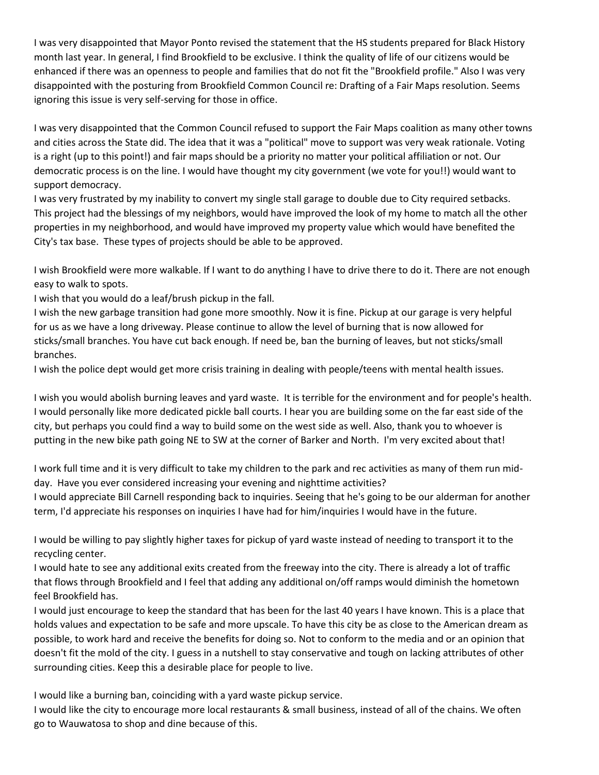I was very disappointed that Mayor Ponto revised the statement that the HS students prepared for Black History month last year. In general, I find Brookfield to be exclusive. I think the quality of life of our citizens would be enhanced if there was an openness to people and families that do not fit the "Brookfield profile." Also I was very disappointed with the posturing from Brookfield Common Council re: Drafting of a Fair Maps resolution. Seems ignoring this issue is very self-serving for those in office.

I was very disappointed that the Common Council refused to support the Fair Maps coalition as many other towns and cities across the State did. The idea that it was a "political" move to support was very weak rationale. Voting is a right (up to this point!) and fair maps should be a priority no matter your political affiliation or not. Our democratic process is on the line. I would have thought my city government (we vote for you!!) would want to support democracy.

I was very frustrated by my inability to convert my single stall garage to double due to City required setbacks. This project had the blessings of my neighbors, would have improved the look of my home to match all the other properties in my neighborhood, and would have improved my property value which would have benefited the City's tax base. These types of projects should be able to be approved.

I wish Brookfield were more walkable. If I want to do anything I have to drive there to do it. There are not enough easy to walk to spots.

I wish that you would do a leaf/brush pickup in the fall.

I wish the new garbage transition had gone more smoothly. Now it is fine. Pickup at our garage is very helpful for us as we have a long driveway. Please continue to allow the level of burning that is now allowed for sticks/small branches. You have cut back enough. If need be, ban the burning of leaves, but not sticks/small branches.

I wish the police dept would get more crisis training in dealing with people/teens with mental health issues.

I wish you would abolish burning leaves and yard waste. It is terrible for the environment and for people's health. I would personally like more dedicated pickle ball courts. I hear you are building some on the far east side of the city, but perhaps you could find a way to build some on the west side as well. Also, thank you to whoever is putting in the new bike path going NE to SW at the corner of Barker and North. I'm very excited about that!

I work full time and it is very difficult to take my children to the park and rec activities as many of them run midday. Have you ever considered increasing your evening and nighttime activities?

I would appreciate Bill Carnell responding back to inquiries. Seeing that he's going to be our alderman for another term, I'd appreciate his responses on inquiries I have had for him/inquiries I would have in the future.

I would be willing to pay slightly higher taxes for pickup of yard waste instead of needing to transport it to the recycling center.

I would hate to see any additional exits created from the freeway into the city. There is already a lot of traffic that flows through Brookfield and I feel that adding any additional on/off ramps would diminish the hometown feel Brookfield has.

I would just encourage to keep the standard that has been for the last 40 years I have known. This is a place that holds values and expectation to be safe and more upscale. To have this city be as close to the American dream as possible, to work hard and receive the benefits for doing so. Not to conform to the media and or an opinion that doesn't fit the mold of the city. I guess in a nutshell to stay conservative and tough on lacking attributes of other surrounding cities. Keep this a desirable place for people to live.

I would like a burning ban, coinciding with a yard waste pickup service.

I would like the city to encourage more local restaurants & small business, instead of all of the chains. We often go to Wauwatosa to shop and dine because of this.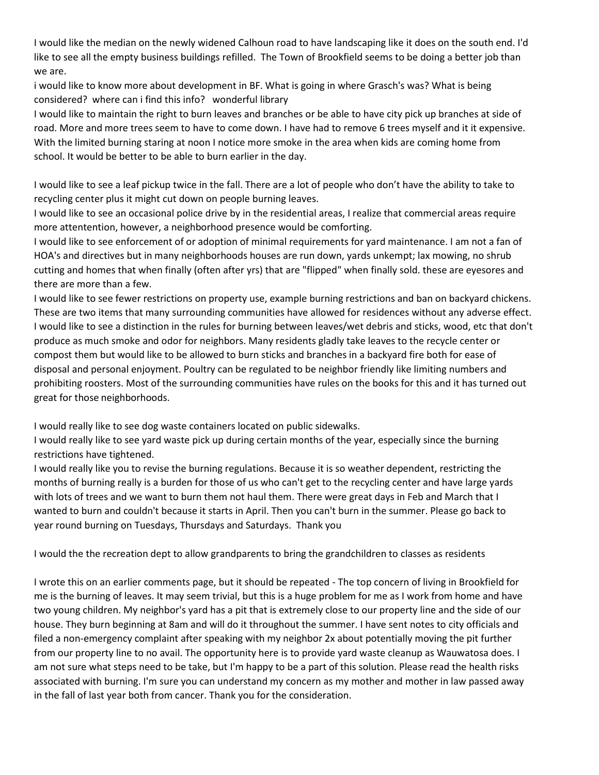I would like the median on the newly widened Calhoun road to have landscaping like it does on the south end. I'd like to see all the empty business buildings refilled. The Town of Brookfield seems to be doing a better job than we are.

i would like to know more about development in BF. What is going in where Grasch's was? What is being considered? where can i find this info? wonderful library

I would like to maintain the right to burn leaves and branches or be able to have city pick up branches at side of road. More and more trees seem to have to come down. I have had to remove 6 trees myself and it it expensive. With the limited burning staring at noon I notice more smoke in the area when kids are coming home from school. It would be better to be able to burn earlier in the day.

I would like to see a leaf pickup twice in the fall. There are a lot of people who don't have the ability to take to recycling center plus it might cut down on people burning leaves.

I would like to see an occasional police drive by in the residential areas, I realize that commercial areas require more attentention, however, a neighborhood presence would be comforting.

I would like to see enforcement of or adoption of minimal requirements for yard maintenance. I am not a fan of HOA's and directives but in many neighborhoods houses are run down, yards unkempt; lax mowing, no shrub cutting and homes that when finally (often after yrs) that are "flipped" when finally sold. these are eyesores and there are more than a few.

I would like to see fewer restrictions on property use, example burning restrictions and ban on backyard chickens. These are two items that many surrounding communities have allowed for residences without any adverse effect. I would like to see a distinction in the rules for burning between leaves/wet debris and sticks, wood, etc that don't produce as much smoke and odor for neighbors. Many residents gladly take leaves to the recycle center or compost them but would like to be allowed to burn sticks and branches in a backyard fire both for ease of disposal and personal enjoyment. Poultry can be regulated to be neighbor friendly like limiting numbers and prohibiting roosters. Most of the surrounding communities have rules on the books for this and it has turned out great for those neighborhoods.

I would really like to see dog waste containers located on public sidewalks.

I would really like to see yard waste pick up during certain months of the year, especially since the burning restrictions have tightened.

I would really like you to revise the burning regulations. Because it is so weather dependent, restricting the months of burning really is a burden for those of us who can't get to the recycling center and have large yards with lots of trees and we want to burn them not haul them. There were great days in Feb and March that I wanted to burn and couldn't because it starts in April. Then you can't burn in the summer. Please go back to year round burning on Tuesdays, Thursdays and Saturdays. Thank you

I would the the recreation dept to allow grandparents to bring the grandchildren to classes as residents

I wrote this on an earlier comments page, but it should be repeated - The top concern of living in Brookfield for me is the burning of leaves. It may seem trivial, but this is a huge problem for me as I work from home and have two young children. My neighbor's yard has a pit that is extremely close to our property line and the side of our house. They burn beginning at 8am and will do it throughout the summer. I have sent notes to city officials and filed a non-emergency complaint after speaking with my neighbor 2x about potentially moving the pit further from our property line to no avail. The opportunity here is to provide yard waste cleanup as Wauwatosa does. I am not sure what steps need to be take, but I'm happy to be a part of this solution. Please read the health risks associated with burning. I'm sure you can understand my concern as my mother and mother in law passed away in the fall of last year both from cancer. Thank you for the consideration.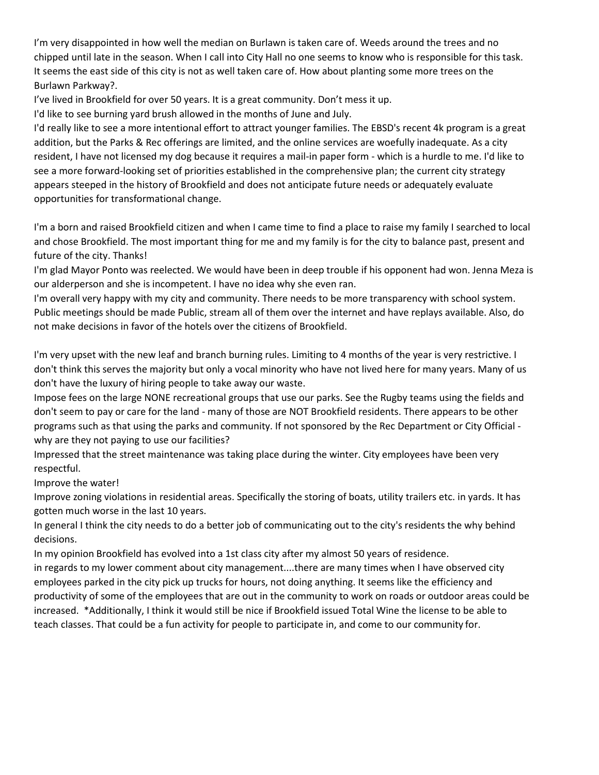I'm very disappointed in how well the median on Burlawn is taken care of. Weeds around the trees and no chipped until late in the season. When I call into City Hall no one seems to know who is responsible for this task. It seems the east side of this city is not as well taken care of. How about planting some more trees on the Burlawn Parkway?.

I've lived in Brookfield for over 50 years. It is a great community. Don't mess it up.

I'd like to see burning yard brush allowed in the months of June and July.

I'd really like to see a more intentional effort to attract younger families. The EBSD's recent 4k program is a great addition, but the Parks & Rec offerings are limited, and the online services are woefully inadequate. As a city resident, I have not licensed my dog because it requires a mail-in paper form - which is a hurdle to me. I'd like to see a more forward-looking set of priorities established in the comprehensive plan; the current city strategy appears steeped in the history of Brookfield and does not anticipate future needs or adequately evaluate opportunities for transformational change.

I'm a born and raised Brookfield citizen and when I came time to find a place to raise my family I searched to local and chose Brookfield. The most important thing for me and my family is for the city to balance past, present and future of the city. Thanks!

I'm glad Mayor Ponto was reelected. We would have been in deep trouble if his opponent had won. Jenna Meza is our alderperson and she is incompetent. I have no idea why she even ran.

I'm overall very happy with my city and community. There needs to be more transparency with school system. Public meetings should be made Public, stream all of them over the internet and have replays available. Also, do not make decisions in favor of the hotels over the citizens of Brookfield.

I'm very upset with the new leaf and branch burning rules. Limiting to 4 months of the year is very restrictive. I don't think this serves the majority but only a vocal minority who have not lived here for many years. Many of us don't have the luxury of hiring people to take away our waste.

Impose fees on the large NONE recreational groups that use our parks. See the Rugby teams using the fields and don't seem to pay or care for the land - many of those are NOT Brookfield residents. There appears to be other programs such as that using the parks and community. If not sponsored by the Rec Department or City Official why are they not paying to use our facilities?

Impressed that the street maintenance was taking place during the winter. City employees have been very respectful.

Improve the water!

Improve zoning violations in residential areas. Specifically the storing of boats, utility trailers etc. in yards. It has gotten much worse in the last 10 years.

In general I think the city needs to do a better job of communicating out to the city's residents the why behind decisions.

In my opinion Brookfield has evolved into a 1st class city after my almost 50 years of residence.

in regards to my lower comment about city management....there are many times when I have observed city employees parked in the city pick up trucks for hours, not doing anything. It seems like the efficiency and productivity of some of the employees that are out in the community to work on roads or outdoor areas could be increased. \*Additionally, I think it would still be nice if Brookfield issued Total Wine the license to be able to teach classes. That could be a fun activity for people to participate in, and come to our community for.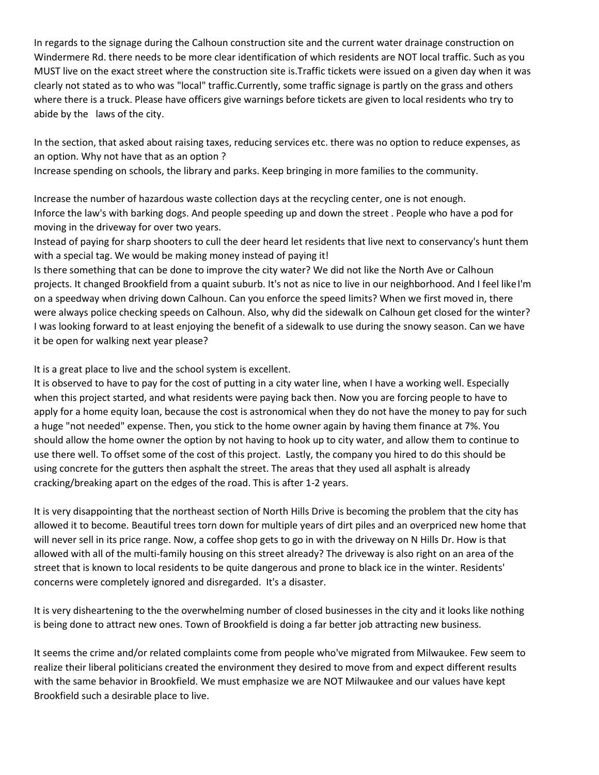In regards to the signage during the Calhoun construction site and the current water drainage construction on Windermere Rd. there needs to be more clear identification of which residents are NOT local traffic. Such as you MUST live on the exact street where the construction site is.Traffic tickets were issued on a given day when it was clearly not stated as to who was "local" traffic.Currently, some traffic signage is partly on the grass and others where there is a truck. Please have officers give warnings before tickets are given to local residents who try to abide by the laws of the city.

In the section, that asked about raising taxes, reducing services etc. there was no option to reduce expenses, as an option. Why not have that as an option ?

Increase spending on schools, the library and parks. Keep bringing in more families to the community.

Increase the number of hazardous waste collection days at the recycling center, one is not enough. Inforce the law's with barking dogs. And people speeding up and down the street . People who have a pod for moving in the driveway for over two years.

Instead of paying for sharp shooters to cull the deer heard let residents that live next to conservancy's hunt them with a special tag. We would be making money instead of paying it!

Is there something that can be done to improve the city water? We did not like the North Ave or Calhoun projects. It changed Brookfield from a quaint suburb. It's not as nice to live in our neighborhood. And I feel like I'm on a speedway when driving down Calhoun. Can you enforce the speed limits? When we first moved in, there were always police checking speeds on Calhoun. Also, why did the sidewalk on Calhoun get closed for the winter? I was looking forward to at least enjoying the benefit of a sidewalk to use during the snowy season. Can we have it be open for walking next year please?

It is a great place to live and the school system is excellent.

It is observed to have to pay for the cost of putting in a city water line, when I have a working well. Especially when this project started, and what residents were paying back then. Now you are forcing people to have to apply for a home equity loan, because the cost is astronomical when they do not have the money to pay for such a huge "not needed" expense. Then, you stick to the home owner again by having them finance at 7%. You should allow the home owner the option by not having to hook up to city water, and allow them to continue to use there well. To offset some of the cost of this project. Lastly, the company you hired to do this should be using concrete for the gutters then asphalt the street. The areas that they used all asphalt is already cracking/breaking apart on the edges of the road. This is after 1-2 years.

It is very disappointing that the northeast section of North Hills Drive is becoming the problem that the city has allowed it to become. Beautiful trees torn down for multiple years of dirt piles and an overpriced new home that will never sell in its price range. Now, a coffee shop gets to go in with the driveway on N Hills Dr. How is that allowed with all of the multi-family housing on this street already? The driveway is also right on an area of the street that is known to local residents to be quite dangerous and prone to black ice in the winter. Residents' concerns were completely ignored and disregarded. It's a disaster.

It is very disheartening to the the overwhelming number of closed businesses in the city and it looks like nothing is being done to attract new ones. Town of Brookfield is doing a far better job attracting new business.

It seems the crime and/or related complaints come from people who've migrated from Milwaukee. Few seem to realize their liberal politicians created the environment they desired to move from and expect different results with the same behavior in Brookfield. We must emphasize we are NOT Milwaukee and our values have kept Brookfield such a desirable place to live.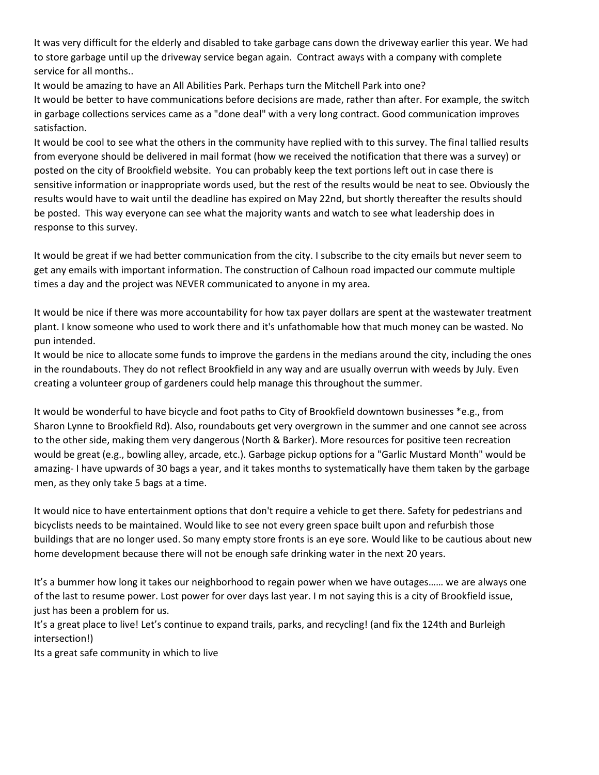It was very difficult for the elderly and disabled to take garbage cans down the driveway earlier this year. We had to store garbage until up the driveway service began again. Contract aways with a company with complete service for all months..

It would be amazing to have an All Abilities Park. Perhaps turn the Mitchell Park into one?

It would be better to have communications before decisions are made, rather than after. For example, the switch in garbage collections services came as a "done deal" with a very long contract. Good communication improves satisfaction.

It would be cool to see what the others in the community have replied with to this survey. The final tallied results from everyone should be delivered in mail format (how we received the notification that there was a survey) or posted on the city of Brookfield website. You can probably keep the text portions left out in case there is sensitive information or inappropriate words used, but the rest of the results would be neat to see. Obviously the results would have to wait until the deadline has expired on May 22nd, but shortly thereafter the results should be posted. This way everyone can see what the majority wants and watch to see what leadership does in response to this survey.

It would be great if we had better communication from the city. I subscribe to the city emails but never seem to get any emails with important information. The construction of Calhoun road impacted our commute multiple times a day and the project was NEVER communicated to anyone in my area.

It would be nice if there was more accountability for how tax payer dollars are spent at the wastewater treatment plant. I know someone who used to work there and it's unfathomable how that much money can be wasted. No pun intended.

It would be nice to allocate some funds to improve the gardens in the medians around the city, including the ones in the roundabouts. They do not reflect Brookfield in any way and are usually overrun with weeds by July. Even creating a volunteer group of gardeners could help manage this throughout the summer.

It would be wonderful to have bicycle and foot paths to City of Brookfield downtown businesses \*e.g., from Sharon Lynne to Brookfield Rd). Also, roundabouts get very overgrown in the summer and one cannot see across to the other side, making them very dangerous (North & Barker). More resources for positive teen recreation would be great (e.g., bowling alley, arcade, etc.). Garbage pickup options for a "Garlic Mustard Month" would be amazing- I have upwards of 30 bags a year, and it takes months to systematically have them taken by the garbage men, as they only take 5 bags at a time.

It would nice to have entertainment options that don't require a vehicle to get there. Safety for pedestrians and bicyclists needs to be maintained. Would like to see not every green space built upon and refurbish those buildings that are no longer used. So many empty store fronts is an eye sore. Would like to be cautious about new home development because there will not be enough safe drinking water in the next 20 years.

It's a bummer how long it takes our neighborhood to regain power when we have outages…… we are always one of the last to resume power. Lost power for over days last year. I m not saying this is a city of Brookfield issue, just has been a problem for us.

It's a great place to live! Let's continue to expand trails, parks, and recycling! (and fix the 124th and Burleigh intersection!)

Its a great safe community in which to live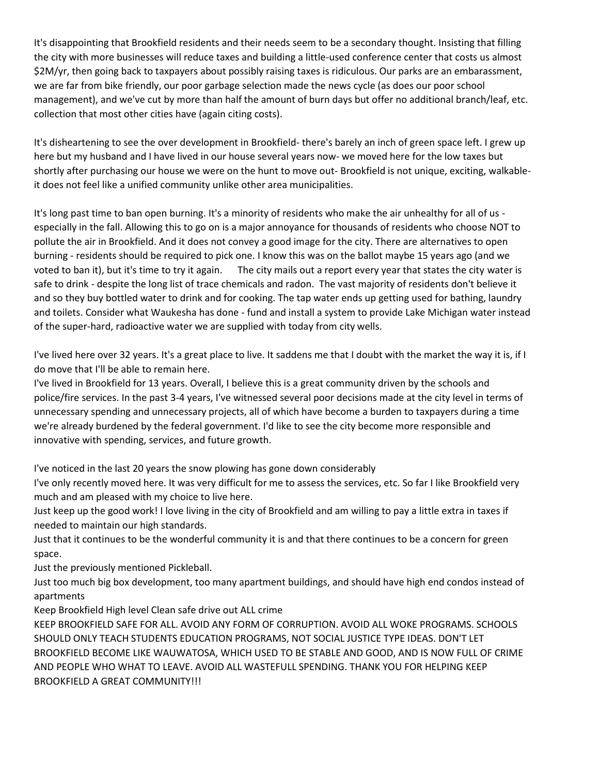It's disappointing that Brookfield residents and their needs seem to be a secondary thought. Insisting that filling the city with more businesses will reduce taxes and building a little-used conference center that costs us almost \$2M/yr, then going back to taxpayers about possibly raising taxes is ridiculous. Our parks are an embarassment, we are far from bike friendly, our poor garbage selection made the news cycle (as does our poor school management), and we've cut by more than half the amount of burn days but offer no additional branch/leaf, etc. collection that most other cities have (again citing costs).

It's disheartening to see the over development in Brookfield- there's barely an inch of green space left. I grew up here but my husband and I have lived in our house several years now- we moved here for the low taxes but shortly after purchasing our house we were on the hunt to move out- Brookfield is not unique, exciting, walkableit does not feel like a unified community unlike other area municipalities.

It's long past time to ban open burning. It's a minority of residents who make the air unhealthy for all of us especially in the fall. Allowing this to go on is a major annoyance for thousands of residents who choose NOT to pollute the air in Brookfield. And it does not convey a good image for the city. There are alternatives to open burning - residents should be required to pick one. I know this was on the ballot maybe 15 years ago (and we voted to ban it), but it's time to try it again. The city mails out a report every year that states the city water is safe to drink - despite the long list of trace chemicals and radon. The vast majority of residents don't believe it and so they buy bottled water to drink and for cooking. The tap water ends up getting used for bathing, laundry and toilets. Consider what Waukesha has done - fund and install a system to provide Lake Michigan water instead of the super-hard, radioactive water we are supplied with today from city wells.

I've lived here over 32 years. It's a great place to live. It saddens me that I doubt with the market the way it is, if I do move that I'll be able to remain here.

I've lived in Brookfield for 13 years. Overall, I believe this is a great community driven by the schools and police/fire services. In the past 3-4 years, I've witnessed several poor decisions made at the city level in terms of unnecessary spending and unnecessary projects, all of which have become a burden to taxpayers during a time we're already burdened by the federal government. I'd like to see the city become more responsible and innovative with spending, services, and future growth.

I've noticed in the last 20 years the snow plowing has gone down considerably

I've only recently moved here. It was very difficult for me to assess the services, etc. So far I like Brookfield very much and am pleased with my choice to live here.

Just keep up the good work! I love living in the city of Brookfield and am willing to pay a little extra in taxes if needed to maintain our high standards.

Just that it continues to be the wonderful community it is and that there continues to be a concern for green space.

Just the previously mentioned Pickleball.

Just too much big box development, too many apartment buildings, and should have high end condos instead of apartments

Keep Brookfield High level Clean safe drive out ALL crime

KEEP BROOKFIELD SAFE FOR ALL. AVOID ANY FORM OF CORRUPTION. AVOID ALL WOKE PROGRAMS. SCHOOLS SHOULD ONLY TEACH STUDENTS EDUCATION PROGRAMS, NOT SOCIAL JUSTICE TYPE IDEAS. DON'T LET BROOKFIELD BECOME LIKE WAUWATOSA, WHICH USED TO BE STABLE AND GOOD, AND IS NOW FULL OF CRIME AND PEOPLE WHO WHAT TO LEAVE. AVOID ALL WASTEFULL SPENDING. THANK YOU FOR HELPING KEEP BROOKFIELD A GREAT COMMUNITY!!!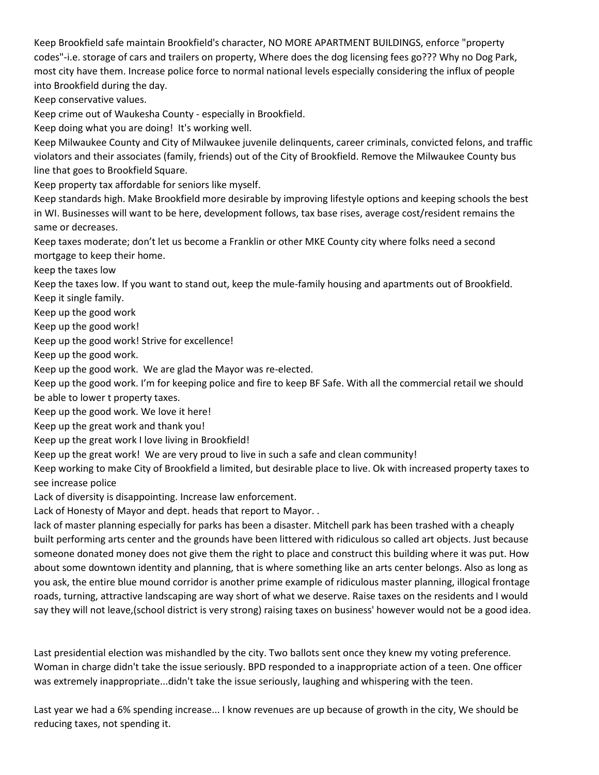Keep Brookfield safe maintain Brookfield's character, NO MORE APARTMENT BUILDINGS, enforce "property codes"-i.e. storage of cars and trailers on property, Where does the dog licensing fees go??? Why no Dog Park, most city have them. Increase police force to normal national levels especially considering the influx of people into Brookfield during the day.

Keep conservative values.

Keep crime out of Waukesha County - especially in Brookfield.

Keep doing what you are doing! It's working well.

Keep Milwaukee County and City of Milwaukee juvenile delinquents, career criminals, convicted felons, and traffic violators and their associates (family, friends) out of the City of Brookfield. Remove the Milwaukee County bus line that goes to Brookfield Square.

Keep property tax affordable for seniors like myself.

Keep standards high. Make Brookfield more desirable by improving lifestyle options and keeping schools the best in WI. Businesses will want to be here, development follows, tax base rises, average cost/resident remains the same or decreases.

Keep taxes moderate; don't let us become a Franklin or other MKE County city where folks need a second mortgage to keep their home.

keep the taxes low

Keep the taxes low. If you want to stand out, keep the mule-family housing and apartments out of Brookfield. Keep it single family.

Keep up the good work

Keep up the good work!

Keep up the good work! Strive for excellence!

Keep up the good work.

Keep up the good work. We are glad the Mayor was re-elected.

Keep up the good work. I'm for keeping police and fire to keep BF Safe. With all the commercial retail we should be able to lower t property taxes.

Keep up the good work. We love it here!

Keep up the great work and thank you!

Keep up the great work I love living in Brookfield!

Keep up the great work! We are very proud to live in such a safe and clean community!

Keep working to make City of Brookfield a limited, but desirable place to live. Ok with increased property taxes to see increase police

Lack of diversity is disappointing. Increase law enforcement.

Lack of Honesty of Mayor and dept. heads that report to Mayor. .

lack of master planning especially for parks has been a disaster. Mitchell park has been trashed with a cheaply built performing arts center and the grounds have been littered with ridiculous so called art objects. Just because someone donated money does not give them the right to place and construct this building where it was put. How about some downtown identity and planning, that is where something like an arts center belongs. Also as long as you ask, the entire blue mound corridor is another prime example of ridiculous master planning, illogical frontage roads, turning, attractive landscaping are way short of what we deserve. Raise taxes on the residents and I would say they will not leave,(school district is very strong) raising taxes on business' however would not be a good idea.

Last presidential election was mishandled by the city. Two ballots sent once they knew my voting preference. Woman in charge didn't take the issue seriously. BPD responded to a inappropriate action of a teen. One officer was extremely inappropriate...didn't take the issue seriously, laughing and whispering with the teen.

Last year we had a 6% spending increase... I know revenues are up because of growth in the city, We should be reducing taxes, not spending it.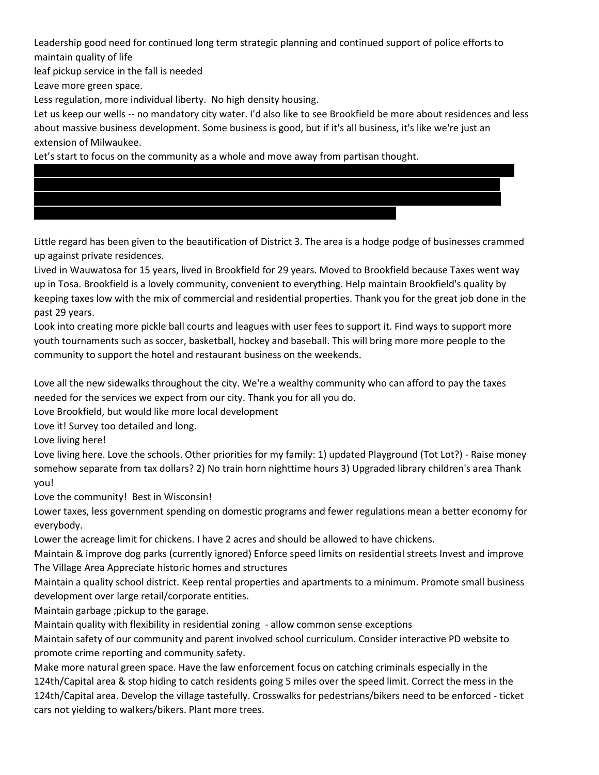Leadership good need for continued long term strategic planning and continued support of police efforts to maintain quality of life

leaf pickup service in the fall is needed

Leave more green space.

Less regulation, more individual liberty. No high density housing.

Let us keep our wells -- no mandatory city water. I'd also like to see Brookfield be more about residences and less about massive business development. Some business is good, but if it's all business, it's like we're just an extension of Milwaukee.

Lifetime fitness permits thongs and minimal breast coverage. The pool area, especially in summer, toys with a

Rumors of sex acts in the spa is revolting. Children are at the pool as well as others who want private areas

Let's start to focus on the community as a whole and move away from partisan thought.

Little regard has been given to the beautification of District 3. The area is a hodge podge of businesses crammed up against private residences.

Lived in Wauwatosa for 15 years, lived in Brookfield for 29 years. Moved to Brookfield because Taxes went way up in Tosa. Brookfield is a lovely community, convenient to everything. Help maintain Brookfield's quality by keeping taxes low with the mix of commercial and residential properties. Thank you for the great job done in the past 29 years.

Look into creating more pickle ball courts and leagues with user fees to support it. Find ways to support more youth tournaments such as soccer, basketball, hockey and baseball. This will bring more more people to the community to support the hotel and restaurant business on the weekends.

Love all the new sidewalks throughout the city. We're a wealthy community who can afford to pay the taxes needed for the services we expect from our city. Thank you for all you do.

Love Brookfield, but would like more local development

Love it! Survey too detailed and long.

Love living here!

Love living here. Love the schools. Other priorities for my family: 1) updated Playground (Tot Lot?) - Raise money somehow separate from tax dollars? 2) No train horn nighttime hours 3) Upgraded library children's area Thank you!

Love the community! Best in Wisconsin!

Lower taxes, less government spending on domestic programs and fewer regulations mean a better economy for everybody.

Lower the acreage limit for chickens. I have 2 acres and should be allowed to have chickens.

Maintain & improve dog parks (currently ignored) Enforce speed limits on residential streets Invest and improve The Village Area Appreciate historic homes and structures

Maintain a quality school district. Keep rental properties and apartments to a minimum. Promote small business development over large retail/corporate entities.

Maintain garbage ;pickup to the garage.

Maintain quality with flexibility in residential zoning - allow common sense exceptions

Maintain safety of our community and parent involved school curriculum. Consider interactive PD website to promote crime reporting and community safety.

Make more natural green space. Have the law enforcement focus on catching criminals especially in the 124th/Capital area & stop hiding to catch residents going 5 miles over the speed limit. Correct the mess in the 124th/Capital area. Develop the village tastefully. Crosswalks for pedestrians/bikers need to be enforced - ticket cars not yielding to walkers/bikers. Plant more trees.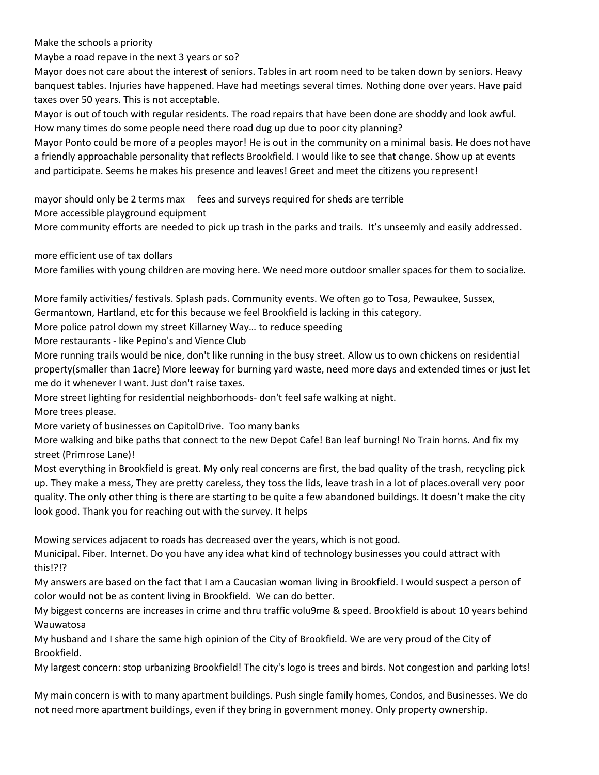Make the schools a priority

Maybe a road repave in the next 3 years or so?

Mayor does not care about the interest of seniors. Tables in art room need to be taken down by seniors. Heavy banquest tables. Injuries have happened. Have had meetings several times. Nothing done over years. Have paid taxes over 50 years. This is not acceptable.

Mayor is out of touch with regular residents. The road repairs that have been done are shoddy and look awful. How many times do some people need there road dug up due to poor city planning?

Mayor Ponto could be more of a peoples mayor! He is out in the community on a minimal basis. He does not have a friendly approachable personality that reflects Brookfield. I would like to see that change. Show up at events and participate. Seems he makes his presence and leaves! Greet and meet the citizens you represent!

mayor should only be 2 terms max fees and surveys required for sheds are terrible

More accessible playground equipment

More community efforts are needed to pick up trash in the parks and trails. It's unseemly and easily addressed.

more efficient use of tax dollars

More families with young children are moving here. We need more outdoor smaller spaces for them to socialize.

More family activities/ festivals. Splash pads. Community events. We often go to Tosa, Pewaukee, Sussex,

Germantown, Hartland, etc for this because we feel Brookfield is lacking in this category.

More police patrol down my street Killarney Way… to reduce speeding

More restaurants - like Pepino's and Vience Club

More running trails would be nice, don't like running in the busy street. Allow us to own chickens on residential property(smaller than 1acre) More leeway for burning yard waste, need more days and extended times or just let me do it whenever I want. Just don't raise taxes.

More street lighting for residential neighborhoods- don't feel safe walking at night.

More trees please.

More variety of businesses on CapitolDrive. Too many banks

More walking and bike paths that connect to the new Depot Cafe! Ban leaf burning! No Train horns. And fix my street (Primrose Lane)!

Most everything in Brookfield is great. My only real concerns are first, the bad quality of the trash, recycling pick up. They make a mess, They are pretty careless, they toss the lids, leave trash in a lot of places.overall very poor quality. The only other thing is there are starting to be quite a few abandoned buildings. It doesn't make the city look good. Thank you for reaching out with the survey. It helps

Mowing services adjacent to roads has decreased over the years, which is not good.

Municipal. Fiber. Internet. Do you have any idea what kind of technology businesses you could attract with this!?!?

My answers are based on the fact that I am a Caucasian woman living in Brookfield. I would suspect a person of color would not be as content living in Brookfield. We can do better.

My biggest concerns are increases in crime and thru traffic volu9me & speed. Brookfield is about 10 years behind Wauwatosa

My husband and I share the same high opinion of the City of Brookfield. We are very proud of the City of Brookfield.

My largest concern: stop urbanizing Brookfield! The city's logo is trees and birds. Not congestion and parking lots!

My main concern is with to many apartment buildings. Push single family homes, Condos, and Businesses. We do not need more apartment buildings, even if they bring in government money. Only property ownership.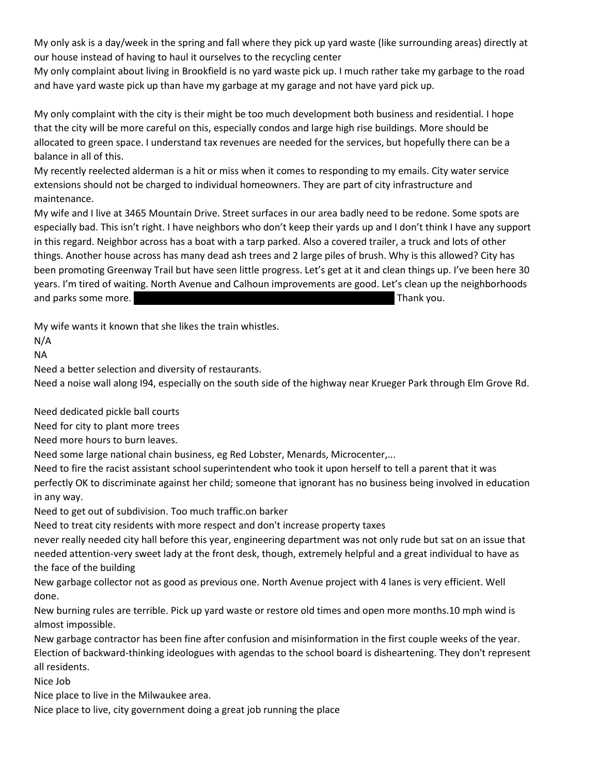My only ask is a day/week in the spring and fall where they pick up yard waste (like surrounding areas) directly at our house instead of having to haul it ourselves to the recycling center

My only complaint about living in Brookfield is no yard waste pick up. I much rather take my garbage to the road and have yard waste pick up than have my garbage at my garage and not have yard pick up.

My only complaint with the city is their might be too much development both business and residential. I hope that the city will be more careful on this, especially condos and large high rise buildings. More should be allocated to green space. I understand tax revenues are needed for the services, but hopefully there can be a balance in all of this.

My recently reelected alderman is a hit or miss when it comes to responding to my emails. City water service extensions should not be charged to individual homeowners. They are part of city infrastructure and maintenance.

My wife and I live at 3465 Mountain Drive. Street surfaces in our area badly need to be redone. Some spots are especially bad. This isn't right. I have neighbors who don't keep their yards up and I don't think I have any support in this regard. Neighbor across has a boat with a tarp parked. Also a covered trailer, a truck and lots of other things. Another house across has many dead ash trees and 2 large piles of brush. Why is this allowed? City has been promoting Greenway Trail but have seen little progress. Let's get at it and clean things up. I've been here 30 years. I'm tired of waiting. North Avenue and Calhoun improvements are good. Let's clean up the neighborhoods and parks some more. My name is Jeff Fuller and can be reached at 262-364-6260. Thank you.

My wife wants it known that she likes the train whistles.

N/A

NA

Need a better selection and diversity of restaurants.

Need a noise wall along I94, especially on the south side of the highway near Krueger Park through Elm Grove Rd.

Need dedicated pickle ball courts

Need for city to plant more trees

Need more hours to burn leaves.

Need some large national chain business, eg Red Lobster, Menards, Microcenter,...

Need to fire the racist assistant school superintendent who took it upon herself to tell a parent that it was perfectly OK to discriminate against her child; someone that ignorant has no business being involved in education in any way.

Need to get out of subdivision. Too much traffic.on barker

Need to treat city residents with more respect and don't increase property taxes

never really needed city hall before this year, engineering department was not only rude but sat on an issue that needed attention-very sweet lady at the front desk, though, extremely helpful and a great individual to have as the face of the building

New garbage collector not as good as previous one. North Avenue project with 4 lanes is very efficient. Well done.

New burning rules are terrible. Pick up yard waste or restore old times and open more months.10 mph wind is almost impossible.

New garbage contractor has been fine after confusion and misinformation in the first couple weeks of the year. Election of backward-thinking ideologues with agendas to the school board is disheartening. They don't represent all residents.

Nice Job

Nice place to live in the Milwaukee area.

Nice place to live, city government doing a great job running the place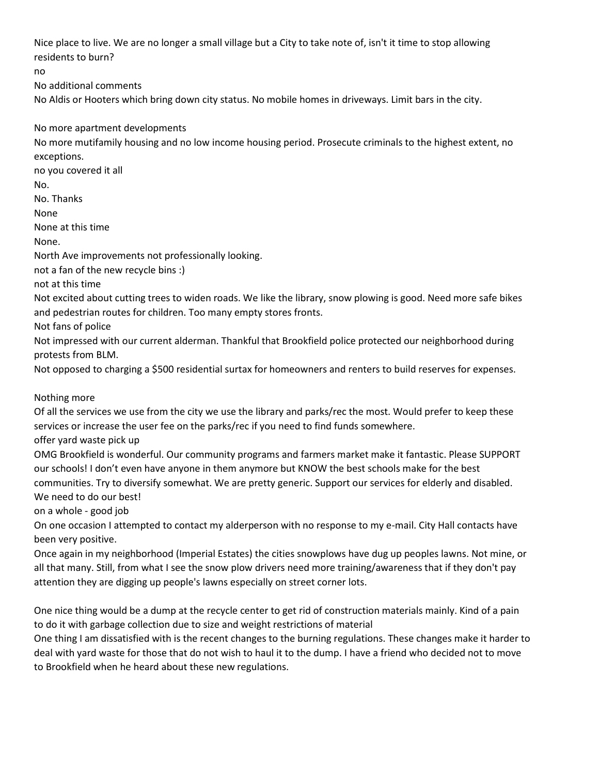Nice place to live. We are no longer a small village but a City to take note of, isn't it time to stop allowing residents to burn?

no

No additional comments

No Aldis or Hooters which bring down city status. No mobile homes in driveways. Limit bars in the city.

No more apartment developments

No more mutifamily housing and no low income housing period. Prosecute criminals to the highest extent, no exceptions.

no you covered it all

No.

No. Thanks

None

None at this time

None.

North Ave improvements not professionally looking.

not a fan of the new recycle bins :)

not at this time

Not excited about cutting trees to widen roads. We like the library, snow plowing is good. Need more safe bikes and pedestrian routes for children. Too many empty stores fronts.

Not fans of police

Not impressed with our current alderman. Thankful that Brookfield police protected our neighborhood during protests from BLM.

Not opposed to charging a \$500 residential surtax for homeowners and renters to build reserves for expenses.

Nothing more

Of all the services we use from the city we use the library and parks/rec the most. Would prefer to keep these services or increase the user fee on the parks/rec if you need to find funds somewhere.

offer yard waste pick up

OMG Brookfield is wonderful. Our community programs and farmers market make it fantastic. Please SUPPORT our schools! I don't even have anyone in them anymore but KNOW the best schools make for the best communities. Try to diversify somewhat. We are pretty generic. Support our services for elderly and disabled.

We need to do our best!

on a whole - good job

On one occasion I attempted to contact my alderperson with no response to my e-mail. City Hall contacts have been very positive.

Once again in my neighborhood (Imperial Estates) the cities snowplows have dug up peoples lawns. Not mine, or all that many. Still, from what I see the snow plow drivers need more training/awareness that if they don't pay attention they are digging up people's lawns especially on street corner lots.

One nice thing would be a dump at the recycle center to get rid of construction materials mainly. Kind of a pain to do it with garbage collection due to size and weight restrictions of material

One thing I am dissatisfied with is the recent changes to the burning regulations. These changes make it harder to deal with yard waste for those that do not wish to haul it to the dump. I have a friend who decided not to move to Brookfield when he heard about these new regulations.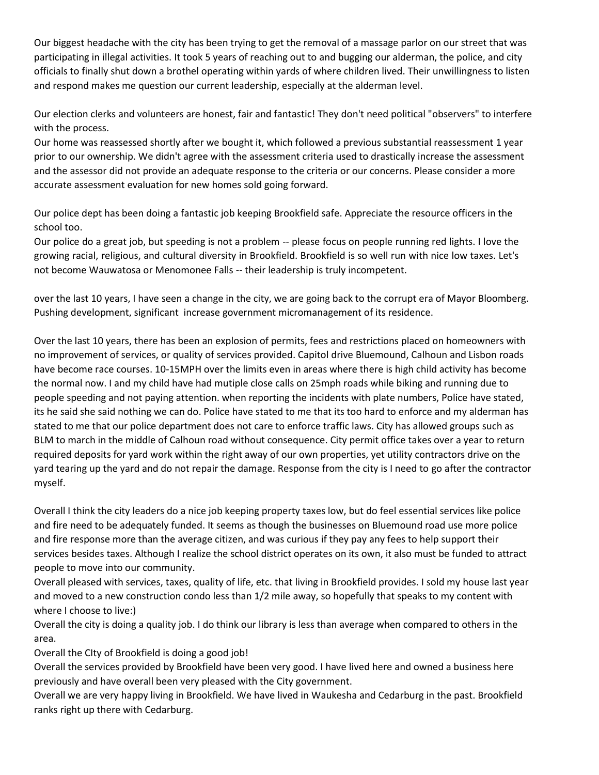Our biggest headache with the city has been trying to get the removal of a massage parlor on our street that was participating in illegal activities. It took 5 years of reaching out to and bugging our alderman, the police, and city officials to finally shut down a brothel operating within yards of where children lived. Their unwillingness to listen and respond makes me question our current leadership, especially at the alderman level.

Our election clerks and volunteers are honest, fair and fantastic! They don't need political "observers" to interfere with the process.

Our home was reassessed shortly after we bought it, which followed a previous substantial reassessment 1 year prior to our ownership. We didn't agree with the assessment criteria used to drastically increase the assessment and the assessor did not provide an adequate response to the criteria or our concerns. Please consider a more accurate assessment evaluation for new homes sold going forward.

Our police dept has been doing a fantastic job keeping Brookfield safe. Appreciate the resource officers in the school too.

Our police do a great job, but speeding is not a problem -- please focus on people running red lights. I love the growing racial, religious, and cultural diversity in Brookfield. Brookfield is so well run with nice low taxes. Let's not become Wauwatosa or Menomonee Falls -- their leadership is truly incompetent.

over the last 10 years, I have seen a change in the city, we are going back to the corrupt era of Mayor Bloomberg. Pushing development, significant increase government micromanagement of its residence.

Over the last 10 years, there has been an explosion of permits, fees and restrictions placed on homeowners with no improvement of services, or quality of services provided. Capitol drive Bluemound, Calhoun and Lisbon roads have become race courses. 10-15MPH over the limits even in areas where there is high child activity has become the normal now. I and my child have had mutiple close calls on 25mph roads while biking and running due to people speeding and not paying attention. when reporting the incidents with plate numbers, Police have stated, its he said she said nothing we can do. Police have stated to me that its too hard to enforce and my alderman has stated to me that our police department does not care to enforce traffic laws. City has allowed groups such as BLM to march in the middle of Calhoun road without consequence. City permit office takes over a year to return required deposits for yard work within the right away of our own properties, yet utility contractors drive on the yard tearing up the yard and do not repair the damage. Response from the city is I need to go after the contractor myself.

Overall I think the city leaders do a nice job keeping property taxes low, but do feel essential services like police and fire need to be adequately funded. It seems as though the businesses on Bluemound road use more police and fire response more than the average citizen, and was curious if they pay any fees to help support their services besides taxes. Although I realize the school district operates on its own, it also must be funded to attract people to move into our community.

Overall pleased with services, taxes, quality of life, etc. that living in Brookfield provides. I sold my house last year and moved to a new construction condo less than 1/2 mile away, so hopefully that speaks to my content with where I choose to live:)

Overall the city is doing a quality job. I do think our library is less than average when compared to others in the area.

Overall the CIty of Brookfield is doing a good job!

Overall the services provided by Brookfield have been very good. I have lived here and owned a business here previously and have overall been very pleased with the City government.

Overall we are very happy living in Brookfield. We have lived in Waukesha and Cedarburg in the past. Brookfield ranks right up there with Cedarburg.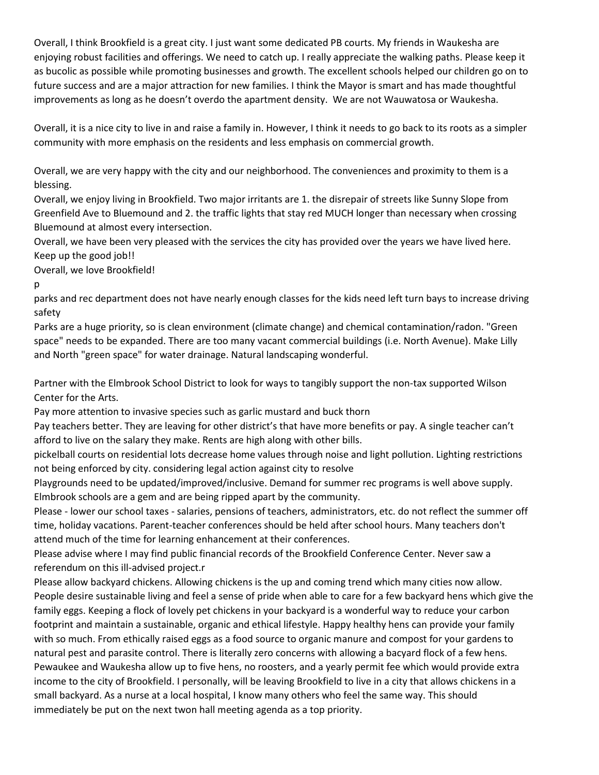Overall, I think Brookfield is a great city. I just want some dedicated PB courts. My friends in Waukesha are enjoying robust facilities and offerings. We need to catch up. I really appreciate the walking paths. Please keep it as bucolic as possible while promoting businesses and growth. The excellent schools helped our children go on to future success and are a major attraction for new families. I think the Mayor is smart and has made thoughtful improvements as long as he doesn't overdo the apartment density. We are not Wauwatosa or Waukesha.

Overall, it is a nice city to live in and raise a family in. However, I think it needs to go back to its roots as a simpler community with more emphasis on the residents and less emphasis on commercial growth.

Overall, we are very happy with the city and our neighborhood. The conveniences and proximity to them is a blessing.

Overall, we enjoy living in Brookfield. Two major irritants are 1. the disrepair of streets like Sunny Slope from Greenfield Ave to Bluemound and 2. the traffic lights that stay red MUCH longer than necessary when crossing Bluemound at almost every intersection.

Overall, we have been very pleased with the services the city has provided over the years we have lived here. Keep up the good job!!

Overall, we love Brookfield!

p

parks and rec department does not have nearly enough classes for the kids need left turn bays to increase driving safety

Parks are a huge priority, so is clean environment (climate change) and chemical contamination/radon. "Green space" needs to be expanded. There are too many vacant commercial buildings (i.e. North Avenue). Make Lilly and North "green space" for water drainage. Natural landscaping wonderful.

Partner with the Elmbrook School District to look for ways to tangibly support the non-tax supported Wilson Center for the Arts.

Pay more attention to invasive species such as garlic mustard and buck thorn

Pay teachers better. They are leaving for other district's that have more benefits or pay. A single teacher can't afford to live on the salary they make. Rents are high along with other bills.

pickelball courts on residential lots decrease home values through noise and light pollution. Lighting restrictions not being enforced by city. considering legal action against city to resolve

Playgrounds need to be updated/improved/inclusive. Demand for summer rec programs is well above supply. Elmbrook schools are a gem and are being ripped apart by the community.

Please - lower our school taxes - salaries, pensions of teachers, administrators, etc. do not reflect the summer off time, holiday vacations. Parent-teacher conferences should be held after school hours. Many teachers don't attend much of the time for learning enhancement at their conferences.

Please advise where I may find public financial records of the Brookfield Conference Center. Never saw a referendum on this ill-advised project.r

Please allow backyard chickens. Allowing chickens is the up and coming trend which many cities now allow. People desire sustainable living and feel a sense of pride when able to care for a few backyard hens which give the family eggs. Keeping a flock of lovely pet chickens in your backyard is a wonderful way to reduce your carbon footprint and maintain a sustainable, organic and ethical lifestyle. Happy healthy hens can provide your family with so much. From ethically raised eggs as a food source to organic manure and compost for your gardens to natural pest and parasite control. There is literally zero concerns with allowing a bacyard flock of a few hens. Pewaukee and Waukesha allow up to five hens, no roosters, and a yearly permit fee which would provide extra income to the city of Brookfield. I personally, will be leaving Brookfield to live in a city that allows chickens in a small backyard. As a nurse at a local hospital, I know many others who feel the same way. This should immediately be put on the next twon hall meeting agenda as a top priority.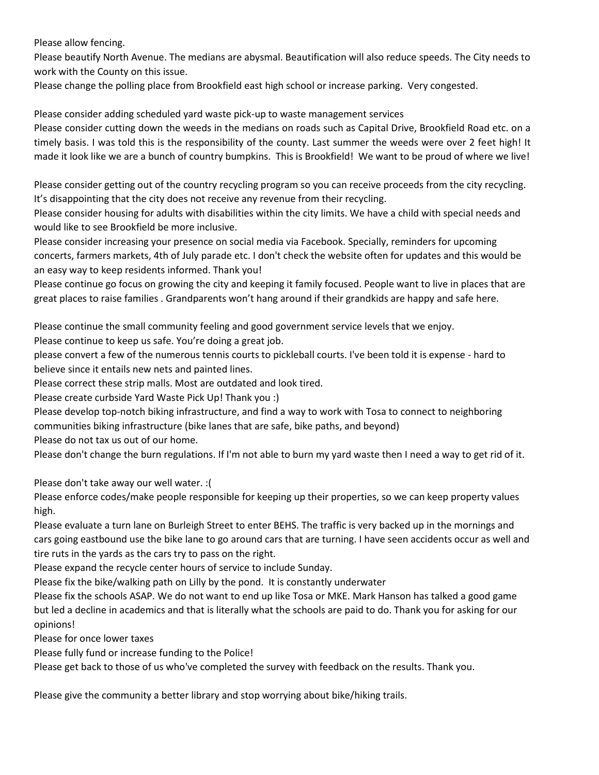Please allow fencing.

Please beautify North Avenue. The medians are abysmal. Beautification will also reduce speeds. The City needs to work with the County on this issue.

Please change the polling place from Brookfield east high school or increase parking. Very congested.

Please consider adding scheduled yard waste pick-up to waste management services

Please consider cutting down the weeds in the medians on roads such as Capital Drive, Brookfield Road etc. on a timely basis. I was told this is the responsibility of the county. Last summer the weeds were over 2 feet high! It made it look like we are a bunch of country bumpkins. This is Brookfield! We want to be proud of where we live!

Please consider getting out of the country recycling program so you can receive proceeds from the city recycling. It's disappointing that the city does not receive any revenue from their recycling.

Please consider housing for adults with disabilities within the city limits. We have a child with special needs and would like to see Brookfield be more inclusive.

Please consider increasing your presence on social media via Facebook. Specially, reminders for upcoming concerts, farmers markets, 4th of July parade etc. I don't check the website often for updates and this would be an easy way to keep residents informed. Thank you!

Please continue go focus on growing the city and keeping it family focused. People want to live in places that are great places to raise families . Grandparents won't hang around if their grandkids are happy and safe here.

Please continue the small community feeling and good government service levels that we enjoy.

Please continue to keep us safe. You're doing a great job.

please convert a few of the numerous tennis courts to pickleball courts. I've been told it is expense - hard to believe since it entails new nets and painted lines.

Please correct these strip malls. Most are outdated and look tired.

Please create curbside Yard Waste Pick Up! Thank you :)

Please develop top-notch biking infrastructure, and find a way to work with Tosa to connect to neighboring communities biking infrastructure (bike lanes that are safe, bike paths, and beyond)

Please do not tax us out of our home.

Please don't change the burn regulations. If I'm not able to burn my yard waste then I need a way to get rid of it.

Please don't take away our well water. :(

Please enforce codes/make people responsible for keeping up their properties, so we can keep property values high.

Please evaluate a turn lane on Burleigh Street to enter BEHS. The traffic is very backed up in the mornings and cars going eastbound use the bike lane to go around cars that are turning. I have seen accidents occur as well and tire ruts in the yards as the cars try to pass on the right.

Please expand the recycle center hours of service to include Sunday.

Please fix the bike/walking path on Lilly by the pond. It is constantly underwater

Please fix the schools ASAP. We do not want to end up like Tosa or MKE. Mark Hanson has talked a good game but led a decline in academics and that is literally what the schools are paid to do. Thank you for asking for our opinions!

Please for once lower taxes

Please fully fund or increase funding to the Police!

Please get back to those of us who've completed the survey with feedback on the results. Thank you.

Please give the community a better library and stop worrying about bike/hiking trails.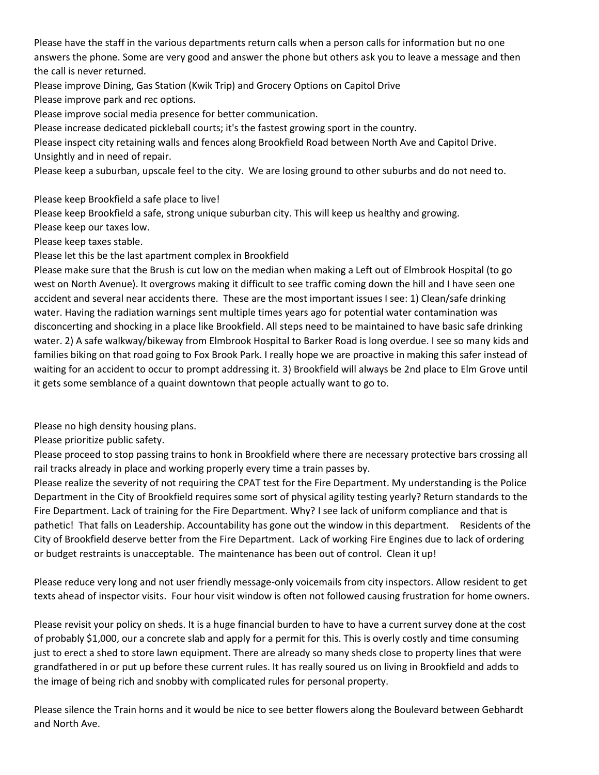Please have the staff in the various departments return calls when a person calls for information but no one answers the phone. Some are very good and answer the phone but others ask you to leave a message and then the call is never returned.

Please improve Dining, Gas Station (Kwik Trip) and Grocery Options on Capitol Drive

Please improve park and rec options.

Please improve social media presence for better communication.

Please increase dedicated pickleball courts; it's the fastest growing sport in the country.

Please inspect city retaining walls and fences along Brookfield Road between North Ave and Capitol Drive. Unsightly and in need of repair.

Please keep a suburban, upscale feel to the city. We are losing ground to other suburbs and do not need to.

Please keep Brookfield a safe place to live!

Please keep Brookfield a safe, strong unique suburban city. This will keep us healthy and growing.

Please keep our taxes low.

Please keep taxes stable.

Please let this be the last apartment complex in Brookfield

Please make sure that the Brush is cut low on the median when making a Left out of Elmbrook Hospital (to go west on North Avenue). It overgrows making it difficult to see traffic coming down the hill and I have seen one accident and several near accidents there. These are the most important issues I see: 1) Clean/safe drinking water. Having the radiation warnings sent multiple times years ago for potential water contamination was disconcerting and shocking in a place like Brookfield. All steps need to be maintained to have basic safe drinking water. 2) A safe walkway/bikeway from Elmbrook Hospital to Barker Road is long overdue. I see so many kids and families biking on that road going to Fox Brook Park. I really hope we are proactive in making this safer instead of waiting for an accident to occur to prompt addressing it. 3) Brookfield will always be 2nd place to Elm Grove until it gets some semblance of a quaint downtown that people actually want to go to.

Please no high density housing plans.

Please prioritize public safety.

Please proceed to stop passing trains to honk in Brookfield where there are necessary protective bars crossing all rail tracks already in place and working properly every time a train passes by.

Please realize the severity of not requiring the CPAT test for the Fire Department. My understanding is the Police Department in the City of Brookfield requires some sort of physical agility testing yearly? Return standards to the Fire Department. Lack of training for the Fire Department. Why? I see lack of uniform compliance and that is pathetic! That falls on Leadership. Accountability has gone out the window in this department. Residents of the City of Brookfield deserve better from the Fire Department. Lack of working Fire Engines due to lack of ordering or budget restraints is unacceptable. The maintenance has been out of control. Clean it up!

Please reduce very long and not user friendly message-only voicemails from city inspectors. Allow resident to get texts ahead of inspector visits. Four hour visit window is often not followed causing frustration for home owners.

Please revisit your policy on sheds. It is a huge financial burden to have to have a current survey done at the cost of probably \$1,000, our a concrete slab and apply for a permit for this. This is overly costly and time consuming just to erect a shed to store lawn equipment. There are already so many sheds close to property lines that were grandfathered in or put up before these current rules. It has really soured us on living in Brookfield and adds to the image of being rich and snobby with complicated rules for personal property.

Please silence the Train horns and it would be nice to see better flowers along the Boulevard between Gebhardt and North Ave.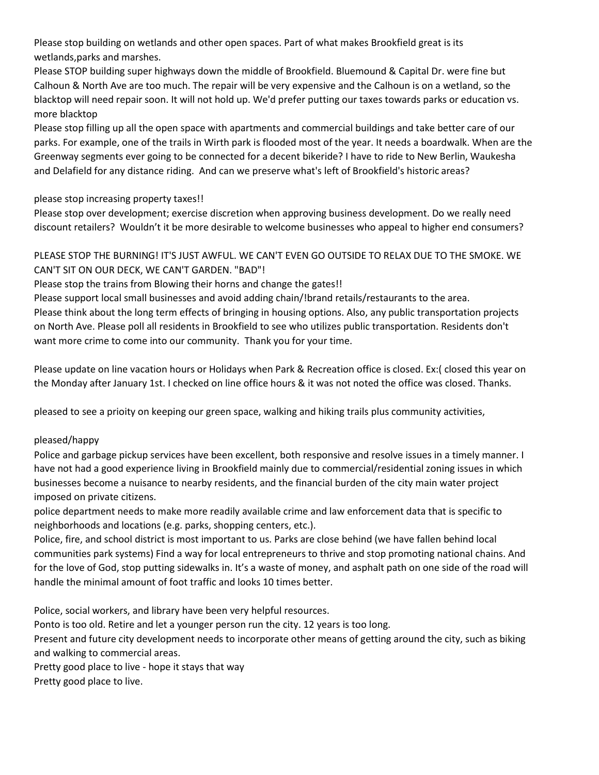Please stop building on wetlands and other open spaces. Part of what makes Brookfield great is its wetlands,parks and marshes.

Please STOP building super highways down the middle of Brookfield. Bluemound & Capital Dr. were fine but Calhoun & North Ave are too much. The repair will be very expensive and the Calhoun is on a wetland, so the blacktop will need repair soon. It will not hold up. We'd prefer putting our taxes towards parks or education vs. more blacktop

Please stop filling up all the open space with apartments and commercial buildings and take better care of our parks. For example, one of the trails in Wirth park is flooded most of the year. It needs a boardwalk. When are the Greenway segments ever going to be connected for a decent bikeride? I have to ride to New Berlin, Waukesha and Delafield for any distance riding. And can we preserve what's left of Brookfield's historic areas?

please stop increasing property taxes!!

Please stop over development; exercise discretion when approving business development. Do we really need discount retailers? Wouldn't it be more desirable to welcome businesses who appeal to higher end consumers?

# PLEASE STOP THE BURNING! IT'S JUST AWFUL. WE CAN'T EVEN GO OUTSIDE TO RELAX DUE TO THE SMOKE. WE CAN'T SIT ON OUR DECK, WE CAN'T GARDEN. "BAD"!

Please stop the trains from Blowing their horns and change the gates!!

Please support local small businesses and avoid adding chain/!brand retails/restaurants to the area. Please think about the long term effects of bringing in housing options. Also, any public transportation projects on North Ave. Please poll all residents in Brookfield to see who utilizes public transportation. Residents don't want more crime to come into our community. Thank you for your time.

Please update on line vacation hours or Holidays when Park & Recreation office is closed. Ex:( closed this year on the Monday after January 1st. I checked on line office hours & it was not noted the office was closed. Thanks.

pleased to see a prioity on keeping our green space, walking and hiking trails plus community activities,

### pleased/happy

Police and garbage pickup services have been excellent, both responsive and resolve issues in a timely manner. I have not had a good experience living in Brookfield mainly due to commercial/residential zoning issues in which businesses become a nuisance to nearby residents, and the financial burden of the city main water project imposed on private citizens.

police department needs to make more readily available crime and law enforcement data that is specific to neighborhoods and locations (e.g. parks, shopping centers, etc.).

Police, fire, and school district is most important to us. Parks are close behind (we have fallen behind local communities park systems) Find a way for local entrepreneurs to thrive and stop promoting national chains. And for the love of God, stop putting sidewalks in. It's a waste of money, and asphalt path on one side of the road will handle the minimal amount of foot traffic and looks 10 times better.

Police, social workers, and library have been very helpful resources.

Ponto is too old. Retire and let a younger person run the city. 12 years is too long.

Present and future city development needs to incorporate other means of getting around the city, such as biking and walking to commercial areas.

Pretty good place to live - hope it stays that way Pretty good place to live.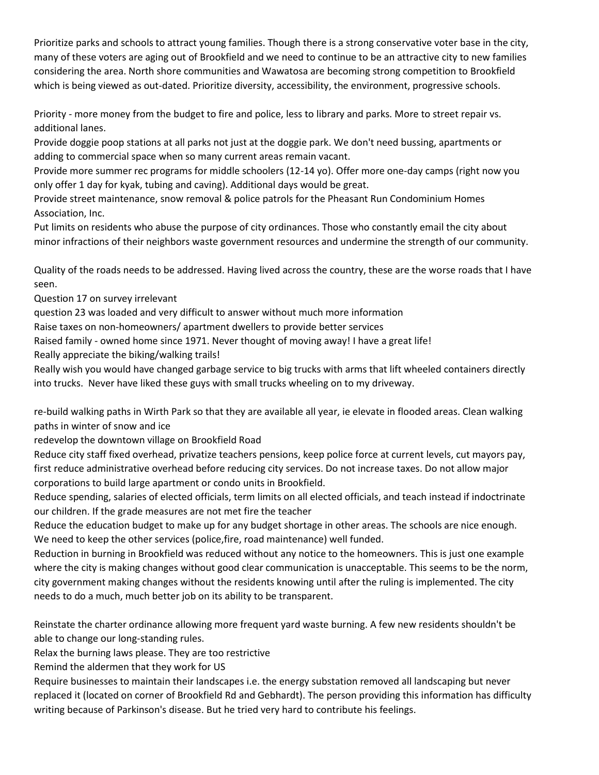Prioritize parks and schools to attract young families. Though there is a strong conservative voter base in the city, many of these voters are aging out of Brookfield and we need to continue to be an attractive city to new families considering the area. North shore communities and Wawatosa are becoming strong competition to Brookfield which is being viewed as out-dated. Prioritize diversity, accessibility, the environment, progressive schools.

Priority - more money from the budget to fire and police, less to library and parks. More to street repair vs. additional lanes.

Provide doggie poop stations at all parks not just at the doggie park. We don't need bussing, apartments or adding to commercial space when so many current areas remain vacant.

Provide more summer rec programs for middle schoolers (12-14 yo). Offer more one-day camps (right now you only offer 1 day for kyak, tubing and caving). Additional days would be great.

Provide street maintenance, snow removal & police patrols for the Pheasant Run Condominium Homes Association, Inc.

Put limits on residents who abuse the purpose of city ordinances. Those who constantly email the city about minor infractions of their neighbors waste government resources and undermine the strength of our community.

Quality of the roads needs to be addressed. Having lived across the country, these are the worse roads that I have seen.

Question 17 on survey irrelevant

question 23 was loaded and very difficult to answer without much more information

Raise taxes on non-homeowners/ apartment dwellers to provide better services

Raised family - owned home since 1971. Never thought of moving away! I have a great life!

Really appreciate the biking/walking trails!

Really wish you would have changed garbage service to big trucks with arms that lift wheeled containers directly into trucks. Never have liked these guys with small trucks wheeling on to my driveway.

re-build walking paths in Wirth Park so that they are available all year, ie elevate in flooded areas. Clean walking paths in winter of snow and ice

redevelop the downtown village on Brookfield Road

Reduce city staff fixed overhead, privatize teachers pensions, keep police force at current levels, cut mayors pay, first reduce administrative overhead before reducing city services. Do not increase taxes. Do not allow major corporations to build large apartment or condo units in Brookfield.

Reduce spending, salaries of elected officials, term limits on all elected officials, and teach instead if indoctrinate our children. If the grade measures are not met fire the teacher

Reduce the education budget to make up for any budget shortage in other areas. The schools are nice enough. We need to keep the other services (police,fire, road maintenance) well funded.

Reduction in burning in Brookfield was reduced without any notice to the homeowners. This is just one example where the city is making changes without good clear communication is unacceptable. This seems to be the norm, city government making changes without the residents knowing until after the ruling is implemented. The city needs to do a much, much better job on its ability to be transparent.

Reinstate the charter ordinance allowing more frequent yard waste burning. A few new residents shouldn't be able to change our long-standing rules.

Relax the burning laws please. They are too restrictive

Remind the aldermen that they work for US

Require businesses to maintain their landscapes i.e. the energy substation removed all landscaping but never replaced it (located on corner of Brookfield Rd and Gebhardt). The person providing this information has difficulty writing because of Parkinson's disease. But he tried very hard to contribute his feelings.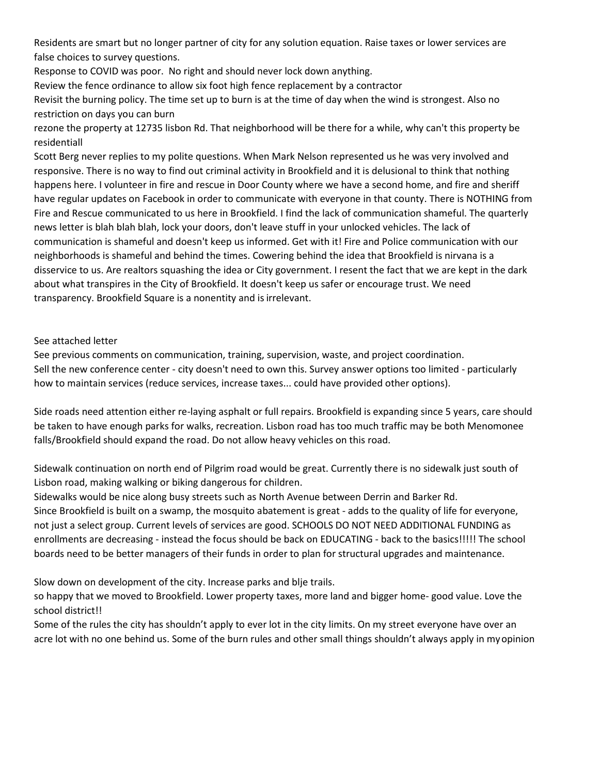Residents are smart but no longer partner of city for any solution equation. Raise taxes or lower services are false choices to survey questions.

Response to COVID was poor. No right and should never lock down anything.

Review the fence ordinance to allow six foot high fence replacement by a contractor

Revisit the burning policy. The time set up to burn is at the time of day when the wind is strongest. Also no restriction on days you can burn

rezone the property at 12735 lisbon Rd. That neighborhood will be there for a while, why can't this property be residentiall

Scott Berg never replies to my polite questions. When Mark Nelson represented us he was very involved and responsive. There is no way to find out criminal activity in Brookfield and it is delusional to think that nothing happens here. I volunteer in fire and rescue in Door County where we have a second home, and fire and sheriff have regular updates on Facebook in order to communicate with everyone in that county. There is NOTHING from Fire and Rescue communicated to us here in Brookfield. I find the lack of communication shameful. The quarterly news letter is blah blah blah, lock your doors, don't leave stuff in your unlocked vehicles. The lack of communication is shameful and doesn't keep us informed. Get with it! Fire and Police communication with our neighborhoods is shameful and behind the times. Cowering behind the idea that Brookfield is nirvana is a disservice to us. Are realtors squashing the idea or City government. I resent the fact that we are kept in the dark about what transpires in the City of Brookfield. It doesn't keep us safer or encourage trust. We need transparency. Brookfield Square is a nonentity and is irrelevant.

#### See attached letter

See previous comments on communication, training, supervision, waste, and project coordination. Sell the new conference center - city doesn't need to own this. Survey answer options too limited - particularly how to maintain services (reduce services, increase taxes... could have provided other options).

Side roads need attention either re-laying asphalt or full repairs. Brookfield is expanding since 5 years, care should be taken to have enough parks for walks, recreation. Lisbon road has too much traffic may be both Menomonee falls/Brookfield should expand the road. Do not allow heavy vehicles on this road.

Sidewalk continuation on north end of Pilgrim road would be great. Currently there is no sidewalk just south of Lisbon road, making walking or biking dangerous for children.

Sidewalks would be nice along busy streets such as North Avenue between Derrin and Barker Rd. Since Brookfield is built on a swamp, the mosquito abatement is great - adds to the quality of life for everyone, not just a select group. Current levels of services are good. SCHOOLS DO NOT NEED ADDITIONAL FUNDING as enrollments are decreasing - instead the focus should be back on EDUCATING - back to the basics!!!!! The school boards need to be better managers of their funds in order to plan for structural upgrades and maintenance.

Slow down on development of the city. Increase parks and blje trails.

so happy that we moved to Brookfield. Lower property taxes, more land and bigger home- good value. Love the school district!!

Some of the rules the city has shouldn't apply to ever lot in the city limits. On my street everyone have over an acre lot with no one behind us. Some of the burn rules and other small things shouldn't always apply in myopinion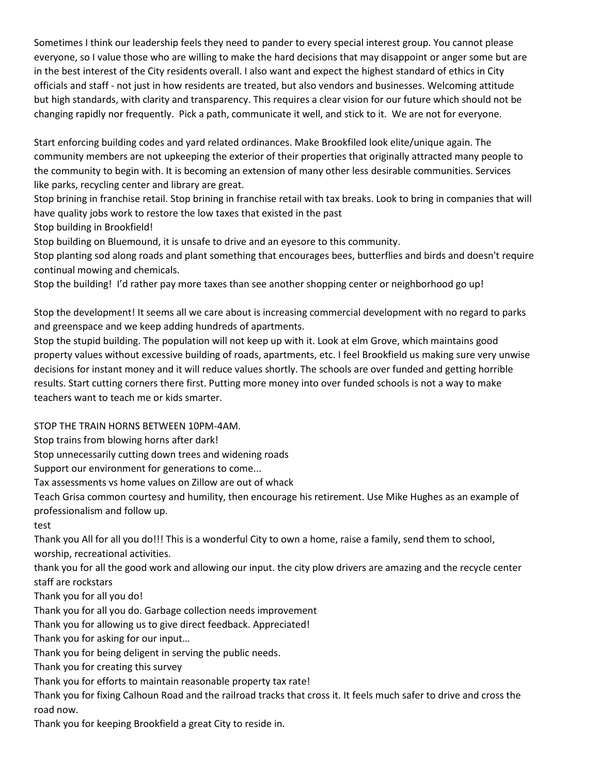Sometimes I think our leadership feels they need to pander to every special interest group. You cannot please everyone, so I value those who are willing to make the hard decisions that may disappoint or anger some but are in the best interest of the City residents overall. I also want and expect the highest standard of ethics in City officials and staff - not just in how residents are treated, but also vendors and businesses. Welcoming attitude but high standards, with clarity and transparency. This requires a clear vision for our future which should not be changing rapidly nor frequently. Pick a path, communicate it well, and stick to it. We are not for everyone.

Start enforcing building codes and yard related ordinances. Make Brookfiled look elite/unique again. The community members are not upkeeping the exterior of their properties that originally attracted many people to the community to begin with. It is becoming an extension of many other less desirable communities. Services like parks, recycling center and library are great.

Stop brining in franchise retail. Stop brining in franchise retail with tax breaks. Look to bring in companies that will have quality jobs work to restore the low taxes that existed in the past

Stop building in Brookfield!

Stop building on Bluemound, it is unsafe to drive and an eyesore to this community.

Stop planting sod along roads and plant something that encourages bees, butterflies and birds and doesn't require continual mowing and chemicals.

Stop the building! I'd rather pay more taxes than see another shopping center or neighborhood go up!

Stop the development! It seems all we care about is increasing commercial development with no regard to parks and greenspace and we keep adding hundreds of apartments.

Stop the stupid building. The population will not keep up with it. Look at elm Grove, which maintains good property values without excessive building of roads, apartments, etc. I feel Brookfield us making sure very unwise decisions for instant money and it will reduce values shortly. The schools are over funded and getting horrible results. Start cutting corners there first. Putting more money into over funded schools is not a way to make teachers want to teach me or kids smarter.

STOP THE TRAIN HORNS BETWEEN 10PM-4AM.

Stop trains from blowing horns after dark!

Stop unnecessarily cutting down trees and widening roads

Support our environment for generations to come...

Tax assessments vs home values on Zillow are out of whack

Teach Grisa common courtesy and humility, then encourage his retirement. Use Mike Hughes as an example of professionalism and follow up.

test

Thank you All for all you do!!! This is a wonderful City to own a home, raise a family, send them to school, worship, recreational activities.

thank you for all the good work and allowing our input. the city plow drivers are amazing and the recycle center staff are rockstars

Thank you for all you do!

Thank you for all you do. Garbage collection needs improvement

Thank you for allowing us to give direct feedback. Appreciated!

Thank you for asking for our input…

Thank you for being deligent in serving the public needs.

Thank you for creating this survey

Thank you for efforts to maintain reasonable property tax rate!

Thank you for fixing Calhoun Road and the railroad tracks that cross it. It feels much safer to drive and cross the road now.

Thank you for keeping Brookfield a great City to reside in.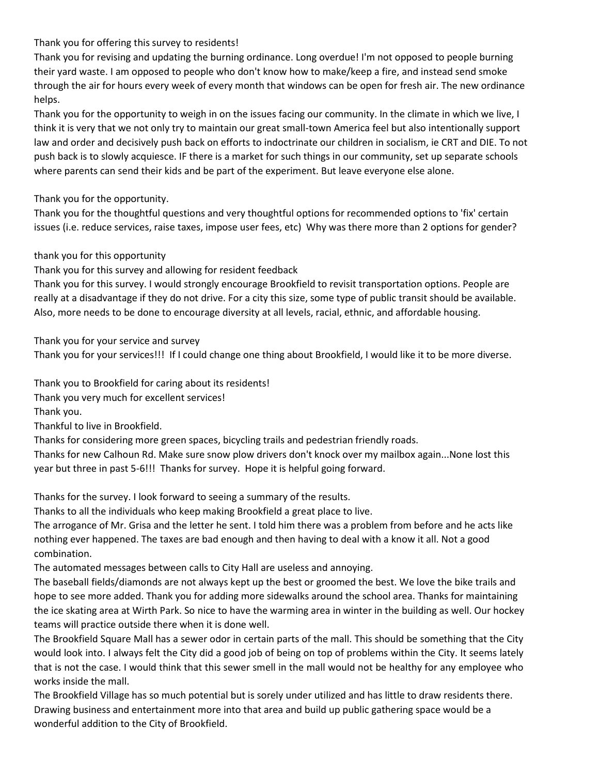# Thank you for offering this survey to residents!

Thank you for revising and updating the burning ordinance. Long overdue! I'm not opposed to people burning their yard waste. I am opposed to people who don't know how to make/keep a fire, and instead send smoke through the air for hours every week of every month that windows can be open for fresh air. The new ordinance helps.

Thank you for the opportunity to weigh in on the issues facing our community. In the climate in which we live, I think it is very that we not only try to maintain our great small-town America feel but also intentionally support law and order and decisively push back on efforts to indoctrinate our children in socialism, ie CRT and DIE. To not push back is to slowly acquiesce. IF there is a market for such things in our community, set up separate schools where parents can send their kids and be part of the experiment. But leave everyone else alone.

Thank you for the opportunity.

Thank you for the thoughtful questions and very thoughtful options for recommended options to 'fix' certain issues (i.e. reduce services, raise taxes, impose user fees, etc) Why was there more than 2 options for gender?

### thank you for this opportunity

Thank you for this survey and allowing for resident feedback

Thank you for this survey. I would strongly encourage Brookfield to revisit transportation options. People are really at a disadvantage if they do not drive. For a city this size, some type of public transit should be available. Also, more needs to be done to encourage diversity at all levels, racial, ethnic, and affordable housing.

Thank you for your service and survey

Thank you for your services!!! If I could change one thing about Brookfield, I would like it to be more diverse.

Thank you to Brookfield for caring about its residents! Thank you very much for excellent services! Thank you.

Thankful to live in Brookfield.

Thanks for considering more green spaces, bicycling trails and pedestrian friendly roads.

Thanks for new Calhoun Rd. Make sure snow plow drivers don't knock over my mailbox again...None lost this year but three in past 5-6!!! Thanks for survey. Hope it is helpful going forward.

Thanks for the survey. I look forward to seeing a summary of the results.

Thanks to all the individuals who keep making Brookfield a great place to live.

The arrogance of Mr. Grisa and the letter he sent. I told him there was a problem from before and he acts like nothing ever happened. The taxes are bad enough and then having to deal with a know it all. Not a good combination.

The automated messages between calls to City Hall are useless and annoying.

The baseball fields/diamonds are not always kept up the best or groomed the best. We love the bike trails and hope to see more added. Thank you for adding more sidewalks around the school area. Thanks for maintaining the ice skating area at Wirth Park. So nice to have the warming area in winter in the building as well. Our hockey teams will practice outside there when it is done well.

The Brookfield Square Mall has a sewer odor in certain parts of the mall. This should be something that the City would look into. I always felt the City did a good job of being on top of problems within the City. It seems lately that is not the case. I would think that this sewer smell in the mall would not be healthy for any employee who works inside the mall.

The Brookfield Village has so much potential but is sorely under utilized and has little to draw residents there. Drawing business and entertainment more into that area and build up public gathering space would be a wonderful addition to the City of Brookfield.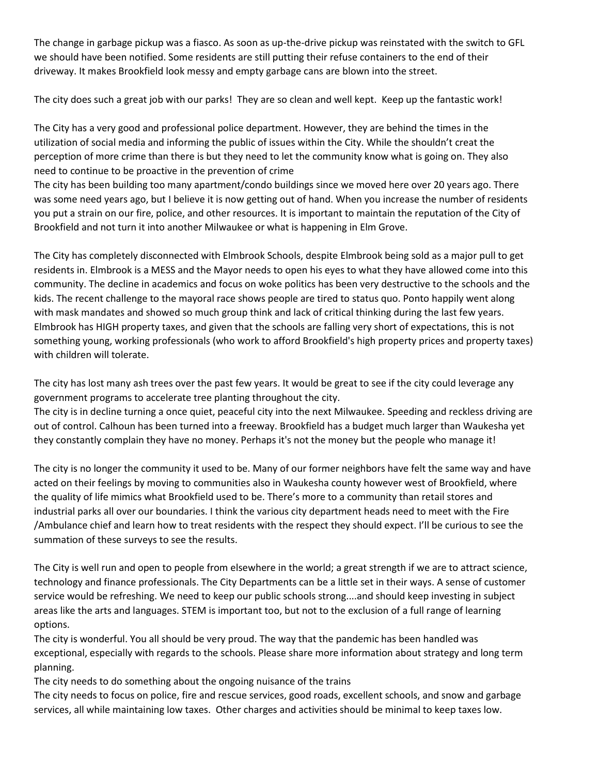The change in garbage pickup was a fiasco. As soon as up-the-drive pickup was reinstated with the switch to GFL we should have been notified. Some residents are still putting their refuse containers to the end of their driveway. It makes Brookfield look messy and empty garbage cans are blown into the street.

The city does such a great job with our parks! They are so clean and well kept. Keep up the fantastic work!

The City has a very good and professional police department. However, they are behind the times in the utilization of social media and informing the public of issues within the City. While the shouldn't creat the perception of more crime than there is but they need to let the community know what is going on. They also need to continue to be proactive in the prevention of crime

The city has been building too many apartment/condo buildings since we moved here over 20 years ago. There was some need years ago, but I believe it is now getting out of hand. When you increase the number of residents you put a strain on our fire, police, and other resources. It is important to maintain the reputation of the City of Brookfield and not turn it into another Milwaukee or what is happening in Elm Grove.

The City has completely disconnected with Elmbrook Schools, despite Elmbrook being sold as a major pull to get residents in. Elmbrook is a MESS and the Mayor needs to open his eyes to what they have allowed come into this community. The decline in academics and focus on woke politics has been very destructive to the schools and the kids. The recent challenge to the mayoral race shows people are tired to status quo. Ponto happily went along with mask mandates and showed so much group think and lack of critical thinking during the last few years. Elmbrook has HIGH property taxes, and given that the schools are falling very short of expectations, this is not something young, working professionals (who work to afford Brookfield's high property prices and property taxes) with children will tolerate.

The city has lost many ash trees over the past few years. It would be great to see if the city could leverage any government programs to accelerate tree planting throughout the city.

The city is in decline turning a once quiet, peaceful city into the next Milwaukee. Speeding and reckless driving are out of control. Calhoun has been turned into a freeway. Brookfield has a budget much larger than Waukesha yet they constantly complain they have no money. Perhaps it's not the money but the people who manage it!

The city is no longer the community it used to be. Many of our former neighbors have felt the same way and have acted on their feelings by moving to communities also in Waukesha county however west of Brookfield, where the quality of life mimics what Brookfield used to be. There's more to a community than retail stores and industrial parks all over our boundaries. I think the various city department heads need to meet with the Fire /Ambulance chief and learn how to treat residents with the respect they should expect. I'll be curious to see the summation of these surveys to see the results.

The City is well run and open to people from elsewhere in the world; a great strength if we are to attract science, technology and finance professionals. The City Departments can be a little set in their ways. A sense of customer service would be refreshing. We need to keep our public schools strong....and should keep investing in subject areas like the arts and languages. STEM is important too, but not to the exclusion of a full range of learning options.

The city is wonderful. You all should be very proud. The way that the pandemic has been handled was exceptional, especially with regards to the schools. Please share more information about strategy and long term planning.

The city needs to do something about the ongoing nuisance of the trains

The city needs to focus on police, fire and rescue services, good roads, excellent schools, and snow and garbage services, all while maintaining low taxes. Other charges and activities should be minimal to keep taxes low.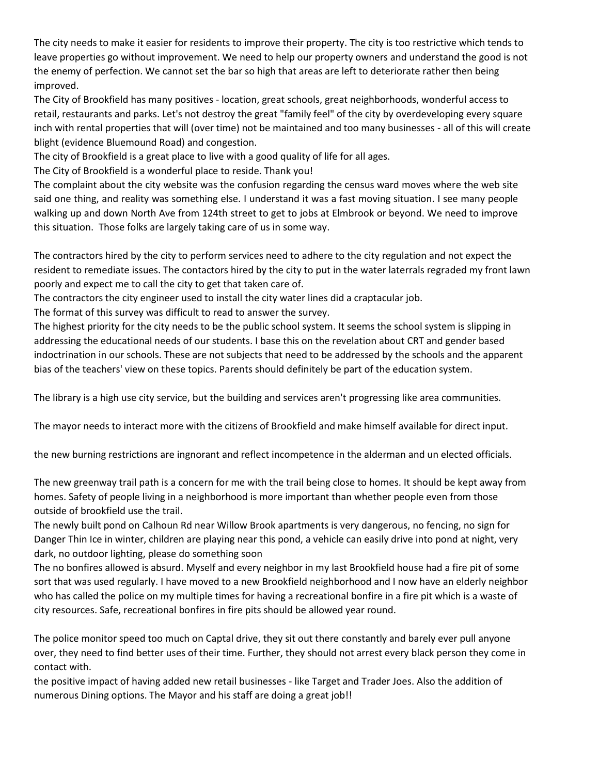The city needs to make it easier for residents to improve their property. The city is too restrictive which tends to leave properties go without improvement. We need to help our property owners and understand the good is not the enemy of perfection. We cannot set the bar so high that areas are left to deteriorate rather then being improved.

The City of Brookfield has many positives - location, great schools, great neighborhoods, wonderful access to retail, restaurants and parks. Let's not destroy the great "family feel" of the city by overdeveloping every square inch with rental properties that will (over time) not be maintained and too many businesses - all of this will create blight (evidence Bluemound Road) and congestion.

The city of Brookfield is a great place to live with a good quality of life for all ages.

The City of Brookfield is a wonderful place to reside. Thank you!

The complaint about the city website was the confusion regarding the census ward moves where the web site said one thing, and reality was something else. I understand it was a fast moving situation. I see many people walking up and down North Ave from 124th street to get to jobs at Elmbrook or beyond. We need to improve this situation. Those folks are largely taking care of us in some way.

The contractors hired by the city to perform services need to adhere to the city regulation and not expect the resident to remediate issues. The contactors hired by the city to put in the water laterrals regraded my front lawn poorly and expect me to call the city to get that taken care of.

The contractors the city engineer used to install the city water lines did a craptacular job.

The format of this survey was difficult to read to answer the survey.

The highest priority for the city needs to be the public school system. It seems the school system is slipping in addressing the educational needs of our students. I base this on the revelation about CRT and gender based indoctrination in our schools. These are not subjects that need to be addressed by the schools and the apparent bias of the teachers' view on these topics. Parents should definitely be part of the education system.

The library is a high use city service, but the building and services aren't progressing like area communities.

The mayor needs to interact more with the citizens of Brookfield and make himself available for direct input.

the new burning restrictions are ingnorant and reflect incompetence in the alderman and un elected officials.

The new greenway trail path is a concern for me with the trail being close to homes. It should be kept away from homes. Safety of people living in a neighborhood is more important than whether people even from those outside of brookfield use the trail.

The newly built pond on Calhoun Rd near Willow Brook apartments is very dangerous, no fencing, no sign for Danger Thin Ice in winter, children are playing near this pond, a vehicle can easily drive into pond at night, very dark, no outdoor lighting, please do something soon

The no bonfires allowed is absurd. Myself and every neighbor in my last Brookfield house had a fire pit of some sort that was used regularly. I have moved to a new Brookfield neighborhood and I now have an elderly neighbor who has called the police on my multiple times for having a recreational bonfire in a fire pit which is a waste of city resources. Safe, recreational bonfires in fire pits should be allowed year round.

The police monitor speed too much on Captal drive, they sit out there constantly and barely ever pull anyone over, they need to find better uses of their time. Further, they should not arrest every black person they come in contact with.

the positive impact of having added new retail businesses - like Target and Trader Joes. Also the addition of numerous Dining options. The Mayor and his staff are doing a great job!!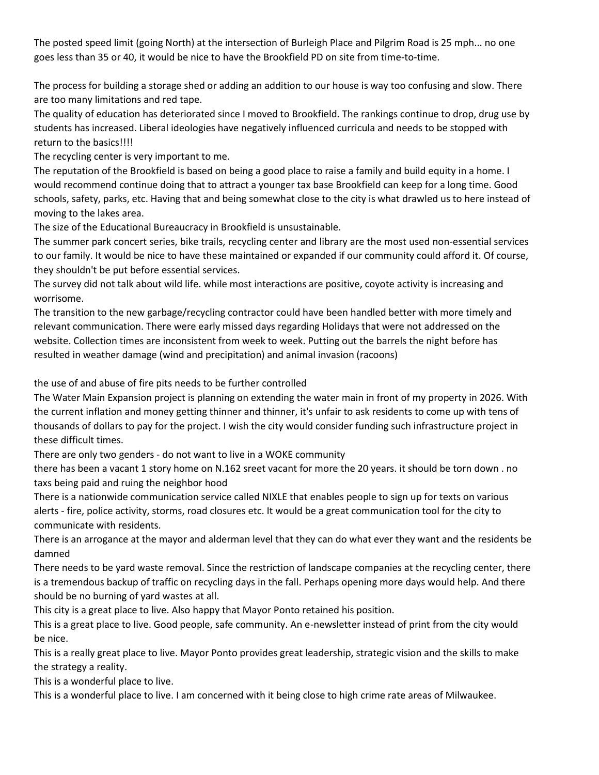The posted speed limit (going North) at the intersection of Burleigh Place and Pilgrim Road is 25 mph... no one goes less than 35 or 40, it would be nice to have the Brookfield PD on site from time-to-time.

The process for building a storage shed or adding an addition to our house is way too confusing and slow. There are too many limitations and red tape.

The quality of education has deteriorated since I moved to Brookfield. The rankings continue to drop, drug use by students has increased. Liberal ideologies have negatively influenced curricula and needs to be stopped with return to the basics!!!!

The recycling center is very important to me.

The reputation of the Brookfield is based on being a good place to raise a family and build equity in a home. I would recommend continue doing that to attract a younger tax base Brookfield can keep for a long time. Good schools, safety, parks, etc. Having that and being somewhat close to the city is what drawled us to here instead of moving to the lakes area.

The size of the Educational Bureaucracy in Brookfield is unsustainable.

The summer park concert series, bike trails, recycling center and library are the most used non-essential services to our family. It would be nice to have these maintained or expanded if our community could afford it. Of course, they shouldn't be put before essential services.

The survey did not talk about wild life. while most interactions are positive, coyote activity is increasing and worrisome.

The transition to the new garbage/recycling contractor could have been handled better with more timely and relevant communication. There were early missed days regarding Holidays that were not addressed on the website. Collection times are inconsistent from week to week. Putting out the barrels the night before has resulted in weather damage (wind and precipitation) and animal invasion (racoons)

the use of and abuse of fire pits needs to be further controlled

The Water Main Expansion project is planning on extending the water main in front of my property in 2026. With the current inflation and money getting thinner and thinner, it's unfair to ask residents to come up with tens of thousands of dollars to pay for the project. I wish the city would consider funding such infrastructure project in these difficult times.

There are only two genders - do not want to live in a WOKE community

there has been a vacant 1 story home on N.162 sreet vacant for more the 20 years. it should be torn down . no taxs being paid and ruing the neighbor hood

There is a nationwide communication service called NIXLE that enables people to sign up for texts on various alerts - fire, police activity, storms, road closures etc. It would be a great communication tool for the city to communicate with residents.

There is an arrogance at the mayor and alderman level that they can do what ever they want and the residents be damned

There needs to be yard waste removal. Since the restriction of landscape companies at the recycling center, there is a tremendous backup of traffic on recycling days in the fall. Perhaps opening more days would help. And there should be no burning of yard wastes at all.

This city is a great place to live. Also happy that Mayor Ponto retained his position.

This is a great place to live. Good people, safe community. An e-newsletter instead of print from the city would be nice.

This is a really great place to live. Mayor Ponto provides great leadership, strategic vision and the skills to make the strategy a reality.

This is a wonderful place to live.

This is a wonderful place to live. I am concerned with it being close to high crime rate areas of Milwaukee.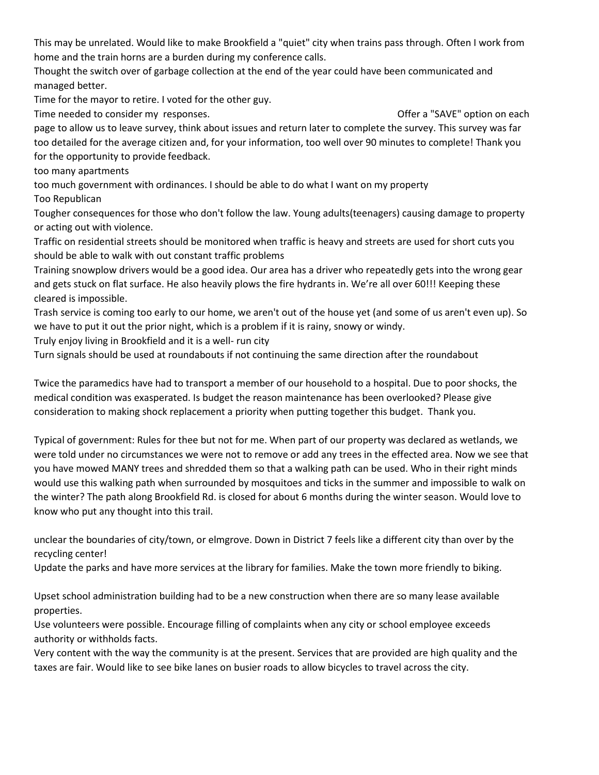This may be unrelated. Would like to make Brookfield a "quiet" city when trains pass through. Often I work from home and the train horns are a burden during my conference calls.

Thought the switch over of garbage collection at the end of the year could have been communicated and managed better.

Time for the mayor to retire. I voted for the other guy.

Time needed to consider my responses. The state of the state of the SAVE" option on each offer a "SAVE" option on each

page to allow us to leave survey, think about issues and return later to complete the survey. This survey was far too detailed for the average citizen and, for your information, too well over 90 minutes to complete! Thank you for the opportunity to provide feedback.

too many apartments

too much government with ordinances. I should be able to do what I want on my property

Too Republican

Tougher consequences for those who don't follow the law. Young adults(teenagers) causing damage to property or acting out with violence.

Traffic on residential streets should be monitored when traffic is heavy and streets are used for short cuts you should be able to walk with out constant traffic problems

Training snowplow drivers would be a good idea. Our area has a driver who repeatedly gets into the wrong gear and gets stuck on flat surface. He also heavily plows the fire hydrants in. We're all over 60!!! Keeping these cleared is impossible.

Trash service is coming too early to our home, we aren't out of the house yet (and some of us aren't even up). So we have to put it out the prior night, which is a problem if it is rainy, snowy or windy.

Truly enjoy living in Brookfield and it is a well- run city

Turn signals should be used at roundabouts if not continuing the same direction after the roundabout

Twice the paramedics have had to transport a member of our household to a hospital. Due to poor shocks, the medical condition was exasperated. Is budget the reason maintenance has been overlooked? Please give consideration to making shock replacement a priority when putting together this budget. Thank you.

Typical of government: Rules for thee but not for me. When part of our property was declared as wetlands, we were told under no circumstances we were not to remove or add any trees in the effected area. Now we see that you have mowed MANY trees and shredded them so that a walking path can be used. Who in their right minds would use this walking path when surrounded by mosquitoes and ticks in the summer and impossible to walk on the winter? The path along Brookfield Rd. is closed for about 6 months during the winter season. Would love to know who put any thought into this trail.

unclear the boundaries of city/town, or elmgrove. Down in District 7 feels like a different city than over by the recycling center!

Update the parks and have more services at the library for families. Make the town more friendly to biking.

Upset school administration building had to be a new construction when there are so many lease available properties.

Use volunteers were possible. Encourage filling of complaints when any city or school employee exceeds authority or withholds facts.

Very content with the way the community is at the present. Services that are provided are high quality and the taxes are fair. Would like to see bike lanes on busier roads to allow bicycles to travel across the city.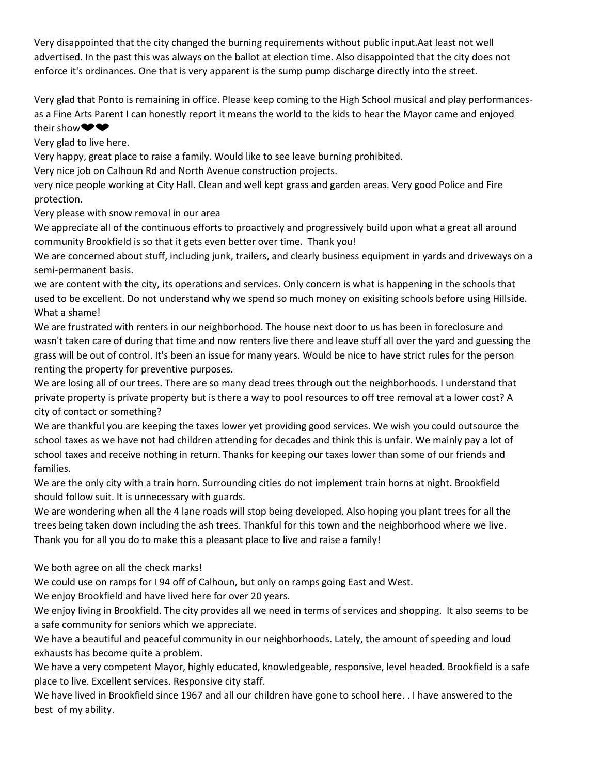Very disappointed that the city changed the burning requirements without public input.Aat least not well advertised. In the past this was always on the ballot at election time. Also disappointed that the city does not enforce it's ordinances. One that is very apparent is the sump pump discharge directly into the street.

Very glad that Ponto is remaining in office. Please keep coming to the High School musical and play performancesas a Fine Arts Parent I can honestly report it means the world to the kids to hear the Mayor came and enjoyed their show<sup>•</sup>

Very glad to live here.

Very happy, great place to raise a family. Would like to see leave burning prohibited.

Very nice job on Calhoun Rd and North Avenue construction projects.

very nice people working at City Hall. Clean and well kept grass and garden areas. Very good Police and Fire protection.

Very please with snow removal in our area

We appreciate all of the continuous efforts to proactively and progressively build upon what a great all around community Brookfield is so that it gets even better over time. Thank you!

We are concerned about stuff, including junk, trailers, and clearly business equipment in yards and driveways on a semi-permanent basis.

we are content with the city, its operations and services. Only concern is what is happening in the schools that used to be excellent. Do not understand why we spend so much money on exisiting schools before using Hillside. What a shame!

We are frustrated with renters in our neighborhood. The house next door to us has been in foreclosure and wasn't taken care of during that time and now renters live there and leave stuff all over the yard and guessing the grass will be out of control. It's been an issue for many years. Would be nice to have strict rules for the person renting the property for preventive purposes.

We are losing all of our trees. There are so many dead trees through out the neighborhoods. I understand that private property is private property but is there a way to pool resources to off tree removal at a lower cost? A city of contact or something?

We are thankful you are keeping the taxes lower yet providing good services. We wish you could outsource the school taxes as we have not had children attending for decades and think this is unfair. We mainly pay a lot of school taxes and receive nothing in return. Thanks for keeping our taxes lower than some of our friends and families.

We are the only city with a train horn. Surrounding cities do not implement train horns at night. Brookfield should follow suit. It is unnecessary with guards.

We are wondering when all the 4 lane roads will stop being developed. Also hoping you plant trees for all the trees being taken down including the ash trees. Thankful for this town and the neighborhood where we live. Thank you for all you do to make this a pleasant place to live and raise a family!

We both agree on all the check marks!

We could use on ramps for I 94 off of Calhoun, but only on ramps going East and West.

We enjoy Brookfield and have lived here for over 20 years.

We enjoy living in Brookfield. The city provides all we need in terms of services and shopping. It also seems to be a safe community for seniors which we appreciate.

We have a beautiful and peaceful community in our neighborhoods. Lately, the amount of speeding and loud exhausts has become quite a problem.

We have a very competent Mayor, highly educated, knowledgeable, responsive, level headed. Brookfield is a safe place to live. Excellent services. Responsive city staff.

We have lived in Brookfield since 1967 and all our children have gone to school here. . I have answered to the best of my ability.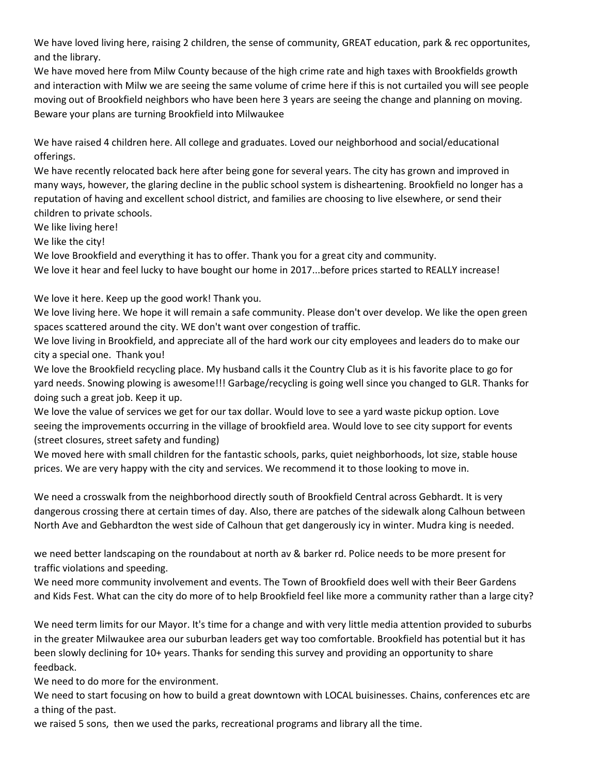We have loved living here, raising 2 children, the sense of community, GREAT education, park & rec opportunites, and the library.

We have moved here from Milw County because of the high crime rate and high taxes with Brookfields growth and interaction with Milw we are seeing the same volume of crime here if this is not curtailed you will see people moving out of Brookfield neighbors who have been here 3 years are seeing the change and planning on moving. Beware your plans are turning Brookfield into Milwaukee

We have raised 4 children here. All college and graduates. Loved our neighborhood and social/educational offerings.

We have recently relocated back here after being gone for several years. The city has grown and improved in many ways, however, the glaring decline in the public school system is disheartening. Brookfield no longer has a reputation of having and excellent school district, and families are choosing to live elsewhere, or send their children to private schools.

We like living here!

We like the city!

We love Brookfield and everything it has to offer. Thank you for a great city and community.

We love it hear and feel lucky to have bought our home in 2017...before prices started to REALLY increase!

We love it here. Keep up the good work! Thank you.

We love living here. We hope it will remain a safe community. Please don't over develop. We like the open green spaces scattered around the city. WE don't want over congestion of traffic.

We love living in Brookfield, and appreciate all of the hard work our city employees and leaders do to make our city a special one. Thank you!

We love the Brookfield recycling place. My husband calls it the Country Club as it is his favorite place to go for yard needs. Snowing plowing is awesome!!! Garbage/recycling is going well since you changed to GLR. Thanks for doing such a great job. Keep it up.

We love the value of services we get for our tax dollar. Would love to see a yard waste pickup option. Love seeing the improvements occurring in the village of brookfield area. Would love to see city support for events (street closures, street safety and funding)

We moved here with small children for the fantastic schools, parks, quiet neighborhoods, lot size, stable house prices. We are very happy with the city and services. We recommend it to those looking to move in.

We need a crosswalk from the neighborhood directly south of Brookfield Central across Gebhardt. It is very dangerous crossing there at certain times of day. Also, there are patches of the sidewalk along Calhoun between North Ave and Gebhardton the west side of Calhoun that get dangerously icy in winter. Mudra king is needed.

we need better landscaping on the roundabout at north av & barker rd. Police needs to be more present for traffic violations and speeding.

We need more community involvement and events. The Town of Brookfield does well with their Beer Gardens and Kids Fest. What can the city do more of to help Brookfield feel like more a community rather than a large city?

We need term limits for our Mayor. It's time for a change and with very little media attention provided to suburbs in the greater Milwaukee area our suburban leaders get way too comfortable. Brookfield has potential but it has been slowly declining for 10+ years. Thanks for sending this survey and providing an opportunity to share feedback.

We need to do more for the environment.

We need to start focusing on how to build a great downtown with LOCAL buisinesses. Chains, conferences etc are a thing of the past.

we raised 5 sons, then we used the parks, recreational programs and library all the time.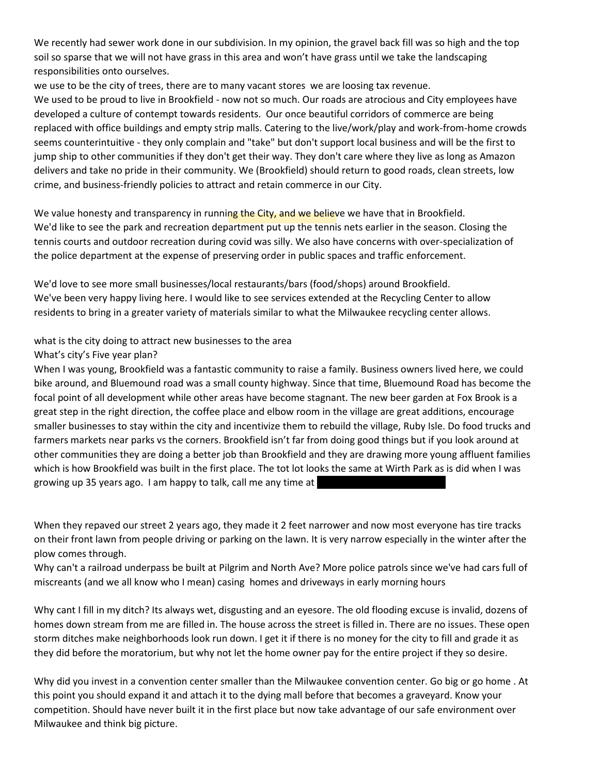We recently had sewer work done in our subdivision. In my opinion, the gravel back fill was so high and the top soil so sparse that we will not have grass in this area and won't have grass until we take the landscaping responsibilities onto ourselves.

we use to be the city of trees, there are to many vacant stores we are loosing tax revenue.

We used to be proud to live in Brookfield - now not so much. Our roads are atrocious and City employees have developed a culture of contempt towards residents. Our once beautiful corridors of commerce are being replaced with office buildings and empty strip malls. Catering to the live/work/play and work-from-home crowds seems counterintuitive - they only complain and "take" but don't support local business and will be the first to jump ship to other communities if they don't get their way. They don't care where they live as long as Amazon delivers and take no pride in their community. We (Brookfield) should return to good roads, clean streets, low crime, and business-friendly policies to attract and retain commerce in our City.

We value honesty and transparency in running the City, and we believe we have that in Brookfield. We'd like to see the park and recreation department put up the tennis nets earlier in the season. Closing the tennis courts and outdoor recreation during covid was silly. We also have concerns with over-specialization of the police department at the expense of preserving order in public spaces and traffic enforcement.

We'd love to see more small businesses/local restaurants/bars (food/shops) around Brookfield. We've been very happy living here. I would like to see services extended at the Recycling Center to allow residents to bring in a greater variety of materials similar to what the Milwaukee recycling center allows.

what is the city doing to attract new businesses to the area

#### What's city's Five year plan?

When I was young, Brookfield was a fantastic community to raise a family. Business owners lived here, we could bike around, and Bluemound road was a small county highway. Since that time, Bluemound Road has become the focal point of all development while other areas have become stagnant. The new beer garden at Fox Brook is a great step in the right direction, the coffee place and elbow room in the village are great additions, encourage smaller businesses to stay within the city and incentivize them to rebuild the village, Ruby Isle. Do food trucks and farmers markets near parks vs the corners. Brookfield isn't far from doing good things but if you look around at other communities they are doing a better job than Brookfield and they are drawing more young affluent families which is how Brookfield was built in the first place. The tot lot looks the same at Wirth Park as is did when I was growing up 35 years ago. I am happy to talk, call me any time at

When they repaved our street 2 years ago, they made it 2 feet narrower and now most everyone has tire tracks on their front lawn from people driving or parking on the lawn. It is very narrow especially in the winter after the plow comes through.

Why can't a railroad underpass be built at Pilgrim and North Ave? More police patrols since we've had cars full of miscreants (and we all know who I mean) casing homes and driveways in early morning hours

Why cant I fill in my ditch? Its always wet, disgusting and an eyesore. The old flooding excuse is invalid, dozens of homes down stream from me are filled in. The house across the street is filled in. There are no issues. These open storm ditches make neighborhoods look run down. I get it if there is no money for the city to fill and grade it as they did before the moratorium, but why not let the home owner pay for the entire project if they so desire.

Why did you invest in a convention center smaller than the Milwaukee convention center. Go big or go home . At this point you should expand it and attach it to the dying mall before that becomes a graveyard. Know your competition. Should have never built it in the first place but now take advantage of our safe environment over Milwaukee and think big picture.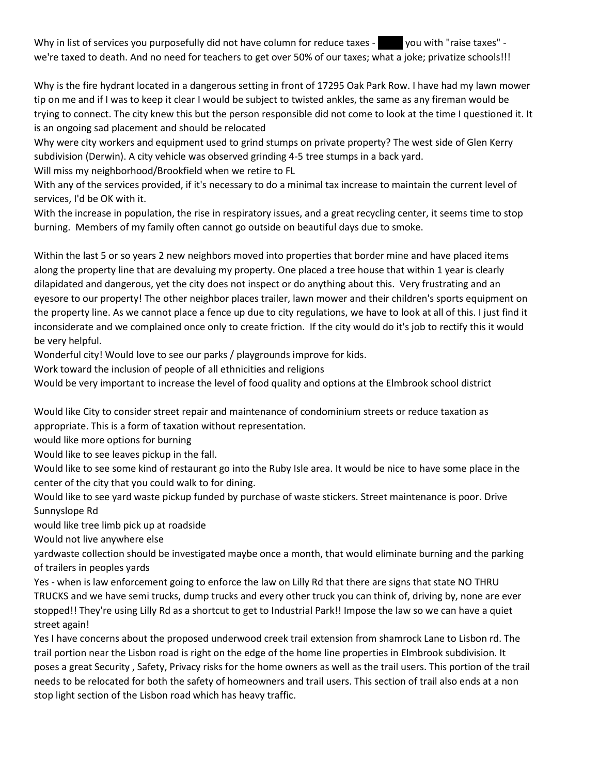Why in list of services you purposefully did not have column for reduce taxes - you with "raise taxes" we're taxed to death. And no need for teachers to get over 50% of our taxes; what a joke; privatize schools!!!

Why is the fire hydrant located in a dangerous setting in front of 17295 Oak Park Row. I have had my lawn mower tip on me and if I was to keep it clear I would be subject to twisted ankles, the same as any fireman would be trying to connect. The city knew this but the person responsible did not come to look at the time I questioned it. It is an ongoing sad placement and should be relocated

Why were city workers and equipment used to grind stumps on private property? The west side of Glen Kerry subdivision (Derwin). A city vehicle was observed grinding 4-5 tree stumps in a back yard.

Will miss my neighborhood/Brookfield when we retire to FL

With any of the services provided, if it's necessary to do a minimal tax increase to maintain the current level of services, I'd be OK with it.

With the increase in population, the rise in respiratory issues, and a great recycling center, it seems time to stop burning. Members of my family often cannot go outside on beautiful days due to smoke.

Within the last 5 or so years 2 new neighbors moved into properties that border mine and have placed items along the property line that are devaluing my property. One placed a tree house that within 1 year is clearly dilapidated and dangerous, yet the city does not inspect or do anything about this. Very frustrating and an eyesore to our property! The other neighbor places trailer, lawn mower and their children's sports equipment on the property line. As we cannot place a fence up due to city regulations, we have to look at all of this. I just find it inconsiderate and we complained once only to create friction. If the city would do it's job to rectify this it would be very helpful.

Wonderful city! Would love to see our parks / playgrounds improve for kids.

Work toward the inclusion of people of all ethnicities and religions

Would be very important to increase the level of food quality and options at the Elmbrook school district

Would like City to consider street repair and maintenance of condominium streets or reduce taxation as appropriate. This is a form of taxation without representation.

would like more options for burning

Would like to see leaves pickup in the fall.

Would like to see some kind of restaurant go into the Ruby Isle area. It would be nice to have some place in the center of the city that you could walk to for dining.

Would like to see yard waste pickup funded by purchase of waste stickers. Street maintenance is poor. Drive Sunnyslope Rd

would like tree limb pick up at roadside

Would not live anywhere else

yardwaste collection should be investigated maybe once a month, that would eliminate burning and the parking of trailers in peoples yards

Yes - when is law enforcement going to enforce the law on Lilly Rd that there are signs that state NO THRU TRUCKS and we have semi trucks, dump trucks and every other truck you can think of, driving by, none are ever stopped!! They're using Lilly Rd as a shortcut to get to Industrial Park!! Impose the law so we can have a quiet street again!

Yes I have concerns about the proposed underwood creek trail extension from shamrock Lane to Lisbon rd. The trail portion near the Lisbon road is right on the edge of the home line properties in Elmbrook subdivision. It poses a great Security , Safety, Privacy risks for the home owners as well as the trail users. This portion of the trail needs to be relocated for both the safety of homeowners and trail users. This section of trail also ends at a non stop light section of the Lisbon road which has heavy traffic.